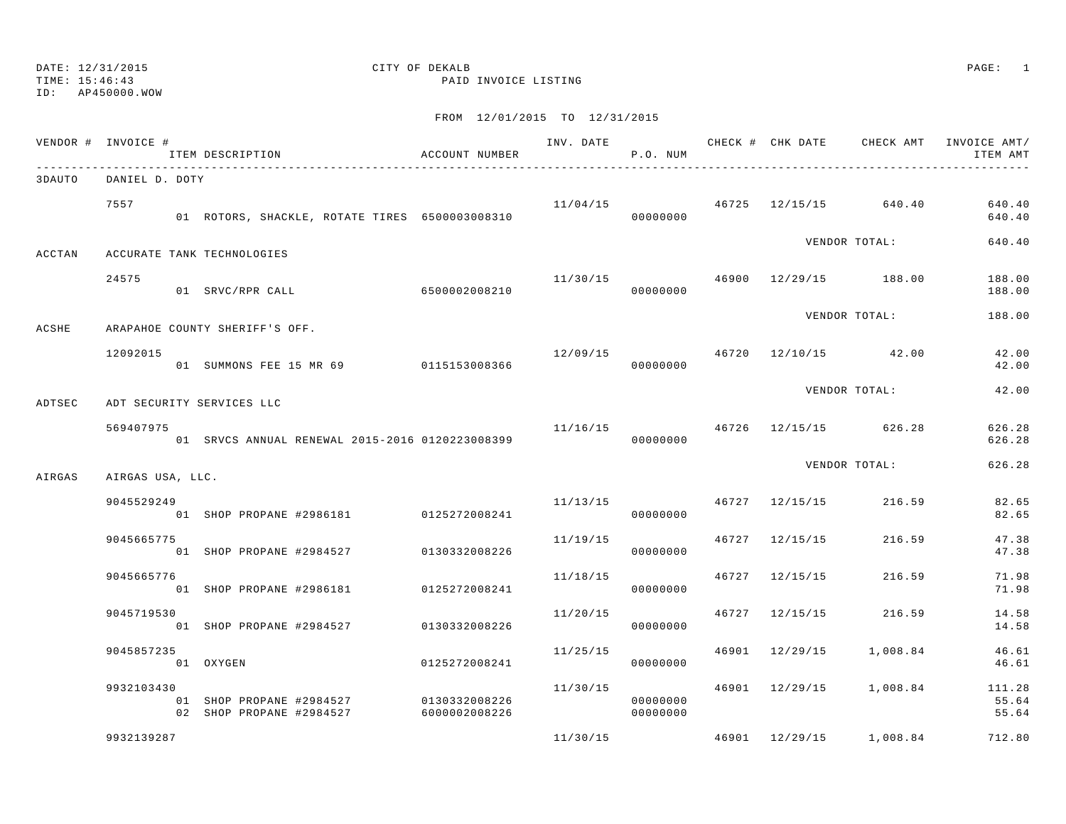### DATE: 12/31/2015 CITY OF DEKALB PAGE: 1 TIME: 15:46:43 PAID INVOICE LISTING

|        | VENDOR # INVOICE #        | ITEM DESCRIPTION                                                   | ACCOUNT NUMBER |          | P.O. NUM             |                |                                        | ITEM AMT                 |
|--------|---------------------------|--------------------------------------------------------------------|----------------|----------|----------------------|----------------|----------------------------------------|--------------------------|
| 3DAUTO | DANIEL D. DOTY            |                                                                    |                |          |                      |                |                                        |                          |
|        | 7557                      | 01 ROTORS, SHACKLE, ROTATE TIRES 6500003008310                     |                |          | 00000000             |                | $11/04/15$ $46725$ $12/15/15$ $640.40$ | 640.40<br>640.40         |
| ACCTAN |                           | ACCURATE TANK TECHNOLOGIES                                         |                |          |                      |                | VENDOR TOTAL:                          | 640.40                   |
|        | 24575                     | 01 SRVC/RPR CALL                                                   | 6500002008210  | 11/30/15 | 00000000             |                | 46900 12/29/15 188.00                  | 188.00<br>188.00         |
| ACSHE  |                           | ARAPAHOE COUNTY SHERIFF'S OFF.                                     |                |          |                      |                | VENDOR TOTAL:                          | 188.00                   |
|        | 12092015                  | 01 SUMMONS FEE 15 MR 69 0115153008366                              |                |          | 00000000             |                | $12/09/15$ $46720$ $12/10/15$ $42.00$  | 42.00<br>42.00           |
| ADTSEC | ADT SECURITY SERVICES LLC |                                                                    |                |          |                      |                | VENDOR TOTAL:                          | 42.00                    |
|        | 569407975                 | 01 SRVCS ANNUAL RENEWAL 2015-2016 0120223008399                    |                |          | 00000000             |                | $11/16/15$ 46726 $12/15/15$ 626.28     | 626.28<br>626.28         |
| AIRGAS | AIRGAS USA, LLC.          |                                                                    |                |          |                      |                | VENDOR TOTAL:                          | 626.28                   |
|        | 9045529249                | 01 SHOP PROPANE #2986181 0125272008241                             |                | 11/13/15 | 00000000             | 46727 12/15/15 | 216.59                                 | 82.65<br>82.65           |
|        | 9045665775                | 01 SHOP PROPANE #2984527 0130332008226                             |                | 11/19/15 | 00000000             | 46727 12/15/15 | 216.59                                 | 47.38<br>47.38           |
|        | 9045665776                | 01 SHOP PROPANE #2986181                                           | 0125272008241  | 11/18/15 | 00000000             | 46727 12/15/15 | 216.59                                 | 71.98<br>71.98           |
|        | 9045719530                | 01 SHOP PROPANE #2984527 0130332008226                             |                | 11/20/15 | 00000000             | 46727 12/15/15 | 216.59                                 | 14.58<br>14.58           |
|        | 9045857235                | 01 OXYGEN                                                          | 0125272008241  | 11/25/15 | 00000000             | 46901 12/29/15 | 1,008.84                               | 46.61<br>46.61           |
|        | 9932103430                | 01 SHOP PROPANE #2984527 0130332008226<br>02 SHOP PROPANE #2984527 | 6000002008226  | 11/30/15 | 00000000<br>00000000 |                | 46901 12/29/15 1,008.84                | 111.28<br>55.64<br>55.64 |
|        | 9932139287                |                                                                    |                | 11/30/15 |                      |                | 46901 12/29/15 1,008.84                | 712.80                   |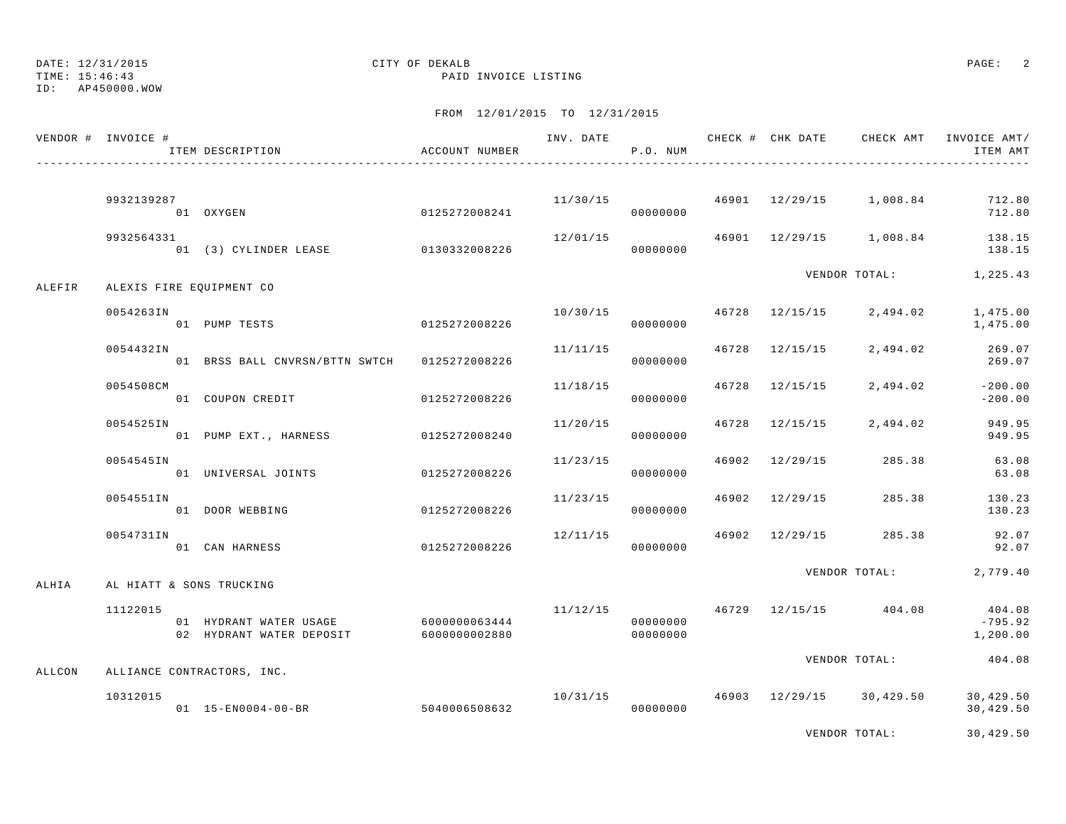TIME: 15:46:43 PAID INVOICE LISTING

## DATE: 12/31/2015 CITY OF DEKALB PAGE: 2

ID: AP450000.WOW

### FROM 12/01/2015 TO 12/31/2015

|        | VENDOR # INVOICE # | ITEM DESCRIPTION                                                 |               |          |          |                |                                                       |                        |
|--------|--------------------|------------------------------------------------------------------|---------------|----------|----------|----------------|-------------------------------------------------------|------------------------|
|        |                    |                                                                  |               |          |          |                |                                                       |                        |
|        | 9932139287         | 0125272008241                                                    |               |          | 00000000 |                | $11/30/15$ $46901$ $12/29/15$ $1,008.84$              | 712.80<br>712.80       |
|        | 9932564331         |                                                                  |               |          |          |                | $12/01/15$ $46901$ $12/29/15$ $1,008.84$ $138.15$     | 138.15                 |
| ALEFIR |                    | ALEXIS FIRE EQUIPMENT CO                                         |               |          |          |                | VENDOR TOTAL: 1,225.43                                |                        |
|        | 0054263IN          | 01 PUMP TESTS                                                    | 0125272008226 |          | 00000000 |                | $10/30/15$ $46728$ $12/15/15$ $2,494.02$ $1,475.00$   | 1,475.00               |
|        | 0054432IN          |                                                                  |               | 11/11/15 | 00000000 |                | 46728 12/15/15 2,494.02                               | 269.07<br>269.07       |
|        | 0054508CM          |                                                                  |               | 11/18/15 | 00000000 | 46728 12/15/15 | 2,494.02                                              | $-200.00$<br>$-200.00$ |
|        | 0054525IN          | 01 PUMP EXT., HARNESS 0125272008240                              |               | 11/20/15 | 00000000 | 46728 12/15/15 | 2,494.02                                              | 949.95<br>949.95       |
|        | 0054545IN          |                                                                  |               | 11/23/15 | 00000000 |                | 46902 12/29/15 285.38                                 | 63.08<br>63.08         |
|        | 0054551IN          | 01 DOOR WEBBING                                                  | 0125272008226 | 11/23/15 | 00000000 |                | 46902 12/29/15 285.38                                 | 130.23<br>130.23       |
|        | 0054731IN          | 01 CAN HARNESS 60125272008226                                    |               |          | 00000000 |                | $12/11/15$ $46902$ $12/29/15$ $285.38$                | 92.07<br>92.07         |
| ALHIA  |                    | AL HIATT & SONS TRUCKING                                         |               |          |          |                | VENDOR TOTAL: 2,779.40                                |                        |
|        | 11122015           | 01 HYDRANT WATER USAGE 6000000063444<br>02 HYDRANT WATER DEPOSIT | 6000000002880 | 00000000 | 00000000 |                | $11/12/15$ $46729$ $12/15/15$ $404.08$ $404.08$       | $-795.92$<br>1,200.00  |
| ALLCON |                    | ALLIANCE CONTRACTORS, INC.                                       |               |          |          |                | VENDOR TOTAL:                                         | 404.08                 |
|        | 10312015           | 01 15-EN0004-00-BR 5040006508632                                 |               |          | 00000000 |                | $10/31/15$ $46903$ $12/29/15$ $30.429.50$ $30.429.50$ | 30,429.50              |

VENDOR TOTAL: 30,429.50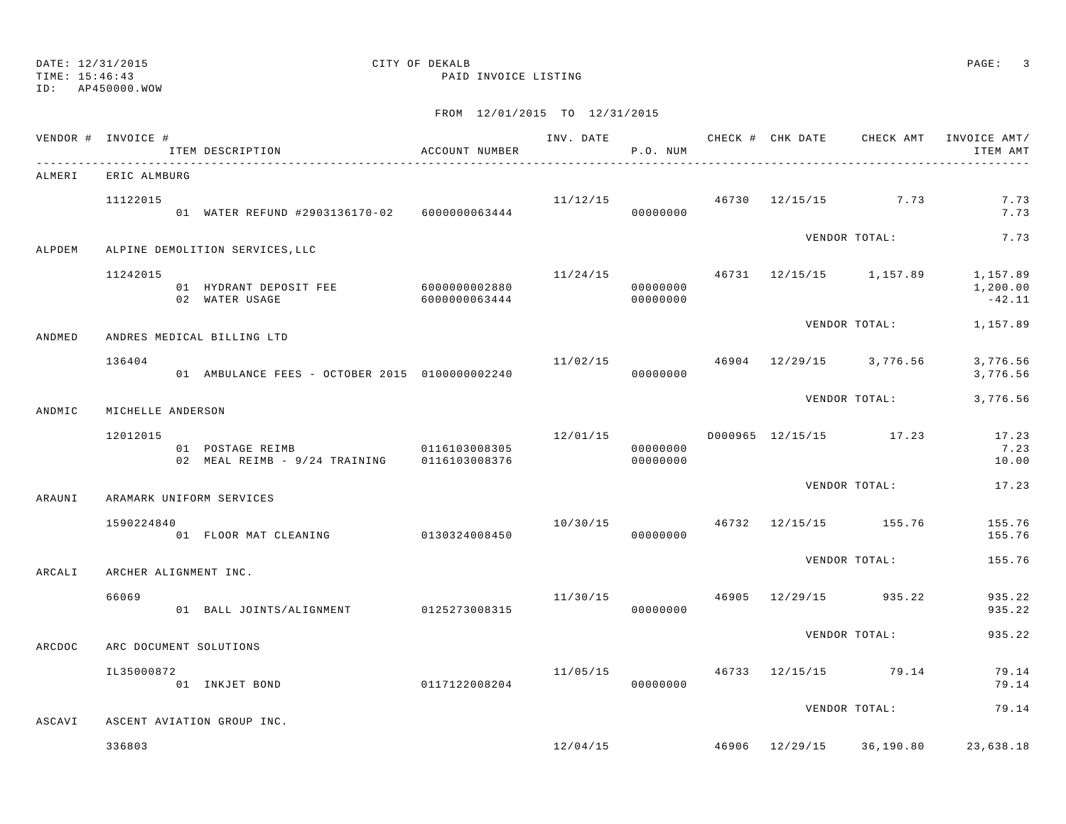TIME: 15:46:43 PAID INVOICE LISTING

ID: AP450000.WOW

| VENDOR # INVOICE # |          |              |                                                                                                                                                                                                                                                                                  |                |                                                                                                                                              |                                                                                                                                          |  | ITEM AMT                                                                                                                                                                                                                                                                                                                                                                                                                                        |
|--------------------|----------|--------------|----------------------------------------------------------------------------------------------------------------------------------------------------------------------------------------------------------------------------------------------------------------------------------|----------------|----------------------------------------------------------------------------------------------------------------------------------------------|------------------------------------------------------------------------------------------------------------------------------------------|--|-------------------------------------------------------------------------------------------------------------------------------------------------------------------------------------------------------------------------------------------------------------------------------------------------------------------------------------------------------------------------------------------------------------------------------------------------|
|                    |          |              |                                                                                                                                                                                                                                                                                  |                |                                                                                                                                              |                                                                                                                                          |  |                                                                                                                                                                                                                                                                                                                                                                                                                                                 |
| 11122015           |          |              |                                                                                                                                                                                                                                                                                  |                |                                                                                                                                              |                                                                                                                                          |  | 7.73<br>7.73                                                                                                                                                                                                                                                                                                                                                                                                                                    |
|                    |          |              |                                                                                                                                                                                                                                                                                  |                |                                                                                                                                              |                                                                                                                                          |  |                                                                                                                                                                                                                                                                                                                                                                                                                                                 |
| 11242015           |          |              |                                                                                                                                                                                                                                                                                  |                |                                                                                                                                              |                                                                                                                                          |  | 1,200.00<br>$-42.11$                                                                                                                                                                                                                                                                                                                                                                                                                            |
|                    |          |              |                                                                                                                                                                                                                                                                                  |                |                                                                                                                                              |                                                                                                                                          |  |                                                                                                                                                                                                                                                                                                                                                                                                                                                 |
| 136404             |          |              |                                                                                                                                                                                                                                                                                  |                | 00000000                                                                                                                                     |                                                                                                                                          |  | 3,776.56<br>3,776.56                                                                                                                                                                                                                                                                                                                                                                                                                            |
|                    |          |              |                                                                                                                                                                                                                                                                                  |                |                                                                                                                                              |                                                                                                                                          |  | 3,776.56                                                                                                                                                                                                                                                                                                                                                                                                                                        |
|                    |          |              |                                                                                                                                                                                                                                                                                  |                |                                                                                                                                              |                                                                                                                                          |  |                                                                                                                                                                                                                                                                                                                                                                                                                                                 |
|                    |          |              |                                                                                                                                                                                                                                                                                  |                |                                                                                                                                              |                                                                                                                                          |  | 17.23<br>7.23<br>10.00                                                                                                                                                                                                                                                                                                                                                                                                                          |
|                    |          |              |                                                                                                                                                                                                                                                                                  |                |                                                                                                                                              |                                                                                                                                          |  | 17.23                                                                                                                                                                                                                                                                                                                                                                                                                                           |
| 1590224840         |          |              |                                                                                                                                                                                                                                                                                  |                | 00000000                                                                                                                                     |                                                                                                                                          |  | 155.76<br>155.76                                                                                                                                                                                                                                                                                                                                                                                                                                |
|                    |          |              |                                                                                                                                                                                                                                                                                  |                |                                                                                                                                              |                                                                                                                                          |  | 155.76                                                                                                                                                                                                                                                                                                                                                                                                                                          |
| 66069              |          |              |                                                                                                                                                                                                                                                                                  |                |                                                                                                                                              |                                                                                                                                          |  | 935.22<br>935.22                                                                                                                                                                                                                                                                                                                                                                                                                                |
|                    |          |              |                                                                                                                                                                                                                                                                                  |                |                                                                                                                                              |                                                                                                                                          |  | 935.22                                                                                                                                                                                                                                                                                                                                                                                                                                          |
| IL35000872         |          |              |                                                                                                                                                                                                                                                                                  |                | 00000000                                                                                                                                     |                                                                                                                                          |  | 79.14<br>79.14                                                                                                                                                                                                                                                                                                                                                                                                                                  |
|                    |          |              |                                                                                                                                                                                                                                                                                  |                |                                                                                                                                              |                                                                                                                                          |  | 79.14                                                                                                                                                                                                                                                                                                                                                                                                                                           |
| 336803             |          |              |                                                                                                                                                                                                                                                                                  |                |                                                                                                                                              |                                                                                                                                          |  |                                                                                                                                                                                                                                                                                                                                                                                                                                                 |
|                    | 12012015 | ERIC ALMBURG | ITEM DESCRIPTION<br>ALPINE DEMOLITION SERVICES, LLC<br>02 WATER USAGE<br>ANDRES MEDICAL BILLING LTD<br>MICHELLE ANDERSON<br>ARAMARK UNIFORM SERVICES<br>01 FLOOR MAT CLEANING<br>ARCHER ALIGNMENT INC.<br>ARC DOCUMENT SOLUTIONS<br>01 INKJET BOND<br>ASCENT AVIATION GROUP INC. | ACCOUNT NUMBER | 01 HYDRANT DEPOSIT FEE 6000000002880<br>6000000063444<br>01 AMBULANCE FEES - OCTOBER 2015 0100000002240<br>01 POSTAGE REIMB<br>0116103008305 | P.O. NUM<br>00000000<br>00000000<br>00000000<br>02 MEAL REIMB - 9/24 TRAINING 0116103008376 0000000000<br>0130324008450<br>0117122008204 |  | VENDOR TOTAL: 7.73<br>$11/24/15$ $46731$ $12/15/15$ $1,157.89$ $1,157.89$<br>VENDOR TOTAL: 1,157.89<br>$11/02/15$ 46904 $12/29/15$ 3,776.56<br>VENDOR TOTAL:<br>$12/01/15$ D000965 12/15/15 17.23<br>VENDOR TOTAL:<br>10/30/15 46732 12/15/15 155.76<br>VENDOR TOTAL:<br>$11/30/15$ 46905 $12/29/15$ 935.22<br>VENDOR TOTAL:<br>$11/05/15$ $46733$ $12/15/15$ $79.14$<br>VENDOR TOTAL:<br>$12/04/15$ $46906$ $12/29/15$ $36,190.80$ $23,638.18$ |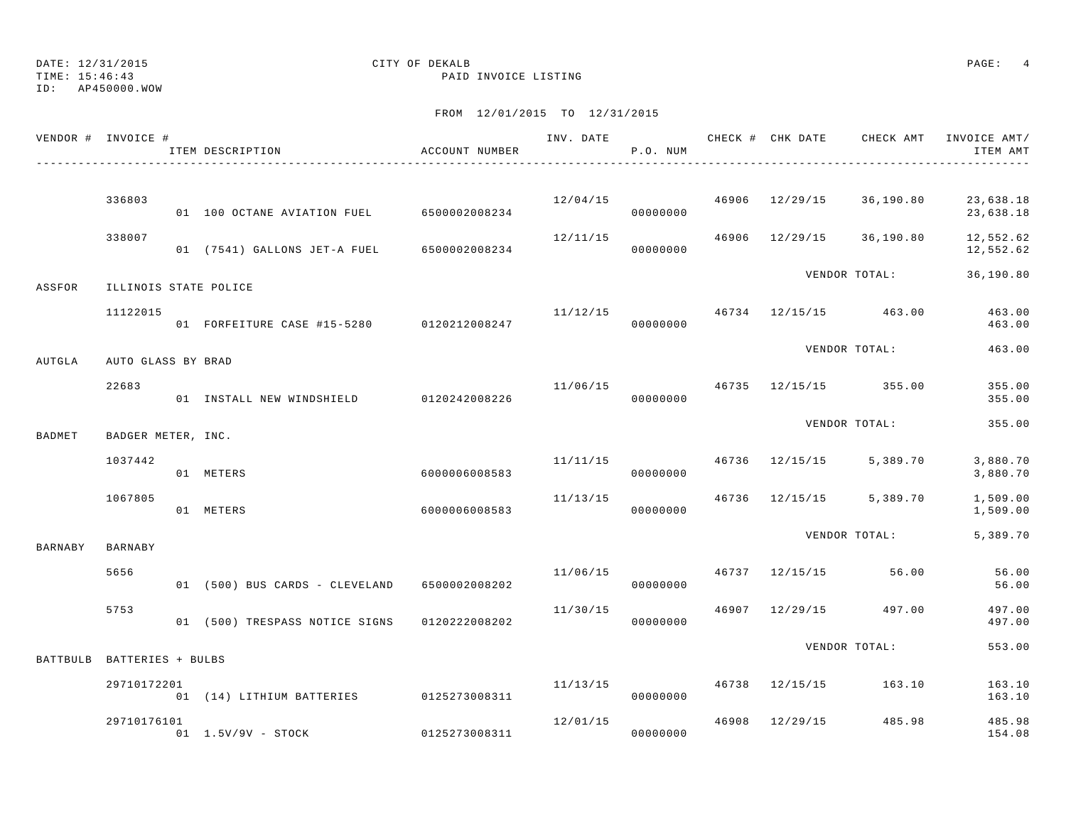DATE: 12/31/2015 QUITY OF DEKALB QUITY OF DEALB

TIME: 15:46:43 PAID INVOICE LISTING

ID: AP450000.WOW

|                | VENDOR # INVOICE #         | ITEM DESCRIPTION<br>-------------------------------------- | ACCOUNT NUMBER | _________________________          | P.O. NUM |       |                                          | ITEM AMT               |
|----------------|----------------------------|------------------------------------------------------------|----------------|------------------------------------|----------|-------|------------------------------------------|------------------------|
|                |                            |                                                            |                |                                    |          |       |                                          |                        |
|                | 336803                     | 01  100 OCTANE AVIATION FUEL 6500002008234                 |                | 12/04/15                           | 00000000 |       | 46906 12/29/15 36,190.80                 | 23,638.18<br>23,638.18 |
|                | 338007                     | 01 (7541) GALLONS JET-A FUEL 6500002008234                 |                | 12/11/15                           | 00000000 |       | 46906 12/29/15 36,190.80                 | 12,552.62<br>12,552.62 |
| ASSFOR         | ILLINOIS STATE POLICE      |                                                            |                |                                    |          |       | VENDOR TOTAL:                            | 36,190.80              |
|                | 11122015                   |                                                            |                | 11/12/15                           |          |       | 46734 12/15/15 463.00                    | 463.00<br>463.00       |
| AUTGLA         | AUTO GLASS BY BRAD         |                                                            |                |                                    |          |       | VENDOR TOTAL:                            | 463.00                 |
|                | 22683                      | 01 INSTALL NEW WINDSHIELD                                  | 0120242008226  | $11/06/15$ 46735 $12/15/15$ 355.00 | 00000000 |       |                                          | 355.00<br>355.00       |
| BADMET         | BADGER METER, INC.         |                                                            |                |                                    |          |       | VENDOR TOTAL:                            | 355.00                 |
|                | 1037442                    | 01 METERS                                                  | 6000006008583  |                                    | 00000000 |       | $11/11/15$ $46736$ $12/15/15$ $5,389.70$ | 3,880.70<br>3,880.70   |
|                | 1067805                    | 01 METERS                                                  | 6000006008583  | 11/13/15                           | 00000000 |       | 46736 12/15/15 5,389.70                  | 1,509.00<br>1,509.00   |
| <b>BARNABY</b> | BARNABY                    |                                                            |                |                                    |          |       | VENDOR TOTAL:                            | 5,389.70               |
|                | 5656                       | 01 (500) BUS CARDS - CLEVELAND 6500002008202               |                | 11/06/15                           | 00000000 |       | 46737 12/15/15 56.00                     | 56.00<br>56.00         |
|                | 5753                       | 01 (500) TRESPASS NOTICE SIGNS                             | 0120222008202  | 11/30/15                           | 00000000 |       | 46907 12/29/15 497.00                    | 497.00<br>497.00       |
|                | BATTBULB BATTERIES + BULBS |                                                            |                |                                    |          |       | VENDOR TOTAL:                            | 553.00                 |
|                | 29710172201                | 01 (14) LITHIUM BATTERIES 0125273008311                    |                | 11/13/15                           | 00000000 | 46738 | 12/15/15 163.10                          | 163.10<br>163.10       |
|                | 29710176101                | 01  1.5V/9V - STOCK                                        | 0125273008311  | 12/01/15                           | 00000000 |       | 46908 12/29/15 485.98                    | 485.98<br>154.08       |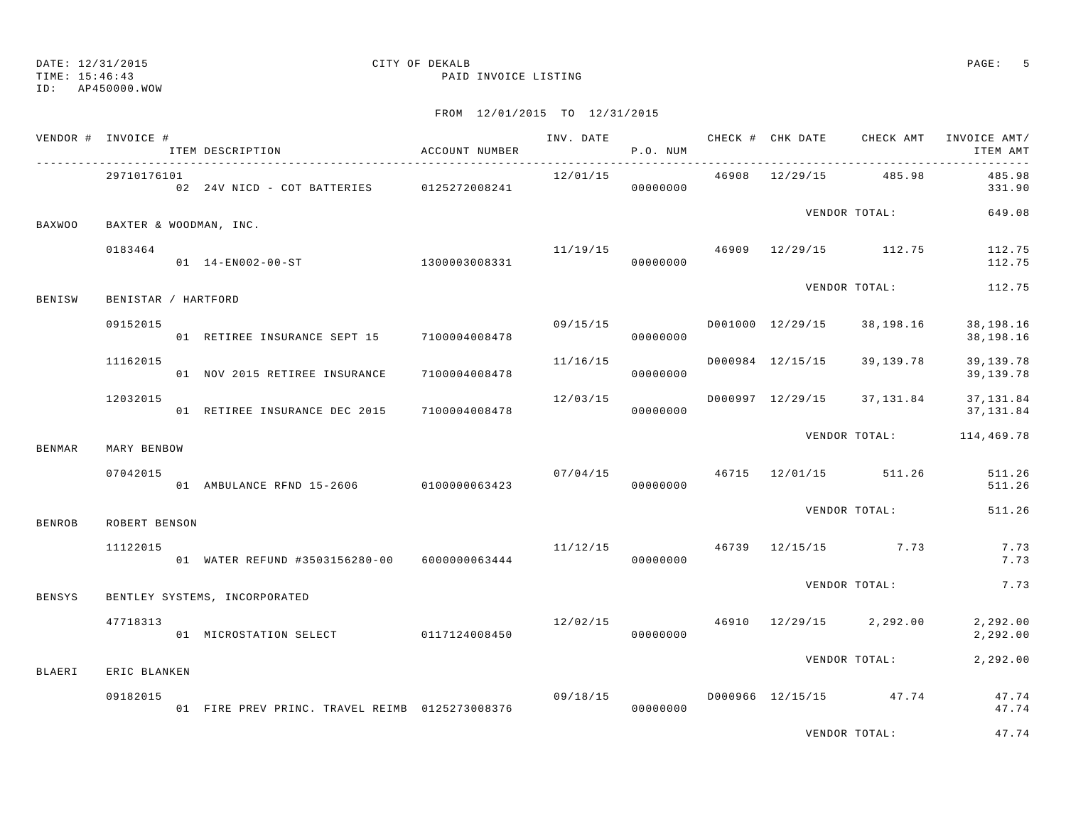ID: AP450000.WOW

## TIME: 15:46:43 PAID INVOICE LISTING

### FROM 12/01/2015 TO 12/31/2015

|        | VENDOR # INVOICE #  | .<br>ITEM DESCRIPTION <b>ACCOUNT NUMBER</b>                                                                                           |                                      |          | P.O. NUM |  |                                         | INV. DATE 6 CHECK # CHK DATE CHECK AMT INVOICE AMT/<br>ITEM AMT |
|--------|---------------------|---------------------------------------------------------------------------------------------------------------------------------------|--------------------------------------|----------|----------|--|-----------------------------------------|-----------------------------------------------------------------|
|        | 29710176101         |                                                                                                                                       |                                      | 12/01/15 |          |  | 46908 12/29/15 485.98                   | 485.98<br>331.90                                                |
| BAXWOO |                     | BAXTER & WOODMAN, INC.                                                                                                                |                                      |          |          |  | VENDOR TOTAL:                           | 649.08                                                          |
|        | 0183464             | 01  14-EN002-00-ST  1300003008331                                                                                                     |                                      |          | 00000000 |  | $11/19/15$ 46909 $12/29/15$ 112.75      | 112.75<br>112.75                                                |
| BENISW | BENISTAR / HARTFORD |                                                                                                                                       |                                      |          |          |  | VENDOR TOTAL:                           | 112.75                                                          |
|        | 09152015            | 01 RETIREE INSURANCE SEPT 15 7100004008478                                                                                            |                                      |          | 00000000 |  |                                         | 38,198.16<br>38,198.16                                          |
|        | 11162015            | 01 NOV 2015 RETIREE INSURANCE                                                                                                         | 7100004008478                        | 11/16/15 | 00000000 |  | D000984 12/15/15 39,139.78              | 39, 139. 78<br>39,139.78                                        |
|        | 12032015            | 01 RETIREE INSURANCE DEC 2015 7100004008478                                                                                           |                                      | 12/03/15 | 00000000 |  |                                         | D000997 12/29/15 37,131.84 37,131.84<br>37,131.84               |
| BENMAR | MARY BENBOW         |                                                                                                                                       |                                      |          |          |  |                                         | VENDOR TOTAL: 114,469.78                                        |
|        | 07042015            |                                                                                                                                       |                                      |          |          |  | $07/04/15$ $46715$ $12/01/15$ $511.26$  | 511.26<br>511.26                                                |
| BENROB | ROBERT BENSON       |                                                                                                                                       |                                      |          |          |  | VENDOR TOTAL:                           | 511.26                                                          |
|        | 11122015            | $01 \quad \text{WATER}\text{ REFUND} \text{ #3503156280-00} \qquad \text{600000063444} \qquad \text{11/12/15} \qquad \text{00000000}$ | $11/12/15$ $46739$ $12/15/15$ $7.73$ |          |          |  |                                         | 7.73<br>7.73                                                    |
| BENSYS |                     | BENTLEY SYSTEMS, INCORPORATED                                                                                                         |                                      |          |          |  | VENDOR TOTAL:                           | 7.73                                                            |
|        | 47718313            | 01 MICROSTATION SELECT 0117124008450                                                                                                  |                                      |          | 00000000 |  |                                         | $12/02/15$ $46910$ $12/29/15$ $2,292.00$ $2,292.00$<br>2,292.00 |
| BLAERI | ERIC BLANKEN        |                                                                                                                                       |                                      |          |          |  |                                         | VENDOR TOTAL: 2,292.00                                          |
|        | 09182015            | 01 FIRE PREV PRINC. TRAVEL REIMB 0125273008376                                                                                        |                                      |          | 00000000 |  | $09/18/15$ $D000966$ $12/15/15$ $47.74$ | 47.74<br>47.74                                                  |
|        |                     |                                                                                                                                       |                                      |          |          |  |                                         | .                                                               |

VENDOR TOTAL: 47.74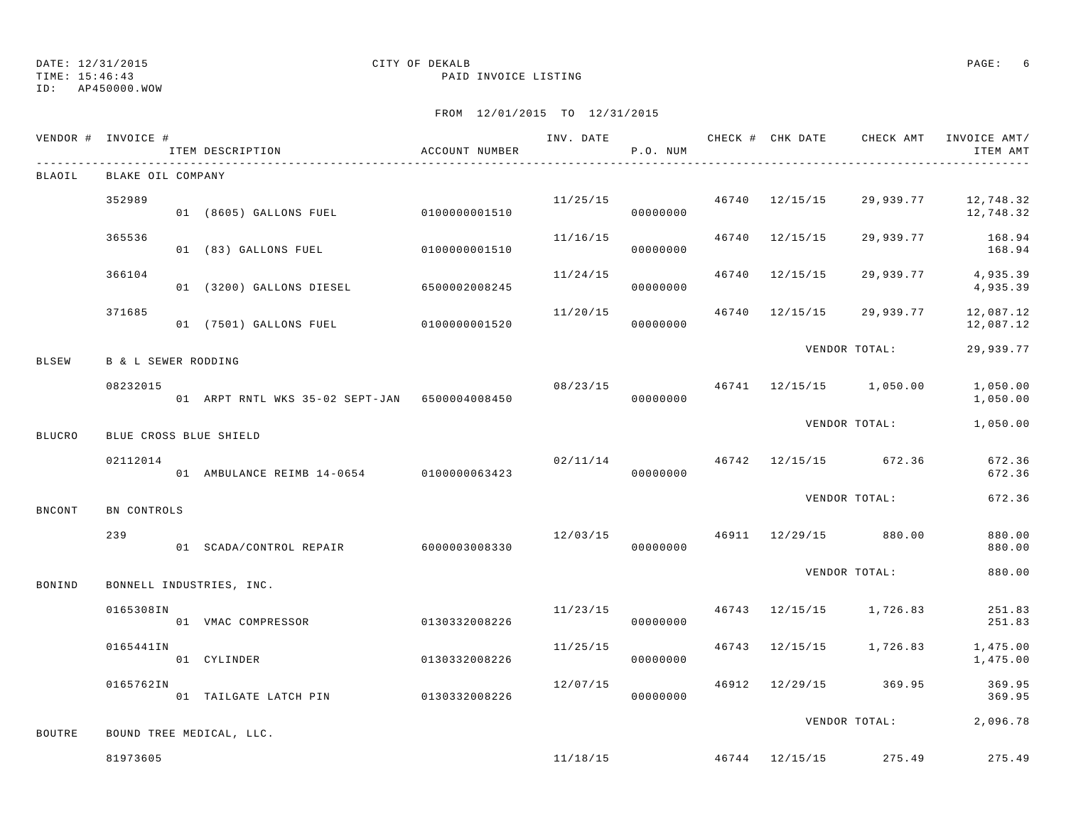TIME: 15:46:43 PAID INVOICE LISTING

ID: AP450000.WOW

|               | VENDOR # INVOICE #<br>________________________ | ITEM DESCRIPTION                       | ACCOUNT NUMBER |          | P.O. NUM |  | INV. DATE 6 . CHECK # CHK DATE 6 CHECK AMT INVOICE AMT | ITEM AMT               |
|---------------|------------------------------------------------|----------------------------------------|----------------|----------|----------|--|--------------------------------------------------------|------------------------|
| BLAOIL        | BLAKE OIL COMPANY                              |                                        |                |          |          |  |                                                        |                        |
|               | 352989                                         | 01 (8605) GALLONS FUEL 0100000001510   |                | 11/25/15 | 00000000 |  | 46740 12/15/15 29,939.77 12,748.32                     | 12,748.32              |
|               | 365536                                         | 01 (83) GALLONS FUEL 0100000001510     |                | 11/16/15 | 00000000 |  | 46740 12/15/15 29,939.77                               | 168.94<br>168.94       |
|               | 366104                                         | 01 (3200) GALLONS DIESEL 6500002008245 |                | 11/24/15 | 00000000 |  | 46740 12/15/15 29,939.77 4,935.39                      | 4,935.39               |
|               | 371685                                         | 01 (7501) GALLONS FUEL 0100000001520   |                | 11/20/15 | 00000000 |  | 46740 12/15/15 29,939.77                               | 12,087.12<br>12,087.12 |
| BLSEW         | <b>B &amp; L SEWER RODDING</b>                 |                                        |                |          |          |  | VENDOR TOTAL:                                          | 29,939.77              |
|               | 08232015                                       |                                        |                | 08/23/15 |          |  | 46741 12/15/15 1,050.00                                | 1,050.00<br>1,050.00   |
| <b>BLUCRO</b> |                                                | BLUE CROSS BLUE SHIELD                 |                |          |          |  | VENDOR TOTAL: 1,050.00                                 |                        |
|               | 02112014                                       |                                        |                |          |          |  | $02/11/14$ $46742$ $12/15/15$ $672.36$                 | 672.36<br>672.36       |
| <b>BNCONT</b> | BN CONTROLS                                    |                                        |                |          |          |  | VENDOR TOTAL:                                          | 672.36                 |
|               | 239                                            | 01 SCADA/CONTROL REPAIR 6000003008330  |                |          | 00000000 |  | 12/03/15 46911 12/29/15 880.00                         | 880.00<br>880.00       |
| BONIND        |                                                | BONNELL INDUSTRIES, INC.               |                |          |          |  | VENDOR TOTAL:                                          | 880.00                 |
|               | 0165308IN                                      | 01 VMAC COMPRESSOR 0130332008226       |                |          | 00000000 |  | $11/23/15$ $46743$ $12/15/15$ $1,726.83$               | 251.83<br>251.83       |
|               | 0165441IN                                      | 01 CYLINDER 0130332008226              |                | 11/25/15 | 00000000 |  | 46743 12/15/15 1,726.83                                | 1,475.00<br>1,475.00   |
|               | 0165762IN                                      | 01 TAILGATE LATCH PIN 0130332008226    |                | 12/07/15 | 00000000 |  | 46912 12/29/15 369.95                                  | 369.95<br>369.95       |
| <b>BOUTRE</b> |                                                | BOUND TREE MEDICAL, LLC.               |                |          |          |  | VENDOR TOTAL: 2,096.78                                 |                        |
|               | 81973605                                       |                                        |                |          |          |  | $11/18/15$ $46744$ $12/15/15$ $275.49$                 | 275.49                 |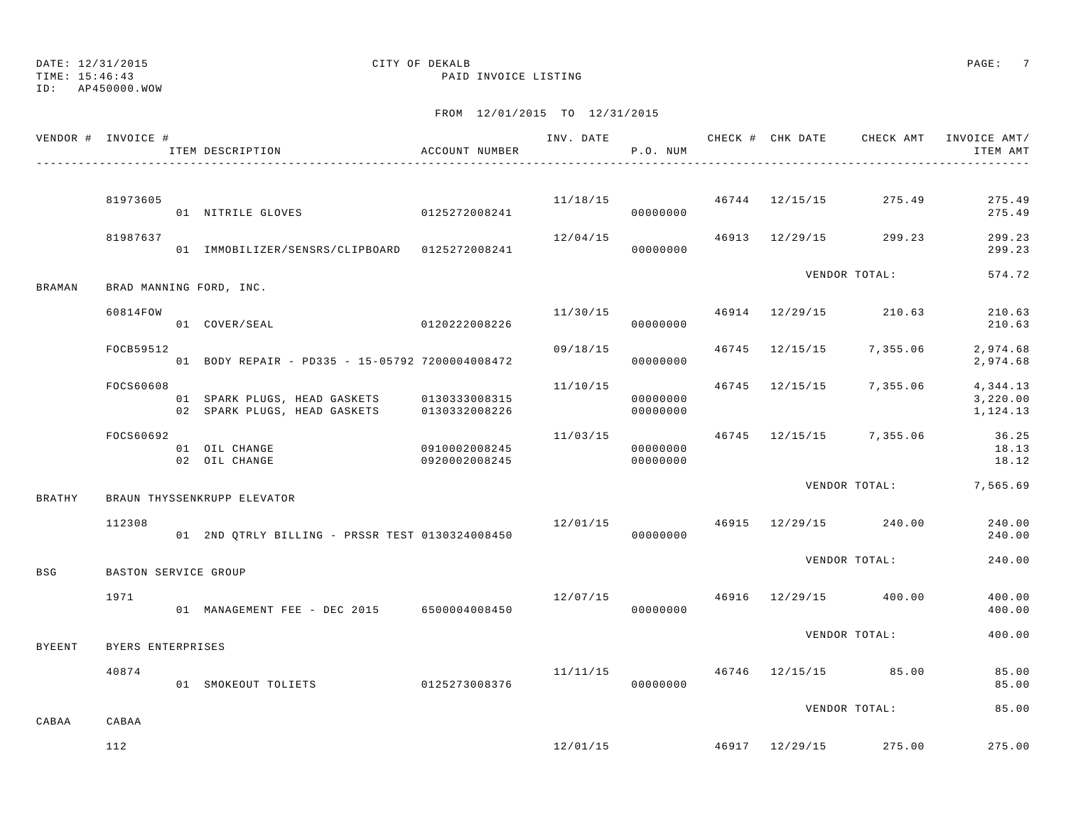ID: AP450000.WOW

### TIME: 15:46:43 PAID INVOICE LISTING

|               | VENDOR # INVOICE #   | ITEM DESCRIPTION                                                                         | ACCOUNT NUMBER                            |          | P.O. NUM             |  |                                          | INV. DATE 6 CHECK # CHK DATE CHECK AMT INVOICE AMT/<br>ITEM AMT |
|---------------|----------------------|------------------------------------------------------------------------------------------|-------------------------------------------|----------|----------------------|--|------------------------------------------|-----------------------------------------------------------------|
|               | 81973605             |                                                                                          |                                           |          |                      |  |                                          |                                                                 |
|               |                      | -------<br>01 NITRILE GLOVES 0125272008241                                               |                                           |          | 00000000             |  | $11/18/15$ $46744$ $12/15/15$ $275.49$   | 275.49<br>275.49                                                |
|               | 81987637             | 01 IMMOBILIZER/SENSRS/CLIPBOARD 0125272008241                                            |                                           |          | 00000000             |  | $12/04/15$ $46913$ $12/29/15$ $299.23$   | 299.23<br>299.23                                                |
| <b>BRAMAN</b> |                      | BRAD MANNING FORD, INC.                                                                  |                                           |          |                      |  | VENDOR TOTAL:                            | 574.72                                                          |
|               | 60814FOW             | 0120222008226<br>01 COVER/SEAL                                                           |                                           | 11/30/15 | 00000000             |  |                                          | 46914 12/29/15 210.63 210.63<br>210.63                          |
|               | FOCB59512            | 01 BODY REPAIR - PD335 - 15-05792 7200004008472                                          |                                           | 09/18/15 | 00000000             |  | 46745 12/15/15 7,355.06                  | 2,974.68<br>2,974.68                                            |
|               | FOCS60608            | 01 SPARK PLUGS, HEAD GASKETS 0130333008315<br>02 SPARK PLUGS, HEAD GASKETS 0130332008226 |                                           |          | 00000000<br>00000000 |  | $11/10/15$ $46745$ $12/15/15$ $7,355.06$ | 4,344.13<br>3,220.00<br>1,124.13                                |
|               | FOCS60692            | 01 OIL CHANGE<br>02 OIL CHANGE                                                           | 0910002008245<br>$0920002008245$ 00000000 |          | 00000000             |  | $11/03/15$ $46745$ $12/15/15$ $7,355.06$ | 36.25<br>18.13<br>18.12                                         |
| <b>BRATHY</b> |                      | BRAUN THYSSENKRUPP ELEVATOR                                                              |                                           |          |                      |  |                                          | VENDOR TOTAL: 7,565.69                                          |
|               | 112308               | 01 2ND OTRLY BILLING - PRSSR TEST 0130324008450                                          |                                           |          | 00000000             |  | $12/01/15$ $46915$ $12/29/15$ $240.00$   | 240.00<br>240.00                                                |
| BSG           | BASTON SERVICE GROUP |                                                                                          |                                           |          |                      |  | VENDOR TOTAL:                            | 240.00                                                          |
|               | 1971                 | 01 MANAGEMENT FEE - DEC 2015 6500004008450                                               |                                           | 00000000 |                      |  | $12/07/15$ $46916$ $12/29/15$ $400.00$   | 400.00<br>400.00                                                |
| BYEENT        | BYERS ENTERPRISES    |                                                                                          |                                           |          |                      |  | VENDOR TOTAL:                            | 400.00                                                          |
|               | 40874                | 01 SMOKEOUT TOLIETS 0125273008376                                                        |                                           |          | 00000000             |  | $11/11/15$ 46746 12/15/15 85.00          | 85.00<br>85.00                                                  |
| CABAA         | CABAA                |                                                                                          |                                           |          |                      |  | VENDOR TOTAL:                            | 85.00                                                           |
|               | 112                  |                                                                                          |                                           |          |                      |  | $12/01/15$ $46917$ $12/29/15$ $275.00$   | 275.00                                                          |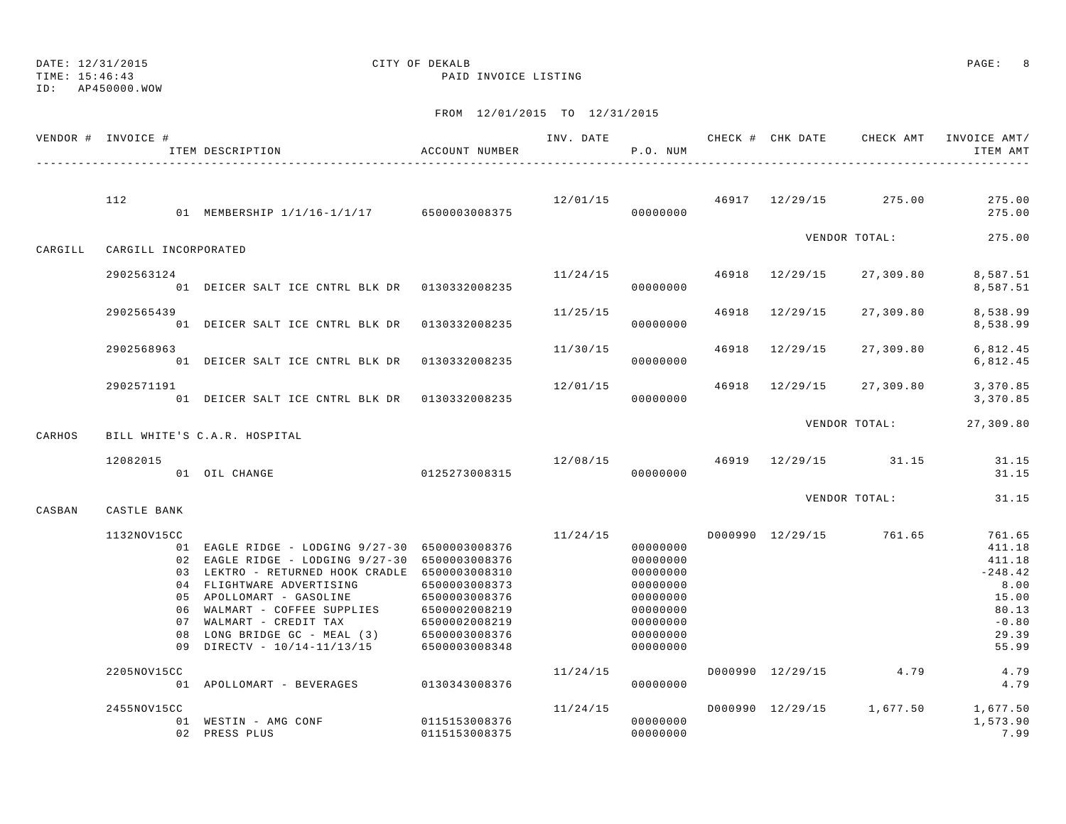ID: AP450000.WOW

TIME: 15:46:43 PAID INVOICE LISTING

|         | VENDOR # INVOICE #   | ITEM DESCRIPTION                                                                                                                                                                                                                                                                                                                          | ACCOUNT NUMBER                                                                                     | INV. DATE | P.O. NUM                                                                                                 |       | CHECK # CHK DATE | CHECK AMT      | INVOICE AMT/<br>ITEM AMT                                                                       |
|---------|----------------------|-------------------------------------------------------------------------------------------------------------------------------------------------------------------------------------------------------------------------------------------------------------------------------------------------------------------------------------------|----------------------------------------------------------------------------------------------------|-----------|----------------------------------------------------------------------------------------------------------|-------|------------------|----------------|------------------------------------------------------------------------------------------------|
|         | 112                  | 01 MEMBERSHIP 1/1/16-1/1/17 6500003008375                                                                                                                                                                                                                                                                                                 |                                                                                                    |           | 12/01/15<br>00000000                                                                                     |       | 46917 12/29/15   | 275.00         | 275.00<br>275.00                                                                               |
| CARGILL | CARGILL INCORPORATED |                                                                                                                                                                                                                                                                                                                                           |                                                                                                    |           |                                                                                                          |       |                  | VENDOR TOTAL:  | 275.00                                                                                         |
|         | 2902563124           | 01 DEICER SALT ICE CNTRL BLK DR 0130332008235                                                                                                                                                                                                                                                                                             |                                                                                                    | 11/24/15  | 00000000                                                                                                 | 46918 | 12/29/15         | 27,309.80      | 8,587.51<br>8,587.51                                                                           |
|         | 2902565439           | 01 DEICER SALT ICE CNTRL BLK DR 0130332008235                                                                                                                                                                                                                                                                                             |                                                                                                    | 11/25/15  | 00000000                                                                                                 | 46918 | 12/29/15         | 27,309.80      | 8,538.99<br>8,538.99                                                                           |
|         | 2902568963           | 01 DEICER SALT ICE CNTRL BLK DR 0130332008235                                                                                                                                                                                                                                                                                             |                                                                                                    | 11/30/15  | 00000000                                                                                                 | 46918 | 12/29/15         | 27,309.80      | 6,812.45<br>6,812.45                                                                           |
|         | 2902571191           | 01 DEICER SALT ICE CNTRL BLK DR 0130332008235                                                                                                                                                                                                                                                                                             |                                                                                                    | 12/01/15  | 00000000                                                                                                 | 46918 | 12/29/15         | 27,309.80      | 3,370.85<br>3,370.85                                                                           |
| CARHOS  |                      | BILL WHITE'S C.A.R. HOSPITAL                                                                                                                                                                                                                                                                                                              |                                                                                                    |           |                                                                                                          |       |                  | VENDOR TOTAL:  | 27,309.80                                                                                      |
|         | 12082015             | 01 OIL CHANGE                                                                                                                                                                                                                                                                                                                             | 0125273008315                                                                                      | 12/08/15  | 00000000                                                                                                 | 46919 |                  | 12/29/15 31.15 | 31.15<br>31.15                                                                                 |
| CASBAN  | CASTLE BANK          |                                                                                                                                                                                                                                                                                                                                           |                                                                                                    |           |                                                                                                          |       |                  | VENDOR TOTAL:  | 31.15                                                                                          |
|         | 1132NOV15CC          | 01 EAGLE RIDGE - LODGING 9/27-30 6500003008376<br>02 EAGLE RIDGE - LODGING 9/27-30 6500003008376<br>03 LEKTRO - RETURNED HOOK CRADLE 6500003008310<br>04 FLIGHTWARE ADVERTISING<br>05 APOLLOMART - GASOLINE<br>06 WALMART - COFFEE SUPPLIES<br>07 WALMART - CREDIT TAX<br>08 LONG BRIDGE GC - MEAL (3)<br>0 9<br>DIRECTV - 10/14-11/13/15 | 6500003008373<br>6500003008376<br>6500002008219<br>6500002008219<br>6500003008376<br>6500003008348 | 11/24/15  | 00000000<br>00000000<br>00000000<br>00000000<br>00000000<br>00000000<br>00000000<br>00000000<br>00000000 |       | D000990 12/29/15 | 761.65         | 761.65<br>411.18<br>411.18<br>$-248.42$<br>8.00<br>15.00<br>80.13<br>$-0.80$<br>29.39<br>55.99 |
|         | 2205NOV15CC          | 01 APOLLOMART - BEVERAGES                                                                                                                                                                                                                                                                                                                 | 0130343008376                                                                                      | 11/24/15  | 00000000                                                                                                 |       | D000990 12/29/15 | 4.79           | 4.79<br>4.79                                                                                   |
|         | 2455NOV15CC          | 01 WESTIN - AMG CONF<br>02 PRESS PLUS                                                                                                                                                                                                                                                                                                     | 0115153008376<br>0115153008375                                                                     | 11/24/15  | 00000000<br>00000000                                                                                     |       | D000990 12/29/15 | 1,677.50       | 1,677.50<br>1,573.90<br>7.99                                                                   |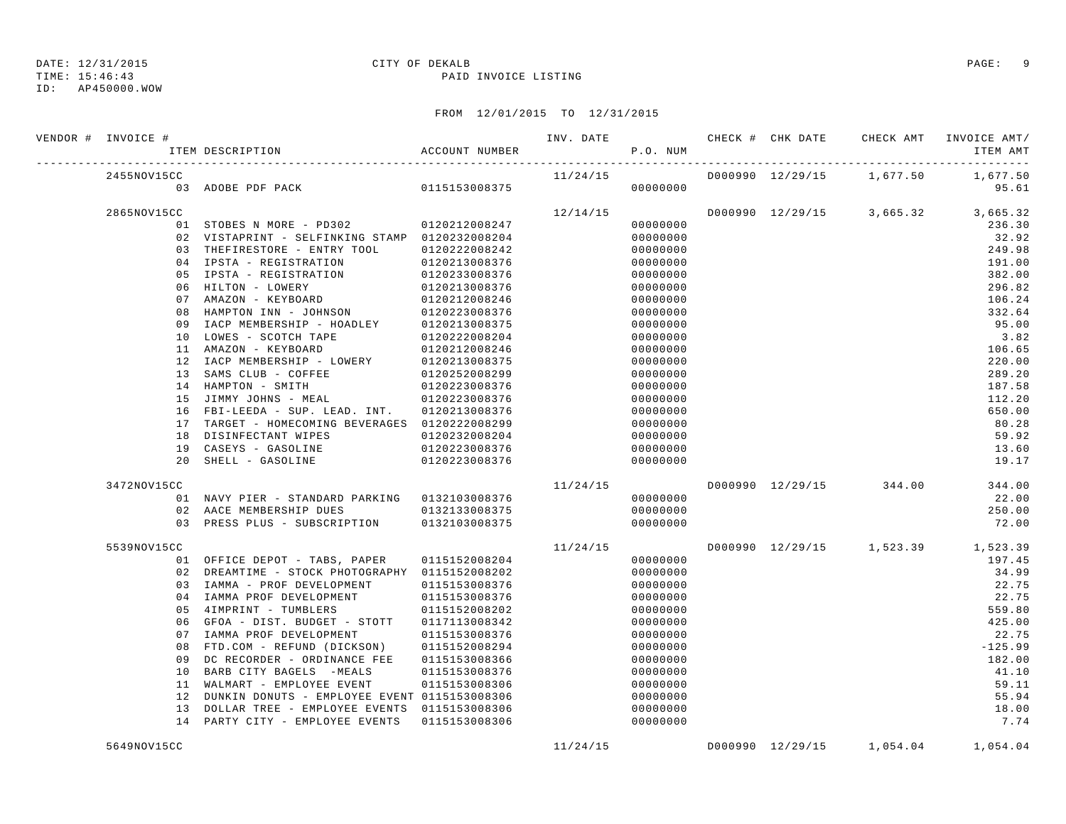## ID: AP450000.WOW

## DATE: 12/31/2015 CITY OF DEKALB PAGE: 9

TIME: 15:46:43 PAID INVOICE LISTING

| VENDOR # INVOICE #                             | ITEM DESCRIPTION                                                                                                                 | ACCOUNT NUMBER  |          | <b>P.O. NUM</b> |  |                           | INV. DATE 6 1992 CHECK # CHK DATE 6 CHECK AMT INVOICE AMT/<br>ITEM AMT |
|------------------------------------------------|----------------------------------------------------------------------------------------------------------------------------------|-----------------|----------|-----------------|--|---------------------------|------------------------------------------------------------------------|
| 2455NOV15CC<br>03 ADOBE PDF PACK 0115153008375 |                                                                                                                                  |                 | 11/24/15 |                 |  | D000990 12/29/15 1,677.50 | 1,677.50                                                               |
|                                                |                                                                                                                                  |                 |          | 00000000        |  |                           | 95.61                                                                  |
| 2865NOV15CC                                    |                                                                                                                                  |                 | 12/14/15 |                 |  |                           | D000990 12/29/15 3,665.32 3,665.32                                     |
|                                                | 01 STOBES N MORE - PD302 0120212008247                                                                                           |                 |          | 00000000        |  |                           | 236.30                                                                 |
|                                                | 02 VISTAPRINT - SELFINKING STAMP 0120232008204                                                                                   |                 |          | 00000000        |  |                           | 32.92                                                                  |
|                                                | 03 THEFIRESTORE - ENTRY TOOL                                                                                                     | 0120222008242   |          | 00000000        |  |                           | 249.98                                                                 |
|                                                | 04 IPSTA - REGISTRATION                                                                                                          | 0120213008376   |          | 00000000        |  |                           | 191.00                                                                 |
|                                                | 05 IPSTA - REGISTRATION                                                                                                          | 0120233008376   |          | 00000000        |  |                           | 382.00                                                                 |
|                                                | 06 HILTON - LOWERY                                                                                                               | 0120213008376   |          | 00000000        |  |                           | 296.82                                                                 |
|                                                | 07 AMAZON - KEYBOARD                                                                                                             |                 |          | 00000000        |  |                           | 106.24                                                                 |
| 08                                             |                                                                                                                                  |                 |          | 00000000        |  |                           | 332.64                                                                 |
| 09                                             | $\begin{tabular}{lllll} IACP & MEMBERSHIP & - HOADLEY & 0120213008375 \\ LOWES & - SCOTCH TAPE & 0120222008204 \\ \end{tabular}$ |                 |          | 00000000        |  |                           | 95.00                                                                  |
|                                                | 10 LOWES - SCOTCH TAPE                                                                                                           |                 |          | 00000000        |  |                           | 3.82                                                                   |
|                                                | 11 AMAZON - KEYBOARD                                                                                                             |                 |          | 00000000        |  |                           | 106.65                                                                 |
| 12                                             |                                                                                                                                  |                 |          | 00000000        |  |                           | 220.00                                                                 |
| 13                                             | SAMS CLUB - COFFEE                                                                                                               | 0120252008299   |          | 00000000        |  |                           | 289.20                                                                 |
|                                                | 14 HAMPTON - SMITH                                                                                                               | $0120223008376$ |          | 00000000        |  |                           | 187.58                                                                 |
|                                                | 15 JIMMY JOHNS - MEAL                                                                                                            | 0120223008376   |          | 00000000        |  |                           | 112.20                                                                 |
|                                                | 16 FBI-LEEDA - SUP. LEAD. INT. 0120213008376                                                                                     |                 |          | 00000000        |  |                           | 650.00                                                                 |
|                                                | 17 TARGET - HOMECOMING BEVERAGES 0120222008299                                                                                   |                 |          | 00000000        |  |                           | 80.28                                                                  |
|                                                | 18 DISINFECTANT WIPES                                                                                                            | 0120232008204   |          | 00000000        |  |                           | 59.92                                                                  |
|                                                | 19 CASEYS - GASOLINE<br>19 CASEYS - GASOLINE 19 0120223008376<br>20 SHELL - GASOLINE 120223008376                                |                 |          | 00000000        |  |                           | 13.60                                                                  |
|                                                |                                                                                                                                  |                 |          | 00000000        |  |                           | 19.17                                                                  |
| 3472NOV15CC                                    |                                                                                                                                  |                 | 11/24/15 |                 |  | D000990 12/29/15 344.00   | 344.00                                                                 |
|                                                | 01 NAVY PIER - STANDARD PARKING 0132103008376                                                                                    |                 |          | 00000000        |  |                           | 22.00                                                                  |
|                                                | 02 AACE MEMBERSHIP DUES 0132133008375                                                                                            |                 |          | 00000000        |  |                           | 250.00                                                                 |
|                                                | 03 PRESS PLUS - SUBSCRIPTION 0132103008375                                                                                       |                 |          | 00000000        |  |                           | 72.00                                                                  |
| 5539NOV15CC                                    |                                                                                                                                  |                 | 11/24/15 |                 |  |                           | D000990 12/29/15 1,523.39 1,523.39                                     |
|                                                | 01 OFFICE DEPOT - TABS, PAPER 0115152008204                                                                                      |                 |          | 00000000        |  |                           | 197.45                                                                 |
| 02                                             | DREAMTIME - STOCK PHOTOGRAPHY 0115152008202                                                                                      |                 |          | 00000000        |  |                           | 34.99                                                                  |
|                                                | 03 IAMMA - PROF DEVELOPMENT                                                                                                      | 0115153008376   |          | 00000000        |  |                           | 22.75                                                                  |
|                                                | 04 IAMMA PROF DEVELOPMENT 0115153008376                                                                                          |                 |          | 00000000        |  |                           | 22.75                                                                  |
| 05                                             | 4IMPRINT - TUMBLERS                                                                                                              | 0115152008202   |          | 00000000        |  |                           | 559.80                                                                 |
| 06                                             | GFOA - DIST. BUDGET - STOTT 0117113008342                                                                                        |                 |          | 00000000        |  |                           | 425.00                                                                 |
| 07                                             | IAMMA PROF DEVELOPMENT                                                                                                           | 0115153008376   |          | 00000000        |  |                           | 22.75                                                                  |
| 08                                             | FTD.COM - REFUND (DICKSON) 0115152008294                                                                                         |                 |          | 00000000        |  |                           | $-125.99$                                                              |
| 09                                             | DC RECORDER - ORDINANCE FEE 0115153008366                                                                                        |                 |          | 00000000        |  |                           | 182.00                                                                 |
| 10                                             | BARB CITY BAGELS - MEALS                                                                                                         | 0115153008376   |          | 00000000        |  |                           | 41.10                                                                  |
|                                                | 11 WALMART - EMPLOYEE EVENT                                                                                                      | 0115153008306   |          | 00000000        |  |                           | 59.11                                                                  |
|                                                | 12 DUNKIN DONUTS - EMPLOYEE EVENT 0115153008306                                                                                  |                 |          | 00000000        |  |                           | 55.94                                                                  |
|                                                | 13 DOLLAR TREE - EMPLOYEE EVENTS 0115153008306                                                                                   |                 |          | 00000000        |  |                           | 18.00                                                                  |
|                                                | 14 PARTY CITY - EMPLOYEE EVENTS 0115153008306                                                                                    |                 |          | 00000000        |  |                           | 7.74                                                                   |
| 5649NOV15CC                                    |                                                                                                                                  |                 | 11/24/15 |                 |  | D000990 12/29/15 1,054.04 | 1,054.04                                                               |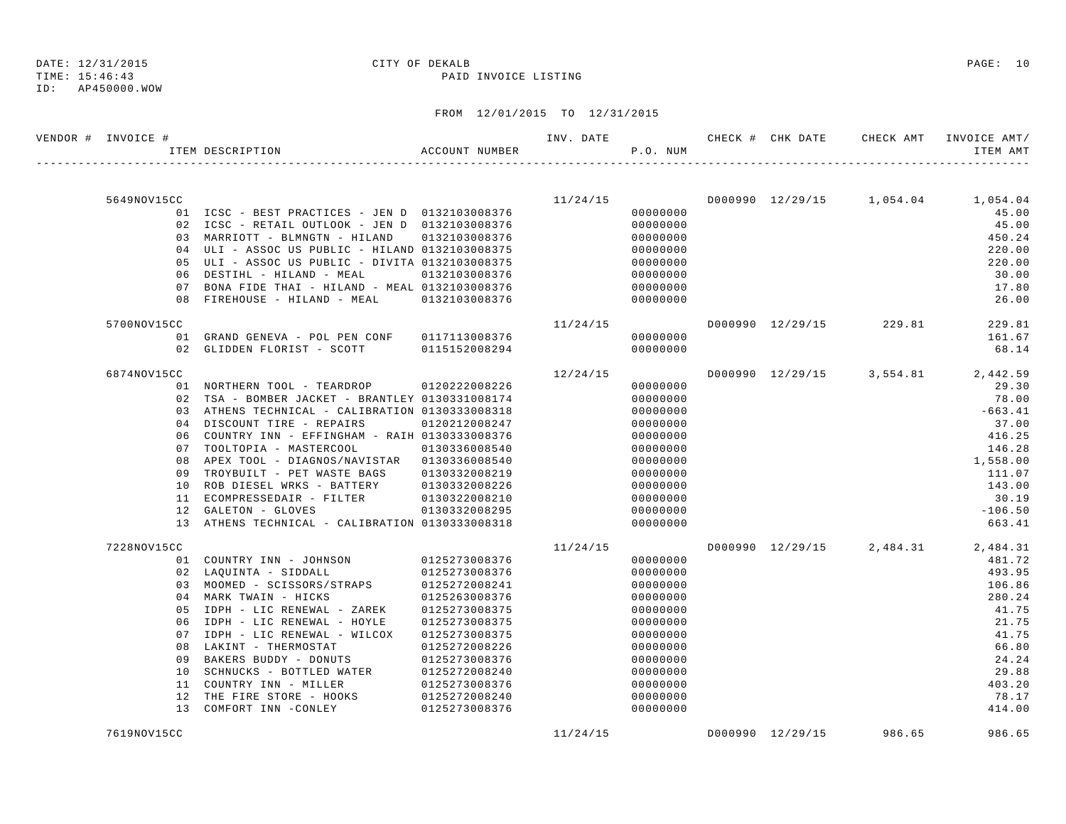ID: AP450000.WOW

TIME: 15:46:43 PAID INVOICE LISTING

| VENDOR # INVOICE # | ITEM DESCRIPTION                                                                                                                     | ACCOUNT NUMBER                 | INV. DATE | P.O. NUM             |                  |                         | CHECK # CHK DATE CHECK AMT INVOICE AMT/<br>ITEM AMT |
|--------------------|--------------------------------------------------------------------------------------------------------------------------------------|--------------------------------|-----------|----------------------|------------------|-------------------------|-----------------------------------------------------|
|                    |                                                                                                                                      |                                |           |                      |                  |                         |                                                     |
| 5649NOV15CC        |                                                                                                                                      |                                | 11/24/15  |                      |                  |                         | D000990 12/29/15 1,054.04 1,054.04                  |
|                    | 01    ICSC - BEST PRACTICES - JEN D    0132103008376                                                                                 |                                |           | 00000000             |                  |                         | 45.00                                               |
|                    | 02 ICSC - RETAIL OUTLOOK - JEN D 0132103008376<br>03 MARRIOTT - BLMNGTN - HILAND 0132103008376                                       |                                |           | 00000000<br>00000000 |                  |                         | 45.00<br>450.24                                     |
|                    | 04 ULI - ASSOC US PUBLIC - HILAND 0132103008375                                                                                      |                                |           | 00000000             |                  |                         | 220.00                                              |
|                    | 05 ULI - ASSOC US PUBLIC - DIVITA 0132103008375                                                                                      |                                |           | 00000000             |                  |                         | 220.00                                              |
| 06                 | DESTIHL - HILAND - MEAL                                                                                                              | 0132103008376                  |           | 00000000             |                  |                         | 30.00                                               |
| 07                 | BONA FIDE THAI - HILAND - MEAL 0132103008376                                                                                         |                                |           | 00000000             |                  |                         | 17.80                                               |
|                    | 08 FIREHOUSE - HILAND - MEAL 0132103008376                                                                                           |                                |           | 00000000             |                  |                         | 26.00                                               |
| 5700NOV15CC        |                                                                                                                                      |                                | 11/24/15  |                      |                  | D000990 12/29/15 229.81 | 229.81                                              |
|                    | 01 GRAND GENEVA - POL PEN CONF 0117113008376                                                                                         |                                |           | 00000000             |                  |                         | 161.67                                              |
|                    | 02 GLIDDEN FLORIST - SCOTT 0115152008294                                                                                             |                                |           | 00000000             |                  |                         | 68.14                                               |
| 6874NOV15CC        |                                                                                                                                      |                                | 12/24/15  |                      |                  |                         | D000990 12/29/15 3,554.81 2,442.59                  |
|                    | 01 NORTHERN TOOL - TEARDROP 0120222008226                                                                                            |                                |           | 00000000             |                  |                         | 29.30                                               |
| 02                 | TSA - BOMBER JACKET - BRANTLEY 0130331008174                                                                                         |                                |           | 00000000             |                  |                         | 78.00                                               |
|                    | 03 ATHENS TECHNICAL - CALIBRATION 0130333008318                                                                                      |                                |           | 00000000             |                  |                         | $-663.41$                                           |
|                    | 04 DISCOUNT TIRE - REPAIRS                                                                                                           | 0120212008247                  |           | 00000000             |                  |                         | 37.00                                               |
|                    | 06 COUNTRY INN - EFFINGHAM - RAIH 0130333008376<br>07 TOOLTOPIA - MASTERCOOL                                                         | 0130336008540                  |           | 00000000<br>00000000 |                  |                         | 416.25<br>146.28                                    |
|                    | 08 APEX TOOL - DIAGNOS/NAVISTAR 0130336008540                                                                                        |                                |           | 00000000             |                  |                         | 1,558.00                                            |
| 09                 | TROYBUILT - PET WASTE BAGS 0130332008219                                                                                             |                                |           | 00000000             |                  |                         | 111.07                                              |
| 10                 | ROB DIESEL WRKS - BATTERY 0130332008226                                                                                              |                                |           | 00000000             |                  |                         | 143.00                                              |
|                    |                                                                                                                                      |                                |           | 00000000             |                  |                         | 30.19                                               |
|                    | $\begin{tabular}{llllll} 11 & ECOMPRESSEDA1R & - FILTER & 0130322008210 \\ 12 & GALETON & - GLOVES & 0130332008295 \\ \end{tabular}$ |                                |           | 00000000             |                  |                         | $-106.50$                                           |
|                    | 13 ATHENS TECHNICAL - CALIBRATION 0130333008318                                                                                      |                                |           | 00000000             |                  |                         | 663.41                                              |
| 7228NOV15CC        |                                                                                                                                      |                                | 11/24/15  |                      |                  |                         | D000990 12/29/15 2,484.31 2,484.31                  |
|                    | 01 COUNTRY INN - JOHNSON 0125273008376                                                                                               |                                |           | 00000000             |                  |                         | 481.72                                              |
|                    | 02 LAQUINTA - SIDDALL 0125273008376<br>03 MOOMED - SCISSORS/STRAPS 0125272008241                                                     |                                |           | 00000000             |                  |                         | 493.95                                              |
|                    |                                                                                                                                      |                                |           | 00000000             |                  |                         | 106.86                                              |
|                    | 04 MARK TWAIN - HICKS                                                                                                                | 0125263008376                  |           | 00000000             |                  |                         | 280.24                                              |
| 0 <sub>5</sub>     | IDPH - LIC RENEWAL - ZAREK                                                                                                           | 0125273008375                  |           | 00000000             |                  |                         | 41.75                                               |
| 06                 | IDPH - LIC RENEWAL - HOYLE                                                                                                           | 0125273008375                  |           | 00000000             |                  |                         | 21.75                                               |
| 07<br>08           | IDPH - LIC RENEWAL - WILCOX<br>LAKINT - THERMOSTAT                                                                                   | 0125273008375<br>0125272008226 |           | 00000000<br>00000000 |                  |                         | 41.75<br>66.80                                      |
| 09                 | BAKERS BUDDY - DONUTS                                                                                                                | 0125273008376                  |           | 00000000             |                  |                         | 24.24                                               |
| 10                 | SCHNUCKS - BOTTLED WATER                                                                                                             | 0125272008240                  |           | 00000000             |                  |                         | 29.88                                               |
| 11                 | COUNTRY INN - MILLER                                                                                                                 |                                |           | 00000000             |                  |                         | 403.20                                              |
| 12                 | THE FIRE STORE - HOOKS                                                                                                               | 0125273008376<br>0125272008240 |           | 00000000             |                  |                         | 78.17                                               |
|                    | 13 COMFORT INN -CONLEY                                                                                                               | 0125273008376                  |           | 00000000             |                  |                         | 414.00                                              |
| 7619NOV15CC        |                                                                                                                                      |                                | 11/24/15  |                      | D000990 12/29/15 | 986.65                  | 986.65                                              |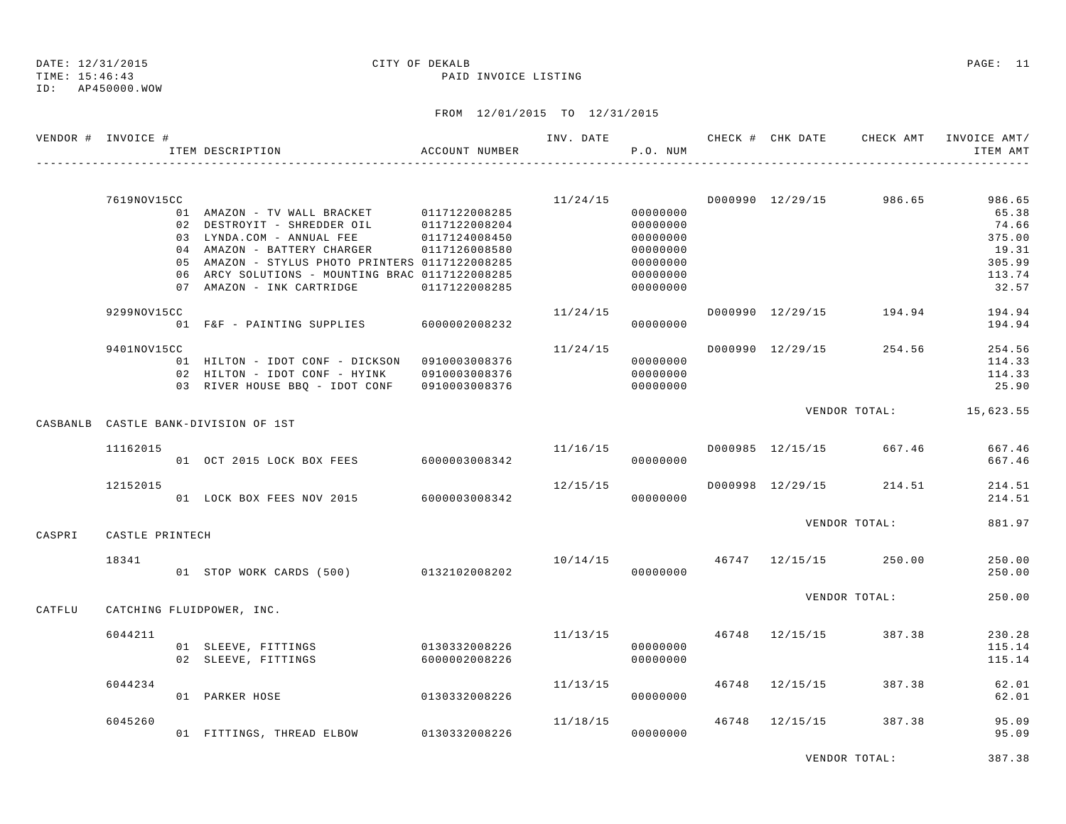# DATE: 12/31/2015 QUITY OF DEKALB QUITY OF DEALB

ID: AP450000.WOW

TIME: 15:46:43 PAID INVOICE LISTING

### FROM 12/01/2015 TO 12/31/2015

|        | VENDOR # INVOICE # | ITEM DESCRIPTION                                                                                                                                               | ACCOUNT NUMBER                 |                                                    | P.O. NUM                                     |                  |                                          | INV. DATE 6 1999 CHECK # CHK DATE 6 CHECK AMT INVOICE AMT<br>ITEM AMT |
|--------|--------------------|----------------------------------------------------------------------------------------------------------------------------------------------------------------|--------------------------------|----------------------------------------------------|----------------------------------------------|------------------|------------------------------------------|-----------------------------------------------------------------------|
|        | 7619NOV15CC        | <br>01 AMAZON - TV WALL BRACKET 0117122008285<br>02 DESTROYIT - SHREDDER OIL 0117122008204<br>03 LYNDA.COM - ANNUAL FEE                                        | 0117124008450                  |                                                    | 00000000<br>00000000<br>00000000             |                  | $11/24/15$ D000990 12/29/15 986.65       | 986.65<br>65.38<br>74.66<br>375.00                                    |
|        |                    | 04 AMAZON - BATTERY CHARGER<br>05 AMAZON - STYLUS PHOTO PRINTERS 0117122008285<br>06 ARCY SOLUTIONS - MOUNTING BRAC 0117122008285<br>07 AMAZON - INK CARTRIDGE | 0117126008580<br>0117122008285 |                                                    | 00000000<br>00000000<br>00000000<br>00000000 |                  |                                          | 19.31<br>305.99<br>113.74<br>32.57                                    |
|        | 9299NOV15CC        | 01 F&F - PAINTING SUPPLIES 6000002008232                                                                                                                       |                                | 11/24/15                                           | 00000000                                     |                  | D000990 12/29/15 194.94                  | 194.94<br>194.94                                                      |
|        | 9401NOV15CC        | 01 HILTON - IDOT CONF - DICKSON 0910003008376<br>02 HILTON - IDOT CONF - HYINK 0910003008376<br>03 RIVER HOUSE BBO - IDOT CONF 0910003008376                   |                                |                                                    | 00000000<br>00000000<br>00000000             |                  | $11/24/15$ $D000990$ $12/29/15$ $254.56$ | 254.56<br>114.33<br>114.33<br>25.90                                   |
|        |                    | CASBANLB CASTLE BANK-DIVISION OF 1ST                                                                                                                           |                                |                                                    |                                              |                  |                                          | VENDOR TOTAL: 15,623.55                                               |
|        | 11162015           | 01 OCT 2015 LOCK BOX FEES 6000003008342                                                                                                                        |                                |                                                    | 00000000                                     |                  | $11/16/15$ D000985 12/15/15 667.46       | 667.46<br>667.46                                                      |
|        | 12152015           | 01 LOCK BOX FEES NOV 2015 6000003008342                                                                                                                        |                                | 12/15/15                                           | 00000000                                     | D000998 12/29/15 | 214.51                                   | 214.51<br>214.51                                                      |
| CASPRI | CASTLE PRINTECH    |                                                                                                                                                                |                                |                                                    |                                              |                  | VENDOR TOTAL:                            | 881.97                                                                |
|        | 18341              | 01 STOP WORK CARDS (500) 0132102008202                                                                                                                         |                                | $10/14/15$ $46747$ $12/15/15$ $250.00$<br>00000000 |                                              |                  |                                          | 250.00<br>250.00                                                      |
| CATFLU |                    | CATCHING FLUIDPOWER, INC.                                                                                                                                      |                                |                                                    |                                              |                  | VENDOR TOTAL:                            | 250.00                                                                |
|        | 6044211            | 01 SLEEVE, FITTINGS 0130332008226<br>02 SLEEVE, FITTINGS                                                                                                       | 6000002008226                  | 11/13/15                                           | 00000000<br>00000000                         |                  | 46748 12/15/15 387.38                    | 230.28<br>115.14<br>115.14                                            |
|        | 6044234            | 0130332008226<br>01 PARKER HOSE                                                                                                                                |                                | 11/13/15                                           | 00000000                                     | 46748 12/15/15   | 387.38                                   | 62.01<br>62.01                                                        |
|        | 6045260            | 01 FITTINGS, THREAD ELBOW 0130332008226                                                                                                                        |                                | 11/18/15                                           | 00000000                                     |                  | 46748 12/15/15 387.38                    | 95.09<br>95.09                                                        |

VENDOR TOTAL: 387.38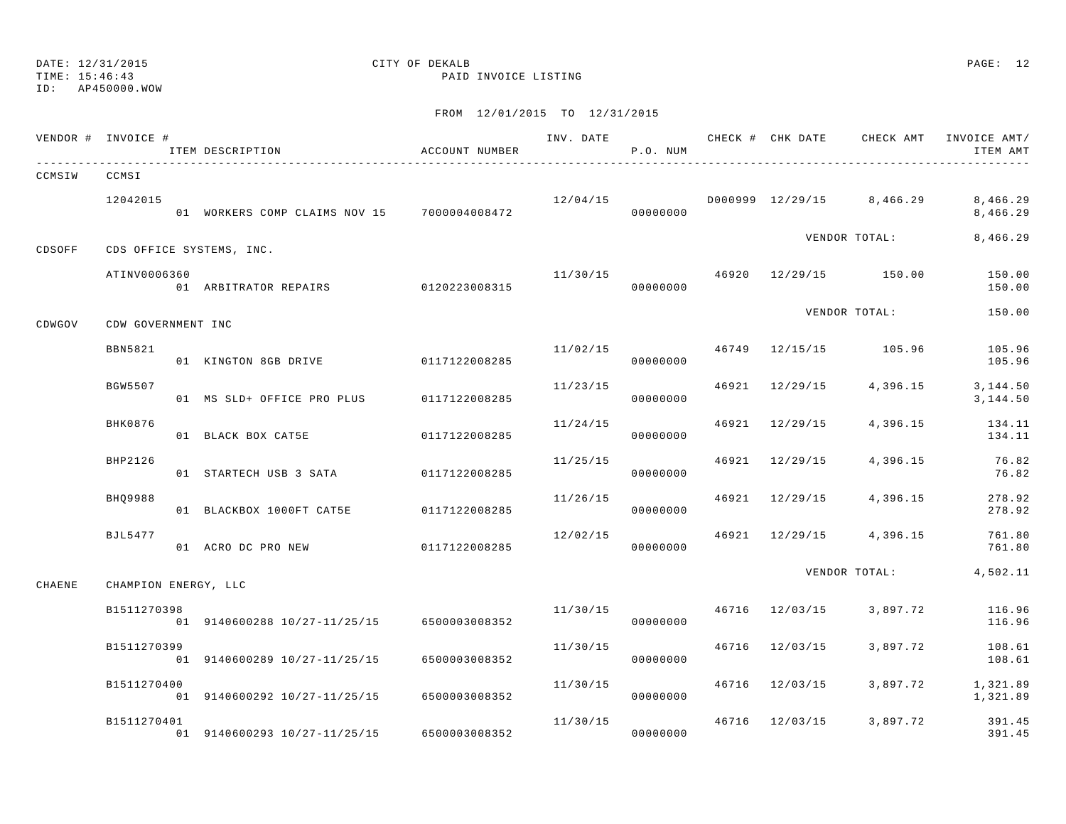## ID: AP450000.WOW

### DATE: 12/31/2015 CITY OF DEKALB PAGE: 12 TIME: 15:46:43 PAID INVOICE LISTING

|        | VENDOR # INVOICE #   | ITEM DESCRIPTION                            | ACCOUNT NUMBER | INV. DATE | P.O. NUM                   |       | CHECK # CHK DATE | CHECK AMT                 | INVOICE AMT/<br>ITEM AMT |
|--------|----------------------|---------------------------------------------|----------------|-----------|----------------------------|-------|------------------|---------------------------|--------------------------|
| CCMSIW | CCMSI                |                                             |                |           |                            |       |                  |                           |                          |
|        | 12042015             | 01 WORKERS COMP CLAIMS NOV 15 7000004008472 |                | 12/04/15  | 00000000                   |       |                  | D000999 12/29/15 8,466.29 | 8,466.29<br>8,466.29     |
| CDSOFF |                      | CDS OFFICE SYSTEMS, INC.                    |                |           |                            |       |                  | VENDOR TOTAL:             | 8,466.29                 |
|        | ATINV0006360         | 01 ARBITRATOR REPAIRS 0120223008315         |                | 11/30/15  | 00000000                   |       |                  | 46920 12/29/15 150.00     | 150.00<br>150.00         |
| CDWGOV | CDW GOVERNMENT INC   |                                             |                |           |                            |       |                  | VENDOR TOTAL:             | 150.00                   |
|        | <b>BBN5821</b>       | 01 KINGTON 8GB DRIVE 0117122008285          |                |           | 11/02/15 46749<br>00000000 |       |                  | 12/15/15 105.96           | 105.96<br>105.96         |
|        | <b>BGW5507</b>       | 01 MS SLD+ OFFICE PRO PLUS                  | 0117122008285  | 11/23/15  | 00000000                   | 46921 | 12/29/15         | 4,396.15                  | 3, 144.50<br>3, 144.50   |
|        | <b>BHK0876</b>       | 01 BLACK BOX CAT5E                          | 0117122008285  | 11/24/15  | 00000000                   | 46921 | 12/29/15         | 4,396.15                  | 134.11<br>134.11         |
|        | <b>BHP2126</b>       | 01 STARTECH USB 3 SATA                      | 0117122008285  | 11/25/15  | 00000000                   | 46921 | 12/29/15         | 4,396.15                  | 76.82<br>76.82           |
|        | BHQ9988              | 01 BLACKBOX 1000FT CAT5E                    | 0117122008285  | 11/26/15  | 00000000                   | 46921 | 12/29/15         | 4,396.15                  | 278.92<br>278.92         |
|        | <b>BJL5477</b>       | 01 ACRO DC PRO NEW                          | 0117122008285  | 12/02/15  | 00000000                   | 46921 | 12/29/15         | 4,396.15                  | 761.80<br>761.80         |
| CHAENE | CHAMPION ENERGY, LLC |                                             |                |           |                            |       |                  | VENDOR TOTAL:             | 4,502.11                 |
|        | B1511270398          | 01 9140600288 10/27-11/25/15                | 6500003008352  | 11/30/15  | 00000000                   |       | 46716 12/03/15   | 3,897.72                  | 116.96<br>116.96         |
|        | B1511270399          | 01 9140600289 10/27-11/25/15                | 6500003008352  | 11/30/15  | 00000000                   | 46716 | 12/03/15         | 3,897.72                  | 108.61<br>108.61         |
|        | B1511270400          | 01 9140600292 10/27-11/25/15                | 6500003008352  | 11/30/15  | 00000000                   | 46716 | 12/03/15         | 3,897.72                  | 1,321.89<br>1,321.89     |
|        | B1511270401          | 01 9140600293 10/27-11/25/15                | 6500003008352  | 11/30/15  | 00000000                   | 46716 | 12/03/15         | 3,897.72                  | 391.45<br>391.45         |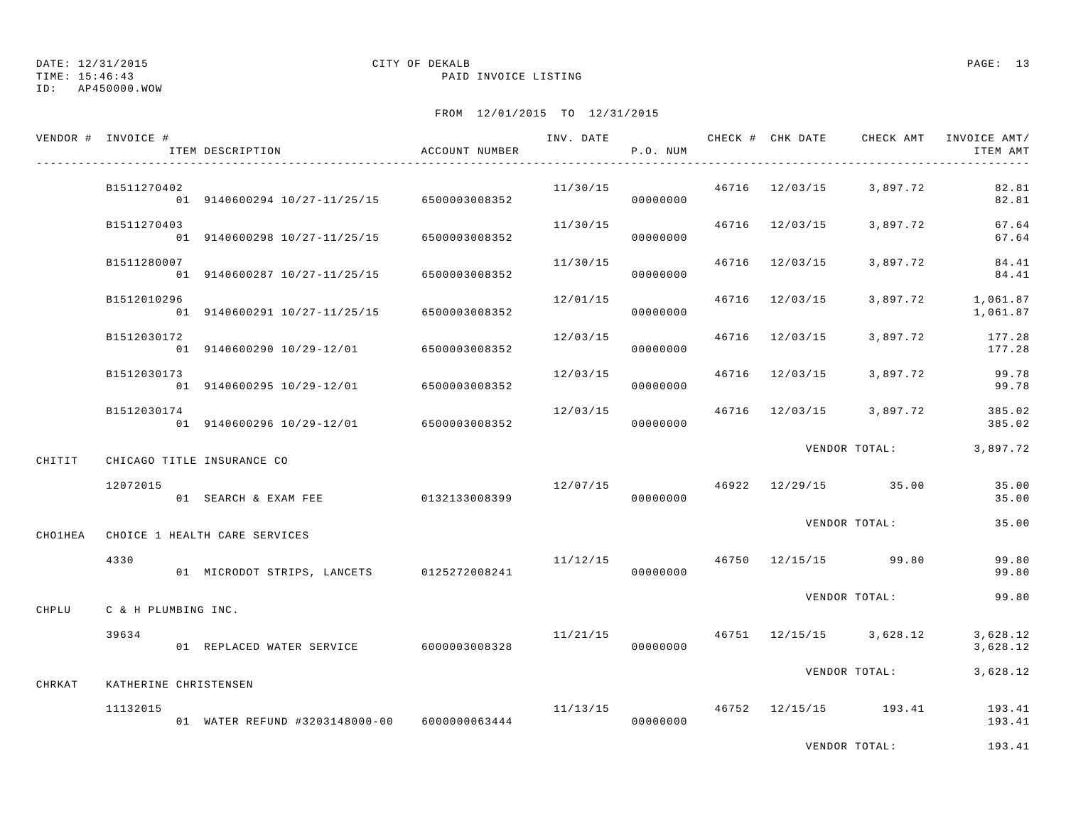### TIME: 15:46:43 PAID INVOICE LISTING ID: AP450000.WOW

## DATE: 12/31/2015 CITY OF DEKALB PAGE: 13

|         | VENDOR # INVOICE #    | ITEM DESCRIPTION                             | ACCOUNT NUMBER | INV. DATE | P.O. NUM |       | CHECK # CHK DATE | CHECK AMT               | INVOICE AMT/<br>ITEM AMT |
|---------|-----------------------|----------------------------------------------|----------------|-----------|----------|-------|------------------|-------------------------|--------------------------|
|         | B1511270402           | 01 9140600294 10/27-11/25/15 6500003008352   |                | 11/30/15  | 00000000 |       |                  | 46716 12/03/15 3,897.72 | 82.81<br>82.81           |
|         | B1511270403           | 01 9140600298 10/27-11/25/15                 | 6500003008352  | 11/30/15  | 00000000 |       | 46716 12/03/15   | 3,897.72                | 67.64<br>67.64           |
|         | B1511280007           | 01 9140600287 10/27-11/25/15                 | 6500003008352  | 11/30/15  | 00000000 | 46716 | 12/03/15         | 3,897.72                | 84.41<br>84.41           |
|         | B1512010296           | 01 9140600291 10/27-11/25/15                 | 6500003008352  | 12/01/15  | 00000000 | 46716 | 12/03/15         | 3,897.72                | 1,061.87<br>1,061.87     |
|         | B1512030172           | 01 9140600290 10/29-12/01                    | 6500003008352  | 12/03/15  | 00000000 |       | 46716 12/03/15   | 3,897.72                | 177.28<br>177.28         |
|         | B1512030173           | 01 9140600295 10/29-12/01 6500003008352      |                | 12/03/15  | 00000000 |       | 46716 12/03/15   | 3,897.72                | 99.78<br>99.78           |
|         | B1512030174           | 01 9140600296 10/29-12/01 6500003008352      |                | 12/03/15  | 00000000 |       |                  | 46716 12/03/15 3,897.72 | 385.02<br>385.02         |
| CHITIT  |                       | CHICAGO TITLE INSURANCE CO                   |                |           |          |       |                  |                         | VENDOR TOTAL: 3,897.72   |
|         | 12072015              | 01 SEARCH & EXAM FEE 0132133008399           |                | 12/07/15  | 00000000 |       |                  | 46922 12/29/15 35.00    | 35.00<br>35.00           |
| CHO1HEA |                       | CHOICE 1 HEALTH CARE SERVICES                |                |           |          |       |                  | VENDOR TOTAL:           | 35.00                    |
|         | 4330                  | 01 MICRODOT STRIPS, LANCETS 0125272008241    |                | 11/12/15  | 00000000 |       |                  | 46750 12/15/15 99.80    | 99.80<br>99.80           |
| CHPLU   | C & H PLUMBING INC.   |                                              |                |           |          |       |                  | VENDOR TOTAL:           | 99.80                    |
|         | 39634                 | 01 REPLACED WATER SERVICE 6000003008328      |                | 11/21/15  | 00000000 |       |                  | 46751 12/15/15 3,628.12 | 3,628.12<br>3,628.12     |
| CHRKAT  | KATHERINE CHRISTENSEN |                                              |                |           |          |       |                  | VENDOR TOTAL:           | 3,628.12                 |
|         | 11132015              | 01 WATER REFUND #3203148000-00 6000000063444 |                | 11/13/15  | 00000000 |       |                  | 46752 12/15/15 193.41   | 193.41<br>193.41         |
|         |                       |                                              |                |           |          |       |                  | VENDOR TOTAL:           | 193.41                   |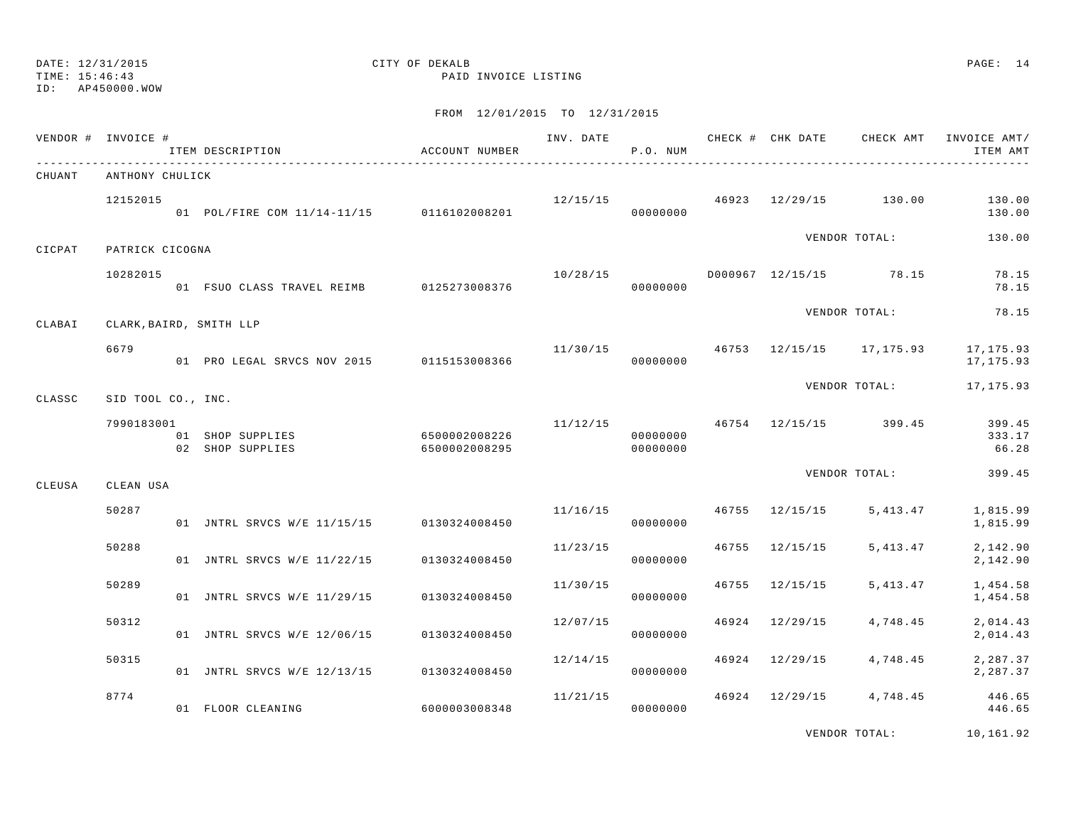ID: AP450000.WOW

TIME: 15:46:43 PAID INVOICE LISTING

### FROM 12/01/2015 TO 12/31/2015

|        | VENDOR # INVOICE # | ITEM DESCRIPTION                                                 | ACCOUNT NUMBER |                                   | P.O. NUM             |       |                |                                        | INV. DATE 6 1999 CHECK # CHK DATE 6 CHECK AMT INVOICE AMT<br>ITEM AMT |
|--------|--------------------|------------------------------------------------------------------|----------------|-----------------------------------|----------------------|-------|----------------|----------------------------------------|-----------------------------------------------------------------------|
| CHUANT | ANTHONY CHULICK    |                                                                  |                |                                   |                      |       |                |                                        |                                                                       |
|        | 12152015           | 01 POL/FIRE COM 11/14-11/15 0116102008201                        |                |                                   | 00000000             |       |                | $12/15/15$ $46923$ $12/29/15$ $130.00$ | 130.00<br>130.00                                                      |
| CICPAT | PATRICK CICOGNA    |                                                                  |                |                                   |                      |       |                | VENDOR TOTAL:                          | 130.00                                                                |
|        | 10282015           | 01 FSUO CLASS TRAVEL REIMB 0125273008376                         |                | $10/28/15$ D000967 12/15/15 78.15 | 00000000             |       |                |                                        | 78.15<br>78.15                                                        |
|        |                    |                                                                  |                |                                   |                      |       |                | VENDOR TOTAL:                          | 78.15                                                                 |
| CLABAI |                    | CLARK, BAIRD, SMITH LLP                                          |                |                                   |                      |       |                |                                        |                                                                       |
|        | 6679               | 01 PRO LEGAL SRVCS NOV 2015 0115153008366                        |                |                                   | 00000000             |       |                |                                        | $11/30/15$ $46753$ $12/15/15$ $17,175.93$ $17,175.93$<br>17, 175.93   |
| CLASSC | SID TOOL CO., INC. |                                                                  |                |                                   |                      |       |                |                                        | VENDOR TOTAL: 17,175.93                                               |
|        |                    |                                                                  |                |                                   |                      |       |                |                                        |                                                                       |
|        | 7990183001         | 01 SHOP SUPPLIES 6500002008226<br>02 SHOP SUPPLIES 6500002008295 |                |                                   | 00000000<br>00000000 |       |                | $11/12/15$ 46754 12/15/15 399.45       | 399.45<br>333.17<br>66.28                                             |
|        |                    |                                                                  |                |                                   |                      |       |                | VENDOR TOTAL:                          | 399.45                                                                |
| CLEUSA | CLEAN USA          |                                                                  |                |                                   |                      |       |                |                                        |                                                                       |
|        | 50287              | 01 JNTRL SRVCS W/E 11/15/15 0130324008450                        |                | 11/16/15                          | 00000000             |       |                | 46755 12/15/15 5,413.47                | 1,815.99<br>1,815.99                                                  |
|        | 50288              | 01 JNTRL SRVCS W/E 11/22/15                                      | 0130324008450  | 11/23/15                          | 00000000             | 46755 |                | 12/15/15 5,413.47                      | 2,142.90<br>2,142.90                                                  |
|        | 50289              | 01 JNTRL SRVCS W/E 11/29/15                                      | 0130324008450  | 11/30/15                          | 00000000             |       | 46755 12/15/15 | 5, 413.47                              | 1,454.58<br>1,454.58                                                  |
|        | 50312              | 01 JNTRL SRVCS W/E 12/06/15                                      | 0130324008450  | 12/07/15                          | 00000000             |       |                | 46924 12/29/15 4,748.45                | 2,014.43<br>2,014.43                                                  |
|        | 50315              | 01 JNTRL SRVCS W/E 12/13/15 0130324008450                        |                | 12/14/15                          | 00000000             |       | 46924 12/29/15 | 4,748.45                               | 2,287.37<br>2,287.37                                                  |
|        | 8774               |                                                                  |                | 11/21/15                          |                      |       |                |                                        | 46924 12/29/15 4,748.45 446.65                                        |
|        |                    | 01 FLOOR CLEANING                                                | 6000003008348  |                                   | 00000000             |       |                |                                        | 446.65                                                                |

VENDOR TOTAL: 10,161.92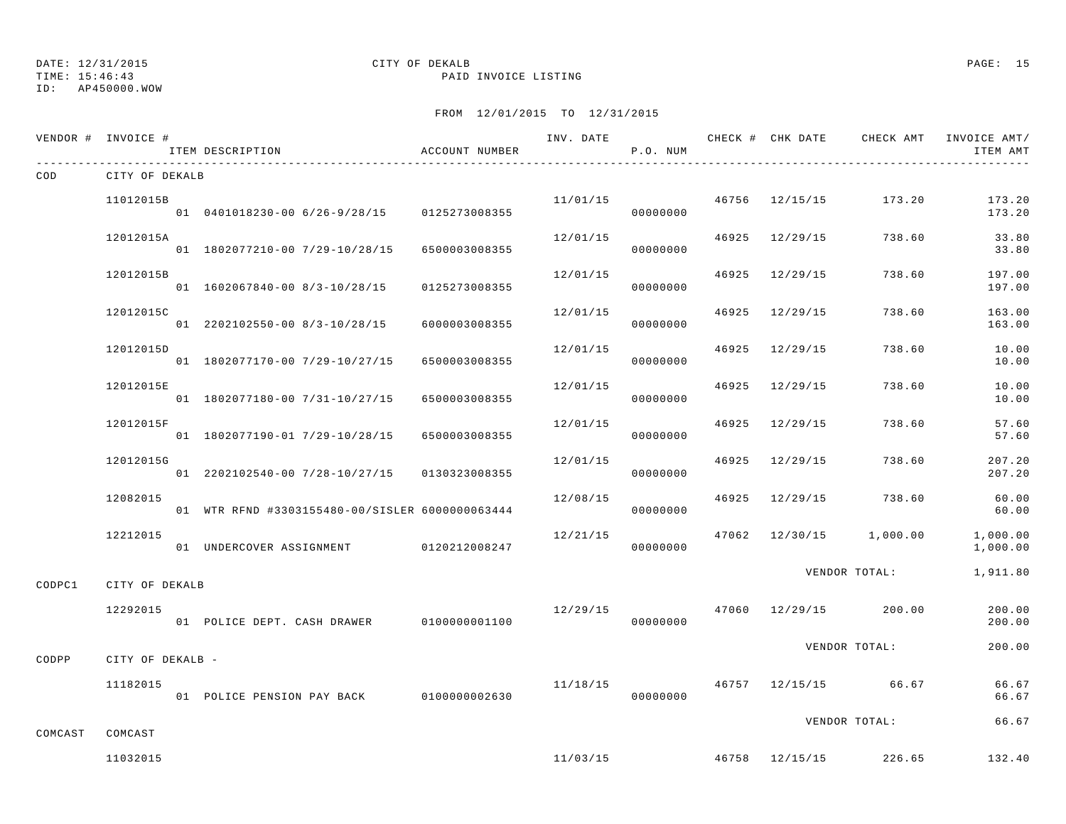# ID: AP450000.WOW

## DATE: 12/31/2015 CITY OF DEKALB PAGE: 15

TIME: 15:46:43 PAID INVOICE LISTING

|         | VENDOR # INVOICE # | ITEM DESCRIPTION                                | ACCOUNT NUMBER |          | P.O. NUM |       |                |                         | INV. DATE 6 1999 CHECK # CHK DATE CHECK AMT INVOICE AMT/<br>ITEM AMT |
|---------|--------------------|-------------------------------------------------|----------------|----------|----------|-------|----------------|-------------------------|----------------------------------------------------------------------|
| COD     | CITY OF DEKALB     |                                                 |                |          |          |       |                |                         |                                                                      |
|         | 11012015B          | 01 0401018230-00 6/26-9/28/15 0125273008355     |                | 11/01/15 | 00000000 |       | 46756 12/15/15 | 173.20                  | 173.20<br>173.20                                                     |
|         | 12012015A          | 01 1802077210-00 7/29-10/28/15 6500003008355    |                | 12/01/15 | 00000000 |       | 46925 12/29/15 | 738.60                  | 33.80<br>33.80                                                       |
|         | 12012015B          | 01 1602067840-00 8/3-10/28/15                   | 0125273008355  | 12/01/15 | 00000000 |       | 46925 12/29/15 | 738.60                  | 197.00<br>197.00                                                     |
|         | 12012015C          | 01 2202102550-00 8/3-10/28/15                   | 6000003008355  | 12/01/15 | 00000000 |       | 46925 12/29/15 | 738.60                  | 163.00<br>163.00                                                     |
|         | 12012015D          | 01 1802077170-00 7/29-10/27/15                  | 6500003008355  | 12/01/15 | 00000000 |       | 46925 12/29/15 | 738.60                  | 10.00<br>10.00                                                       |
|         | 12012015E          | 01 1802077180-00 7/31-10/27/15                  | 6500003008355  | 12/01/15 | 00000000 | 46925 | 12/29/15       | 738.60                  | 10.00<br>10.00                                                       |
|         | 12012015F          | 01 1802077190-01 7/29-10/28/15                  | 6500003008355  | 12/01/15 | 00000000 |       | 46925 12/29/15 | 738.60                  | 57.60<br>57.60                                                       |
|         | 12012015G          | 01 2202102540-00 7/28-10/27/15 0130323008355    |                | 12/01/15 | 00000000 |       | 46925 12/29/15 | 738.60                  | 207.20<br>207.20                                                     |
|         | 12082015           | 01 WTR RFND #3303155480-00/SISLER 6000000063444 |                | 12/08/15 | 00000000 |       | 46925 12/29/15 | 738.60                  | 60.00<br>60.00                                                       |
|         | 12212015           | 01    UNDERCOVER ASSIGNMENT    0120212008247    |                | 12/21/15 | 00000000 |       |                | 47062 12/30/15 1,000.00 | 1,000.00<br>1,000.00                                                 |
| CODPC1  | CITY OF DEKALB     |                                                 |                |          |          |       |                | VENDOR TOTAL:           | 1,911.80                                                             |
|         | 12292015           |                                                 |                | 12/29/15 | 00000000 |       |                | 47060 12/29/15 200.00   | 200.00<br>200.00                                                     |
| CODPP   | CITY OF DEKALB -   |                                                 |                |          |          |       |                | VENDOR TOTAL:           | 200.00                                                               |
|         | 11182015           | 01 POLICE PENSION PAY BACK 0100000002630        |                | 11/18/15 | 00000000 |       |                | 46757 12/15/15 66.67    | 66.67<br>66.67                                                       |
| COMCAST | COMCAST            |                                                 |                |          |          |       |                | VENDOR TOTAL:           | 66.67                                                                |
|         | 11032015           |                                                 |                | 11/03/15 |          |       |                | 46758 12/15/15 226.65   | 132.40                                                               |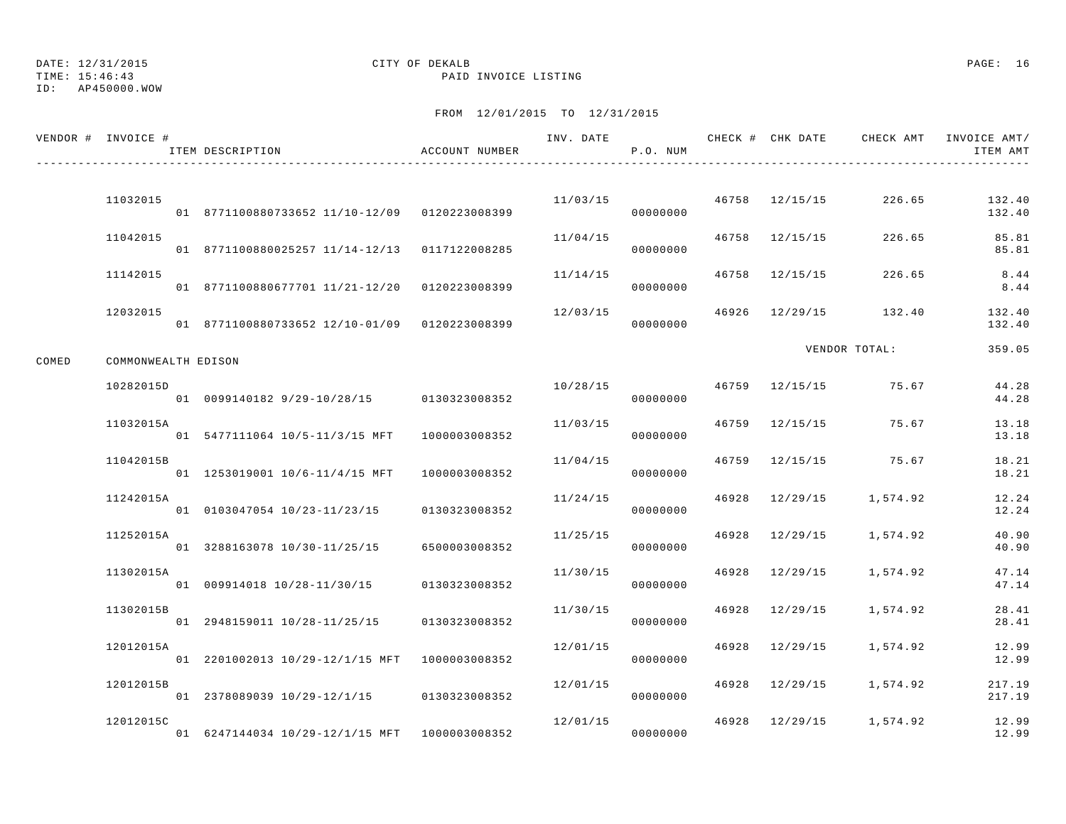TIME: 15:46:43 PAID INVOICE LISTING

# DATE: 12/31/2015 QUITY OF DEKALB QUITY OF DEALB QUITY OF DEALB PAGE: 16

ID: AP450000.WOW

|       | VENDOR # INVOICE #  | ITEM DESCRIPTION                              | ACCOUNT NUMBER | INV. DATE | P.O. NUM |       |                | CHECK # CHK DATE CHECK AMT | INVOICE AMT/<br>ITEM AMT |
|-------|---------------------|-----------------------------------------------|----------------|-----------|----------|-------|----------------|----------------------------|--------------------------|
|       |                     |                                               |                |           |          |       |                |                            |                          |
|       | 11032015            | 01 8771100880733652 11/10-12/09 0120223008399 |                | 11/03/15  | 00000000 |       | 46758 12/15/15 | 226.65                     | 132.40<br>132.40         |
|       | 11042015            | 01 8771100880025257 11/14-12/13 0117122008285 |                | 11/04/15  | 00000000 |       | 46758 12/15/15 | 226.65                     | 85.81<br>85.81           |
|       | 11142015            | 01 8771100880677701 11/21-12/20 0120223008399 |                | 11/14/15  | 00000000 |       | 46758 12/15/15 | 226.65                     | $8.44$<br>8.44           |
|       | 12032015            | 01 8771100880733652 12/10-01/09 0120223008399 |                | 12/03/15  | 00000000 |       |                | 46926 12/29/15 132.40      | 132.40<br>132.40         |
| COMED | COMMONWEALTH EDISON |                                               |                |           |          |       |                | VENDOR TOTAL:              | 359.05                   |
|       | 10282015D           | 01 0099140182 9/29-10/28/15 0130323008352     |                | 10/28/15  | 00000000 |       | 46759 12/15/15 | 75.67                      | 44.28<br>44.28           |
|       | 11032015A           | 01 5477111064 10/5-11/3/15 MFT                | 1000003008352  | 11/03/15  | 00000000 |       | 46759 12/15/15 | 75.67                      | 13.18<br>13.18           |
|       | 11042015B           | 01 1253019001 10/6-11/4/15 MFT                | 1000003008352  | 11/04/15  | 00000000 |       |                | 46759 12/15/15 75.67       | 18.21<br>18.21           |
|       | 11242015A           | 01 0103047054 10/23-11/23/15                  | 0130323008352  | 11/24/15  | 00000000 |       | 46928 12/29/15 | 1,574.92                   | 12.24<br>12.24           |
|       | 11252015A           | 01 3288163078 10/30-11/25/15                  | 6500003008352  | 11/25/15  | 00000000 |       | 46928 12/29/15 | 1,574.92                   | 40.90<br>40.90           |
|       | 11302015A           | 01 009914018 10/28-11/30/15 0130323008352     |                | 11/30/15  | 00000000 |       | 46928 12/29/15 | 1,574.92                   | 47.14<br>47.14           |
|       | 11302015B           | 01 2948159011 10/28-11/25/15                  | 0130323008352  | 11/30/15  | 00000000 | 46928 | 12/29/15       | 1,574.92                   | 28.41<br>28.41           |
|       | 12012015A           | 01 2201002013 10/29-12/1/15 MFT 1000003008352 |                | 12/01/15  | 00000000 |       | 46928 12/29/15 | 1,574.92                   | 12.99<br>12.99           |
|       | 12012015B           | 01 2378089039 10/29-12/1/15 0130323008352     |                | 12/01/15  | 00000000 |       |                | 46928 12/29/15 1,574.92    | 217.19<br>217.19         |
|       | 12012015C           | 01 6247144034 10/29-12/1/15 MFT 1000003008352 |                | 12/01/15  | 00000000 | 46928 |                | 12/29/15 1,574.92          | 12.99<br>12.99           |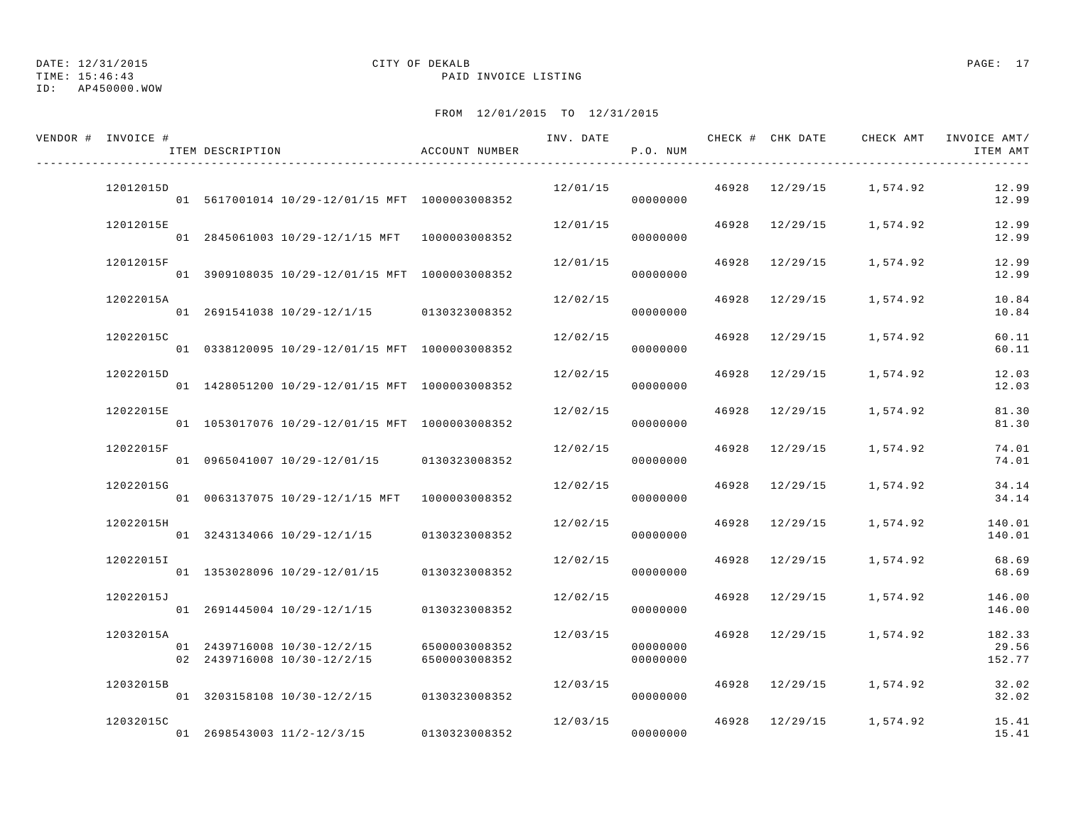TIME: 15:46:43 PAID INVOICE LISTING

ID: AP450000.WOW

| VENDOR # INVOICE # | ITEM DESCRIPTION                                           | ACCOUNT NUMBER                 | INV. DATE | P.O. NUM             |       |                | CHECK # CHK DATE CHECK AMT | INVOICE AMT/<br>ITEM AMT  |
|--------------------|------------------------------------------------------------|--------------------------------|-----------|----------------------|-------|----------------|----------------------------|---------------------------|
| 12012015D          | 01 5617001014 10/29-12/01/15 MFT 1000003008352             |                                | 12/01/15  | 00000000             |       |                | 46928 12/29/15 1,574.92    | 12.99<br>12.99            |
| 12012015E          | 01 2845061003 10/29-12/1/15 MFT 1000003008352              |                                | 12/01/15  | 00000000             |       |                | 46928 12/29/15 1,574.92    | 12.99<br>12.99            |
| 12012015F          | 01 3909108035 10/29-12/01/15 MFT 1000003008352             |                                | 12/01/15  | 00000000             |       | 46928 12/29/15 | 1,574.92                   | 12.99<br>12.99            |
| 12022015A          | 01 2691541038 10/29-12/1/15 0130323008352                  |                                | 12/02/15  | 00000000             | 46928 | 12/29/15       | 1,574.92                   | 10.84<br>10.84            |
| 12022015C          | 01 0338120095 10/29-12/01/15 MFT 1000003008352             |                                | 12/02/15  | 00000000             |       | 46928 12/29/15 | 1,574.92                   | 60.11<br>60.11            |
| 12022015D          | 01 1428051200 10/29-12/01/15 MFT 1000003008352             |                                | 12/02/15  | 00000000             |       |                | 46928 12/29/15 1,574.92    | 12.03<br>12.03            |
| 12022015E          | 01 1053017076 10/29-12/01/15 MFT 1000003008352             |                                | 12/02/15  | 00000000             |       | 46928 12/29/15 | 1,574.92                   | 81.30<br>81.30            |
| 12022015F          | 01 0965041007 10/29-12/01/15 0130323008352                 |                                | 12/02/15  | 00000000             |       | 46928 12/29/15 | 1,574.92                   | 74.01<br>74.01            |
| 12022015G          | 01 0063137075 10/29-12/1/15 MFT 1000003008352              |                                | 12/02/15  | 00000000             |       | 46928 12/29/15 | 1,574.92                   | 34.14<br>34.14            |
| 12022015H          | 01 3243134066 10/29-12/1/15                                | 0130323008352                  | 12/02/15  | 00000000             | 46928 | 12/29/15       | 1,574.92                   | 140.01<br>140.01          |
| 12022015I          | 01 1353028096 10/29-12/01/15                               | 0130323008352                  | 12/02/15  | 00000000             |       |                | 46928 12/29/15 1,574.92    | 68.69<br>68.69            |
| 12022015J          | 01 2691445004 10/29-12/1/15                                | 0130323008352                  | 12/02/15  | 00000000             |       | 46928 12/29/15 | 1,574.92                   | 146.00<br>146.00          |
| 12032015A          | 01 2439716008 10/30-12/2/15<br>02 2439716008 10/30-12/2/15 | 6500003008352<br>6500003008352 | 12/03/15  | 00000000<br>00000000 |       | 46928 12/29/15 | 1,574.92                   | 182.33<br>29.56<br>152.77 |
| 12032015B          | 01 3203158108 10/30-12/2/15                                | 0130323008352                  | 12/03/15  | 00000000             |       |                | 46928 12/29/15 1,574.92    | 32.02<br>32.02            |
| 12032015C          | 01 2698543003 11/2-12/3/15                                 | 0130323008352                  | 12/03/15  | 00000000             |       |                | 46928 12/29/15 1,574.92    | 15.41<br>15.41            |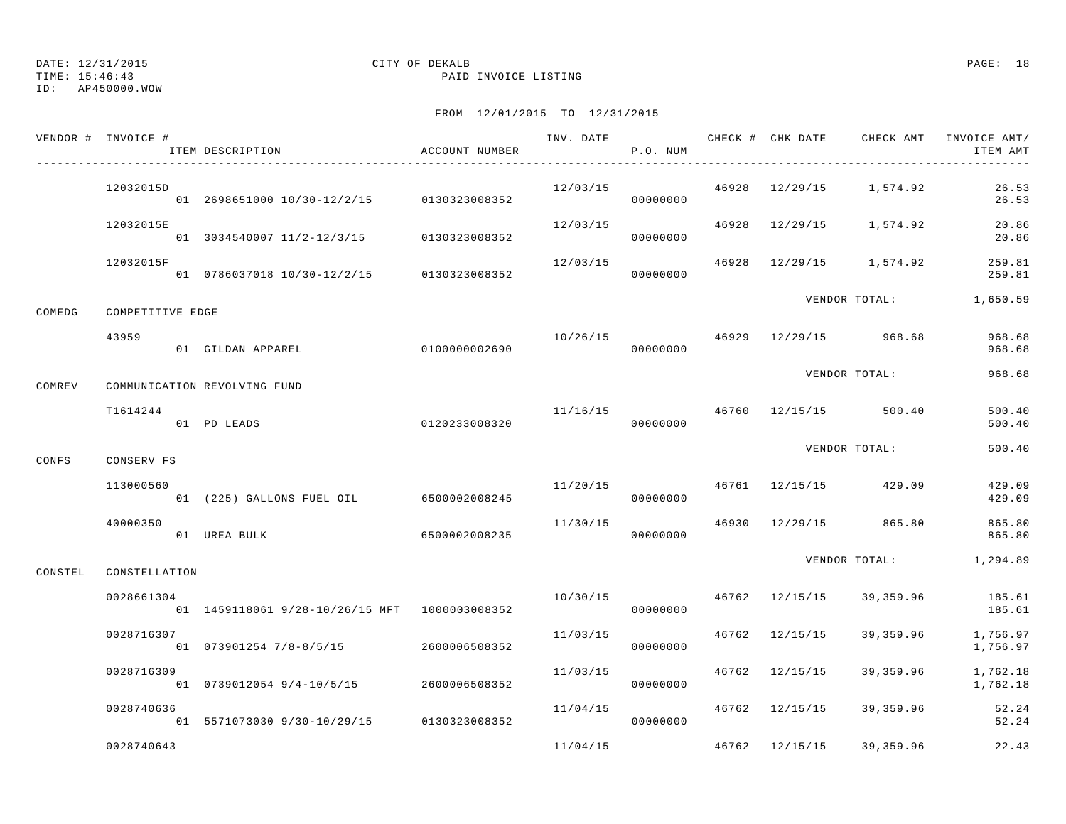TIME: 15:46:43 PAID INVOICE LISTING

ID: AP450000.WOW

|         | VENDOR # INVOICE # | ITEM DESCRIPTION                              | ACCOUNT NUMBER | INV. DATE | P.O. NUM |       | CHECK # CHK DATE |                         | CHECK AMT INVOICE AMT/<br>ITEM AMT |
|---------|--------------------|-----------------------------------------------|----------------|-----------|----------|-------|------------------|-------------------------|------------------------------------|
|         | 12032015D          | 01 2698651000 10/30-12/2/15 0130323008352     |                | 12/03/15  | 00000000 |       |                  | 46928 12/29/15 1,574.92 | 26.53<br>26.53                     |
|         | 12032015E          | 01 3034540007 11/2-12/3/15                    | 0130323008352  | 12/03/15  | 00000000 | 46928 |                  | 12/29/15 1,574.92       | 20.86<br>20.86                     |
|         | 12032015F          | 01 0786037018 10/30-12/2/15 0130323008352     |                | 12/03/15  | 00000000 | 46928 |                  | 12/29/15 1,574.92       | 259.81<br>259.81                   |
| COMEDG  | COMPETITIVE EDGE   |                                               |                |           |          |       |                  | VENDOR TOTAL:           | 1,650.59                           |
|         | 43959              | 01 GILDAN APPAREL                             | 0100000002690  | 10/26/15  | 00000000 | 46929 |                  | 12/29/15 968.68         | 968.68<br>968.68                   |
| COMREV  |                    | COMMUNICATION REVOLVING FUND                  |                |           |          |       |                  | VENDOR TOTAL:           | 968.68                             |
|         | T1614244           | 01 PD LEADS                                   | 0120233008320  | 11/16/15  | 00000000 |       | 46760 12/15/15   | 500.40                  | 500.40<br>500.40                   |
| CONFS   | CONSERV FS         |                                               |                |           |          |       |                  | VENDOR TOTAL:           | 500.40                             |
|         | 113000560          | 01 (225) GALLONS FUEL OIL                     | 6500002008245  | 11/20/15  | 00000000 |       | 46761 12/15/15   | 429.09                  | 429.09<br>429.09                   |
|         | 40000350           | 01 UREA BULK                                  | 6500002008235  | 11/30/15  | 00000000 |       | 46930 12/29/15   | 865.80                  | 865.80<br>865.80                   |
| CONSTEL | CONSTELLATION      |                                               |                |           |          |       |                  | VENDOR TOTAL:           | 1,294.89                           |
|         | 0028661304         | 01 1459118061 9/28-10/26/15 MFT 1000003008352 |                | 10/30/15  | 00000000 |       | 46762 12/15/15   | 39,359.96               | 185.61<br>185.61                   |
|         | 0028716307         | 01 073901254 7/8-8/5/15 2600006508352         |                | 11/03/15  | 00000000 | 46762 | 12/15/15         | 39,359.96               | 1,756.97<br>1,756.97               |
|         | 0028716309         | 01 0739012054 9/4-10/5/15                     | 2600006508352  | 11/03/15  | 00000000 |       | 46762 12/15/15   | 39,359.96               | 1,762.18<br>1,762.18               |
|         | 0028740636         | 01 5571073030 9/30-10/29/15 0130323008352     |                | 11/04/15  | 00000000 |       | 46762 12/15/15   | 39,359.96               | 52.24<br>52.24                     |
|         | 0028740643         |                                               |                | 11/04/15  |          |       | 46762 12/15/15   | 39,359.96               | 22.43                              |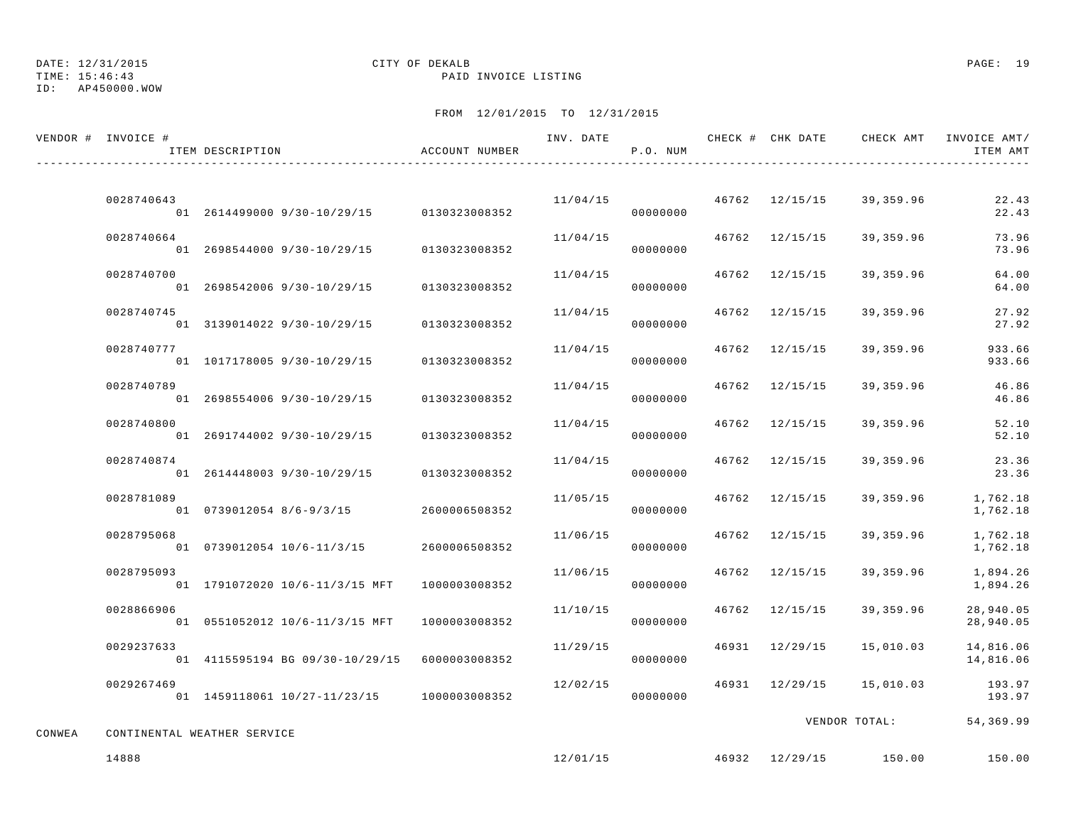ID: AP450000.WOW

## DATE: 12/31/2015 CITY OF DEKALB PAGE: 19

TIME: 15:46:43 PAID INVOICE LISTING

|        | VENDOR # INVOICE # | ITEM DESCRIPTION                          | ACCOUNT NUMBER | INV. DATE | P.O. NUM |       | CHECK # CHK DATE | CHECK AMT     | INVOICE AMT/<br>ITEM AMT |
|--------|--------------------|-------------------------------------------|----------------|-----------|----------|-------|------------------|---------------|--------------------------|
|        |                    |                                           |                |           |          |       |                  |               |                          |
|        | 0028740643         | 01 2614499000 9/30-10/29/15 0130323008352 |                | 11/04/15  | 00000000 |       | 46762 12/15/15   | 39,359.96     | 22.43<br>22.43           |
|        | 0028740664         | 01 2698544000 9/30-10/29/15               | 0130323008352  | 11/04/15  | 00000000 |       | 46762 12/15/15   | 39,359.96     | 73.96<br>73.96           |
|        | 0028740700         | 01 2698542006 9/30-10/29/15               | 0130323008352  | 11/04/15  | 00000000 | 46762 | 12/15/15         | 39,359.96     | 64.00<br>64.00           |
|        | 0028740745         | 01 3139014022 9/30-10/29/15               | 0130323008352  | 11/04/15  | 00000000 |       | 46762 12/15/15   | 39,359.96     | 27.92<br>27.92           |
|        | 0028740777         | 01 1017178005 9/30-10/29/15               | 0130323008352  | 11/04/15  | 00000000 | 46762 | 12/15/15         | 39,359.96     | 933.66<br>933.66         |
|        | 0028740789         | 01 2698554006 9/30-10/29/15               | 0130323008352  | 11/04/15  | 00000000 | 46762 | 12/15/15         | 39,359.96     | 46.86<br>46.86           |
|        | 0028740800         | 01 2691744002 9/30-10/29/15               | 0130323008352  | 11/04/15  | 00000000 | 46762 | 12/15/15         | 39,359.96     | 52.10<br>52.10           |
|        | 0028740874         | 01 2614448003 9/30-10/29/15               | 0130323008352  | 11/04/15  | 00000000 | 46762 | 12/15/15         | 39,359.96     | 23.36<br>23.36           |
|        | 0028781089         | 01 0739012054 8/6-9/3/15                  | 2600006508352  | 11/05/15  | 00000000 | 46762 | 12/15/15         | 39,359.96     | 1,762.18<br>1,762.18     |
|        | 0028795068         | 01 0739012054 10/6-11/3/15                | 2600006508352  | 11/06/15  | 00000000 | 46762 | 12/15/15         | 39,359.96     | 1,762.18<br>1,762.18     |
|        | 0028795093         | 01 1791072020 10/6-11/3/15 MFT            | 1000003008352  | 11/06/15  | 00000000 | 46762 | 12/15/15         | 39,359.96     | 1,894.26<br>1,894.26     |
|        | 0028866906         | 01 0551052012 10/6-11/3/15 MFT            | 1000003008352  | 11/10/15  | 00000000 | 46762 | 12/15/15         | 39,359.96     | 28,940.05<br>28,940.05   |
|        | 0029237633         | 01 4115595194 BG 09/30-10/29/15           | 6000003008352  | 11/29/15  | 00000000 |       | 46931 12/29/15   | 15,010.03     | 14,816.06<br>14,816.06   |
|        | 0029267469         | 01 1459118061 10/27-11/23/15              | 1000003008352  | 12/02/15  | 00000000 |       | 46931 12/29/15   | 15,010.03     | 193.97<br>193.97         |
| CONWEA |                    | CONTINENTAL WEATHER SERVICE               |                |           |          |       |                  | VENDOR TOTAL: | 54,369.99                |
|        | 14888              |                                           |                | 12/01/15  |          |       | 46932 12/29/15   | 150.00        | 150.00                   |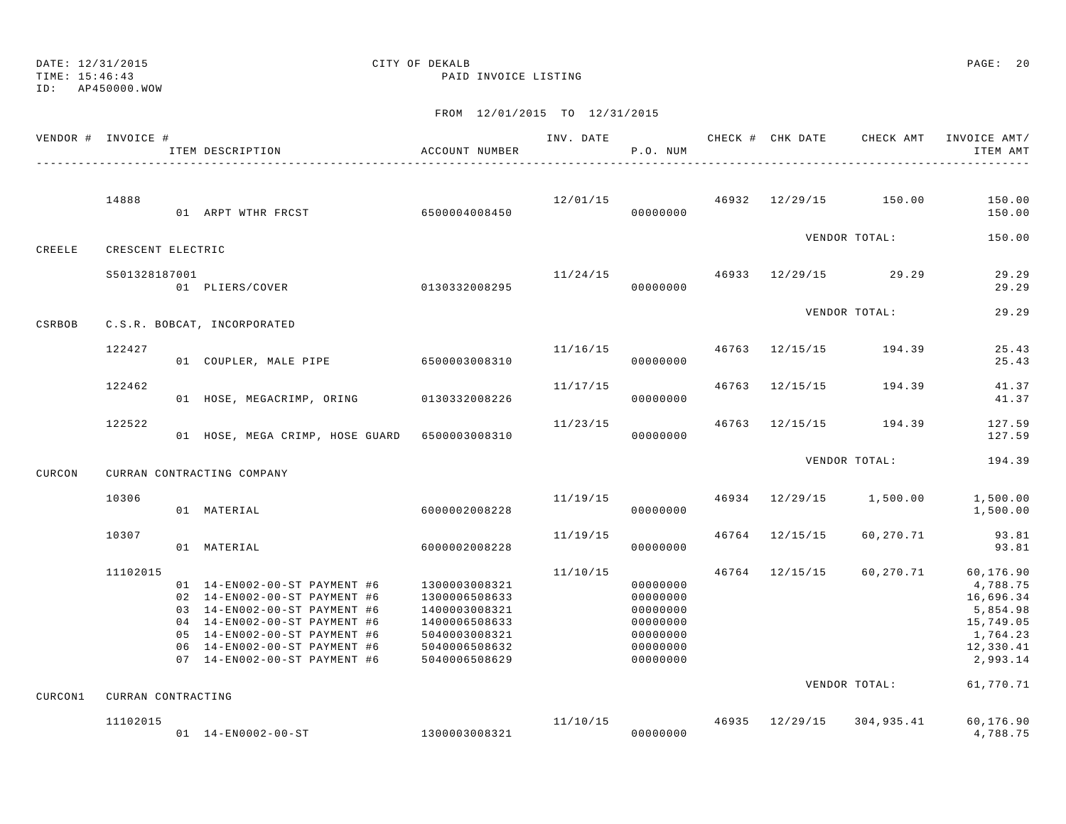TIME: 15:46:43 PAID INVOICE LISTING ID: AP450000.WOW

# DATE: 12/31/2015 CITY OF DEKALB PAGE: 20

|         | VENDOR # INVOICE # | ITEM DESCRIPTION                                                                                                                                                                                                               | ACCOUNT NUMBER                                                                                                      |          | P.O. NUM                                                                         |                |                                        | INV. DATE 6 1997 CHECK # CHK DATE 6 CHECK AMT INVOICE AMT/<br>ITEM AMT                                        |
|---------|--------------------|--------------------------------------------------------------------------------------------------------------------------------------------------------------------------------------------------------------------------------|---------------------------------------------------------------------------------------------------------------------|----------|----------------------------------------------------------------------------------|----------------|----------------------------------------|---------------------------------------------------------------------------------------------------------------|
|         | 14888              | 01 ARPT WTHR FRCST 6500004008450                                                                                                                                                                                               |                                                                                                                     |          | 00000000                                                                         |                | $12/01/15$ $46932$ $12/29/15$ $150.00$ | 150.00<br>150.00                                                                                              |
|         |                    |                                                                                                                                                                                                                                |                                                                                                                     |          |                                                                                  |                | VENDOR TOTAL:                          | 150.00                                                                                                        |
| CREELE  | CRESCENT ELECTRIC  |                                                                                                                                                                                                                                |                                                                                                                     |          |                                                                                  |                |                                        |                                                                                                               |
|         | S501328187001      | 0130332008295<br>01 PLIERS/COVER                                                                                                                                                                                               |                                                                                                                     | 11/24/15 | 00000000                                                                         |                | 46933 12/29/15 29.29                   | 29.29<br>29.29                                                                                                |
| CSRBOB  |                    | C.S.R. BOBCAT, INCORPORATED                                                                                                                                                                                                    |                                                                                                                     |          |                                                                                  |                | VENDOR TOTAL:                          | 29.29                                                                                                         |
|         | 122427             | 01 COUPLER, MALE PIPE 6500003008310                                                                                                                                                                                            |                                                                                                                     |          | 00000000                                                                         |                | $11/16/15$ $46763$ $12/15/15$ $194.39$ | 25.43<br>25.43                                                                                                |
|         | 122462             | 01 HOSE, MEGACRIMP, ORING 0130332008226                                                                                                                                                                                        |                                                                                                                     | 11/17/15 | 00000000                                                                         | 46763 12/15/15 | 194.39                                 | 41.37<br>41.37                                                                                                |
|         | 122522             | 01 HOSE, MEGA CRIMP, HOSE GUARD 6500003008310                                                                                                                                                                                  |                                                                                                                     | 11/23/15 | 00000000                                                                         |                | 46763 12/15/15 194.39                  | 127.59<br>127.59                                                                                              |
| CURCON  |                    | CURRAN CONTRACTING COMPANY                                                                                                                                                                                                     |                                                                                                                     |          |                                                                                  |                | VENDOR TOTAL:                          | 194.39                                                                                                        |
|         |                    |                                                                                                                                                                                                                                |                                                                                                                     |          |                                                                                  |                |                                        |                                                                                                               |
|         | 10306              | 01 MATERIAL                                                                                                                                                                                                                    | 6000002008228                                                                                                       | 11/19/15 | 00000000                                                                         |                | 46934 12/29/15 1,500.00                | 1,500.00<br>1,500.00                                                                                          |
|         | 10307              | 01 MATERIAL                                                                                                                                                                                                                    | 6000002008228                                                                                                       | 11/19/15 | 00000000                                                                         | 46764 12/15/15 | 60,270.71                              | 93.81<br>93.81                                                                                                |
|         | 11102015           | 01  14-EN002-00-ST PAYMENT #6<br>02 14-EN002-00-ST PAYMENT #6<br>03 14-EN002-00-ST PAYMENT #6<br>04 14-EN002-00-ST PAYMENT #6<br>05 14-EN002-00-ST PAYMENT #6<br>06 14-EN002-00-ST PAYMENT #6<br>07  14-EN002-00-ST PAYMENT #6 | 1300003008321<br>1300006508633<br>1400003008321<br>1400006508633<br>5040003008321<br>5040006508632<br>5040006508629 | 11/10/15 | 00000000<br>00000000<br>00000000<br>00000000<br>00000000<br>00000000<br>00000000 | 46764 12/15/15 | 60,270.71<br>VENDOR TOTAL:             | 60,176.90<br>4,788.75<br>16,696.34<br>5,854.98<br>15,749.05<br>1,764.23<br>12,330.41<br>2,993.14<br>61,770.71 |
| CURCON1 | CURRAN CONTRACTING |                                                                                                                                                                                                                                |                                                                                                                     |          |                                                                                  |                |                                        |                                                                                                               |
|         | 11102015           | 01  14-EN0002-00-ST  1300003008321                                                                                                                                                                                             |                                                                                                                     |          | 00000000                                                                         |                | $11/10/15$ 46935 $12/29/15$ 304,935.41 | 60,176.90<br>4,788.75                                                                                         |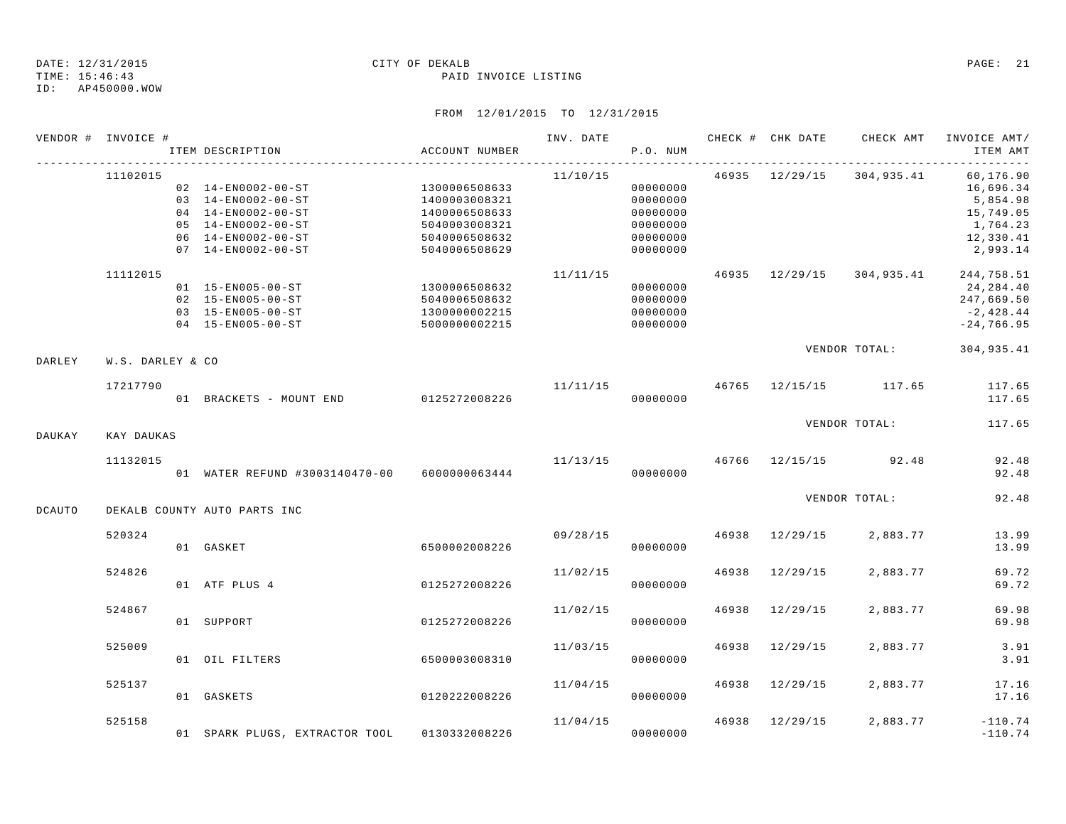# ID: AP450000.WOW

### TIME: 15:46:43 PAID INVOICE LISTING

|               | VENDOR # INVOICE # | ITEM DESCRIPTION                                                                                                                 | ACCOUNT NUMBER                                                                                     | INV. DATE | P.O. NUM                                                             |       |                | CHECK # CHK DATE CHECK AMT          | INVOICE AMT/<br>ITEM AMT                                                                       |
|---------------|--------------------|----------------------------------------------------------------------------------------------------------------------------------|----------------------------------------------------------------------------------------------------|-----------|----------------------------------------------------------------------|-------|----------------|-------------------------------------|------------------------------------------------------------------------------------------------|
|               | 11102015           | 02 14-EN0002-00-ST<br>03 14-EN0002-00-ST<br>04 14-EN0002-00-ST<br>05 14-EN0002-00-ST<br>06 14-EN0002-00-ST<br>07 14-EN0002-00-ST | 1300006508633<br>1400003008321<br>1400006508633<br>5040003008321<br>5040006508632<br>5040006508629 | 11/10/15  | 00000000<br>00000000<br>00000000<br>00000000<br>00000000<br>00000000 |       | 46935 12/29/15 | 304,935.41                          | 60,176.90<br>16,696.34<br>5,854.98<br>15,749.05<br>1,764.23<br>12,330.41<br>2,993.14           |
|               | 11112015           | 01 15-EN005-00-ST<br>02 15-EN005-00-ST<br>03 15-EN005-00-ST<br>04 15-EN005-00-ST                                                 | 1300006508632<br>5040006508632<br>1300000002215<br>5000000002215                                   | 11/11/15  | 00000000<br>00000000<br>00000000<br>00000000                         |       |                |                                     | 46935 12/29/15 304,935.41 244,758.51<br>24,284.40<br>247,669.50<br>$-2,428.44$<br>$-24,766.95$ |
| DARLEY        | W.S. DARLEY & CO   |                                                                                                                                  |                                                                                                    |           |                                                                      |       |                |                                     | VENDOR TOTAL: 304,935.41                                                                       |
|               | 17217790           | 01 BRACKETS - MOUNT END 0125272008226                                                                                            |                                                                                                    | 11/11/15  | 00000000                                                             |       |                | 46765 12/15/15 117.65               | 117.65<br>117.65                                                                               |
| DAUKAY        | KAY DAUKAS         |                                                                                                                                  |                                                                                                    |           |                                                                      |       |                | VENDOR TOTAL:                       | 117.65                                                                                         |
|               | 11132015           | 01 WATER REFUND #3003140470-00 6000000063444                                                                                     |                                                                                                    |           | 00000000                                                             |       |                | $11/13/15$ $46766$ $12/15/15$ 92.48 | 92.48<br>92.48                                                                                 |
| <b>DCAUTO</b> |                    | DEKALB COUNTY AUTO PARTS INC                                                                                                     |                                                                                                    |           |                                                                      |       |                | VENDOR TOTAL:                       | 92.48                                                                                          |
|               | 520324             | 01 GASKET                                                                                                                        | 6500002008226                                                                                      | 09/28/15  | 00000000                                                             |       | 46938 12/29/15 | 2,883.77                            | 13.99<br>13.99                                                                                 |
|               | 524826             | 01 ATF PLUS 4                                                                                                                    | 0125272008226                                                                                      | 11/02/15  | 00000000                                                             | 46938 | 12/29/15       | 2,883.77                            | 69.72<br>69.72                                                                                 |
|               | 524867             | 01 SUPPORT                                                                                                                       | 0125272008226                                                                                      | 11/02/15  | 00000000                                                             | 46938 | 12/29/15       | 2,883.77                            | 69.98<br>69.98                                                                                 |
|               | 525009             | 01 OIL FILTERS                                                                                                                   | 6500003008310                                                                                      | 11/03/15  | 00000000                                                             |       | 46938 12/29/15 | 2,883.77                            | 3.91<br>3.91                                                                                   |
|               | 525137             | 01 GASKETS                                                                                                                       | 0120222008226                                                                                      | 11/04/15  | 00000000                                                             | 46938 | 12/29/15       | 2,883.77                            | 17.16<br>17.16                                                                                 |
|               | 525158             | 01 SPARK PLUGS, EXTRACTOR TOOL 0130332008226                                                                                     |                                                                                                    | 11/04/15  | 00000000                                                             | 46938 | 12/29/15       | 2,883.77                            | $-110.74$<br>$-110.74$                                                                         |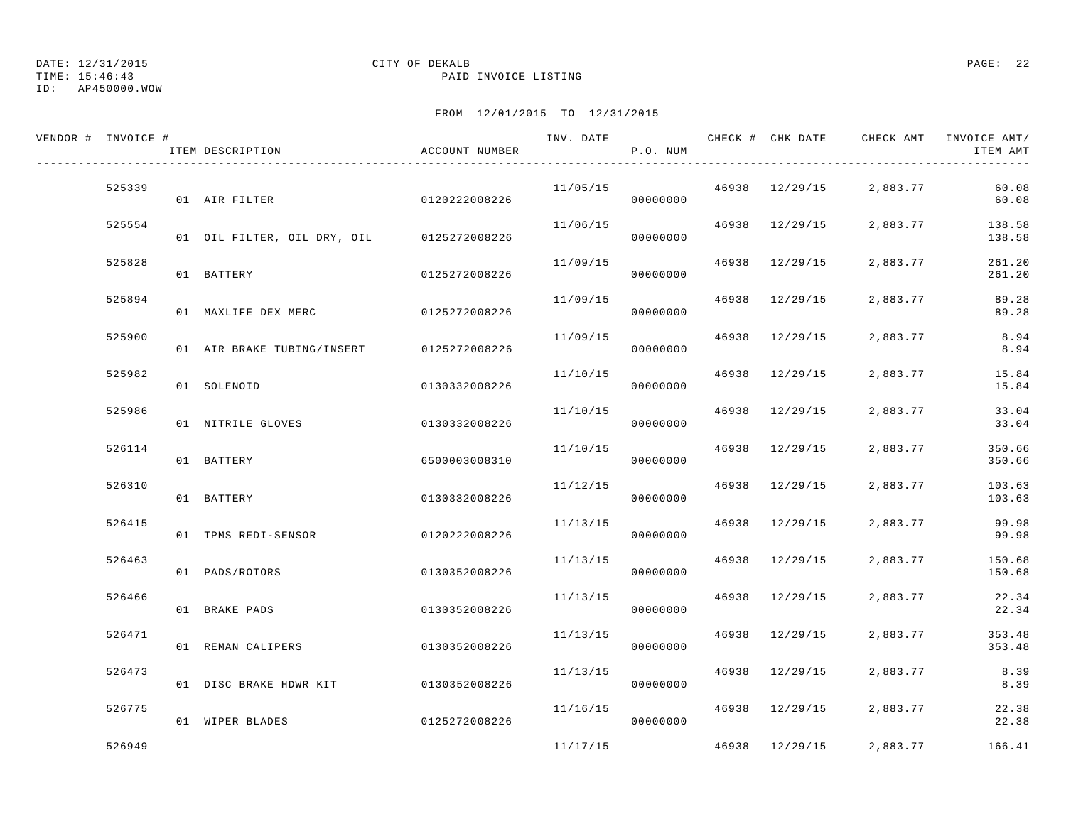### TIME: 15:46:43 PAID INVOICE LISTING ID: AP450000.WOW

# DATE: 12/31/2015 CITY OF DEKALB PAGE: 22

| VENDOR # INVOICE # | ITEM DESCRIPTION                          | ACCOUNT NUMBER | INV. DATE | P.O. NUM |       | CHECK # CHK DATE |                         | CHECK AMT INVOICE AMT/<br>ITEM AMT |
|--------------------|-------------------------------------------|----------------|-----------|----------|-------|------------------|-------------------------|------------------------------------|
| 525339             | 01 AIR FILTER                             | 0120222008226  | 11/05/15  | 00000000 |       | 46938 12/29/15   | 2,883.77                | 60.08<br>60.08                     |
| 525554             | 01 OIL FILTER, OIL DRY, OIL 0125272008226 |                | 11/06/15  | 00000000 |       | 46938 12/29/15   | 2,883.77                | 138.58<br>138.58                   |
| 525828             | 01 BATTERY                                | 0125272008226  | 11/09/15  | 00000000 |       | 46938 12/29/15   | 2,883.77                | 261.20<br>261.20                   |
| 525894             | 01 MAXLIFE DEX MERC                       | 0125272008226  | 11/09/15  | 00000000 | 46938 | 12/29/15         | 2,883.77                | 89.28<br>89.28                     |
| 525900             | 01 AIR BRAKE TUBING/INSERT 0125272008226  |                | 11/09/15  | 00000000 | 46938 | 12/29/15         | 2,883.77                | 8.94<br>8.94                       |
| 525982             | 01 SOLENOID                               | 0130332008226  | 11/10/15  | 00000000 |       | 46938 12/29/15   | 2,883.77                | 15.84<br>15.84                     |
| 525986             | 01 NITRILE GLOVES                         | 0130332008226  | 11/10/15  | 00000000 |       | 46938 12/29/15   | 2,883.77                | 33.04<br>33.04                     |
| 526114             | 01 BATTERY                                | 6500003008310  | 11/10/15  | 00000000 |       | 46938 12/29/15   | 2,883.77                | 350.66<br>350.66                   |
| 526310             | 01 BATTERY                                | 0130332008226  | 11/12/15  | 00000000 |       | 46938 12/29/15   | 2,883.77                | 103.63<br>103.63                   |
| 526415             | 01 TPMS REDI-SENSOR                       | 0120222008226  | 11/13/15  | 00000000 |       | 46938 12/29/15   | 2,883.77                | 99.98<br>99.98                     |
| 526463             | 01 PADS/ROTORS                            | 0130352008226  | 11/13/15  | 00000000 |       | 46938 12/29/15   | 2,883.77                | 150.68<br>150.68                   |
| 526466             | 01 BRAKE PADS                             | 0130352008226  | 11/13/15  | 00000000 |       | 46938 12/29/15   | 2,883.77                | 22.34<br>22.34                     |
| 526471             | 01 REMAN CALIPERS                         | 0130352008226  | 11/13/15  | 00000000 |       | 46938 12/29/15   | 2,883.77                | 353.48<br>353.48                   |
| 526473             | 01 DISC BRAKE HDWR KIT 0130352008226      |                | 11/13/15  | 00000000 |       | 46938 12/29/15   | 2,883.77                | 8.39<br>8.39                       |
| 526775             | 01 WIPER BLADES                           | 0125272008226  | 11/16/15  | 00000000 |       |                  | 46938 12/29/15 2,883.77 | 22.38<br>22.38                     |
| 526949             |                                           |                |           | 11/17/15 |       |                  | 46938 12/29/15 2.883.77 | 166.41                             |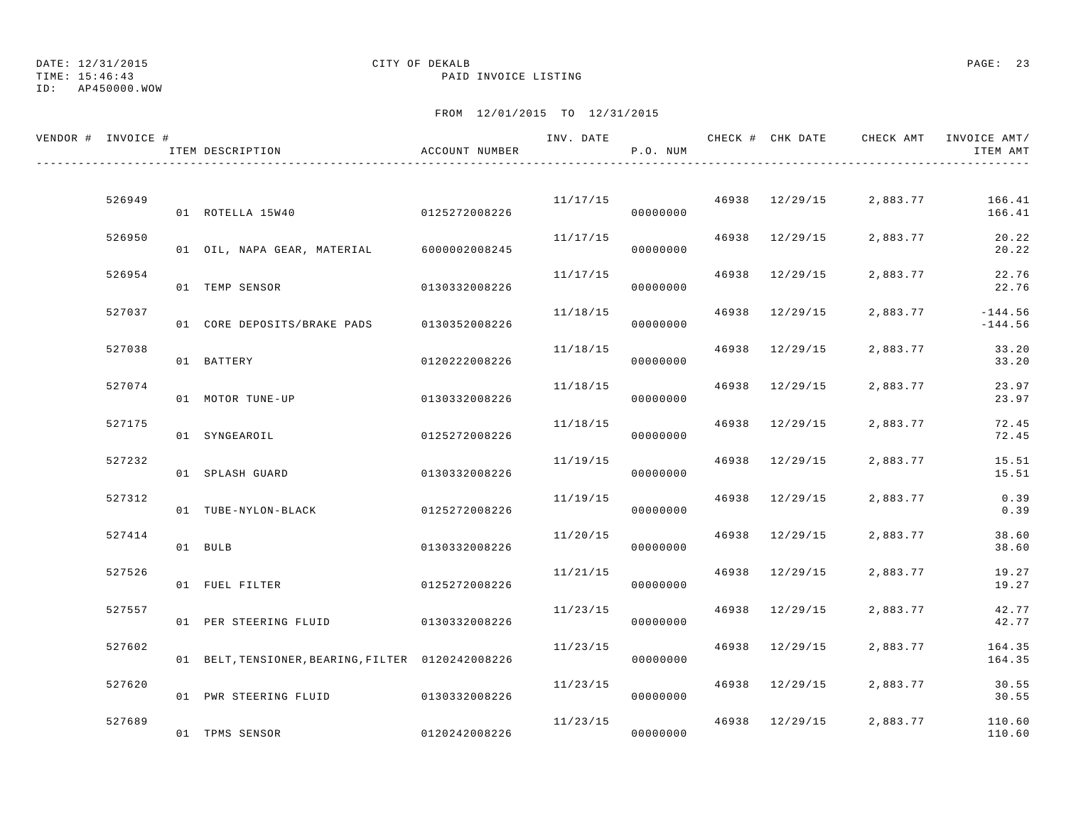# TIME: 15:46:43 PAID INVOICE LISTING

## ID: AP450000.WOW

# DATE: 12/31/2015 CITY OF DEKALB PAGE: 23

| VENDOR # INVOICE # | ITEM DESCRIPTION                                  | ACCOUNT NUMBER |          | P.O. NUM |       |                | INV. DATE 6 CHECK # CHK DATE CHECK AMT INVOICE AMT/ | ITEM AMT               |
|--------------------|---------------------------------------------------|----------------|----------|----------|-------|----------------|-----------------------------------------------------|------------------------|
|                    |                                                   |                |          |          |       |                |                                                     |                        |
| 526949             | 01 ROTELLA 15W40                                  | 0125272008226  | 11/17/15 | 00000000 |       | 46938 12/29/15 | 2,883.77                                            | 166.41<br>166.41       |
| 526950             | 01 OIL, NAPA GEAR, MATERIAL 6000002008245         |                | 11/17/15 | 00000000 | 46938 | 12/29/15       | 2,883.77                                            | 20.22<br>20.22         |
| 526954             | 01 TEMP SENSOR                                    | 0130332008226  | 11/17/15 | 00000000 |       | 46938 12/29/15 | 2,883.77                                            | 22.76<br>22.76         |
| 527037             | 01 CORE DEPOSITS/BRAKE PADS 0130352008226         |                | 11/18/15 | 00000000 |       | 46938 12/29/15 | 2,883.77                                            | $-144.56$<br>$-144.56$ |
| 527038             | 01 BATTERY                                        | 0120222008226  | 11/18/15 | 00000000 | 46938 | 12/29/15       | 2,883.77                                            | 33.20<br>33.20         |
| 527074             | 01 MOTOR TUNE-UP                                  | 0130332008226  | 11/18/15 | 00000000 |       | 46938 12/29/15 | 2,883.77                                            | 23.97<br>23.97         |
| 527175             |                                                   |                | 11/18/15 |          |       | 46938 12/29/15 | 2,883.77                                            | 72.45                  |
| 527232             | 01 SYNGEAROIL                                     | 0125272008226  | 11/19/15 | 00000000 |       | 46938 12/29/15 | 2,883.77                                            | 72.45<br>15.51         |
|                    | 01 SPLASH GUARD                                   | 0130332008226  |          | 00000000 |       |                |                                                     | 15.51                  |
| 527312             | 01 TUBE-NYLON-BLACK                               | 0125272008226  | 11/19/15 | 00000000 |       | 46938 12/29/15 | 2,883.77                                            | 0.39<br>0.39           |
| 527414             | 01 BULB                                           | 0130332008226  | 11/20/15 | 00000000 |       | 46938 12/29/15 | 2,883.77                                            | 38.60<br>38.60         |
| 527526             | 01 FUEL FILTER                                    | 0125272008226  | 11/21/15 | 00000000 |       | 46938 12/29/15 | 2,883.77                                            | 19.27<br>19.27         |
| 527557             | 01 PER STEERING FLUID 0130332008226               |                | 11/23/15 | 00000000 |       | 46938 12/29/15 | 2,883.77                                            | 42.77<br>42.77         |
| 527602             | 01 BELT, TENSIONER, BEARING, FILTER 0120242008226 |                | 11/23/15 | 00000000 |       | 46938 12/29/15 | 2,883.77                                            | 164.35<br>164.35       |
| 527620             | 01 PWR STEERING FLUID 0130332008226               |                | 11/23/15 | 00000000 |       | 46938 12/29/15 | 2,883.77                                            | 30.55<br>30.55         |
| 527689             |                                                   |                | 11/23/15 |          |       | 46938 12/29/15 | 2,883.77                                            | 110.60                 |
|                    | 01 TPMS SENSOR                                    | 0120242008226  |          | 00000000 |       |                |                                                     | 110.60                 |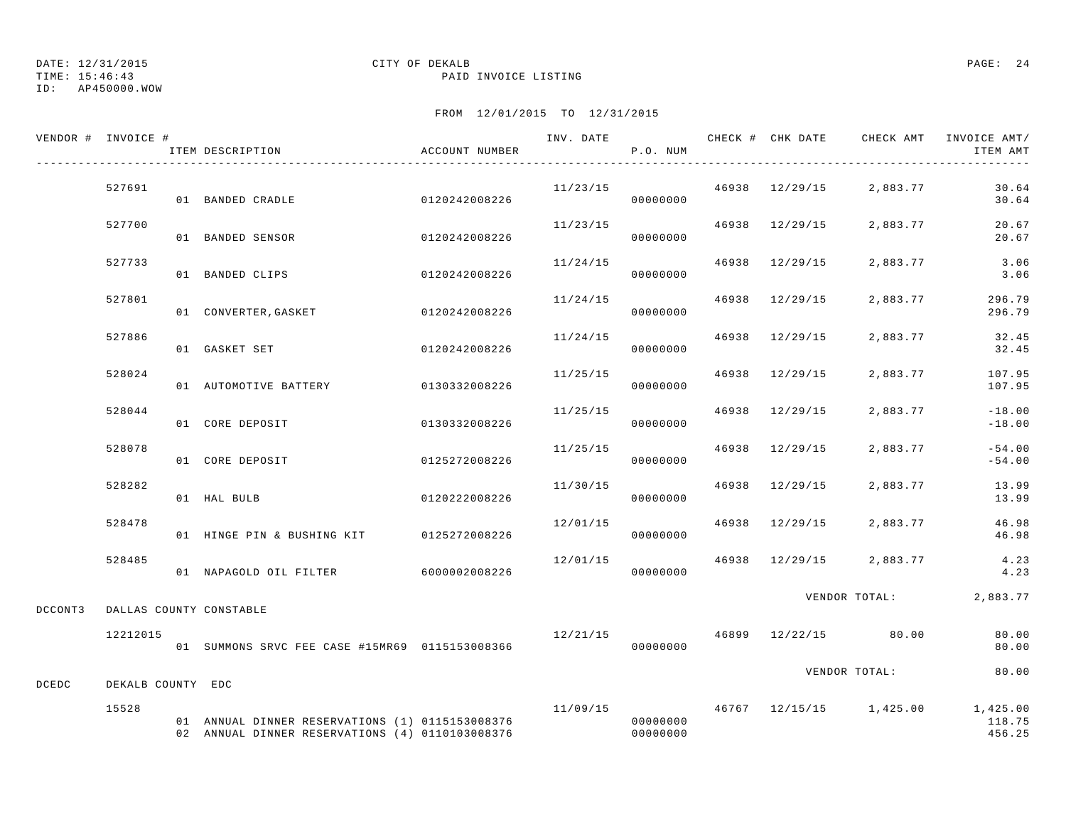TIME: 15:46:43 PAID INVOICE LISTING

ID: AP450000.WOW

| VENDOR # INVOICE # |                   | ITEM DESCRIPTION                                | ACCOUNT NUMBER |          | P.O. NUM |                | INV. DATE 6 . CHECK # CHK DATE CHECK AMT INVOICE AMT/ | ITEM AMT             |
|--------------------|-------------------|-------------------------------------------------|----------------|----------|----------|----------------|-------------------------------------------------------|----------------------|
|                    | 527691            | 01 BANDED CRADLE                                | 0120242008226  | 11/23/15 | 00000000 |                | 46938 12/29/15 2,883.77                               | 30.64<br>30.64       |
|                    | 527700            | 01 BANDED SENSOR                                | 0120242008226  | 11/23/15 | 00000000 | 46938 12/29/15 | 2,883.77                                              | 20.67<br>20.67       |
|                    | 527733            | 01 BANDED CLIPS                                 | 0120242008226  | 11/24/15 | 00000000 | 46938 12/29/15 | 2,883.77                                              | 3.06<br>3.06         |
|                    | 527801            | 01 CONVERTER, GASKET                            | 0120242008226  | 11/24/15 | 00000000 | 46938 12/29/15 | 2,883.77                                              | 296.79<br>296.79     |
|                    | 527886            | 01 GASKET SET                                   | 0120242008226  | 11/24/15 | 00000000 | 46938 12/29/15 | 2,883.77                                              | 32.45<br>32.45       |
|                    | 528024            | 01 AUTOMOTIVE BATTERY 0130332008226             |                | 11/25/15 | 00000000 | 46938 12/29/15 | 2,883.77                                              | 107.95<br>107.95     |
|                    | 528044            | 01 CORE DEPOSIT                                 | 0130332008226  | 11/25/15 | 00000000 | 46938 12/29/15 | 2,883.77                                              | $-18.00$<br>$-18.00$ |
|                    | 528078            | 01 CORE DEPOSIT                                 | 0125272008226  | 11/25/15 | 00000000 | 46938 12/29/15 | 2,883.77                                              | $-54.00$<br>$-54.00$ |
|                    | 528282            | 01 HAL BULB                                     | 0120222008226  | 11/30/15 | 00000000 | 46938 12/29/15 | 2,883.77                                              | 13.99<br>13.99       |
|                    | 528478            | 01 HINGE PIN & BUSHING KIT 0125272008226        |                | 12/01/15 | 00000000 | 46938 12/29/15 | 2,883.77                                              | 46.98<br>46.98       |
|                    | 528485            | 01 NAPAGOLD OIL FILTER 6000002008226            |                | 12/01/15 | 00000000 |                | 46938 12/29/15 2,883.77                               | 4.23<br>4.23         |
| DCCONT3            |                   | DALLAS COUNTY CONSTABLE                         |                |          |          |                | VENDOR TOTAL: 2,883.77                                |                      |
|                    | 12212015          | 01 SUMMONS SRVC FEE CASE #15MR69 0115153008366  |                | 12/21/15 | 00000000 |                | 46899 12/22/15 80.00                                  | 80.00<br>80.00       |
| DCEDC              | DEKALB COUNTY EDC |                                                 |                |          |          |                | VENDOR TOTAL:                                         | 80.00                |
|                    | 15528             | 01 ANNUAL DINNER RESERVATIONS (1) 0115153008376 |                |          | 00000000 |                | $11/09/15$ $46767$ $12/15/15$ $1,425.00$ $1,425.00$   | 118.75<br>456.25     |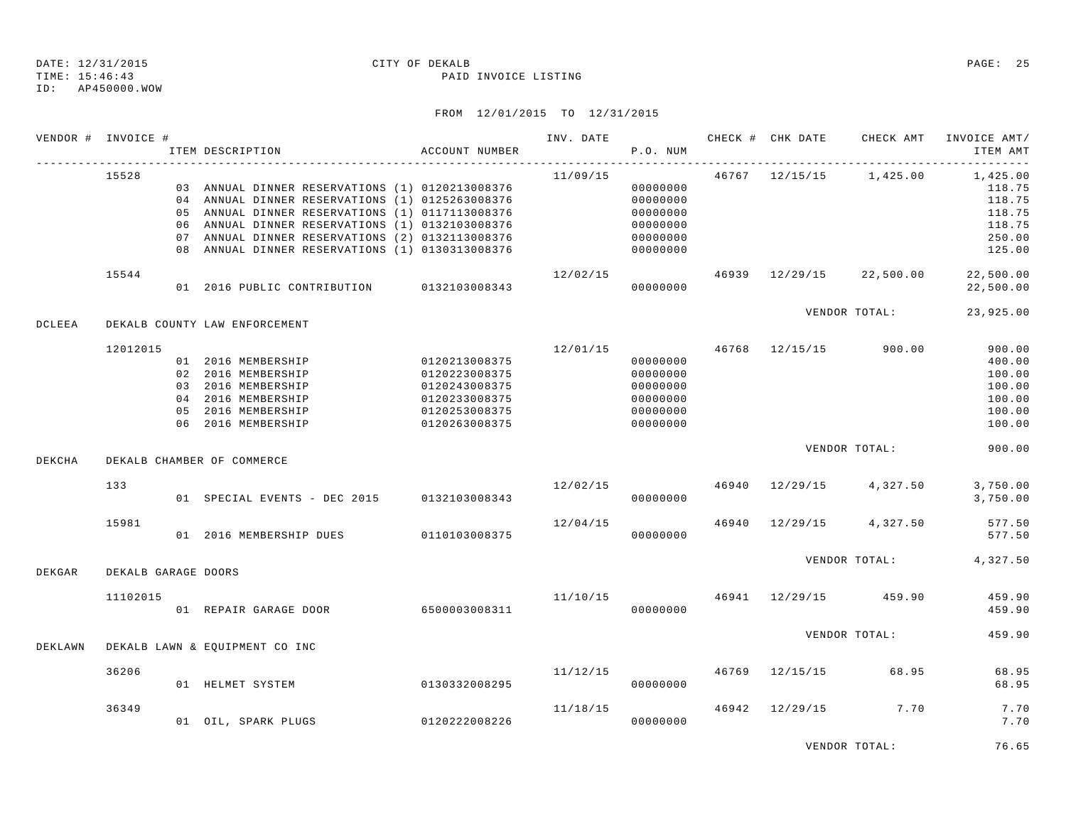TIME: 15:46:43 PAID INVOICE LISTING ID: AP450000.WOW

### FROM 12/01/2015 TO 12/31/2015

|         | VENDOR # INVOICE #  | ITEM DESCRIPTION                                                                                                                                                                                                                                                                                               | ACCOUNT NUMBER                                                                                     |           | P.O. NUM                                                             |       | INV. DATE 6 1999 CHECK # CHK DATE CHECK AMT INVOICE AMT/ | ITEM AMT                                                           |
|---------|---------------------|----------------------------------------------------------------------------------------------------------------------------------------------------------------------------------------------------------------------------------------------------------------------------------------------------------------|----------------------------------------------------------------------------------------------------|-----------|----------------------------------------------------------------------|-------|----------------------------------------------------------|--------------------------------------------------------------------|
|         | 15528               | 03 ANNUAL DINNER RESERVATIONS (1) 0120213008376<br>04 ANNUAL DINNER RESERVATIONS (1) 0125263008376<br>05 ANNUAL DINNER RESERVATIONS (1) 0117113008376<br>06 ANNUAL DINNER RESERVATIONS (1) 0132103008376<br>07 ANNUAL DINNER RESERVATIONS (2) 0132113008376<br>08 ANNUAL DINNER RESERVATIONS (1) 0130313008376 |                                                                                                    | 11/09/15  | 00000000<br>00000000<br>00000000<br>00000000<br>00000000<br>00000000 |       | 46767 12/15/15 1,425.00 1,425.00                         | 118.75<br>118.75<br>118.75<br>118.75<br>250.00<br>125.00           |
|         | 15544               | 01  2016  PUBLIC CONTRIBUTION   0132103008343                                                                                                                                                                                                                                                                  |                                                                                                    | 12/02/15  | 00000000                                                             |       | 46939 12/29/15 22,500.00                                 | 22,500.00<br>22,500.00                                             |
| DCLEEA  |                     | DEKALB COUNTY LAW ENFORCEMENT                                                                                                                                                                                                                                                                                  |                                                                                                    |           |                                                                      |       | VENDOR TOTAL:                                            | 23,925.00                                                          |
|         | 12012015            | 01 2016 MEMBERSHIP<br>02 2016 MEMBERSHIP<br>03 2016 MEMBERSHIP<br>04 2016 MEMBERSHIP<br>05 2016 MEMBERSHIP<br>06 2016 MEMBERSHIP                                                                                                                                                                               | 0120213008375<br>0120223008375<br>0120243008375<br>0120233008375<br>0120253008375<br>0120263008375 | 12/01/15  | 00000000<br>00000000<br>00000000<br>00000000<br>00000000<br>00000000 |       | 46768 12/15/15 900.00                                    | 900.00<br>400.00<br>100.00<br>100.00<br>100.00<br>100.00<br>100.00 |
| DEKCHA  |                     | DEKALB CHAMBER OF COMMERCE                                                                                                                                                                                                                                                                                     |                                                                                                    |           |                                                                      |       | VENDOR TOTAL:                                            | 900.00                                                             |
|         | 133                 | 01 SPECIAL EVENTS - DEC 2015 0132103008343                                                                                                                                                                                                                                                                     |                                                                                                    | 12/02/15  | 00000000                                                             | 46940 | 12/29/15 4,327.50                                        | 3,750.00<br>3,750.00                                               |
|         | 15981               |                                                                                                                                                                                                                                                                                                                |                                                                                                    | 12/04/15  | 00000000                                                             |       | 46940 12/29/15 4,327.50                                  | 577.50<br>577.50                                                   |
| DEKGAR  | DEKALB GARAGE DOORS |                                                                                                                                                                                                                                                                                                                |                                                                                                    |           |                                                                      |       | VENDOR TOTAL: 4,327.50                                   |                                                                    |
|         | 11102015            | 01 REPAIR GARAGE DOOR                                                                                                                                                                                                                                                                                          | 6500003008311                                                                                      | 000000000 |                                                                      |       | $11/10/15$ 46941 $12/29/15$ 459.90                       | 459.90<br>459.90                                                   |
| DEKLAWN |                     | DEKALB LAWN & EQUIPMENT CO INC                                                                                                                                                                                                                                                                                 |                                                                                                    |           |                                                                      |       | VENDOR TOTAL:                                            | 459.90                                                             |
|         | 36206               | 01 HELMET SYSTEM                                                                                                                                                                                                                                                                                               | 0130332008295                                                                                      | 11/12/15  | 00000000                                                             |       | 46769 12/15/15 68.95                                     | 68.95<br>68.95                                                     |
|         | 36349               | 01 OIL, SPARK PLUGS                                                                                                                                                                                                                                                                                            | 0120222008226                                                                                      | 11/18/15  | 00000000                                                             |       | 46942 12/29/15 7.70                                      | 7.70<br>7.70                                                       |

VENDOR TOTAL: 76.65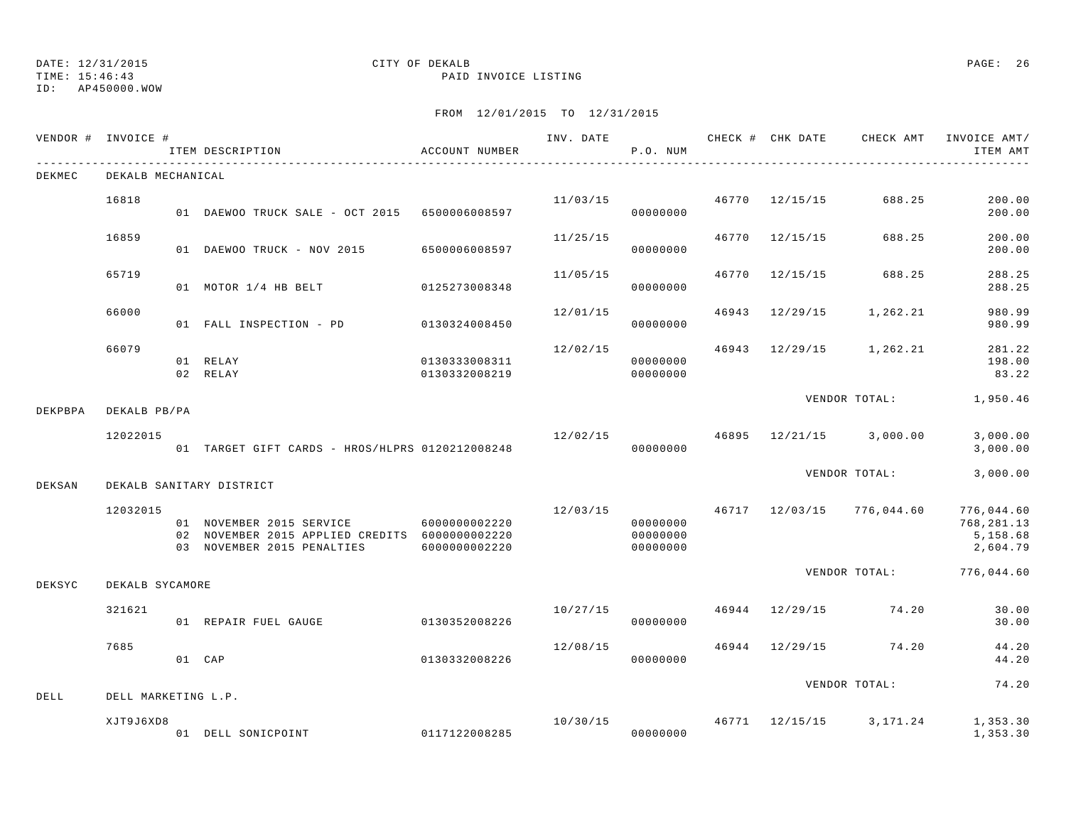TIME: 15:46:43 PAID INVOICE LISTING

ID: AP450000.WOW

|         | VENDOR # INVOICE #  | ITEM DESCRIPTION                                                                                                                     | ACCOUNT NUMBER                 |          | P.O. NUM                         |       |                | INV. DATE 6 CHECK # CHK DATE CHECK AMT INVOICE AMT/ | ITEM AMT                                         |
|---------|---------------------|--------------------------------------------------------------------------------------------------------------------------------------|--------------------------------|----------|----------------------------------|-------|----------------|-----------------------------------------------------|--------------------------------------------------|
| DEKMEC  | DEKALB MECHANICAL   |                                                                                                                                      |                                |          |                                  |       |                |                                                     |                                                  |
|         | 16818               | 01 DAEWOO TRUCK SALE - OCT 2015 6500006008597                                                                                        |                                |          | 11/03/15<br>00000000             |       | 46770 12/15/15 | 688.25                                              | 200.00<br>200.00                                 |
|         | 16859               | 01 DAEWOO TRUCK - NOV 2015                                                                                                           | 6500006008597                  | 11/25/15 | 00000000                         |       | 46770 12/15/15 | 688.25                                              | 200.00<br>200.00                                 |
|         | 65719               | 01 MOTOR 1/4 HB BELT 0125273008348                                                                                                   |                                | 11/05/15 | 00000000                         |       | 46770 12/15/15 | 688.25                                              | 288.25<br>288.25                                 |
|         | 66000               | 01 FALL INSPECTION - PD 0130324008450                                                                                                |                                | 12/01/15 | 00000000                         | 46943 | 12/29/15       | 1,262.21                                            | 980.99<br>980.99                                 |
|         | 66079               | 01 RELAY<br>02 RELAY                                                                                                                 | 0130333008311<br>0130332008219 | 12/02/15 | 00000000<br>00000000             |       |                | 46943 12/29/15 1,262.21                             | 281.22<br>198.00<br>83.22                        |
| DEKPBPA | DEKALB PB/PA        |                                                                                                                                      |                                |          |                                  |       |                | VENDOR TOTAL:                                       | 1,950.46                                         |
|         | 12022015            | 01 TARGET GIFT CARDS - HROS/HLPRS 0120212008248                                                                                      |                                |          | 00000000                         |       |                | $12/02/15$ $46895$ $12/21/15$ $3,000.00$            | 3,000.00<br>3,000.00                             |
| DEKSAN  |                     | DEKALB SANITARY DISTRICT                                                                                                             |                                |          |                                  |       |                | VENDOR TOTAL:                                       | 3,000.00                                         |
|         | 12032015            | 01 NOVEMBER 2015 SERVICE 6000000002220<br>02 NOVEMBER 2015 APPLIED CREDITS 6000000002220<br>03 NOVEMBER 2015 PENALTIES 6000000002220 |                                |          | 00000000<br>00000000<br>00000000 |       |                | $12/03/15$ $46717$ $12/03/15$ $776,044.60$          | 776,044.60<br>768,281.13<br>5,158.68<br>2,604.79 |
| DEKSYC  | DEKALB SYCAMORE     |                                                                                                                                      |                                |          |                                  |       |                | VENDOR TOTAL: 776,044.60                            |                                                  |
|         | 321621              |                                                                                                                                      |                                | 10/27/15 | 00000000                         |       |                | 46944 12/29/15 74.20                                | 30.00<br>30.00                                   |
|         | 7685                | 01 CAP                                                                                                                               | 0130332008226                  | 12/08/15 | 00000000                         |       |                | 46944 12/29/15 74.20                                | 44.20<br>44.20                                   |
| DELL    | DELL MARKETING L.P. |                                                                                                                                      |                                |          |                                  |       |                | VENDOR TOTAL:                                       | 74.20                                            |
|         | XJT9J6XD8           | 01 DELL SONICPOINT 0117122008285                                                                                                     |                                |          | 00000000                         |       |                | $10/30/15$ $46771$ $12/15/15$ $3,171.24$ $1,353.30$ | 1,353.30                                         |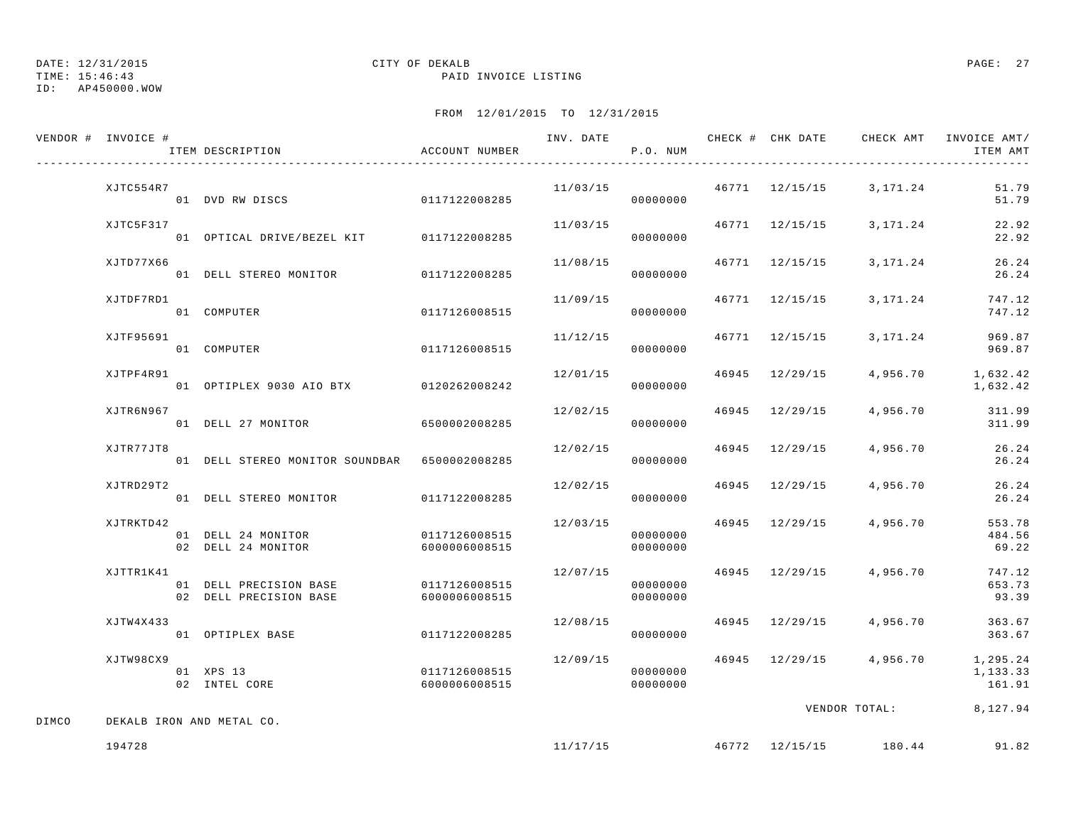### TIME: 15:46:43 PAID INVOICE LISTING ID: AP450000.WOW

## DATE: 12/31/2015 CITY OF DEKALB PAGE: 27

|       | VENDOR # INVOICE # | ITEM DESCRIPTION                                 | ACCOUNT NUMBER                 |          | P.O. NUM             |                | INV. DATE 6 1999 CHECK # CHK DATE 6 CHECK AMT INVOICE AMT | ITEM AMT                       |
|-------|--------------------|--------------------------------------------------|--------------------------------|----------|----------------------|----------------|-----------------------------------------------------------|--------------------------------|
|       | XJTC554R7          | 01 DVD RW DISCS 0117122008285                    |                                |          | 00000000             |                | $11/03/15$ $46771$ $12/15/15$ $3,171.24$                  | 51.79<br>51.79                 |
|       | XJTC5F317          | 01 OPTICAL DRIVE/BEZEL KIT 0117122008285         |                                |          | 11/03/15<br>00000000 |                | 46771 12/15/15 3,171.24                                   | 22.92<br>22.92                 |
|       | XJTD77X66          | 01 DELL STEREO MONITOR                           | 0117122008285                  | 11/08/15 | 00000000             |                | 46771 12/15/15 3,171.24                                   | 26.24<br>26.24                 |
|       | XJTDF7RD1          | 01 COMPUTER                                      | 0117126008515                  | 11/09/15 | 00000000             | 46771 12/15/15 | 3, 171. 24                                                | 747.12<br>747.12               |
|       | XJTF95691          | 01 COMPUTER                                      | 0117126008515                  | 11/12/15 | 00000000             |                | 46771 12/15/15 3,171.24                                   | 969.87<br>969.87               |
|       | XJTPF4R91          | 01 OPTIPLEX 9030 AIO BTX 0120262008242           |                                | 12/01/15 | 00000000             | 46945 12/29/15 | 4,956.70                                                  | 1,632.42<br>1,632.42           |
|       | XJTR6N967          | 01 DELL 27 MONITOR                               | 6500002008285                  | 12/02/15 | 00000000             | 46945 12/29/15 | 4,956.70                                                  | 311.99<br>311.99               |
|       | XJTR77JT8          | 01 DELL STEREO MONITOR SOUNDBAR 6500002008285    |                                | 12/02/15 | 00000000             | 46945 12/29/15 | 4,956.70                                                  | 26.24<br>26.24                 |
|       | XJTRD29T2          | 01 DELL STEREO MONITOR                           | 0117122008285                  | 12/02/15 | 00000000             |                | 46945 12/29/15 4,956.70                                   | 26.24<br>26.24                 |
|       | XJTRKTD42          | 01 DELL 24 MONITOR<br>02 DELL 24 MONITOR         | 0117126008515<br>6000006008515 | 12/03/15 | 00000000<br>00000000 |                | 46945 12/29/15 4,956.70                                   | 553.78<br>484.56<br>69.22      |
|       | XJTTR1K41          | 01 DELL PRECISION BASE<br>02 DELL PRECISION BASE | 0117126008515<br>6000006008515 | 12/07/15 | 00000000<br>00000000 |                | 46945 12/29/15 4,956.70                                   | 747.12<br>653.73<br>93.39      |
|       | XJTW4X433          | 01 OPTIPLEX BASE                                 | 0117122008285                  | 12/08/15 | 00000000             |                | 46945 12/29/15 4,956.70                                   | 363.67<br>363.67               |
|       | XJTW98CX9          | 01 XPS 13<br>02 INTEL CORE                       | 0117126008515<br>6000006008515 | 12/09/15 | 00000000<br>00000000 |                | 46945 12/29/15 4,956.70                                   | 1,295.24<br>1,133.33<br>161.91 |
| DIMCO |                    | DEKALB IRON AND METAL CO.                        |                                |          |                      |                | VENDOR TOTAL: 8,127.94                                    |                                |
|       | 194728             |                                                  |                                |          | 11/17/15             |                | 46772 12/15/15 180.44                                     | 91.82                          |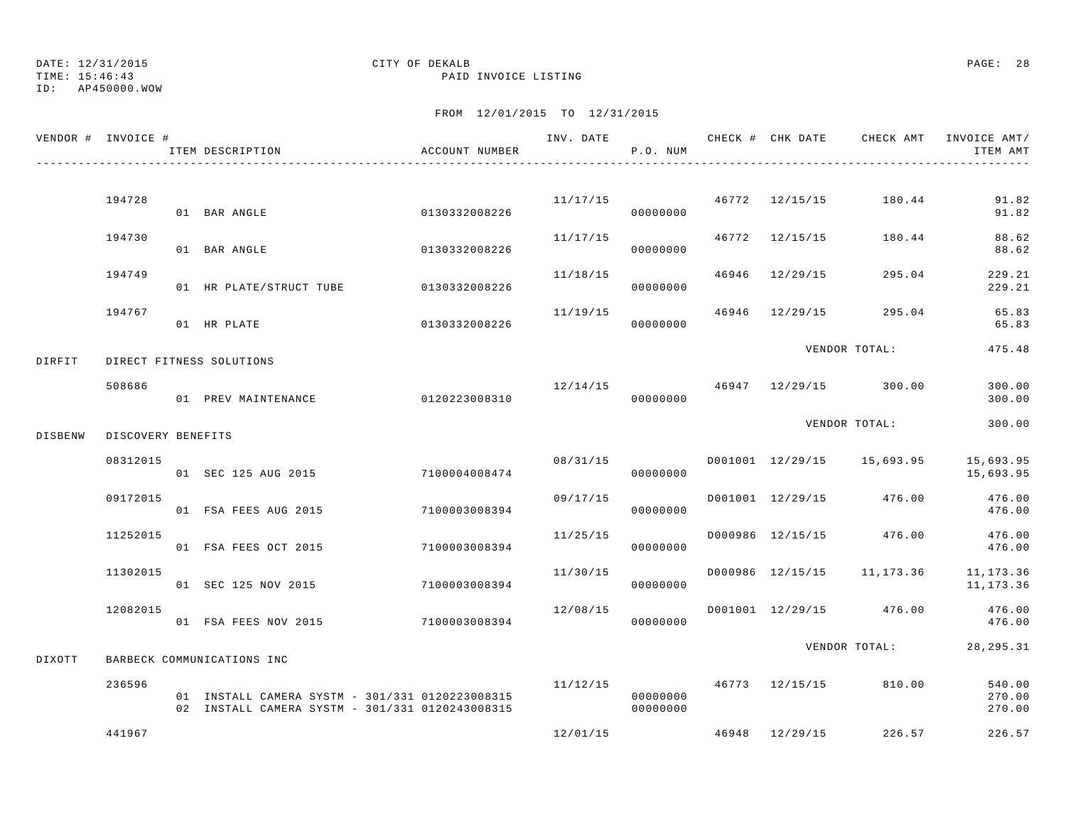TIME: 15:46:43 PAID INVOICE LISTING

## DATE: 12/31/2015 CITY OF DEKALB PAGE: 28

ID: AP450000.WOW

|                | VENDOR # INVOICE # | ITEM DESCRIPTION                                                                                   | ACCOUNT NUMBER | INV. DATE | P.O. NUM             |       |                | CHECK # CHK DATE CHECK AMT             | INVOICE AMT/<br>ITEM AMT                          |
|----------------|--------------------|----------------------------------------------------------------------------------------------------|----------------|-----------|----------------------|-------|----------------|----------------------------------------|---------------------------------------------------|
|                |                    |                                                                                                    |                |           |                      |       |                |                                        |                                                   |
|                | 194728             | 01 BAR ANGLE                                                                                       | 0130332008226  | 11/17/15  | 00000000             |       | 46772 12/15/15 | 180.44                                 | 91.82<br>91.82                                    |
|                | 194730             | 01 BAR ANGLE                                                                                       | 0130332008226  | 11/17/15  | 00000000             | 46772 |                | 12/15/15 180.44                        | 88.62<br>88.62                                    |
|                | 194749             | 01 HR PLATE/STRUCT TUBE 0130332008226                                                              |                | 11/18/15  | 00000000             |       | 46946 12/29/15 | 295.04                                 | 229.21<br>229.21                                  |
|                | 194767             | 01 HR PLATE                                                                                        | 0130332008226  | 11/19/15  | 00000000             | 46946 |                | 12/29/15 295.04                        | 65.83<br>65.83                                    |
| DIRFIT         |                    | DIRECT FITNESS SOLUTIONS                                                                           |                |           |                      |       |                | VENDOR TOTAL:                          | 475.48                                            |
|                | 508686             | 01 PREV MAINTENANCE                                                                                | 0120223008310  |           | 00000000             |       |                | $12/14/15$ $46947$ $12/29/15$ $300.00$ | 300.00<br>300.00                                  |
| <b>DISBENW</b> | DISCOVERY BENEFITS |                                                                                                    |                |           |                      |       |                | VENDOR TOTAL:                          | 300.00                                            |
|                | 08312015           | 01 SEC 125 AUG 2015 7100004008474                                                                  |                | 08/31/15  | 00000000             |       |                |                                        | D001001 12/29/15 15,693.95 15,693.95<br>15,693.95 |
|                | 09172015           | 01 FSA FEES AUG 2015                                                                               | 7100003008394  | 09/17/15  | 00000000             |       |                | D001001 12/29/15 476.00                | 476.00<br>476.00                                  |
|                | 11252015           | 01 FSA FEES OCT 2015                                                                               | 7100003008394  | 11/25/15  | 00000000             |       |                |                                        | D000986 12/15/15 476.00 476.00<br>476.00          |
|                | 11302015           | 01 SEC 125 NOV 2015                                                                                | 7100003008394  | 11/30/15  | 00000000             |       |                |                                        | D000986 12/15/15 11,173.36 11,173.36<br>11,173.36 |
|                | 12082015           | 01 FSA FEES NOV 2015 7100003008394                                                                 |                | 12/08/15  | 00000000             |       |                |                                        | D001001 12/29/15 476.00 476.00<br>476.00          |
| DIXOTT         |                    | BARBECK COMMUNICATIONS INC                                                                         |                |           |                      |       |                |                                        | VENDOR TOTAL: 28,295.31                           |
|                | 236596             |                                                                                                    |                |           |                      |       |                | $11/12/15$ $46773$ $12/15/15$ $810.00$ | 540.00                                            |
|                |                    | 01 INSTALL CAMERA SYSTM - 301/331 0120223008315<br>02 INSTALL CAMERA SYSTM - 301/331 0120243008315 |                |           | 00000000<br>00000000 |       |                |                                        | 270.00<br>270.00                                  |
|                | 441967             |                                                                                                    |                | 12/01/15  |                      |       |                | 46948 12/29/15 226.57                  | 226.57                                            |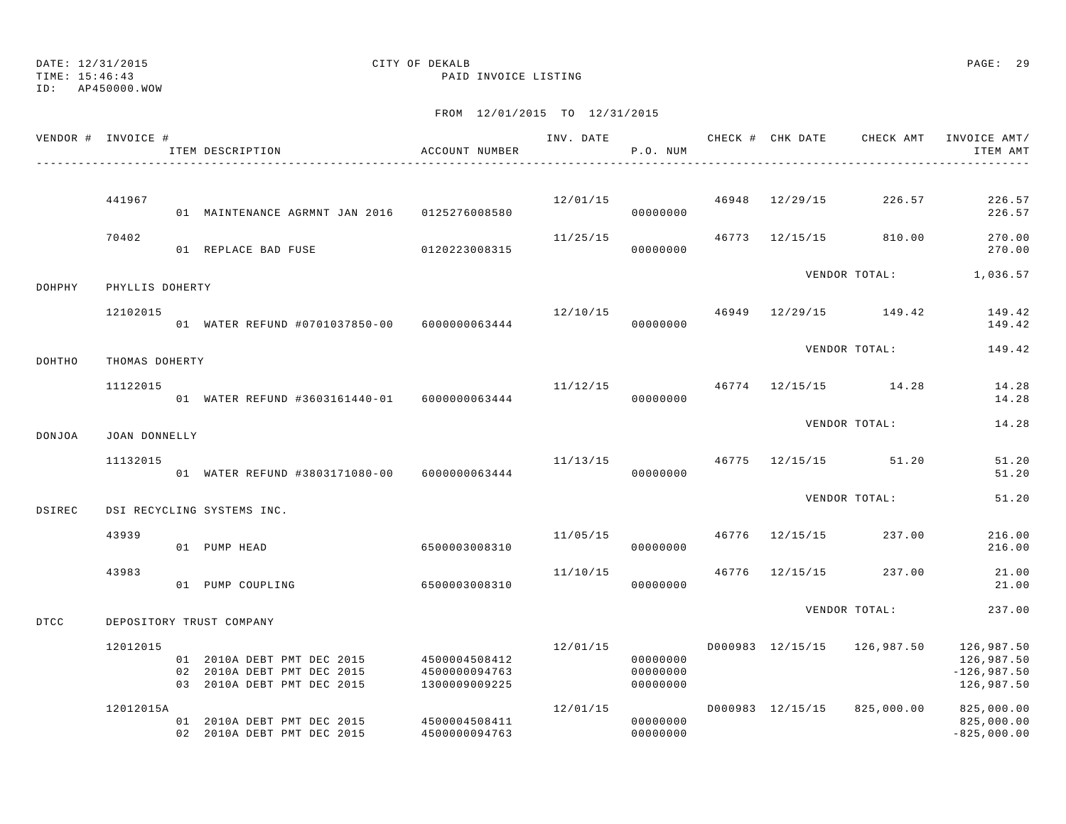TIME: 15:46:43 PAID INVOICE LISTING

ID: AP450000.WOW

|               | VENDOR # INVOICE # | ITEM DESCRIPTION                                                                                                   | ACCOUNT NUMBER                 |          | P.O. NUM                         |  |                                        | ITEM AMT                                  |
|---------------|--------------------|--------------------------------------------------------------------------------------------------------------------|--------------------------------|----------|----------------------------------|--|----------------------------------------|-------------------------------------------|
|               |                    |                                                                                                                    |                                |          |                                  |  |                                        |                                           |
|               | 441967             | 01 MAINTENANCE AGRMNT JAN 2016 0125276008580                                                                       |                                |          | 00000000                         |  | $12/01/15$ $46948$ $12/29/15$ $226.57$ | 226.57<br>226.57                          |
|               | 70402              | 01 REPLACE BAD FUSE 6120223008315                                                                                  |                                | 11/25/15 | 00000000                         |  | 46773 12/15/15 810.00                  | 270.00<br>270.00                          |
| DOHPHY        | PHYLLIS DOHERTY    |                                                                                                                    |                                |          |                                  |  | VENDOR TOTAL: 1,036.57                 |                                           |
|               | 12102015           | 01 WATER REFUND #0701037850-00 6000000063444                                                                       |                                |          | 00000000                         |  | $12/10/15$ $46949$ $12/29/15$ $149.42$ | 149.42<br>149.42                          |
| DOHTHO        | THOMAS DOHERTY     |                                                                                                                    |                                |          |                                  |  | VENDOR TOTAL:                          | 149.42                                    |
|               | 11122015           | 01 WATER REFUND #3603161440-01 6000000063444                                                                       |                                |          | 00000000                         |  | $11/12/15$ $46774$ $12/15/15$ $14.28$  | 14.28<br>14.28                            |
| <b>DONJOA</b> | JOAN DONNELLY      |                                                                                                                    |                                |          |                                  |  | VENDOR TOTAL:                          | 14.28                                     |
|               | 11132015           | 01 WATER REFUND #3803171080-00 6000000063444                                                                       |                                |          | 00000000                         |  | $11/13/15$ $46775$ $12/15/15$ $51.20$  | 51.20<br>51.20                            |
| <b>DSIREC</b> |                    | DSI RECYCLING SYSTEMS INC.                                                                                         |                                |          |                                  |  | VENDOR TOTAL:                          | 51.20                                     |
|               | 43939              | 01 PUMP HEAD                                                                                                       | 6500003008310                  | 11/05/15 | 00000000                         |  | 46776 12/15/15 237.00                  | 216.00<br>216.00                          |
|               | 43983              | 01 PUMP COUPLING                                                                                                   | 6500003008310                  |          | 00000000                         |  | $11/10/15$ 46776 $12/15/15$ 237.00     | 21.00<br>21.00                            |
| DTCC          |                    | DEPOSITORY TRUST COMPANY                                                                                           |                                |          |                                  |  | VENDOR TOTAL:                          | 237.00                                    |
|               | 12012015           | 01 2010A DEBT PMT DEC 2015 4500004508412<br>02 2010A DEBT PMT DEC 2015 4500000094763<br>03 2010A DEBT PMT DEC 2015 | 1300009009225                  | 12/01/15 | 00000000<br>00000000<br>00000000 |  | D000983 12/15/15 126,987.50 126,987.50 | 126,987.50<br>$-126,987.50$<br>126,987.50 |
|               | 12012015A          | 01 2010A DEBT PMT DEC 2015<br>02 2010A DEBT PMT DEC 2015                                                           | 4500004508411<br>4500000094763 | 12/01/15 | 00000000<br>00000000             |  | D000983 12/15/15 825,000.00 825,000.00 | 825,000.00<br>$-825,000.00$               |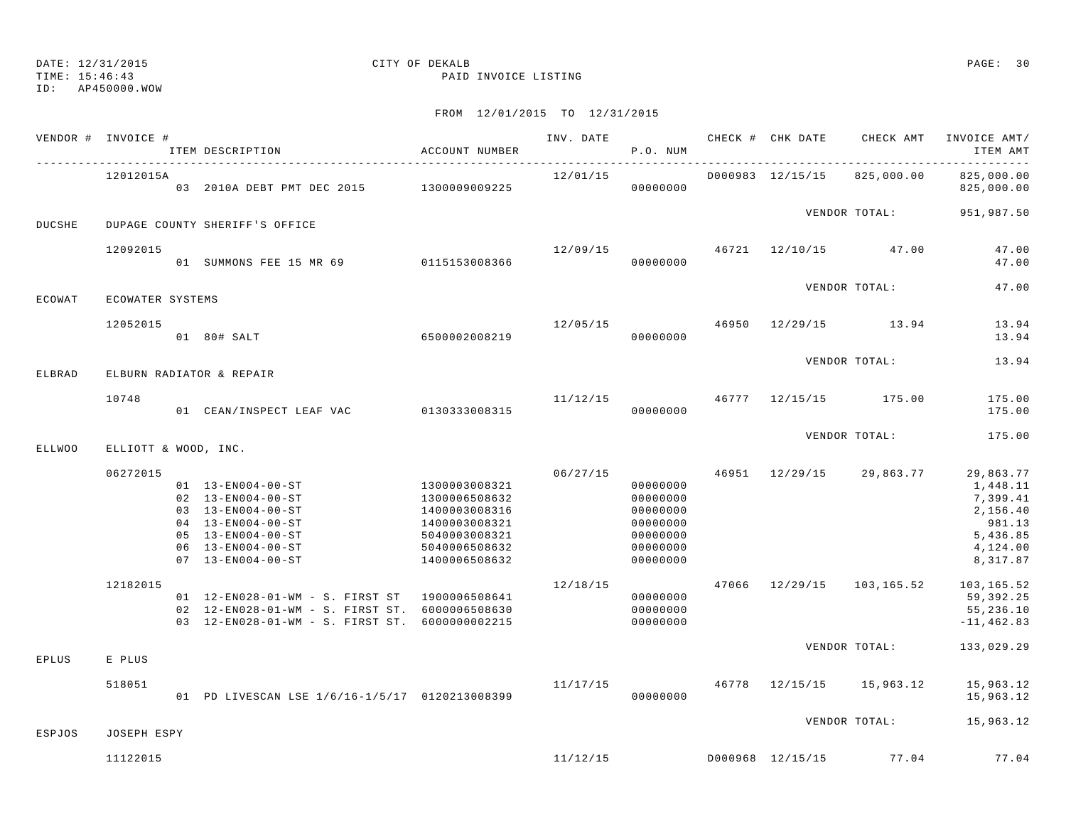TIME: 15:46:43 PAID INVOICE LISTING

ID: AP450000.WOW

|              | VENDOR # INVOICE #   |                                                                                                                                                                            |                                                                                                    |          |                                                                                  |  |                                        |                                                                                             |
|--------------|----------------------|----------------------------------------------------------------------------------------------------------------------------------------------------------------------------|----------------------------------------------------------------------------------------------------|----------|----------------------------------------------------------------------------------|--|----------------------------------------|---------------------------------------------------------------------------------------------|
|              | 12012015A            |                                                                                                                                                                            |                                                                                                    | 12/01/15 |                                                                                  |  | D000983 12/15/15 825,000.00 825,000.00 | 825,000.00                                                                                  |
| DUCSHE       |                      | DUPAGE COUNTY SHERIFF'S OFFICE                                                                                                                                             |                                                                                                    |          |                                                                                  |  | VENDOR TOTAL: 951,987.50               |                                                                                             |
|              | 12092015             |                                                                                                                                                                            |                                                                                                    | 12/09/15 | 00000000                                                                         |  | 46721 12/10/15 47.00                   | 47.00<br>47.00                                                                              |
| ECOWAT       | ECOWATER SYSTEMS     |                                                                                                                                                                            |                                                                                                    |          |                                                                                  |  | VENDOR TOTAL:                          | 47.00                                                                                       |
|              | 12052015             | $\begin{array}{cccccccccccc} 5 & & & & & 12/05/15 & & & & \ 01 & 80\text{\#} & \text{SALT} & & & & & & & & 6500002008219 & & & & & & & 00000000 & & & \end{array}$         |                                                                                                    |          |                                                                                  |  | $12/05/15$ $46950$ $12/29/15$ $13.94$  | 13.94<br>13.94                                                                              |
| ELBRAD       |                      | ELBURN RADIATOR & REPAIR                                                                                                                                                   |                                                                                                    |          |                                                                                  |  | VENDOR TOTAL:                          | 13.94                                                                                       |
|              | 10748                | 01 CEAN/INSPECT LEAF VAC 0130333008315                                                                                                                                     |                                                                                                    |          | 00000000                                                                         |  | $11/12/15$ $46777$ $12/15/15$ $175.00$ | 175.00<br>175.00                                                                            |
| ELLWOO       | ELLIOTT & WOOD, INC. |                                                                                                                                                                            |                                                                                                    |          |                                                                                  |  | VENDOR TOTAL:                          | 175.00                                                                                      |
|              | 06272015             | 01  13-EN004-00-ST  1300003008321<br>$02 \t 13 - EN004 - 00 - ST$<br>03 13-EN004-00-ST<br>04 13-EN004-00-ST<br>05 13-EN004-00-ST<br>06 13-EN004-00-ST<br>07 13-EN004-00-ST | 1300006508632<br>1400003008316<br>1400003008321<br>5040003008321<br>5040006508632<br>1400006508632 |          | 00000000<br>00000000<br>00000000<br>00000000<br>00000000<br>00000000<br>00000000 |  | $06/27/15$ 46951 $12/29/15$ 29,863.77  | 29,863.77<br>1,448.11<br>7,399.41<br>2,156.40<br>981.13<br>5,436.85<br>4,124.00<br>8,317.87 |
|              | 12182015             | 01  12-EN028-01-WM - S. FIRST ST  1900006508641<br>02   12-EN028-01-WM - S. FIRST ST. 6000006508630<br>03  12-EN028-01-WM - S. FIRST ST. 6000000002215                     |                                                                                                    | 12/18/15 | 00000000<br>00000000<br>00000000                                                 |  | 47066 12/29/15 103,165.52 103,165.52   | 59,392.25<br>55,236.10<br>$-11, 462.83$                                                     |
| <b>EPLUS</b> | E PLUS               |                                                                                                                                                                            |                                                                                                    |          |                                                                                  |  | VENDOR TOTAL: 133,029.29               |                                                                                             |
|              | 518051               | 01 PD LIVESCAN LSE 1/6/16-1/5/17 0120213008399                                                                                                                             |                                                                                                    |          | 00000000                                                                         |  | $11/17/15$ 46778 $12/15/15$ 15,963.12  | 15,963.12<br>15,963.12                                                                      |
| ESPJOS       | JOSEPH ESPY          |                                                                                                                                                                            |                                                                                                    |          |                                                                                  |  | VENDOR TOTAL:                          | 15,963.12                                                                                   |
|              | 11122015             |                                                                                                                                                                            |                                                                                                    |          |                                                                                  |  | $11/12/15$ D000968 $12/15/15$ 77.04    | 77.04                                                                                       |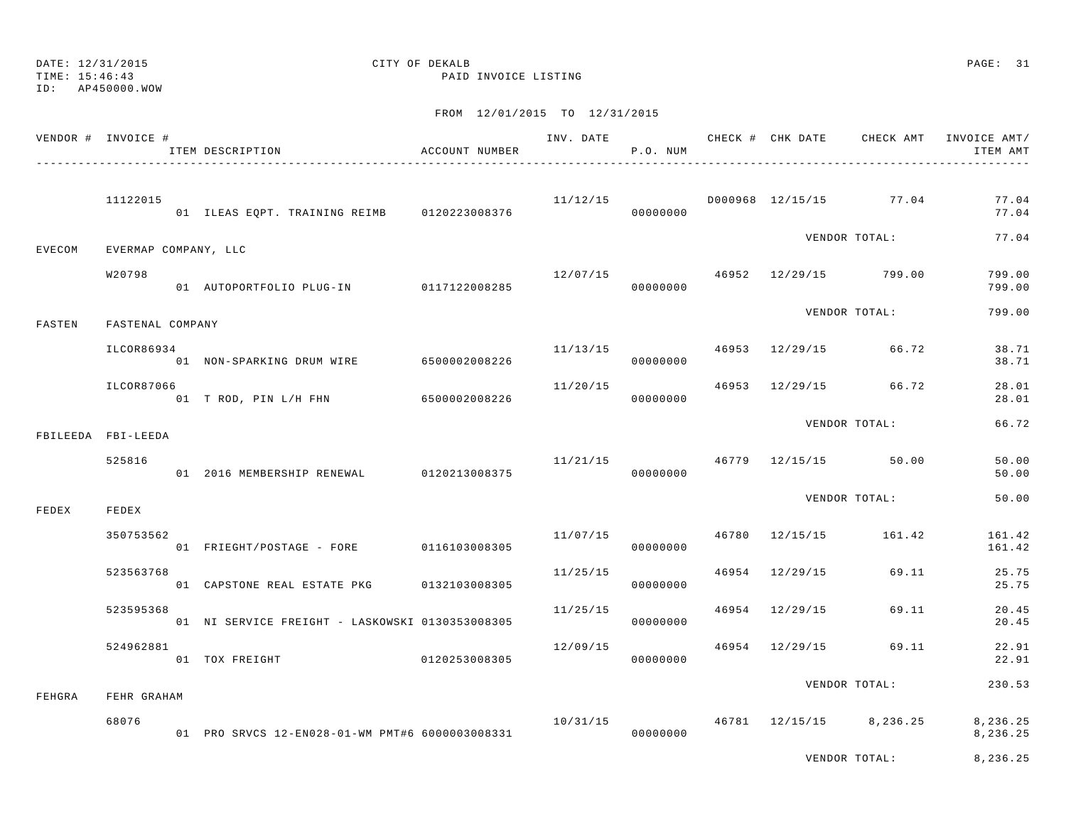ID: AP450000.WOW

## DATE: 12/31/2015 CITY OF DEKALB PAGE: 31

TIME: 15:46:43 PAID INVOICE LISTING

|        | VENDOR # INVOICE #   | ITEM DESCRIPTION                                | ACCOUNT NUMBER |          | P.O. NUM |                |                                          | INV. DATE 6 7 200 CHECK # CHK DATE 6 CHECK AMT INVOICE AMT<br>ITEM AMT |
|--------|----------------------|-------------------------------------------------|----------------|----------|----------|----------------|------------------------------------------|------------------------------------------------------------------------|
|        | 11122015             | 01 ILEAS EQPT. TRAINING REIMB 0120223008376     |                |          | 00000000 |                | $11/12/15$ D000968 12/15/15 77.04        | 77.04<br>77.04                                                         |
| EVECOM | EVERMAP COMPANY, LLC |                                                 |                |          |          |                | VENDOR TOTAL:                            | 77.04                                                                  |
|        | W20798               | 01 AUTOPORTFOLIO PLUG-IN 0117122008285          |                | 12/07/15 | 00000000 |                | 46952 12/29/15 799.00                    | 799.00<br>799.00                                                       |
| FASTEN | FASTENAL COMPANY     |                                                 |                |          |          |                | VENDOR TOTAL:                            | 799.00                                                                 |
|        | ILCOR86934           | -<br>01 NON-SPARKING DRUM WIRE 6500002008226    |                | 11/13/15 | 00000000 |                | 46953 12/29/15 66.72                     | 38.71<br>38.71                                                         |
|        | ILCOR87066           | 01 T ROD, PIN L/H FHN 6500002008226             |                | 11/20/15 | 00000000 |                | 46953 12/29/15 66.72                     | 28.01<br>28.01                                                         |
|        | FBILEEDA FBI-LEEDA   |                                                 |                |          |          |                | VENDOR TOTAL:                            | 66.72                                                                  |
|        | 525816               | 01 2016 MEMBERSHIP RENEWAL 0120213008375        |                | 11/21/15 | 00000000 |                | 46779 12/15/15 50.00                     | 50.00<br>50.00                                                         |
| FEDEX  | FEDEX                |                                                 |                |          |          |                | VENDOR TOTAL:                            | 50.00                                                                  |
|        | 350753562            | 01 FRIEGHT/POSTAGE - FORE 0116103008305         |                | 11/07/15 | 00000000 |                | 46780 12/15/15 161.42                    | 161.42<br>161.42                                                       |
|        | 523563768            | 01 CAPSTONE REAL ESTATE PKG 0132103008305       |                | 11/25/15 | 00000000 |                | 46954 12/29/15 69.11                     | 25.75<br>25.75                                                         |
|        | 523595368            | 01 NI SERVICE FREIGHT - LASKOWSKI 0130353008305 |                | 11/25/15 | 00000000 | 46954 12/29/15 | 69.11                                    | 20.45<br>20.45                                                         |
|        | 524962881            | 01 TOX FREIGHT                                  | 0120253008305  | 12/09/15 | 00000000 | 46954 12/29/15 | 69.11                                    | 22.91<br>22.91                                                         |
| FEHGRA | FEHR GRAHAM          |                                                 |                |          |          |                | VENDOR TOTAL:                            | 230.53                                                                 |
|        | 68076                | 01 PRO SRVCS 12-EN028-01-WM PMT#6 6000003008331 |                |          | 00000000 |                | $10/31/15$ $46781$ $12/15/15$ $8,236.25$ | 8,236.25<br>8,236.25                                                   |
|        |                      |                                                 |                |          |          |                | VENDOR TOTAL:                            | 8,236.25                                                               |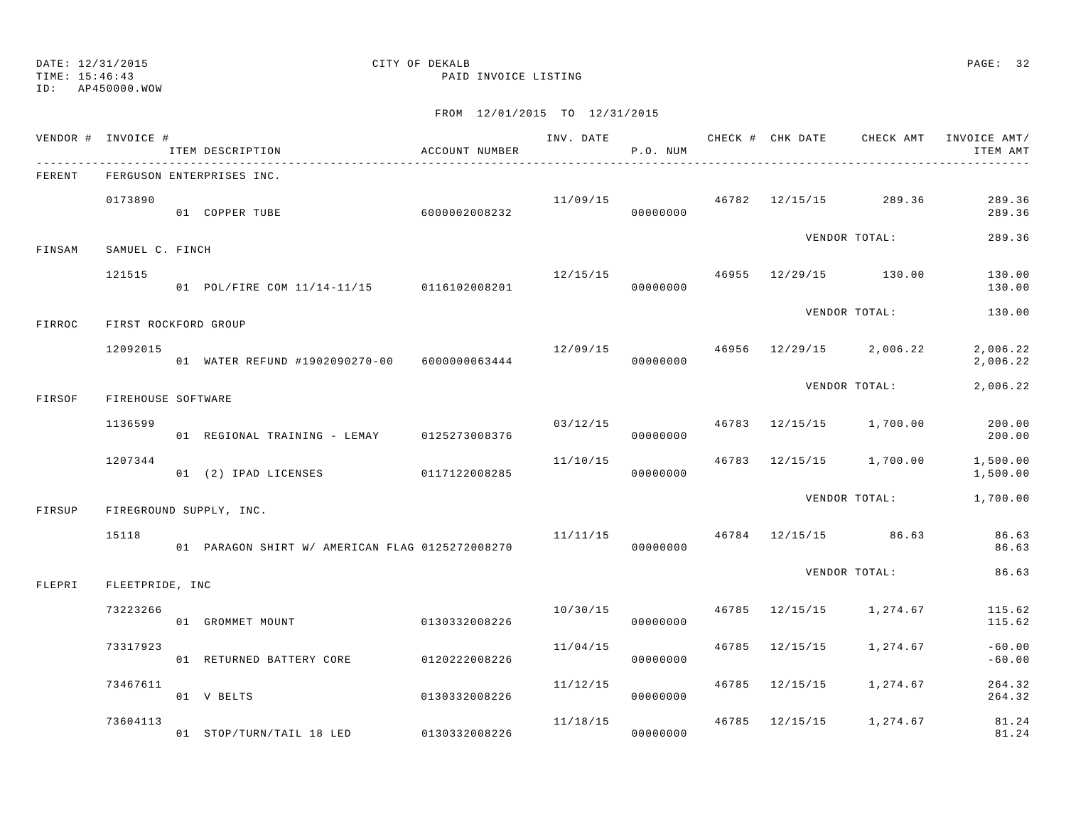TIME: 15:46:43 PAID INVOICE LISTING

ID: AP450000.WOW

|        | VENDOR # INVOICE #   | ITEM DESCRIPTION                                | ACCOUNT NUMBER |          | P.O. NUM |                |                                          | ITEM AMT             |
|--------|----------------------|-------------------------------------------------|----------------|----------|----------|----------------|------------------------------------------|----------------------|
| FERENT |                      | FERGUSON ENTERPRISES INC.                       |                |          |          |                |                                          |                      |
|        | 0173890              | 01 COPPER TUBE                                  | 6000002008232  |          | 00000000 |                | $11/09/15$ $46782$ $12/15/15$ $289.36$   | 289.36<br>289.36     |
| FINSAM | SAMUEL C. FINCH      |                                                 |                |          |          |                | VENDOR TOTAL:                            | 289.36               |
|        | 121515               | 01 POL/FIRE COM 11/14-11/15 0116102008201       |                | 12/15/15 | 00000000 |                | 46955 12/29/15 130.00                    | 130.00<br>130.00     |
| FIRROC | FIRST ROCKFORD GROUP |                                                 |                |          |          |                | VENDOR TOTAL:                            | 130.00               |
|        | 12092015             | 01 WATER REFUND #1902090270-00 6000000063444    |                |          | 00000000 |                | $12/09/15$ $46956$ $12/29/15$ $2,006.22$ | 2,006.22<br>2,006.22 |
| FIRSOF | FIREHOUSE SOFTWARE   |                                                 |                |          |          |                | VENDOR TOTAL:                            | 2,006.22             |
|        | 1136599              | 01 REGIONAL TRAINING - LEMAY 0125273008376      |                | 03/12/15 | 00000000 |                | 46783 12/15/15 1,700.00                  | 200.00<br>200.00     |
|        | 1207344              | 01 (2) IPAD LICENSES 0117122008285              |                | 11/10/15 | 00000000 |                | 46783 12/15/15 1,700.00                  | 1,500.00<br>1,500.00 |
| FIRSUP |                      | FIREGROUND SUPPLY, INC.                         |                |          |          |                | VENDOR TOTAL:                            | 1,700.00             |
|        | 15118                | 01 PARAGON SHIRT W/ AMERICAN FLAG 0125272008270 |                | 11/11/15 | 00000000 |                | 46784 12/15/15 86.63                     | 86.63<br>86.63       |
| FLEPRI | FLEETPRIDE, INC      |                                                 |                |          |          |                | VENDOR TOTAL:                            | 86.63                |
|        | 73223266             | 01 GROMMET MOUNT 0130332008226                  |                | 10/30/15 | 00000000 |                | 46785 12/15/15 1,274.67                  | 115.62<br>115.62     |
|        | 73317923             | 01 RETURNED BATTERY CORE 0120222008226          |                | 11/04/15 | 00000000 | 46785 12/15/15 | 1,274.67                                 | $-60.00$<br>$-60.00$ |
|        | 73467611             | 01 V BELTS                                      | 0130332008226  | 11/12/15 | 00000000 |                | 46785 12/15/15 1,274.67                  | 264.32<br>264.32     |
|        | 73604113             | 01 STOP/TURN/TAIL 18 LED 0130332008226          |                | 11/18/15 | 00000000 |                | 46785 12/15/15 1,274.67                  | 81.24<br>81.24       |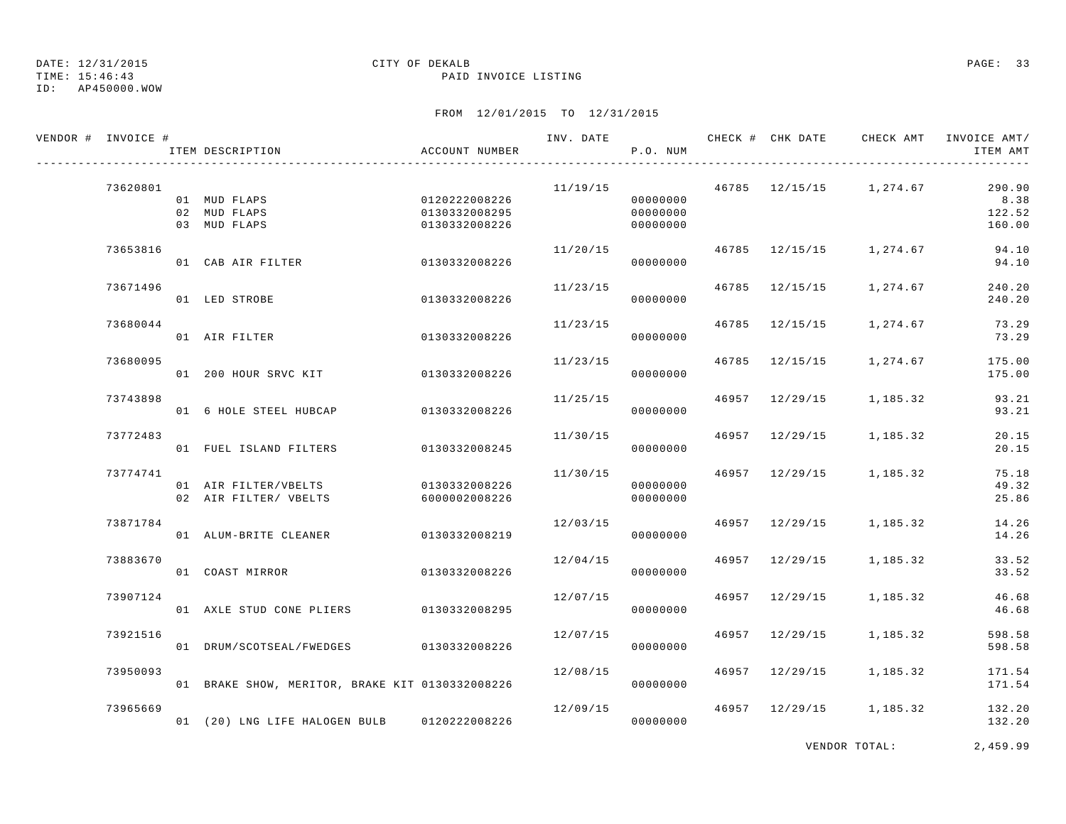ID: AP450000.WOW

## DATE: 12/31/2015 CITY OF DEKALB PAGE: 33

TIME: 15:46:43 PAID INVOICE LISTING

### FROM 12/01/2015 TO 12/31/2015

| VENDOR # INVOICE # | ITEM DESCRIPTION                                | ACCOUNT NUMBER                                  |                      | P.O. NUM                         |                | INV. DATE 6 CHECK # CHK DATE CHECK AMT INVOICE AMT/ | ITEM AMT                 |
|--------------------|-------------------------------------------------|-------------------------------------------------|----------------------|----------------------------------|----------------|-----------------------------------------------------|--------------------------|
| 73620801           | 01 MUD FLAPS<br>02 MUD FLAPS<br>03 MUD FLAPS    | 0120222008226<br>0130332008295<br>0130332008226 |                      | 00000000<br>00000000<br>00000000 |                | $11/19/15$ 46785 $12/15/15$ 1,274.67 290.90         | 8.38<br>122.52<br>160.00 |
| 73653816           | 01 CAB AIR FILTER                               | 0130332008226                                   | 11/20/15             | 00000000                         |                | 46785 12/15/15 1,274.67                             | 94.10<br>94.10           |
| 73671496           | 01 LED STROBE                                   | 0130332008226                                   | 11/23/15             | 00000000                         |                | 46785 12/15/15 1,274.67                             | 240.20<br>240.20         |
| 73680044           | 01 AIR FILTER                                   | 0130332008226                                   | 11/23/15             | 00000000                         | 46785 12/15/15 | 1,274.67                                            | 73.29<br>73.29           |
| 73680095           |                                                 |                                                 | 11/23/15             | 00000000                         | 46785 12/15/15 | 1,274.67                                            | 175.00<br>175.00         |
| 73743898           | 01 6 HOLE STEEL HUBCAP                          | 0130332008226                                   | 11/25/15             | 00000000                         | 46957 12/29/15 | 1,185.32                                            | 93.21<br>93.21           |
| 73772483           | 01 FUEL ISLAND FILTERS                          | 0130332008245                                   | 11/30/15             | 00000000                         |                | 46957 12/29/15 1,185.32                             | 20.15<br>20.15           |
| 73774741           | 01 AIR FILTER/VBELTS<br>02 AIR FILTER/ VBELTS   | 0130332008226<br>6000002008226                  | 11/30/15             | 00000000<br>00000000             |                | 46957 12/29/15 1,185.32                             | 75.18<br>49.32<br>25.86  |
| 73871784           | 01 ALUM-BRITE CLEANER 0130332008219             |                                                 | 12/03/15             | 00000000                         |                | 46957 12/29/15 1,185.32                             | 14.26<br>14.26           |
| 73883670           | 01 COAST MIRROR                                 | 0130332008226                                   | 12/04/15             | 00000000                         |                | 46957 12/29/15 1,185.32                             | 33.52<br>33.52           |
| 73907124           | 01 AXLE STUD CONE PLIERS 0130332008295          |                                                 | 12/07/15             | 00000000                         | 46957 12/29/15 | 1,185.32                                            | 46.68<br>46.68           |
| 73921516           | 01 DRUM/SCOTSEAL/FWEDGES 0130332008226          |                                                 | 12/07/15             | 00000000                         |                | 46957 12/29/15 1,185.32                             | 598.58<br>598.58         |
| 73950093           | 01 BRAKE SHOW, MERITOR, BRAKE KIT 0130332008226 |                                                 | 12/08/15             | 00000000                         |                | 46957 12/29/15 1,185.32                             | 171.54<br>171.54         |
| 73965669           | 01 (20) LNG LIFE HALOGEN BULB 0120222008226     |                                                 | 12/09/15<br>00000000 |                                  |                | 46957 12/29/15 1,185.32                             | 132.20<br>132.20         |

VENDOR TOTAL: 2,459.99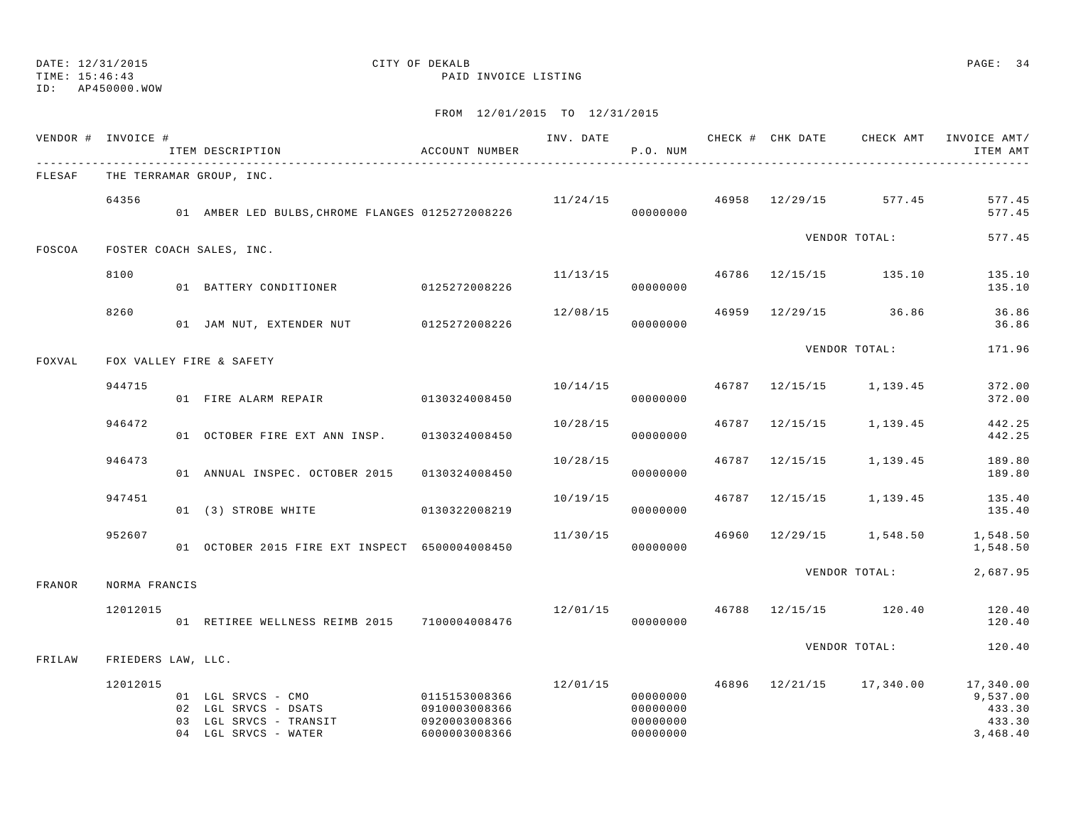ID: AP450000.WOW

TIME: 15:46:43 PAID INVOICE LISTING

|        | VENDOR # INVOICE # | ITEM DESCRIPTION                                                                                           | ACCOUNT NUMBER                                  | INV. DATE                 | P.O. NUM                                     |       |                | CHECK # CHK DATE CHECK AMT | INVOICE AMT/<br>ITEM AMT                              |
|--------|--------------------|------------------------------------------------------------------------------------------------------------|-------------------------------------------------|---------------------------|----------------------------------------------|-------|----------------|----------------------------|-------------------------------------------------------|
| FLESAF |                    | THE TERRAMAR GROUP, INC.                                                                                   |                                                 |                           |                                              |       |                |                            |                                                       |
|        | 64356              | 01 AMBER LED BULBS, CHROME FLANGES 0125272008226                                                           |                                                 | $11/24/15$ 46958 12/29/15 | 00000000                                     |       |                | 577.45                     | 577.45<br>577.45                                      |
| FOSCOA |                    | FOSTER COACH SALES, INC.                                                                                   |                                                 |                           |                                              |       |                | VENDOR TOTAL:              | 577.45                                                |
|        | 8100               | 01 BATTERY CONDITIONER 0125272008226                                                                       |                                                 | 11/13/15                  | 00000000                                     |       |                | 46786 12/15/15 135.10      | 135.10<br>135.10                                      |
|        | 8260               | 01 JAM NUT, EXTENDER NUT 0125272008226                                                                     |                                                 | 12/08/15                  | 00000000                                     | 46959 |                | 12/29/15 36.86             | 36.86<br>36.86                                        |
| FOXVAL |                    | FOX VALLEY FIRE & SAFETY                                                                                   |                                                 |                           |                                              |       |                | VENDOR TOTAL:              | 171.96                                                |
|        | 944715             | 01 FIRE ALARM REPAIR 0130324008450                                                                         |                                                 | 10/14/15                  | 00000000                                     |       |                | 46787 12/15/15 1,139.45    | 372.00<br>372.00                                      |
|        | 946472             | 01 OCTOBER FIRE EXT ANN INSP. 0130324008450                                                                |                                                 | 10/28/15                  | 00000000                                     | 46787 | 12/15/15       | 1,139.45                   | 442.25<br>442.25                                      |
|        | 946473             | 01 ANNUAL INSPEC. OCTOBER 2015 0130324008450                                                               |                                                 | 10/28/15                  | 00000000                                     | 46787 | 12/15/15       | 1,139.45                   | 189.80<br>189.80                                      |
|        | 947451             | 01 (3) STROBE WHITE                                                                                        | 0130322008219                                   | 10/19/15                  | 00000000                                     |       | 46787 12/15/15 | 1,139.45                   | 135.40<br>135.40                                      |
|        | 952607             | 01 OCTOBER 2015 FIRE EXT INSPECT 6500004008450                                                             |                                                 | 11/30/15                  | 00000000                                     | 46960 |                | 12/29/15 1,548.50          | 1,548.50<br>1,548.50                                  |
| FRANOR | NORMA FRANCIS      |                                                                                                            |                                                 |                           |                                              |       |                | VENDOR TOTAL:              | 2,687.95                                              |
|        | 12012015           | 01 RETIREE WELLNESS REIMB 2015 7100004008476                                                               |                                                 | 12/01/15                  | 00000000                                     |       |                | 46788 12/15/15 120.40      | 120.40<br>120.40                                      |
| FRILAW | FRIEDERS LAW, LLC. |                                                                                                            |                                                 |                           |                                              |       |                | VENDOR TOTAL:              | 120.40                                                |
|        | 12012015           | 01 LGL SRVCS - CMO 0115153008366<br>02 LGL SRVCS - DSATS<br>03 LGL SRVCS - TRANSIT<br>04 LGL SRVCS - WATER | 0910003008366<br>0920003008366<br>6000003008366 | 12/01/15                  | 00000000<br>00000000<br>00000000<br>00000000 | 46896 |                | 12/21/15 17,340.00         | 17,340.00<br>9,537.00<br>433.30<br>433.30<br>3,468.40 |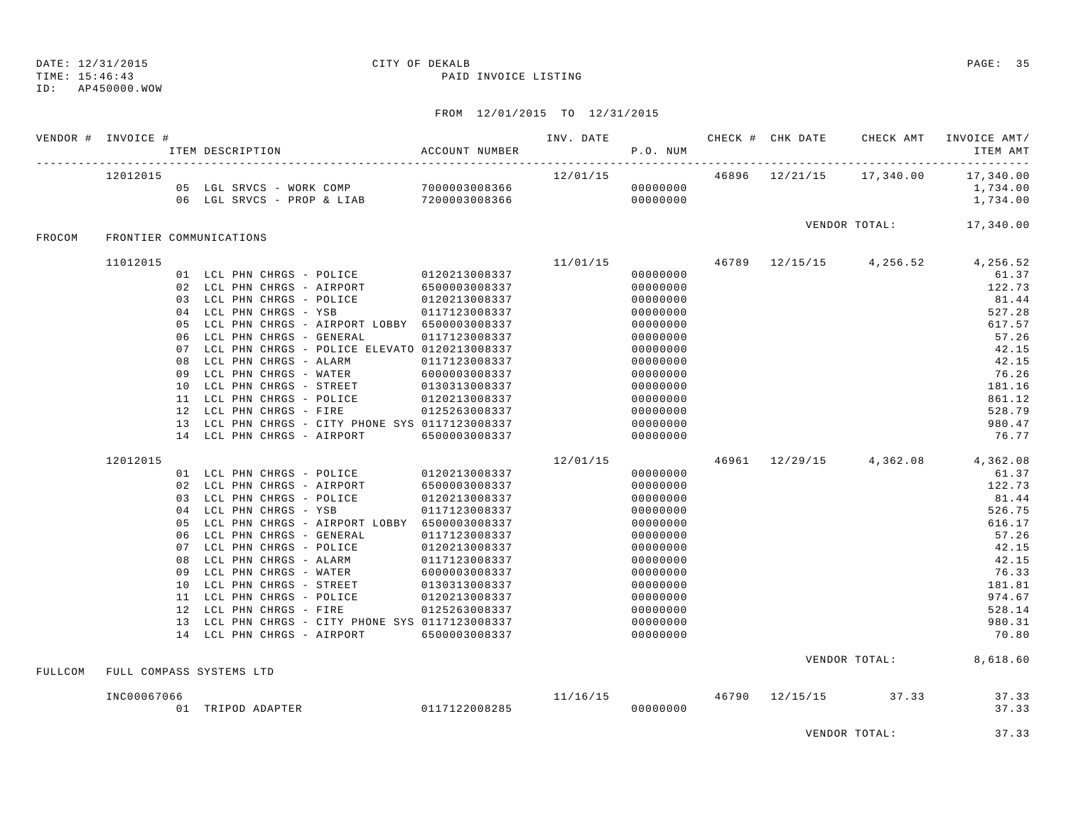TIME: 15:46:43 PAID INVOICE LISTING

ID: AP450000.WOW

### FROM 12/01/2015 TO 12/31/2015

| VENDOR # INVOICE # |             | ITEM DESCRIPTION                                                                                                                                                                                                                                                                                                                                                                                                                                                                              | ACCOUNT NUMBER                                                                                                                                                                                           | INV. DATE             | P.O. NUM                                                                                                                                                             | CHECK # CHK DATE CHECK AMT | INVOICE AMT/<br>ITEM AMT                                                                                                                                                                 |
|--------------------|-------------|-----------------------------------------------------------------------------------------------------------------------------------------------------------------------------------------------------------------------------------------------------------------------------------------------------------------------------------------------------------------------------------------------------------------------------------------------------------------------------------------------|----------------------------------------------------------------------------------------------------------------------------------------------------------------------------------------------------------|-----------------------|----------------------------------------------------------------------------------------------------------------------------------------------------------------------|----------------------------|------------------------------------------------------------------------------------------------------------------------------------------------------------------------------------------|
|                    | 12012015    | 05 LGL SRVCS - WORK COMP 7000003008366<br>06 LGL SRVCS - PROP & LIAB 7200003008366                                                                                                                                                                                                                                                                                                                                                                                                            |                                                                                                                                                                                                          | 12/01/15<br>000000000 | 00000000                                                                                                                                                             | 46896 12/21/15 17,340.00   | 17,340.00<br>1,734.00<br>1,734.00                                                                                                                                                        |
| FROCOM             |             | FRONTIER COMMUNICATIONS                                                                                                                                                                                                                                                                                                                                                                                                                                                                       |                                                                                                                                                                                                          |                       |                                                                                                                                                                      |                            | VENDOR TOTAL: 17,340.00                                                                                                                                                                  |
|                    |             |                                                                                                                                                                                                                                                                                                                                                                                                                                                                                               |                                                                                                                                                                                                          |                       |                                                                                                                                                                      |                            |                                                                                                                                                                                          |
|                    | 11012015    | 01 LCL PHN CHRGS - POLICE 0120213008337<br>02 LCL PHN CHRGS - AIRPORT<br>03 LCL PHN CHRGS - POLICE<br>04 LCL PHN CHRGS - YSB<br>05 LCL PHN CHRGS - AIRPORT LOBBY 6500003008337<br>06 LCL PHN CHRGS - GENERAL<br>07 LCL PHN CHRGS - POLICE ELEVATO 0120213008337<br>08 LCL PHN CHRGS - ALARM<br>09 LCL PHN CHRGS - WATER<br>10 LCL PHN CHRGS - STREET<br>11 LCL PHN CHRGS - POLICE<br>12 LCL PHN CHRGS - FIRE<br>13 LCL PHN CHRGS - CITY PHONE SYS 0117123008337<br>14 LCL PHN CHRGS - AIRPORT | 6500003008337<br>0120213008337<br>0117123008337<br>0117123008337<br>0117123008337<br>6000003008337<br>0130313008337<br>0120213008337<br>0125263008337<br>6500003008337                                   |                       | 00000000<br>00000000<br>00000000<br>00000000<br>00000000<br>00000000<br>00000000<br>00000000<br>00000000<br>00000000<br>00000000<br>00000000<br>00000000<br>00000000 |                            | $11/01/15$ $46789$ $12/15/15$ $4,256.52$ $4,256.52$<br>61.37<br>122.73<br>81.44<br>527.28<br>617.57<br>57.26<br>42.15<br>42.15<br>76.26<br>181.16<br>861.12<br>528.79<br>980.47<br>76.77 |
|                    | 12012015    | 01 LCL PHN CHRGS - POLICE<br>02 LCL PHN CHRGS - AIRPORT<br>03 LCL PHN CHRGS - POLICE<br>04 LCL PHN CHRGS - YSB<br>05 LCL PHN CHRGS - AIRPORT LOBBY 6500003008337<br>06 LCL PHN CHRGS - GENERAL<br>07 LCL PHN CHRGS - POLICE<br>08 LCL PHN CHRGS - ALARM<br>09 LCL PHN CHRGS - WATER<br>10 LCL PHN CHRGS - STREET<br>11 LCL PHN CHRGS - POLICE<br>12 LCL PHN CHRGS - FIRE<br>13 LCL PHN CHRGS - CITY PHONE SYS 0117123008337<br>14 LCL PHN CHRGS - AIRPORT                                     | 0120213008337<br>6500003008337<br>0120213008337<br>0117123008337<br>0117123008337<br>0120213008337<br>0117123008337<br>6000003008337<br>0130313008337<br>0120213008337<br>0125263008337<br>6500003008337 | 12/01/15              | 00000000<br>00000000<br>00000000<br>00000000<br>00000000<br>00000000<br>00000000<br>00000000<br>00000000<br>00000000<br>00000000<br>00000000<br>00000000<br>00000000 |                            | 46961 12/29/15 4,362.08 4,362.08<br>61.37<br>122.73<br>81.44<br>526.75<br>616.17<br>57.26<br>42.15<br>42.15<br>76.33<br>181.81<br>974.67<br>528.14<br>980.31<br>70.80                    |
| FULLCOM            |             | FULL COMPASS SYSTEMS LTD                                                                                                                                                                                                                                                                                                                                                                                                                                                                      |                                                                                                                                                                                                          |                       |                                                                                                                                                                      |                            | VENDOR TOTAL: 8,618.60                                                                                                                                                                   |
|                    | INC00067066 | 0117122008285<br>01 TRIPOD ADAPTER                                                                                                                                                                                                                                                                                                                                                                                                                                                            |                                                                                                                                                                                                          | 11/16/15              | 00000000                                                                                                                                                             | 46790 12/15/15 37.33       | 37.33<br>37.33                                                                                                                                                                           |

VENDOR TOTAL: 37.33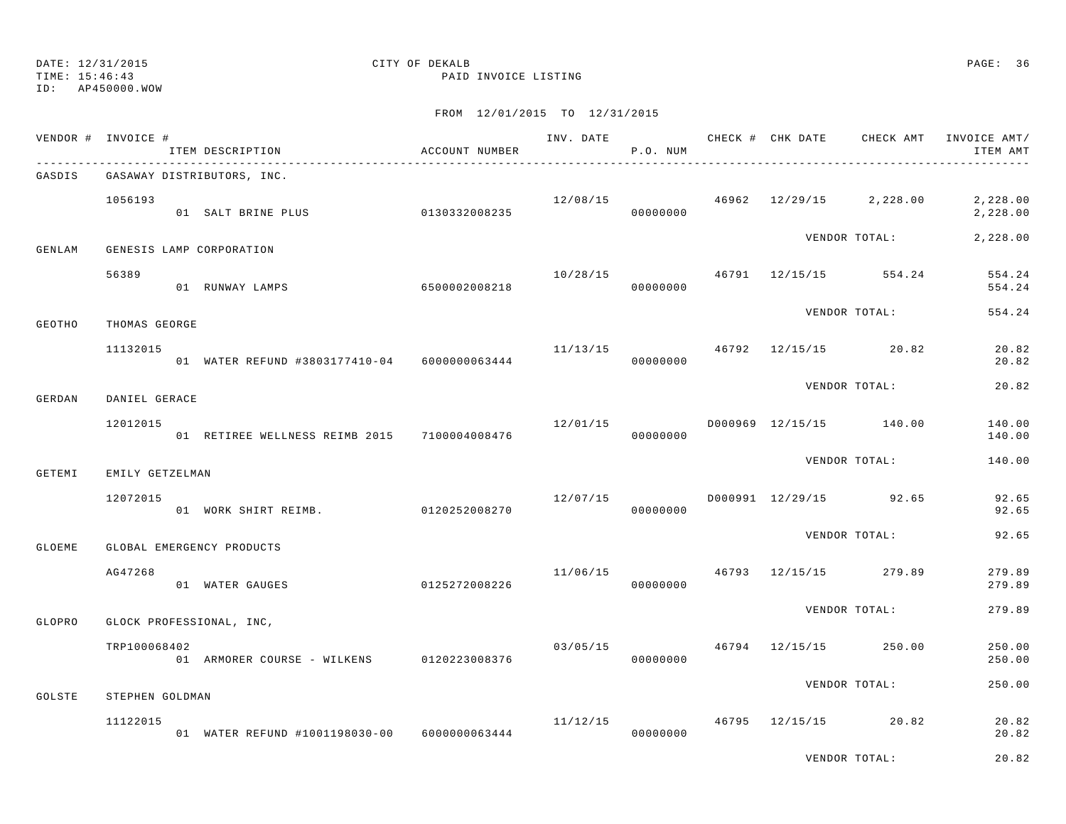# TIME: 15:46:43 PAID INVOICE LISTING

ID: AP450000.WOW

|               | VENDOR # INVOICE #          | ITEM DESCRIPTION                             | ACCOUNT NUMBER |                                       | P.O. NUM |  | INV. DATE 6 CHECK # CHK DATE CHECK AMT   | INVOICE AMT/<br>ITEM AMT |
|---------------|-----------------------------|----------------------------------------------|----------------|---------------------------------------|----------|--|------------------------------------------|--------------------------|
| GASDIS        |                             | GASAWAY DISTRIBUTORS, INC.                   |                |                                       |          |  |                                          |                          |
|               | 1056193                     | 01 SALT BRINE PLUS                           | 0130332008235  |                                       | 00000000 |  | $12/08/15$ $46962$ $12/29/15$ $2,228.00$ | 2,228.00<br>2,228.00     |
| GENLAM        |                             | GENESIS LAMP CORPORATION                     |                |                                       |          |  | VENDOR TOTAL:                            | 2,228.00                 |
|               | 56389                       | 01 RUNWAY LAMPS                              | 6500002008218  | 10/28/15                              | 00000000 |  | 46791 12/15/15 554.24                    | 554.24<br>554.24         |
| GEOTHO        | THOMAS GEORGE               |                                              |                |                                       |          |  | VENDOR TOTAL:                            | 554.24                   |
|               | 11132015                    | 01 WATER REFUND #3803177410-04 6000000063444 |                |                                       | 00000000 |  | $11/13/15$ $46792$ $12/15/15$ $20.82$    | 20.82<br>20.82           |
| GERDAN        | DANIEL GERACE               |                                              |                |                                       |          |  | VENDOR TOTAL:                            | 20.82                    |
|               | 12012015                    | 01 RETIREE WELLNESS REIMB 2015 7100004008476 |                | 12/01/15                              | 00000000 |  | D000969 12/15/15 140.00                  | 140.00<br>140.00         |
| GETEMI        | EMILY GETZELMAN             |                                              |                |                                       |          |  | VENDOR TOTAL:                            | 140.00                   |
|               | 12072015                    | 01 WORK SHIRT REIMB. 0120252008270           |                | 12/07/15                              | 00000000 |  | D000991 12/29/15 92.65                   | 92.65<br>92.65           |
| <b>GLOEME</b> |                             | GLOBAL EMERGENCY PRODUCTS                    |                |                                       |          |  | VENDOR TOTAL:                            | 92.65                    |
|               | AG47268                     | 01 WATER GAUGES                              | 0125272008226  | $11/06/15$ $46793$ $12/15/15$ 279.89  | 00000000 |  |                                          | 279.89<br>279.89         |
| GLOPRO        |                             | GLOCK PROFESSIONAL, INC,                     |                |                                       |          |  | VENDOR TOTAL:                            | 279.89                   |
|               | TRP100068402                | 01 ARMORER COURSE - WILKENS                  | 0120223008376  | 03/05/15                              | 00000000 |  | 46794 12/15/15 250.00                    | 250.00<br>250.00         |
|               |                             |                                              |                |                                       |          |  | VENDOR TOTAL:                            | 250.00                   |
| GOLSTE        | STEPHEN GOLDMAN<br>11122015 | 01 WATER REFUND #1001198030-00 6000000063444 |                | $11/12/15$ $46795$ $12/15/15$ $20.82$ | 00000000 |  |                                          | 20.82<br>20.82           |
|               |                             |                                              |                |                                       |          |  | VENDOR TOTAL:                            | 20.82                    |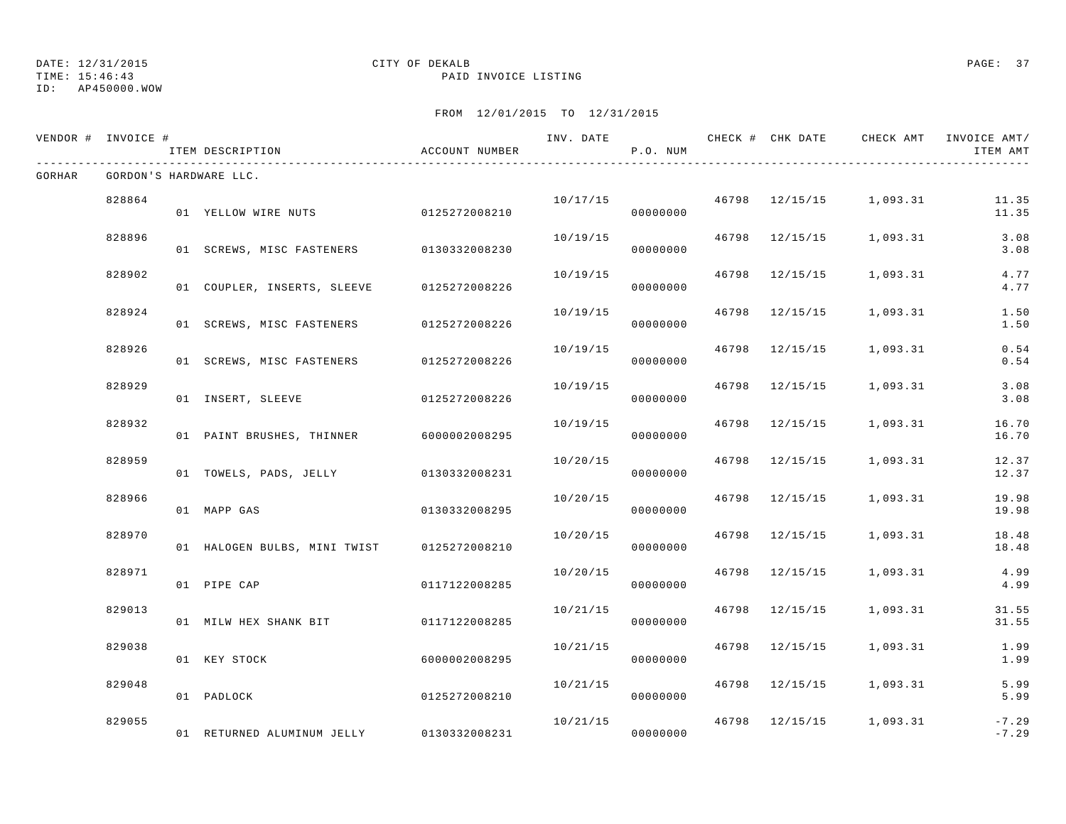TIME: 15:46:43 PAID INVOICE LISTING

ID: AP450000.WOW

|        | VENDOR # INVOICE # | ITEM DESCRIPTION                           | ACCOUNT NUMBER |          | P.O. NUM |                |                                      | INV. DATE 6 CHECK # CHK DATE CHECK AMT INVOICE AMT/<br>ITEM AMT |
|--------|--------------------|--------------------------------------------|----------------|----------|----------|----------------|--------------------------------------|-----------------------------------------------------------------|
| GORHAR |                    | GORDON'S HARDWARE LLC.                     |                |          |          |                |                                      |                                                                 |
|        | 828864             | 01 YELLOW WIRE NUTS 0125272008210          |                |          | 00000000 |                | $10/17/15$ 46798 $12/15/15$ 1,093.31 | 11.35<br>11.35                                                  |
|        | 828896             | 01 SCREWS, MISC FASTENERS 0130332008230    |                | 10/19/15 | 00000000 | 46798 12/15/15 | 1,093.31                             | 3.08<br>3.08                                                    |
|        | 828902             | 01 COUPLER, INSERTS, SLEEVE 0125272008226  |                | 10/19/15 | 00000000 |                | 46798 12/15/15 1,093.31              | 4.77<br>4.77                                                    |
|        | 828924             | 01 SCREWS, MISC FASTENERS 0125272008226    |                | 10/19/15 | 00000000 |                | 46798 12/15/15 1,093.31              | 1.50<br>1.50                                                    |
|        | 828926             | 01 SCREWS, MISC FASTENERS 0125272008226    |                | 10/19/15 | 00000000 | 46798 12/15/15 | 1,093.31                             | 0.54<br>0.54                                                    |
|        | 828929             | 01 INSERT, SLEEVE 6125272008226            |                | 10/19/15 | 00000000 |                | 46798 12/15/15 1,093.31              | 3.08<br>3.08                                                    |
|        | 828932             | 01 PAINT BRUSHES, THINNER 6000002008295    |                | 10/19/15 | 00000000 | 46798 12/15/15 | 1,093.31                             | 16.70<br>16.70                                                  |
|        | 828959             | 01 TOWELS, PADS, JELLY 0130332008231       |                | 10/20/15 | 00000000 | 46798 12/15/15 | 1,093.31                             | 12.37<br>12.37                                                  |
|        | 828966             | 01 MAPP GAS                                | 0130332008295  | 10/20/15 | 00000000 |                | 46798 12/15/15 1,093.31              | 19.98<br>19.98                                                  |
|        | 828970             | 01 HALOGEN BULBS, MINI TWIST 0125272008210 |                | 10/20/15 | 00000000 |                | 46798 12/15/15 1,093.31              | 18.48<br>18.48                                                  |
|        | 828971             | 01 PIPE CAP                                | 0117122008285  | 10/20/15 | 00000000 | 46798 12/15/15 | 1,093.31                             | 4.99<br>4.99                                                    |
|        | 829013             | 01 MILW HEX SHANK BIT                      | 0117122008285  | 10/21/15 | 00000000 | 46798 12/15/15 | 1,093.31                             | 31.55<br>31.55                                                  |
|        | 829038             | 01 KEY STOCK                               | 6000002008295  | 10/21/15 | 00000000 |                | 46798 12/15/15 1,093.31              | 1.99<br>1.99                                                    |
|        | 829048             | 01 PADLOCK                                 | 0125272008210  | 10/21/15 | 00000000 |                | 46798 12/15/15 1,093.31              | 5.99<br>5.99                                                    |
|        | 829055             | 01 RETURNED ALUMINUM JELLY 0130332008231   |                | 10/21/15 | 00000000 |                | 46798 12/15/15 1,093.31              | $-7.29$<br>$-7.29$                                              |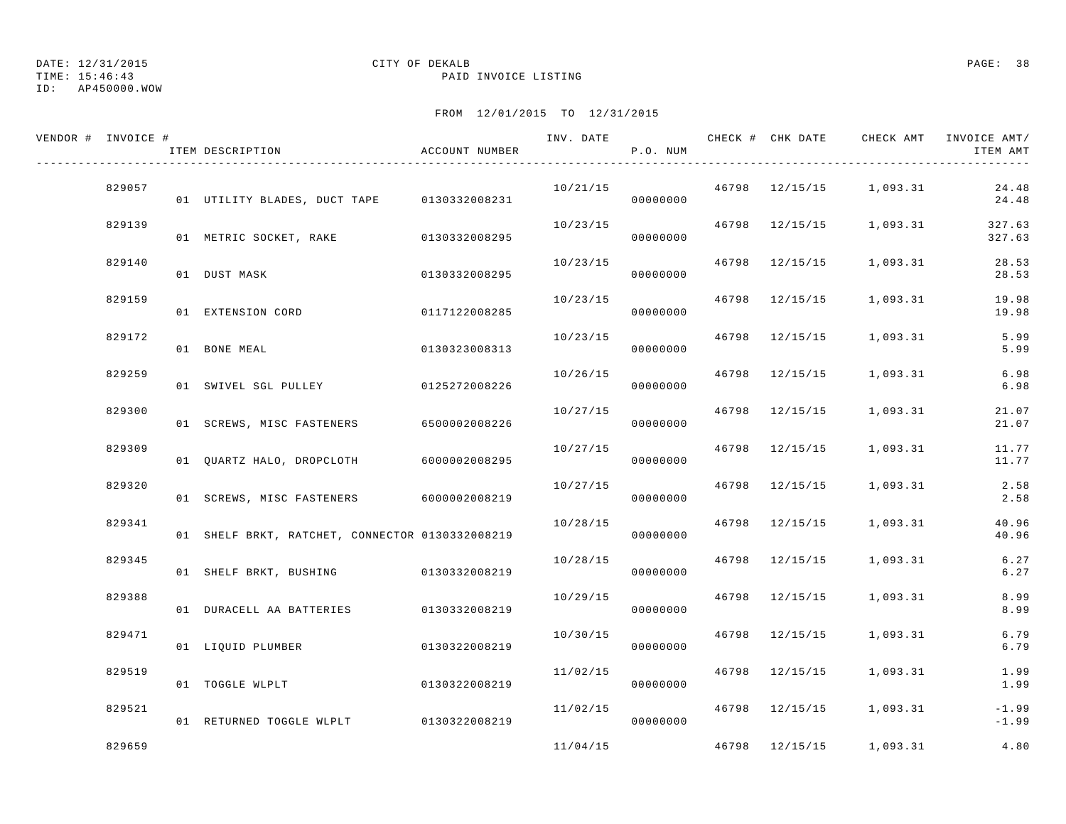#### TIME: 15:46:43 PAID INVOICE LISTING ID: AP450000.WOW

# DATE: 12/31/2015 CITY OF DEKALB PAGE: 38

| VENDOR # INVOICE # | ITEM DESCRIPTION                                | ACCOUNT NUMBER | INV. DATE | P.O. NUM |       | CHECK # CHK DATE | CHECK AMT               | INVOICE AMT/<br>ITEM AMT |
|--------------------|-------------------------------------------------|----------------|-----------|----------|-------|------------------|-------------------------|--------------------------|
| 829057             | 01 UTILITY BLADES, DUCT TAPE 0130332008231      |                | 10/21/15  | 00000000 |       |                  | 46798 12/15/15 1,093.31 | 24.48<br>24.48           |
| 829139             | 01 METRIC SOCKET, RAKE                          | 0130332008295  | 10/23/15  | 00000000 | 46798 | 12/15/15         | 1,093.31                | 327.63<br>327.63         |
| 829140             | 01 DUST MASK                                    | 0130332008295  | 10/23/15  | 00000000 |       | 46798 12/15/15   | 1,093.31                | 28.53<br>28.53           |
| 829159             | 01 EXTENSION CORD                               | 0117122008285  | 10/23/15  | 00000000 |       | 46798 12/15/15   | 1,093.31                | 19.98<br>19.98           |
| 829172             | 01 BONE MEAL                                    | 0130323008313  | 10/23/15  | 00000000 | 46798 | 12/15/15         | 1,093.31                | 5.99<br>5.99             |
| 829259             | 01 SWIVEL SGL PULLEY                            | 0125272008226  | 10/26/15  | 00000000 | 46798 | 12/15/15         | 1,093.31                | 6.98<br>6.98             |
| 829300             | 01 SCREWS, MISC FASTENERS 6500002008226         |                | 10/27/15  | 00000000 |       | 46798 12/15/15   | 1,093.31                | 21.07<br>21.07           |
| 829309             | 01 QUARTZ HALO, DROPCLOTH 6000002008295         |                | 10/27/15  | 00000000 |       | 46798 12/15/15   | 1,093.31                | 11.77<br>11.77           |
| 829320             | 01 SCREWS, MISC FASTENERS 6000002008219         |                | 10/27/15  | 00000000 | 46798 | 12/15/15         | 1,093.31                | 2.58<br>2.58             |
| 829341             | 01 SHELF BRKT, RATCHET, CONNECTOR 0130332008219 |                | 10/28/15  | 00000000 | 46798 | 12/15/15         | 1,093.31                | 40.96<br>40.96           |
| 829345             | 01 SHELF BRKT, BUSHING 0130332008219            |                | 10/28/15  | 00000000 |       | 46798 12/15/15   | 1,093.31                | $6.27$<br>$6.27$         |
| 829388             | 01 DURACELL AA BATTERIES                        | 0130332008219  | 10/29/15  | 00000000 |       | 46798 12/15/15   | 1,093.31                | 8.99<br>8.99             |
| 829471             | 01 LIQUID PLUMBER                               | 0130322008219  | 10/30/15  | 00000000 | 46798 | 12/15/15         | 1,093.31                | 6.79<br>6.79             |
| 829519             | 01 TOGGLE WLPLT                                 | 0130322008219  | 11/02/15  | 00000000 | 46798 | 12/15/15         | 1,093.31                | 1.99<br>1.99             |
| 829521             | 01 RETURNED TOGGLE WLPLT 0130322008219          |                | 11/02/15  | 00000000 |       |                  | 46798 12/15/15 1,093.31 | $-1.99$<br>$-1.99$       |
| 829659             |                                                 |                | 11/04/15  |          |       | 46798 12/15/15   | 1,093.31                | 4.80                     |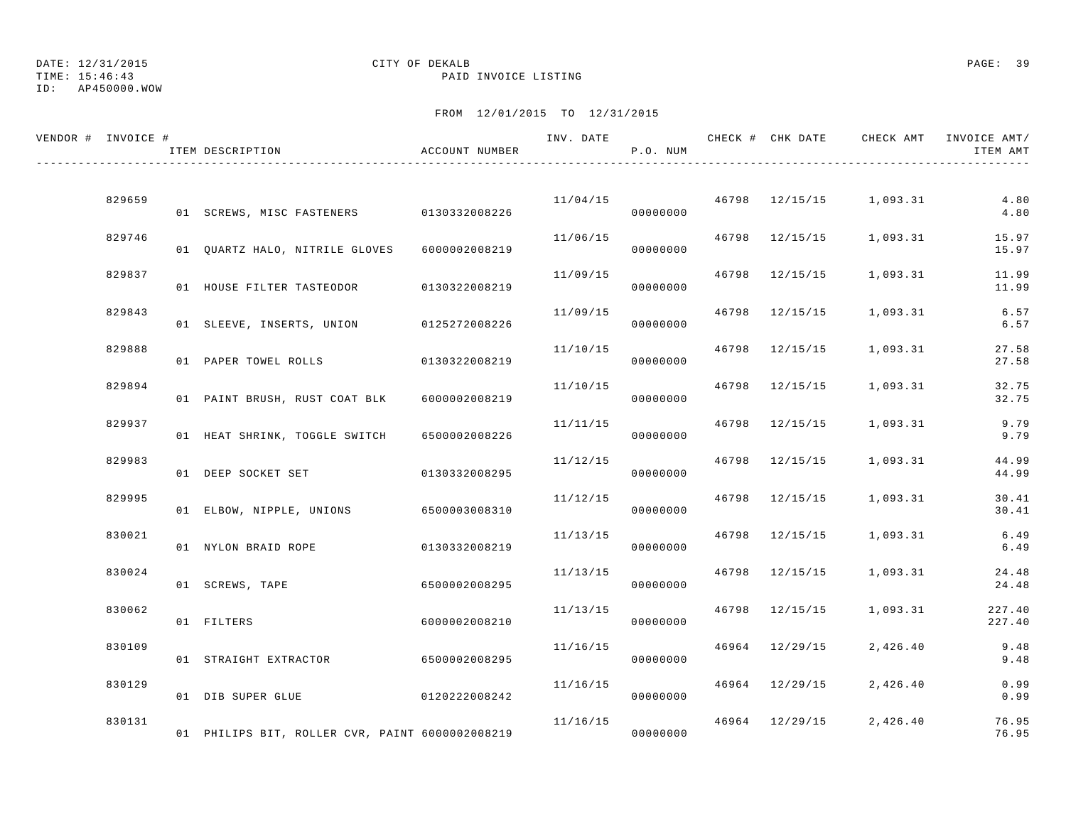# TIME: 15:46:43 PAID INVOICE LISTING

### ID: AP450000.WOW

# DATE: 12/31/2015 CITY OF DEKALB PAGE: 39

| VENDOR # INVOICE # | ITEM DESCRIPTION                                | ACCOUNT NUMBER | INV. DATE | P.O. NUM             |                | CHECK # CHK DATE 6 CHECK AMT INVOICE AMT/ | ITEM AMT         |
|--------------------|-------------------------------------------------|----------------|-----------|----------------------|----------------|-------------------------------------------|------------------|
|                    |                                                 |                |           |                      |                |                                           |                  |
| 829659             | 01 SCREWS, MISC FASTENERS 0130332008226         |                | 11/04/15  | 00000000             |                | 46798 12/15/15 1,093.31                   | 4.80<br>4.80     |
| 829746             | 01 QUARTZ HALO, NITRILE GLOVES                  | 6000002008219  | 11/06/15  | 00000000             | 46798 12/15/15 | 1,093.31                                  | 15.97<br>15.97   |
| 829837             | 01 HOUSE FILTER TASTEODOR 0130322008219         |                | 11/09/15  | 00000000             | 46798 12/15/15 | 1,093.31                                  | 11.99<br>11.99   |
| 829843             | 01 SLEEVE, INSERTS, UNION 0125272008226         |                | 11/09/15  | 00000000             | 46798 12/15/15 | 1,093.31                                  | 6.57<br>6.57     |
| 829888             | 01 PAPER TOWEL ROLLS                            | 0130322008219  | 11/10/15  | 00000000             | 46798 12/15/15 | 1,093.31                                  | 27.58<br>27.58   |
| 829894             | 01 PAINT BRUSH, RUST COAT BLK                   | 6000002008219  | 11/10/15  | 00000000             | 46798 12/15/15 | 1,093.31                                  | 32.75<br>32.75   |
| 829937             | 01 HEAT SHRINK, TOGGLE SWITCH                   | 6500002008226  | 11/11/15  | 00000000             | 46798 12/15/15 | 1,093.31                                  | 9.79<br>9.79     |
| 829983             | 01 DEEP SOCKET SET                              | 0130332008295  | 11/12/15  | 00000000             | 46798 12/15/15 | 1,093.31                                  | 44.99<br>44.99   |
| 829995             | 01 ELBOW, NIPPLE, UNIONS 6500003008310          |                | 11/12/15  | 00000000             | 46798 12/15/15 | 1,093.31                                  | 30.41<br>30.41   |
| 830021             | 01 NYLON BRAID ROPE                             | 0130332008219  | 11/13/15  | 00000000             | 46798 12/15/15 | 1,093.31                                  | 6.49<br>6.49     |
| 830024             | 01 SCREWS, TAPE                                 | 6500002008295  | 11/13/15  | 00000000             | 46798 12/15/15 | 1,093.31                                  | 24.48<br>24.48   |
| 830062             | 01 FILTERS                                      | 6000002008210  | 11/13/15  | 00000000             | 46798 12/15/15 | 1,093.31                                  | 227.40<br>227.40 |
| 830109             |                                                 |                | 11/16/15  |                      | 46964 12/29/15 | 2,426.40                                  | 9.48             |
| 830129             | 01 STRAIGHT EXTRACTOR                           | 6500002008295  | 11/16/15  | 00000000             | 46964 12/29/15 | 2,426.40                                  | 9.48<br>0.99     |
| 830131             | 01 DIB SUPER GLUE                               | 0120222008242  | 11/16/15  | 00000000<br>00000000 | 46964 12/29/15 | 2,426.40                                  | 0.99<br>76.95    |
|                    | 01 PHILIPS BIT, ROLLER CVR, PAINT 6000002008219 |                |           |                      |                |                                           | 76.95            |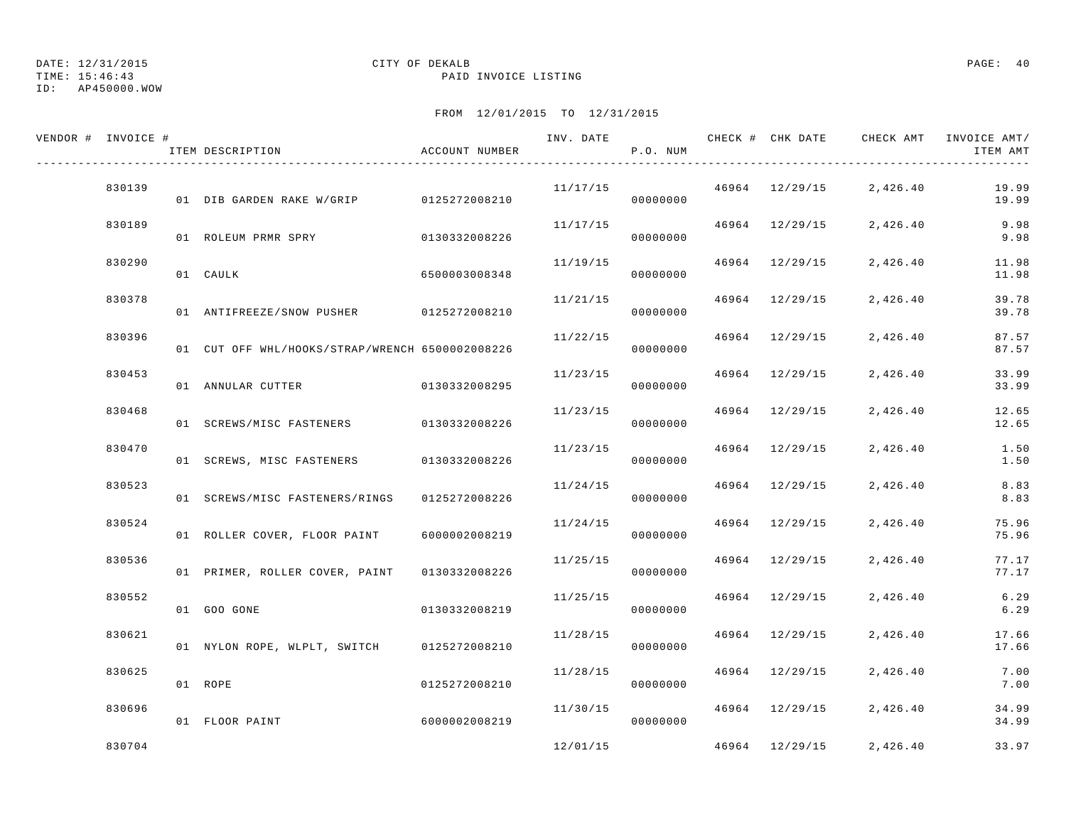#### TIME: 15:46:43 PAID INVOICE LISTING ID: AP450000.WOW

# DATE: 12/31/2015 CITY OF DEKALB PAGE: 40

| VENDOR # INVOICE # | ITEM DESCRIPTION                                | ACCOUNT NUMBER | INV. DATE | P.O. NUM | CHECK # CHK DATE | CHECK AMT                          | INVOICE AMT/<br>ITEM AMT |
|--------------------|-------------------------------------------------|----------------|-----------|----------|------------------|------------------------------------|--------------------------|
| 830139             | 01 DIB GARDEN RAKE W/GRIP 0125272008210         |                |           | 00000000 |                  | $11/17/15$ 46964 12/29/15 2,426.40 | 19.99<br>19.99           |
| 830189             | 01 ROLEUM PRMR SPRY 0130332008226               |                | 11/17/15  | 00000000 |                  | 46964 12/29/15 2,426.40            | 9.98<br>9.98             |
| 830290             | 01 CAULK                                        | 6500003008348  | 11/19/15  | 00000000 | 46964 12/29/15   | 2,426.40                           | 11.98<br>11.98           |
| 830378             | 01 ANTIFREEZE/SNOW PUSHER 0125272008210         |                | 11/21/15  | 00000000 | 46964 12/29/15   | 2,426.40                           | 39.78<br>39.78           |
| 830396             | 01 CUT OFF WHL/HOOKS/STRAP/WRENCH 6500002008226 |                | 11/22/15  | 00000000 | 46964 12/29/15   | 2,426.40                           | 87.57<br>87.57           |
| 830453             | 01 ANNULAR CUTTER 0130332008295                 |                | 11/23/15  | 00000000 |                  | 46964 12/29/15 2,426.40            | 33.99<br>33.99           |
| 830468             | 01 SCREWS/MISC FASTENERS 0130332008226          |                | 11/23/15  | 00000000 | 46964 12/29/15   | 2,426.40                           | 12.65<br>12.65           |
| 830470             | 01 SCREWS, MISC FASTENERS 0130332008226         |                | 11/23/15  | 00000000 | 46964 12/29/15   | 2,426.40                           | 1.50<br>1.50             |
| 830523             | 01 SCREWS/MISC FASTENERS/RINGS                  | 0125272008226  | 11/24/15  | 00000000 | 46964 12/29/15   | 2,426.40                           | 8.83<br>8.83             |
| 830524             | 01 ROLLER COVER, FLOOR PAINT                    | 6000002008219  | 11/24/15  | 00000000 | 46964 12/29/15   | 2,426.40                           | 75.96<br>75.96           |
| 830536             | 01 PRIMER, ROLLER COVER, PAINT 0130332008226    |                | 11/25/15  | 00000000 | 46964 12/29/15   | 2,426.40                           | 77.17<br>77.17           |
| 830552             | 01 GOO GONE                                     | 0130332008219  | 11/25/15  | 00000000 | 46964 12/29/15   | 2,426.40                           | 6.29<br>6.29             |
| 830621             | 01 NYLON ROPE, WLPLT, SWITCH 0125272008210      |                | 11/28/15  | 00000000 | 46964 12/29/15   | 2,426.40                           | 17.66<br>17.66           |
| 830625             | 01 ROPE                                         | 0125272008210  | 11/28/15  | 00000000 | 46964 12/29/15   | 2,426.40                           | 7.00<br>7.00             |
| 830696             | 6000002008219<br>01 FLOOR PAINT                 |                | 11/30/15  | 00000000 |                  | 46964 12/29/15 2,426.40            | 34.99<br>34.99           |
| 830704             |                                                 |                | 12/01/15  |          | 46964 12/29/15   | 2,426.40                           | 33.97                    |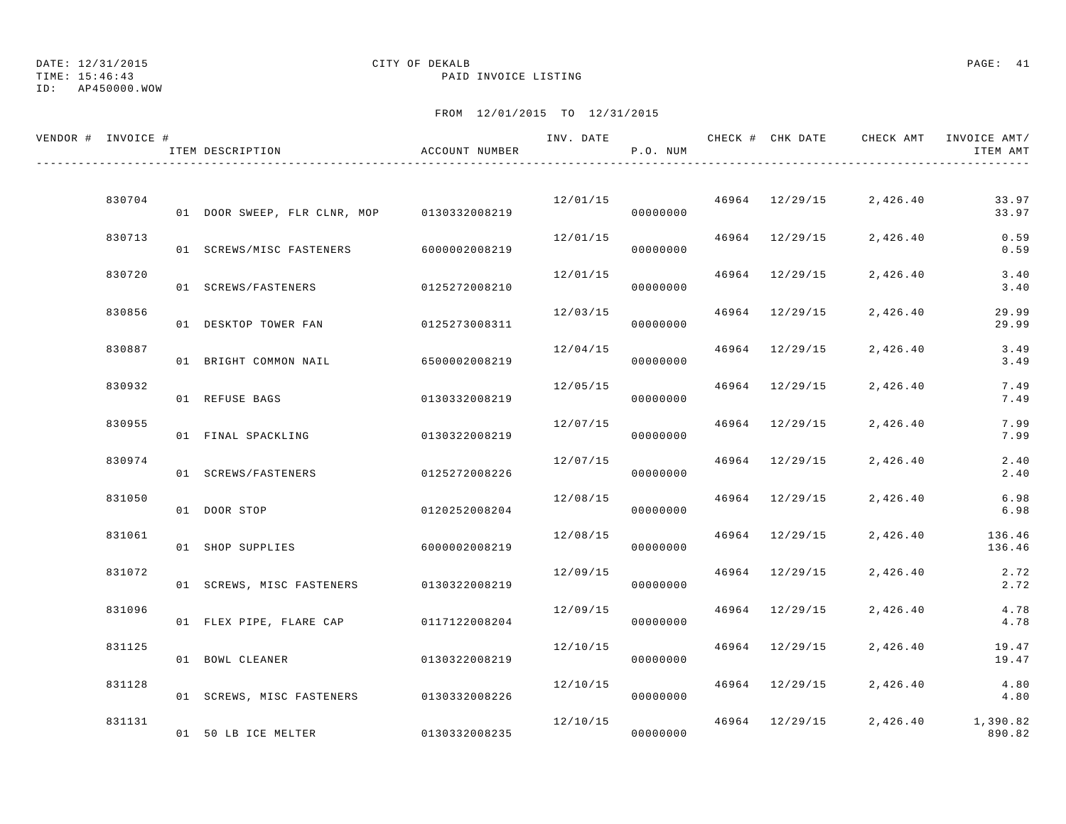## ID: AP450000.WOW

#### DATE: 12/31/2015 CITY OF DEKALB PAGE: 41 TIME: 15:46:43 PAID INVOICE LISTING

| VENDOR # INVOICE # |        | ITEM DESCRIPTION                           | ACCOUNT NUMBER | INV. DATE | P.O. NUM | CHECK # CHK DATE   | CHECK AMT | INVOICE AMT/<br>ITEM AMT                   |
|--------------------|--------|--------------------------------------------|----------------|-----------|----------|--------------------|-----------|--------------------------------------------|
|                    | 830704 | 01 DOOR SWEEP, FLR CLNR, MOP 0130332008219 |                | 12/01/15  | 00000000 | $46964$ $12/29/15$ | 2,426.40  | 33.97<br>33.97                             |
|                    | 830713 | 01 SCREWS/MISC FASTENERS 6000002008219     |                | 12/01/15  | 00000000 | 46964 12/29/15     | 2,426.40  | 0.59<br>0.59                               |
|                    | 830720 | 01 SCREWS/FASTENERS                        | 0125272008210  | 12/01/15  | 00000000 | 46964 12/29/15     | 2,426.40  | 3.40<br>3.40                               |
|                    | 830856 | 01 DESKTOP TOWER FAN                       | 0125273008311  | 12/03/15  | 00000000 | 46964 12/29/15     | 2,426.40  | 29.99<br>29.99                             |
|                    | 830887 | 01 BRIGHT COMMON NAIL                      | 6500002008219  | 12/04/15  | 00000000 | 46964 12/29/15     | 2,426.40  | 3.49<br>3.49                               |
|                    | 830932 | 01 REFUSE BAGS                             | 0130332008219  | 12/05/15  | 00000000 | 46964 12/29/15     | 2,426.40  | 7.49<br>7.49                               |
|                    | 830955 | 01 FINAL SPACKLING                         | 0130322008219  | 12/07/15  | 00000000 | 46964 12/29/15     | 2,426.40  | 7.99<br>7.99                               |
|                    | 830974 | 01 SCREWS/FASTENERS                        | 0125272008226  | 12/07/15  | 00000000 | 46964 12/29/15     | 2,426.40  | 2.40<br>2.40                               |
|                    | 831050 | 01 DOOR STOP                               | 0120252008204  | 12/08/15  | 00000000 | 46964 12/29/15     | 2,426.40  | 6.98<br>6.98                               |
|                    | 831061 | 01 SHOP SUPPLIES                           | 6000002008219  | 12/08/15  | 00000000 | 46964 12/29/15     | 2,426.40  | 136.46<br>136.46                           |
|                    | 831072 | 01 SCREWS, MISC FASTENERS 0130322008219    |                | 12/09/15  | 00000000 | 46964 12/29/15     | 2,426.40  | 2.72<br>2.72                               |
|                    | 831096 | 01 FLEX PIPE, FLARE CAP                    | 0117122008204  | 12/09/15  | 00000000 | 46964 12/29/15     | 2,426.40  | 4.78<br>4.78                               |
|                    | 831125 | 01 BOWL CLEANER                            | 0130322008219  | 12/10/15  | 00000000 | 46964 12/29/15     | 2,426.40  | 19.47<br>19.47                             |
|                    | 831128 | 01 SCREWS, MISC FASTENERS 0130332008226    |                | 12/10/15  | 00000000 | 46964 12/29/15     | 2,426.40  | 4.80<br>4.80                               |
|                    | 831131 | 01 50 LB ICE MELTER                        | 0130332008235  | 12/10/15  | 00000000 |                    |           | 46964 12/29/15 2,426.40 1,390.82<br>890.82 |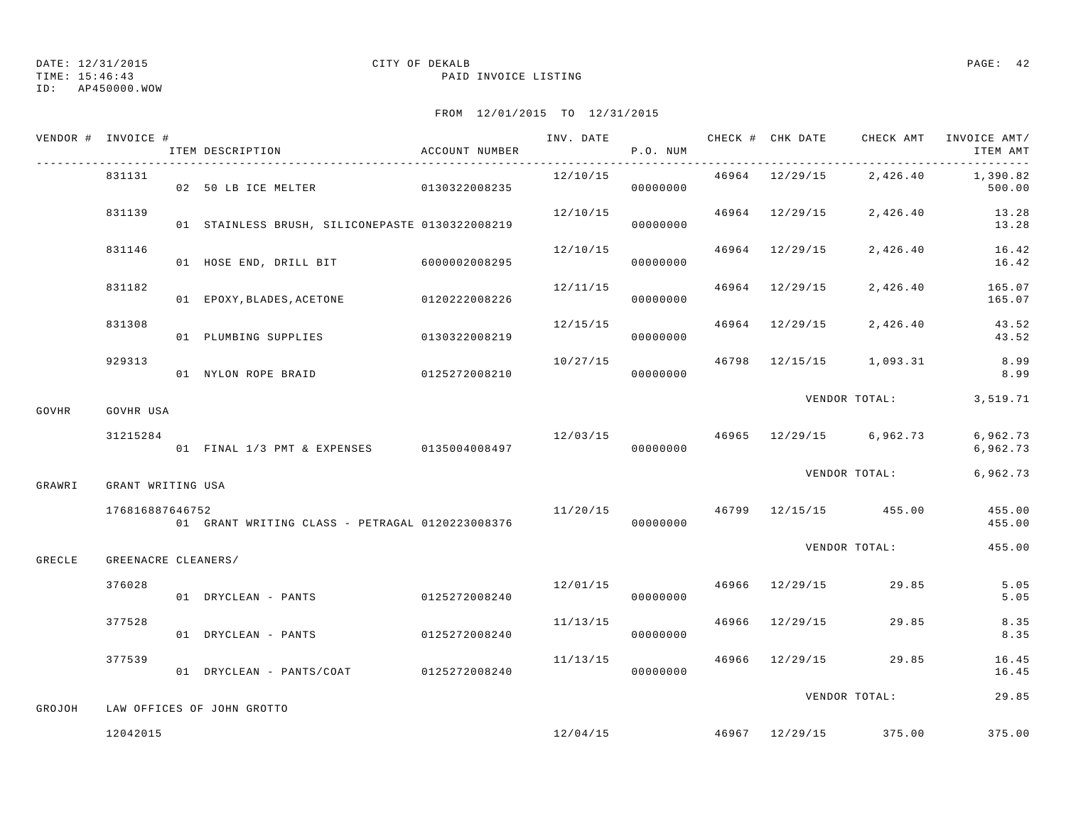ID: AP450000.WOW

TIME: 15:46:43 PAID INVOICE LISTING

|        | VENDOR # INVOICE #  | ITEM DESCRIPTION<br>------------------------------ | ACCOUNT NUMBER |          | P.O. NUM |                |                                                     | ITEM AMT             |
|--------|---------------------|----------------------------------------------------|----------------|----------|----------|----------------|-----------------------------------------------------|----------------------|
|        | 831131              | 02 50 LB ICE MELTER 0130322008235                  |                |          | 00000000 |                | $12/10/15$ $46964$ $12/29/15$ $2,426.40$ $1,390.82$ | 500.00               |
|        | 831139              | 01 STAINLESS BRUSH, SILICONEPASTE 0130322008219    |                | 12/10/15 | 00000000 |                | 46964 12/29/15 2,426.40                             | 13.28<br>13.28       |
|        | 831146              | 01 HOSE END, DRILL BIT 6000002008295               |                | 12/10/15 | 00000000 | 46964 12/29/15 | 2,426.40                                            | 16.42<br>16.42       |
|        | 831182              | 01 EPOXY, BLADES, ACETONE 0120222008226            |                | 12/11/15 | 00000000 | 46964 12/29/15 | 2,426.40                                            | 165.07<br>165.07     |
|        | 831308              | 01 PLUMBING SUPPLIES 0130322008219                 |                | 12/15/15 | 00000000 |                | 46964 12/29/15 2,426.40                             | 43.52<br>43.52       |
|        | 929313              | 01 NYLON ROPE BRAID                                | 0125272008210  | 10/27/15 | 00000000 |                | 46798 12/15/15 1,093.31                             | 8.99<br>8.99         |
| GOVHR  | GOVHR USA           |                                                    |                |          |          |                | VENDOR TOTAL: 3,519.71                              |                      |
|        | 31215284            | 01 FINAL 1/3 PMT & EXPENSES 0135004008497          |                |          | 00000000 |                | $12/03/15$ $46965$ $12/29/15$ $6,962.73$            | 6,962.73<br>6,962.73 |
| GRAWRI | GRANT WRITING USA   |                                                    |                |          |          |                | VENDOR TOTAL:                                       | 6,962.73             |
|        | 176816887646752     | 01 GRANT WRITING CLASS - PETRAGAL 0120223008376    |                |          | 00000000 |                | $11/20/15$ $46799$ $12/15/15$ $455.00$              | 455.00<br>455.00     |
| GRECLE | GREENACRE CLEANERS/ |                                                    |                |          |          |                | VENDOR TOTAL:                                       | 455.00               |
|        | 376028              | 01 DRYCLEAN - PANTS 0125272008240                  |                | 12/01/15 | 00000000 |                | 46966 12/29/15 29.85                                | 5.05<br>5.05         |
|        | 377528              | 01 DRYCLEAN - PANTS                                | 0125272008240  | 11/13/15 | 00000000 |                | 46966 12/29/15 29.85                                | 8.35<br>8.35         |
|        | 377539              | 01 DRYCLEAN - PANTS/COAT 0125272008240             |                | 11/13/15 | 00000000 |                | 46966 12/29/15 29.85                                | 16.45<br>16.45       |
| GROJOH |                     | LAW OFFICES OF JOHN GROTTO                         |                |          |          |                | VENDOR TOTAL:                                       | 29.85                |
|        | 12042015            |                                                    |                |          |          |                | $12/04/15$ $46967$ $12/29/15$ $375.00$              | 375.00               |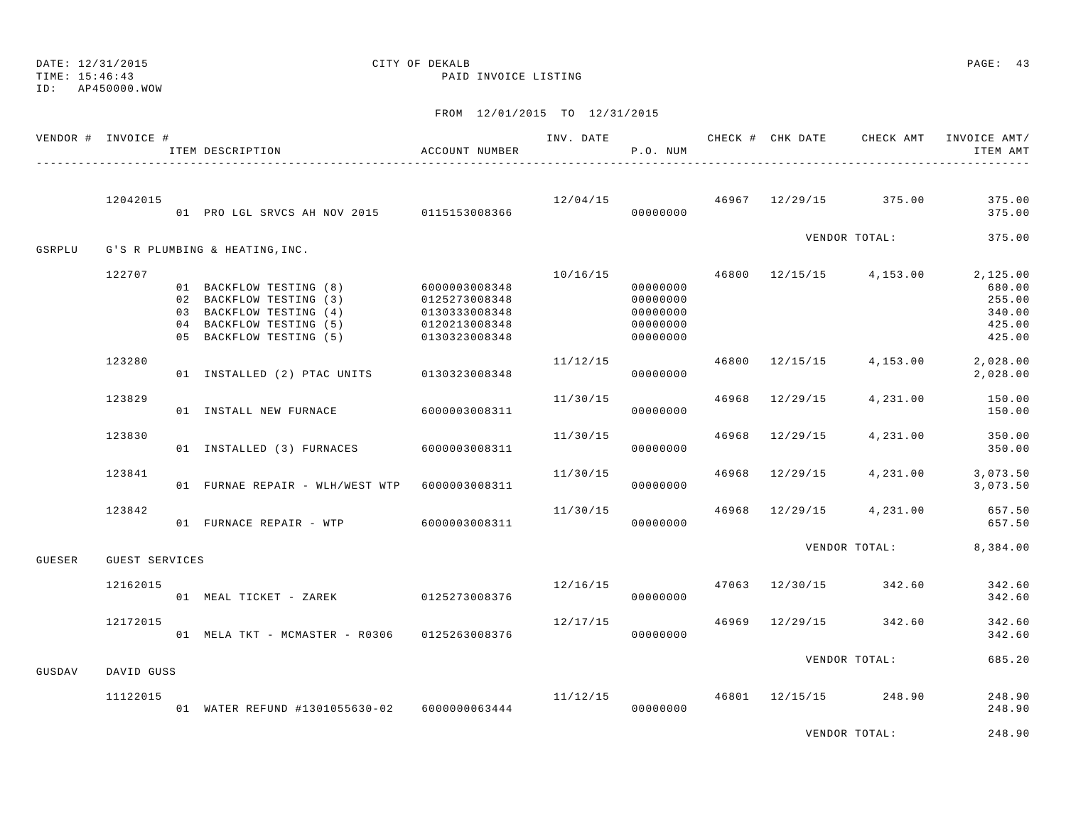DATE: 12/31/2015 CITY OF DEKALB PAGE: 43 TIME: 15:46:43 PAID INVOICE LISTING

ID: AP450000.WOW

### FROM 12/01/2015 TO 12/31/2015

|        | VENDOR # INVOICE # | ITEM DESCRIPTION                                                                                                                                  | ACCOUNT NUMBER                                                   |          | P.O. NUM                                                 |                |                                        | INV. DATE 6 1992 CHECK # CHK DATE 6 CHECK AMT INVOICE AMT/<br>ITEM AMT             |
|--------|--------------------|---------------------------------------------------------------------------------------------------------------------------------------------------|------------------------------------------------------------------|----------|----------------------------------------------------------|----------------|----------------------------------------|------------------------------------------------------------------------------------|
|        | 12042015           | 01 PRO LGL SRVCS AH NOV 2015 0115153008366                                                                                                        |                                                                  |          | 00000000                                                 |                | $12/04/15$ $46967$ $12/29/15$ $375.00$ | 375.00<br>375.00                                                                   |
| GSRPLU |                    | G'S R PLUMBING & HEATING, INC.                                                                                                                    |                                                                  |          |                                                          |                | VENDOR TOTAL:                          | 375.00                                                                             |
|        | 122707             | 01 BACKFLOW TESTING (8) 6000003008348<br>02 BACKFLOW TESTING (3)<br>03 BACKFLOW TESTING (4)<br>04 BACKFLOW TESTING (5)<br>05 BACKFLOW TESTING (5) | 0125273008348<br>0130333008348<br>0120213008348<br>0130323008348 | 10/16/15 | 00000000<br>00000000<br>00000000<br>00000000<br>00000000 |                |                                        | 46800 12/15/15 4,153.00 2,125.00<br>680.00<br>255.00<br>340.00<br>425.00<br>425.00 |
|        | 123280             | 01 INSTALLED (2) PTAC UNITS 0130323008348                                                                                                         |                                                                  | 11/12/15 | 00000000                                                 |                | 46800 12/15/15 4,153.00                | 2,028.00<br>2,028.00                                                               |
|        | 123829             | 01 INSTALL NEW FURNACE 6000003008311                                                                                                              |                                                                  | 11/30/15 | 00000000                                                 | 46968 12/29/15 | 4,231.00                               | 150.00<br>150.00                                                                   |
|        | 123830             | 01 INSTALLED (3) FURNACES 6000003008311                                                                                                           |                                                                  | 11/30/15 | 00000000                                                 | 46968 12/29/15 | 4,231.00                               | 350.00<br>350.00                                                                   |
|        | 123841             | 01 FURNAE REPAIR - WLH/WEST WTP 6000003008311                                                                                                     |                                                                  | 11/30/15 | 00000000                                                 | 46968 12/29/15 | 4,231.00                               | 3,073.50<br>3,073.50                                                               |
|        | 123842             | 01 FURNACE REPAIR - WTP 6000003008311                                                                                                             |                                                                  | 11/30/15 | 00000000                                                 |                | 46968 12/29/15 4,231.00                | 657.50<br>657.50                                                                   |
| GUESER | GUEST SERVICES     |                                                                                                                                                   |                                                                  |          |                                                          |                |                                        | VENDOR TOTAL: 8,384.00                                                             |
|        | 12162015           | 01 MEAL TICKET - ZAREK 0125273008376                                                                                                              |                                                                  |          | 00000000                                                 |                | $12/16/15$ $47063$ $12/30/15$ $342.60$ | 342.60<br>342.60                                                                   |
|        | 12172015           | 01 MELA TKT - MCMASTER - R0306 0125263008376                                                                                                      |                                                                  | 12/17/15 | 00000000                                                 |                | 46969 12/29/15 342.60                  | 342.60<br>342.60                                                                   |
| GUSDAV | DAVID GUSS         |                                                                                                                                                   |                                                                  |          |                                                          |                | VENDOR TOTAL:                          | 685.20                                                                             |
|        | 11122015           | 01 WATER REFUND #1301055630-02    6000000063444                                                                                                   |                                                                  |          | 00000000                                                 |                | $11/12/15$ $46801$ $12/15/15$ $248.90$ | 248.90<br>248.90                                                                   |

VENDOR TOTAL: 248.90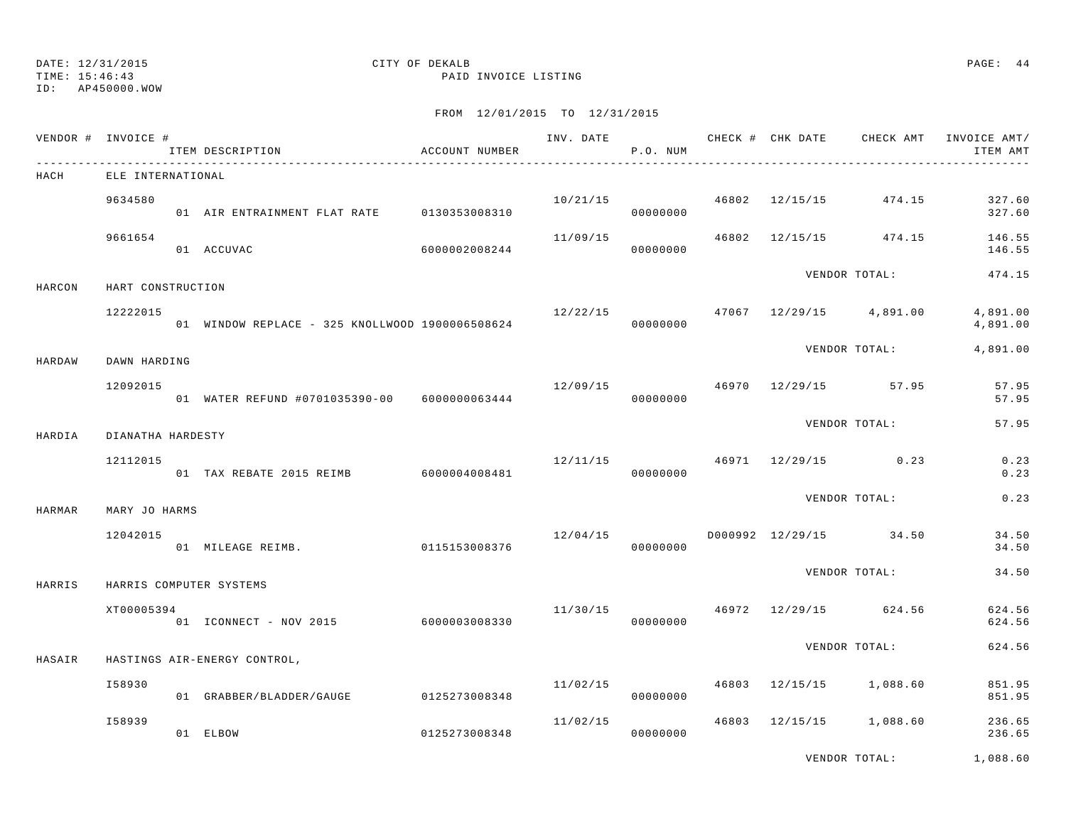ID: AP450000.WOW

#### TIME: 15:46:43 PAID INVOICE LISTING

|        | VENDOR # INVOICE #        | ITEM DESCRIPTION<br>______________________________ | ACCOUNT NUMBER |          | P.O. NUM             |  |                                          | ITEM AMT                                                  |
|--------|---------------------------|----------------------------------------------------|----------------|----------|----------------------|--|------------------------------------------|-----------------------------------------------------------|
| HACH   | ELE INTERNATIONAL         |                                                    |                |          |                      |  |                                          |                                                           |
|        | 9634580                   | 01 AIR ENTRAINMENT FLAT RATE 0130353008310         |                |          | 10/21/15<br>00000000 |  | 46802 12/15/15 474.15                    | 327.60<br>327.60                                          |
|        | 9661654                   | 01 ACCUVAC                                         | 6000002008244  |          | 00000000             |  |                                          | $11/09/15$ $46802$ $12/15/15$ $474.15$ $146.55$<br>146.55 |
| HARCON | HART CONSTRUCTION         |                                                    |                |          |                      |  | VENDOR TOTAL:                            | 474.15                                                    |
|        | 12222015                  | 01 WINDOW REPLACE - 325 KNOLLWOOD 1900006508624    |                |          | 00000000             |  | $12/22/15$ $47067$ $12/29/15$ $4,891.00$ | 4,891.00<br>4,891.00                                      |
|        |                           |                                                    |                |          |                      |  | VENDOR TOTAL:                            | 4,891.00                                                  |
| HARDAW | DAWN HARDING<br>12092015  | 01 WATER REFUND #0701035390-00 6000000063444       |                |          | 00000000             |  | 12/09/15 46970 12/29/15 57.95            | 57.95<br>57.95                                            |
|        | DIANATHA HARDESTY         |                                                    |                |          |                      |  | VENDOR TOTAL:                            | 57.95                                                     |
| HARDIA | 12112015                  | 01 TAX REBATE 2015 REIMB 6000004008481             |                |          | 00000000             |  | $12/11/15$ $46971$ $12/29/15$ 0.23       | 0.23<br>0.23                                              |
|        |                           |                                                    |                |          |                      |  | VENDOR TOTAL:                            | 0.23                                                      |
| HARMAR | MARY JO HARMS<br>12042015 | 01 MILEAGE REIMB. 0115153008376                    |                | 00000000 |                      |  | $12/04/15$ D000992 $12/29/15$ 34.50      | 34.50<br>34.50                                            |
| HARRIS |                           | HARRIS COMPUTER SYSTEMS                            |                |          |                      |  | VENDOR TOTAL:                            | 34.50                                                     |
|        | XT00005394                | 01 ICONNECT - NOV 2015 6000003008330               |                |          | 00000000             |  | $11/30/15$ $46972$ $12/29/15$ $624.56$   | 624.56<br>624.56                                          |
| HASAIR |                           | HASTINGS AIR-ENERGY CONTROL,                       |                |          |                      |  | VENDOR TOTAL:                            | 624.56                                                    |
|        | I58930                    |                                                    |                | 11/02/15 |                      |  | 46803 12/15/15 1,088.60                  | 851.95                                                    |
|        |                           | 01 GRABBER/BLADDER/GAUGE 0125273008348             |                |          | 00000000             |  |                                          | 851.95                                                    |
|        | I58939                    | 01 ELBOW                                           | 0125273008348  | 11/02/15 | 00000000             |  | 46803 12/15/15 1,088.60                  | 236.65<br>236.65                                          |
|        |                           |                                                    |                |          |                      |  | VENDOR TOTAL:                            | 1,088.60                                                  |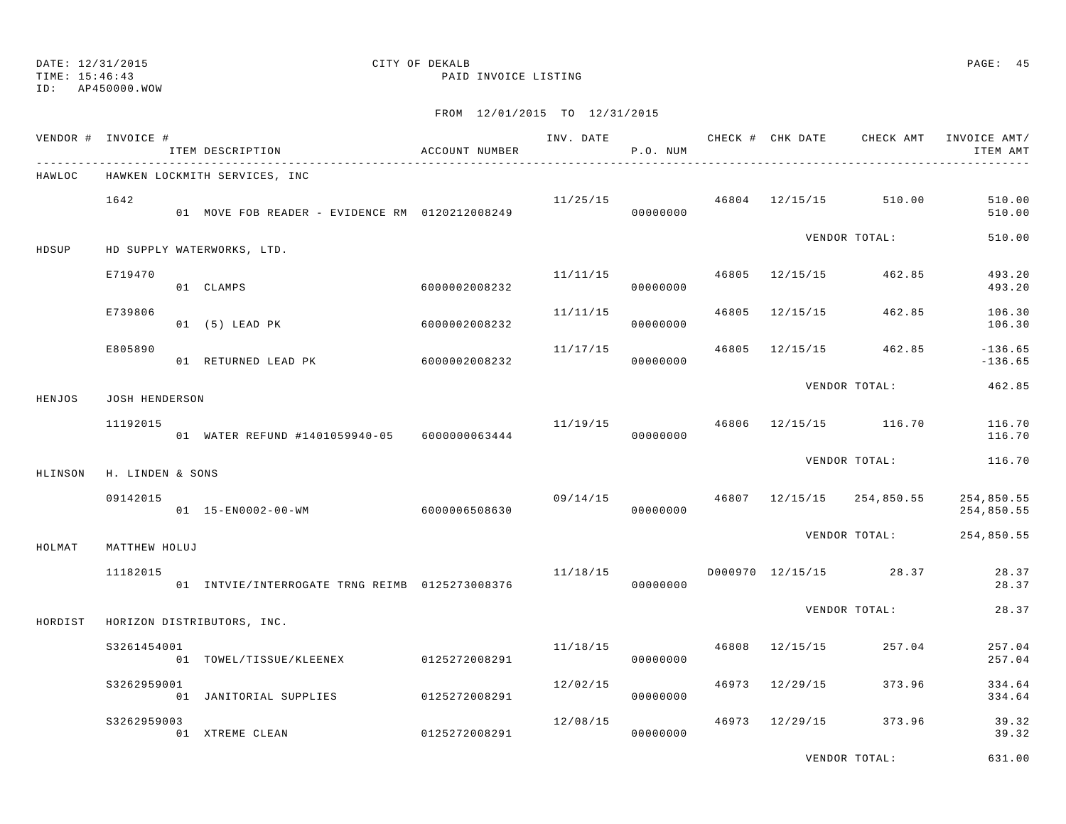ID: AP450000.WOW

TIME: 15:46:43 PAID INVOICE LISTING

### FROM 12/01/2015 TO 12/31/2015

|         | VENDOR # INVOICE #    | ITEM DESCRIPTION                               | ACCOUNT NUMBER |                                        | P.O. NUM |       |                |                                            | INV. DATE 6 1999 CHECK # CHK DATE 6 CHECK AMT INVOICE AMT<br>ITEM AMT |
|---------|-----------------------|------------------------------------------------|----------------|----------------------------------------|----------|-------|----------------|--------------------------------------------|-----------------------------------------------------------------------|
| HAWLOC  |                       | HAWKEN LOCKMITH SERVICES, INC                  |                |                                        |          |       |                |                                            |                                                                       |
|         | 1642                  | 01 MOVE FOB READER - EVIDENCE RM 0120212008249 |                |                                        | 00000000 |       |                | $11/25/15$ 46804 $12/15/15$ 510.00         | 510.00<br>510.00                                                      |
| HDSUP   |                       | HD SUPPLY WATERWORKS, LTD.                     |                |                                        |          |       |                | VENDOR TOTAL:                              | 510.00                                                                |
|         | E719470               | 01 CLAMPS                                      | 6000002008232  | 11/11/15                               | 00000000 |       |                | 46805 12/15/15 462.85                      | 493.20<br>493.20                                                      |
|         | E739806               | 60000002008232<br>01 (5) LEAD PK               |                | 11/11/15                               | 00000000 |       | 46805 12/15/15 | 462.85                                     | 106.30<br>106.30                                                      |
|         | E805890               | 01 RETURNED LEAD PK 6000002008232              |                | 11/17/15                               | 00000000 | 46805 |                | 12/15/15 462.85                            | $-136.65$<br>$-136.65$                                                |
| HENJOS  | <b>JOSH HENDERSON</b> |                                                |                |                                        |          |       |                | VENDOR TOTAL:                              | 462.85                                                                |
|         | 11192015              | 01 WATER REFUND #1401059940-05 6000000063444   |                | $11/19/15$ $46806$ $12/15/15$ $116.70$ | 00000000 |       |                |                                            | 116.70<br>116.70                                                      |
|         |                       |                                                |                |                                        |          |       |                | VENDOR TOTAL:                              | 116.70                                                                |
| HLINSON | H. LINDEN & SONS      |                                                |                |                                        |          |       |                |                                            |                                                                       |
|         | 09142015              | 01  15-EN0002-00-WM  6000006508630             |                |                                        | 00000000 |       |                | $09/14/15$ $46807$ $12/15/15$ $254,850.55$ | 254,850.55<br>254,850.55                                              |
| HOLMAT  | MATTHEW HOLUJ         |                                                |                |                                        |          |       |                |                                            | VENDOR TOTAL: 254,850.55                                              |
|         | 11182015              | 01 INTVIE/INTERROGATE TRNG REIMB 0125273008376 |                | 11/18/15                               | 00000000 |       |                | D000970 12/15/15 28.37                     | 28.37<br>28.37                                                        |
| HORDIST |                       | HORIZON DISTRIBUTORS, INC.                     |                |                                        |          |       |                | VENDOR TOTAL:                              | 28.37                                                                 |
|         | \$3261454001          | 01 TOWEL/TISSUE/KLEENEX 0125272008291          |                | 11/18/15 46808                         | 00000000 |       | 12/15/15       | 257.04                                     | 257.04<br>257.04                                                      |
|         | S3262959001           | 01 JANITORIAL SUPPLIES 0125272008291           |                | 12/02/15                               | 00000000 |       | 46973 12/29/15 | 373.96                                     | 334.64<br>334.64                                                      |
|         | S3262959003           | 01 XTREME CLEAN                                | 0125272008291  | 12/08/15                               | 00000000 |       | 46973 12/29/15 | 373.96                                     | 39.32<br>39.32                                                        |

VENDOR TOTAL: 631.00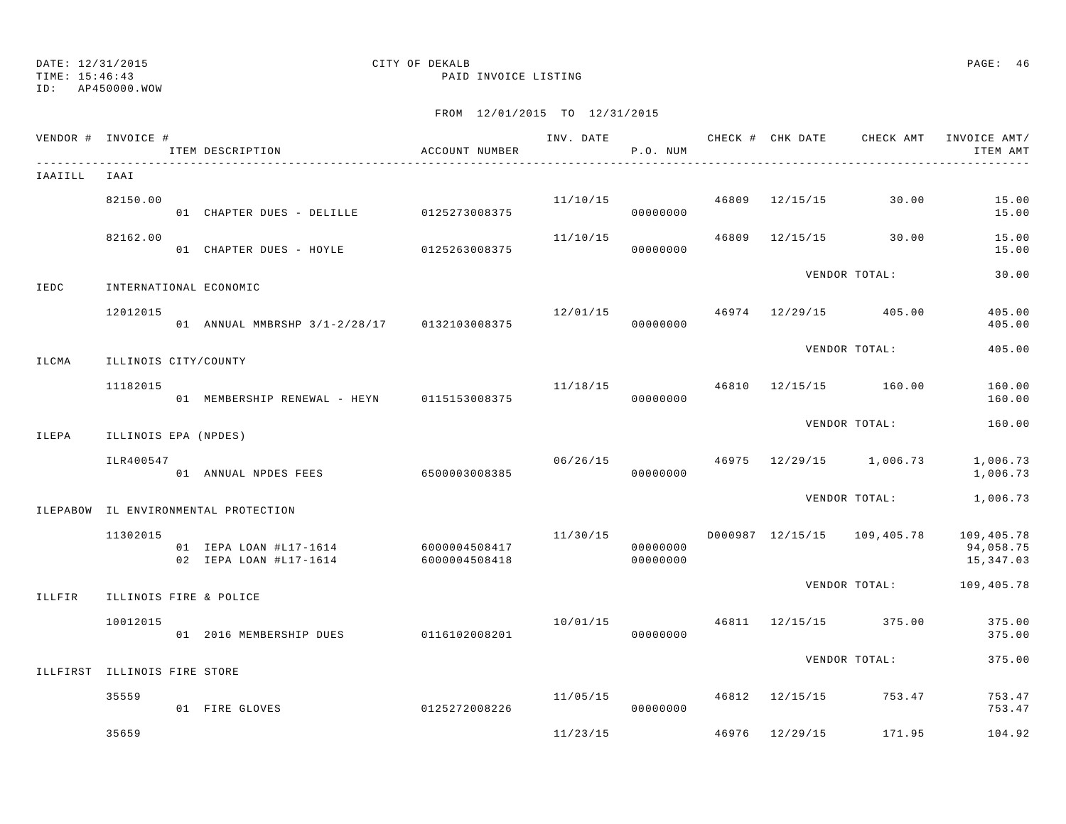TIME: 15:46:43 PAID INVOICE LISTING

ID: AP450000.WOW

|              | VENDOR # INVOICE #           | ITEM DESCRIPTION                                                             | ACCOUNT NUMBER |          | P.O. NUM             |  | INV. DATE 6 7 CHECK # CHK DATE CHECK AMT INVOICE AMT/ | ITEM AMT               |
|--------------|------------------------------|------------------------------------------------------------------------------|----------------|----------|----------------------|--|-------------------------------------------------------|------------------------|
| IAAIILL IAAI |                              |                                                                              |                |          |                      |  |                                                       |                        |
|              | 82150.00                     | 01 CHAPTER DUES - DELILLE 0125273008375                                      |                |          | 00000000             |  | $11/10/15$ $46809$ $12/15/15$ $30.00$                 | 15.00<br>15.00         |
|              | 82162.00                     | 01 CHAPTER DUES - HOYLE 6125263008375                                        |                | 11/10/15 | 00000000             |  | 46809 12/15/15 30.00                                  | 15.00<br>15.00         |
| IEDC         |                              | INTERNATIONAL ECONOMIC                                                       |                |          |                      |  | VENDOR TOTAL:                                         | 30.00                  |
|              | 12012015                     | 01 ANNUAL MMBRSHP 3/1-2/28/17 0132103008375                                  |                | 00000000 |                      |  | $12/01/15$ $46974$ $12/29/15$ $405.00$                | 405.00<br>405.00       |
| ILCMA        | ILLINOIS CITY/COUNTY         |                                                                              |                |          |                      |  | VENDOR TOTAL:                                         | 405.00                 |
|              | 11182015                     | 01 MEMBERSHIP RENEWAL - HEYN 0115153008375                                   |                |          | 00000000             |  | 11/18/15  46810  12/15/15  160.00                     | 160.00<br>160.00       |
| ILEPA        | ILLINOIS EPA (NPDES)         |                                                                              |                |          |                      |  | VENDOR TOTAL:                                         | 160.00                 |
|              | ILR400547                    | 01 ANNUAL NPDES FEES 6500003008385                                           |                |          | 00000000             |  | $06/26/15$ $46975$ $12/29/15$ $1,006.73$ $1,006.73$   | 1,006.73               |
|              |                              | ILEPABOW IL ENVIRONMENTAL PROTECTION                                         |                |          |                      |  | VENDOR TOTAL:                                         | 1,006.73               |
|              | 11302015                     | 01 IEPA LOAN #L17-1614 6000004508417<br>02 IEPA LOAN #L17-1614 6000004508418 |                | 11/30/15 | 00000000<br>00000000 |  | D000987 12/15/15 109,405.78 109,405.78                | 94,058.75<br>15,347.03 |
| ILLFIR       |                              | ILLINOIS FIRE & POLICE                                                       |                |          |                      |  | VENDOR TOTAL: 109,405.78                              |                        |
|              | 10012015                     | 01 2016 MEMBERSHIP DUES 0116102008201                                        |                |          | 00000000             |  | $10/01/15$ $46811$ $12/15/15$ $375.00$                | 375.00<br>375.00       |
|              | ILLFIRST ILLINOIS FIRE STORE |                                                                              |                |          |                      |  | VENDOR TOTAL:                                         | 375.00                 |
|              | 35559                        | 01 FIRE GLOVES                                                               | 0125272008226  | 11/05/15 | 00000000             |  | 46812 12/15/15 753.47                                 | 753.47<br>753.47       |
|              | 35659                        |                                                                              |                | 11/23/15 |                      |  | 46976 12/29/15 171.95                                 | 104.92                 |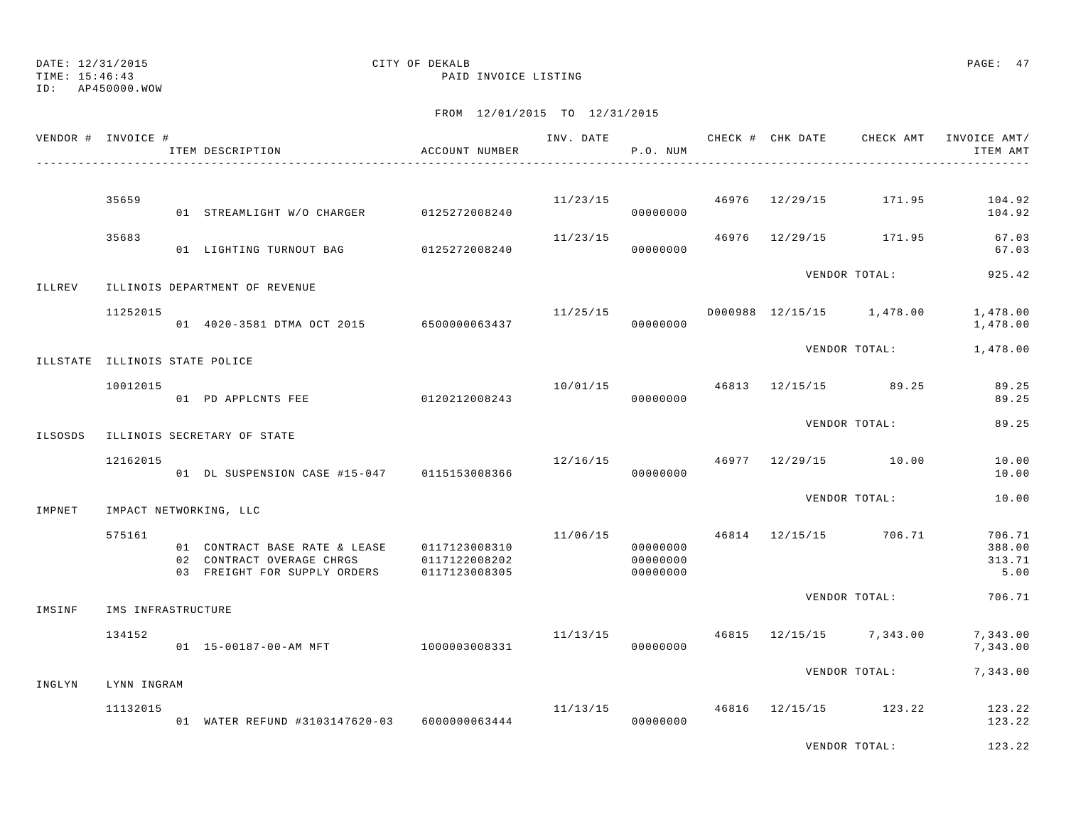TIME: 15:46:43 PAID INVOICE LISTING

ID: AP450000.WOW

|         | VENDOR # INVOICE #             | ITEM DESCRIPTION                                                                           | ACCOUNT NUMBER                                  |          | P.O. NUM                         |       | INV. DATE CHECK # CHK DATE CHECK AMT | INVOICE AMT/<br>ITEM AMT           |
|---------|--------------------------------|--------------------------------------------------------------------------------------------|-------------------------------------------------|----------|----------------------------------|-------|--------------------------------------|------------------------------------|
|         |                                |                                                                                            |                                                 |          |                                  |       |                                      |                                    |
|         | 35659                          | 01 STREAMLIGHT W/O CHARGER 0125272008240                                                   |                                                 | 11/23/15 | 00000000                         | 46976 | 12/29/15 171.95                      | 104.92<br>104.92                   |
|         | 35683                          | 01 LIGHTING TURNOUT BAG                                                                    | 0125272008240                                   | 11/23/15 | 00000000                         | 46976 | 12/29/15 171.95                      | 67.03<br>67.03                     |
| ILLREV  |                                | ILLINOIS DEPARTMENT OF REVENUE                                                             |                                                 |          |                                  |       | VENDOR TOTAL:                        | 925.42                             |
|         | 11252015                       | 01 4020-3581 DTMA OCT 2015 6500000063437                                                   |                                                 | 11/25/15 | 00000000                         |       | D000988 12/15/15 1,478.00            | 1,478.00<br>1,478.00               |
|         | ILLSTATE ILLINOIS STATE POLICE |                                                                                            |                                                 |          |                                  |       | VENDOR TOTAL:                        | 1,478.00                           |
|         | 10012015                       | 01 PD APPLCNTS FEE                                                                         | 0120212008243                                   |          | 00000000                         |       | $10/01/15$ $46813$ $12/15/15$ 89.25  | 89.25<br>89.25                     |
| ILSOSDS |                                | ILLINOIS SECRETARY OF STATE                                                                |                                                 |          |                                  |       | VENDOR TOTAL:                        | 89.25                              |
|         | 12162015                       | 01 DL SUSPENSION CASE #15-047 0115153008366                                                |                                                 | 12/16/15 | 00000000                         |       | 46977 12/29/15 10.00                 | 10.00<br>10.00                     |
| IMPNET  |                                | IMPACT NETWORKING, LLC                                                                     |                                                 |          |                                  |       | VENDOR TOTAL:                        | 10.00                              |
|         | 575161                         | 01 CONTRACT BASE RATE & LEASE<br>02 CONTRACT OVERAGE CHRGS<br>03 FREIGHT FOR SUPPLY ORDERS | 0117123008310<br>0117122008202<br>0117123008305 | 11/06/15 | 00000000<br>00000000<br>00000000 |       | 46814 12/15/15 706.71                | 706.71<br>388.00<br>313.71<br>5.00 |
|         | IMS INFRASTRUCTURE             |                                                                                            |                                                 |          |                                  |       | VENDOR TOTAL:                        | 706.71                             |
| IMSINF  | 134152                         | 01 15-00187-00-AM MFT                                                                      | 1000003008331                                   | 11/13/15 | 00000000                         | 46815 | 12/15/15 7,343.00                    | 7,343.00<br>7,343.00               |
|         |                                |                                                                                            |                                                 |          |                                  |       | VENDOR TOTAL:                        | 7,343.00                           |
| INGLYN  | LYNN INGRAM<br>11132015        | 01 WATER REFUND #3103147620-03 6000000063444                                               |                                                 | 11/13/15 | 00000000                         | 46816 | 12/15/15 123.22                      | 123.22<br>123.22                   |
|         |                                |                                                                                            |                                                 |          |                                  |       | VENDOR TOTAL:                        | 123.22                             |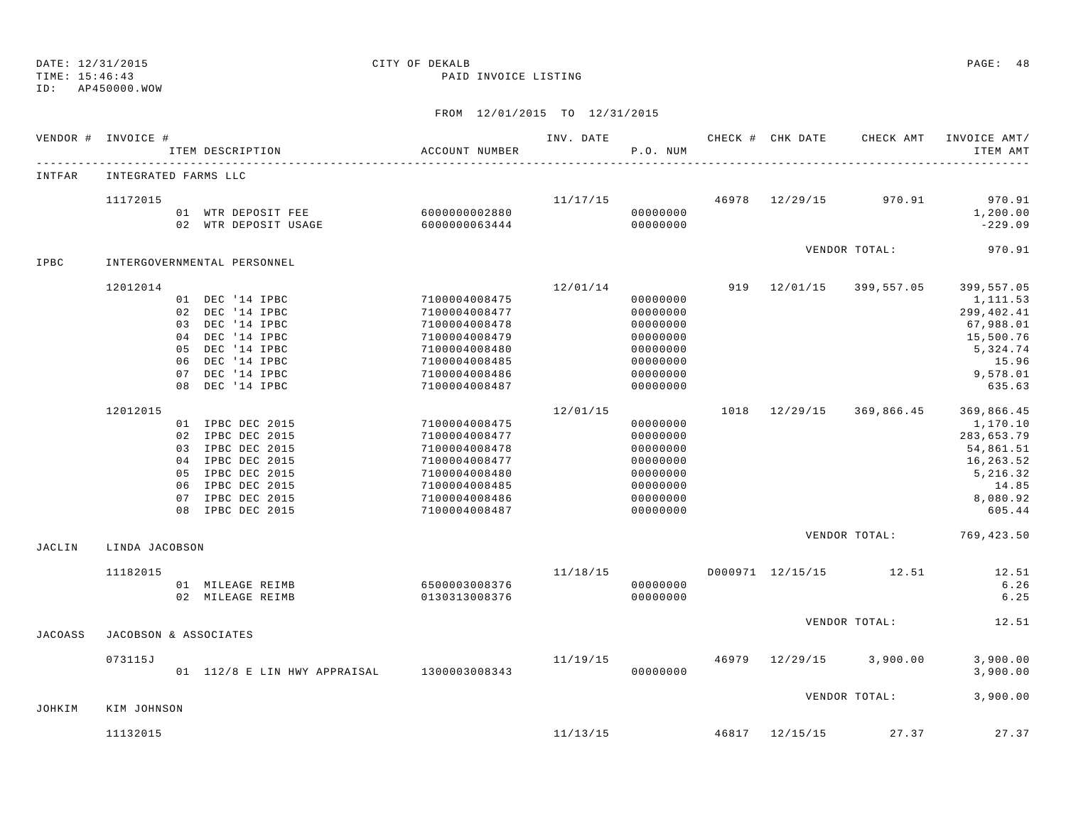TIME: 15:46:43 PAID INVOICE LISTING

ID: AP450000.WOW

|                | VENDOR # INVOICE #    |    | ITEM DESCRIPTION                           | ACCOUNT NUMBER | INV. DATE | P.O. NUM |       | CHECK # CHK DATE |               | CHECK AMT INVOICE AMT/<br>ITEM AMT |
|----------------|-----------------------|----|--------------------------------------------|----------------|-----------|----------|-------|------------------|---------------|------------------------------------|
| INTFAR         | INTEGRATED FARMS LLC  |    |                                            |                |           |          |       |                  |               |                                    |
|                | 11172015              |    |                                            |                | 11/17/15  |          |       | 46978 12/29/15   | 970.91        | 970.91                             |
|                |                       |    | 01 WTR DEPOSIT FEE                         | 60000000002880 |           | 00000000 |       |                  |               | 1,200.00                           |
|                |                       |    | 02 WTR DEPOSIT USAGE                       | 6000000063444  |           | 00000000 |       |                  |               | $-229.09$                          |
| IPBC           |                       |    | INTERGOVERNMENTAL PERSONNEL                |                |           |          |       |                  | VENDOR TOTAL: | 970.91                             |
|                |                       |    |                                            |                |           |          |       |                  |               |                                    |
|                | 12012014              |    |                                            |                | 12/01/14  |          | 919   | 12/01/15         | 399,557.05    | 399,557.05                         |
|                |                       |    | 01 DEC '14 IPBC                            | 7100004008475  |           | 00000000 |       |                  |               | 1,111.53                           |
|                |                       |    | 02 DEC '14 IPBC                            | 7100004008477  |           | 00000000 |       |                  |               | 299,402.41                         |
|                |                       |    | 03 DEC '14 IPBC                            | 7100004008478  |           | 00000000 |       |                  |               | 67,988.01                          |
|                |                       |    | 04 DEC '14 IPBC                            | 7100004008479  |           | 00000000 |       |                  |               | 15,500.76                          |
|                |                       |    | 05 DEC '14 IPBC                            | 7100004008480  |           | 00000000 |       |                  |               | 5,324.74                           |
|                |                       | 06 | DEC '14 IPBC                               | 7100004008485  |           | 00000000 |       |                  |               | 15.96                              |
|                |                       | 07 | DEC '14 IPBC                               | 7100004008486  |           | 00000000 |       |                  |               | 9,578.01                           |
|                |                       |    | 08 DEC '14 IPBC                            | 7100004008487  |           | 00000000 |       |                  |               | 635.63                             |
|                | 12012015              |    |                                            |                | 12/01/15  |          | 1018  | 12/29/15         | 369,866.45    | 369,866.45                         |
|                |                       |    | 01 IPBC DEC 2015                           | 7100004008475  |           | 00000000 |       |                  |               | 1,170.10                           |
|                |                       | 02 | IPBC DEC 2015                              | 7100004008477  |           | 00000000 |       |                  |               | 283,653.79                         |
|                |                       | 03 | IPBC DEC 2015                              | 7100004008478  |           | 00000000 |       |                  |               | 54,861.51                          |
|                |                       |    | 04 IPBC DEC 2015                           | 7100004008477  |           | 00000000 |       |                  |               | 16,263.52                          |
|                |                       |    | 05 IPBC DEC 2015                           | 7100004008480  |           | 00000000 |       |                  |               | 5, 216.32                          |
|                |                       | 06 | IPBC DEC 2015                              | 7100004008485  |           | 00000000 |       |                  |               | 14.85                              |
|                |                       | 07 | IPBC DEC 2015                              | 7100004008486  |           | 00000000 |       |                  |               | 8,080.92                           |
|                |                       | 08 | IPBC DEC 2015                              | 7100004008487  |           | 00000000 |       |                  |               | 605.44                             |
| JACLIN         | LINDA JACOBSON        |    |                                            |                |           |          |       |                  | VENDOR TOTAL: | 769,423.50                         |
|                |                       |    |                                            |                |           |          |       |                  |               |                                    |
|                | 11182015              |    |                                            |                | 11/18/15  |          |       | D000971 12/15/15 | 12.51         | 12.51                              |
|                |                       |    | 01 MILEAGE REIMB                           | 6500003008376  |           | 00000000 |       |                  |               | 6.26                               |
|                |                       |    | 02 MILEAGE REIMB                           | 0130313008376  |           | 00000000 |       |                  |               | 6.25                               |
|                |                       |    |                                            |                |           |          |       |                  | VENDOR TOTAL: | 12.51                              |
| <b>JACOASS</b> | JACOBSON & ASSOCIATES |    |                                            |                |           |          |       |                  |               |                                    |
|                | 073115J               |    |                                            |                | 11/19/15  | 00000000 | 46979 | 12/29/15         | 3,900.00      | 3,900.00                           |
|                |                       |    | 01 112/8 E LIN HWY APPRAISAL 1300003008343 |                |           |          |       |                  |               | 3,900.00                           |
| JOHKIM         | KIM JOHNSON           |    |                                            |                |           |          |       |                  | VENDOR TOTAL: | 3,900.00                           |
|                | 11132015              |    |                                            |                | 11/13/15  |          | 46817 | 12/15/15         | 27.37         | 27.37                              |
|                |                       |    |                                            |                |           |          |       |                  |               |                                    |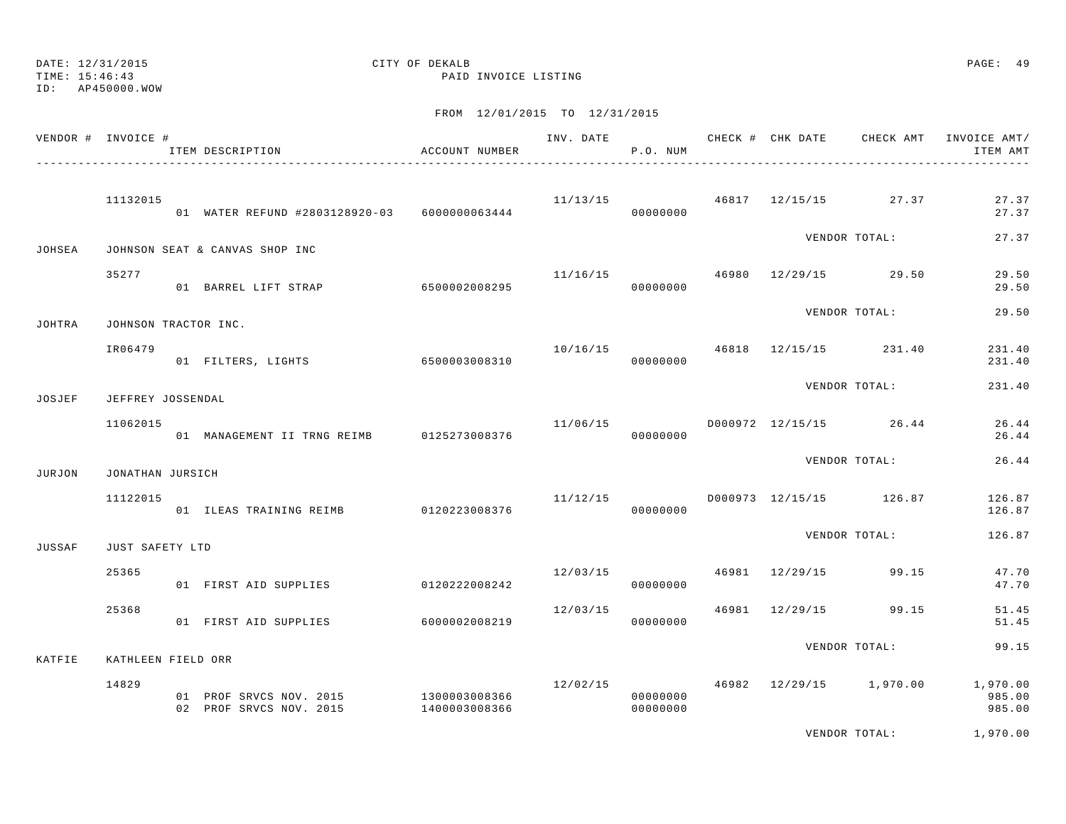ID: AP450000.WOW

TIME: 15:46:43 PAID INVOICE LISTING

### FROM 12/01/2015 TO 12/31/2015

| VENDOR # INVOICE # |                      | ITEM DESCRIPTION                                                 | ACCOUNT NUMBER |                                        | P.O. NUM             |  |                                          | INV. DATE 6 CHECK # CHK DATE CHECK AMT INVOICE AMT/<br>ITEM AMT         |
|--------------------|----------------------|------------------------------------------------------------------|----------------|----------------------------------------|----------------------|--|------------------------------------------|-------------------------------------------------------------------------|
|                    | 11132015             | 01 WATER REFUND #2803128920-03 6000000063444                     |                |                                        | 00000000             |  | $11/13/15$ $46817$ $12/15/15$ $27.37$    | 27.37<br>27.37                                                          |
| JOHSEA             |                      | JOHNSON SEAT & CANVAS SHOP INC                                   |                |                                        |                      |  | VENDOR TOTAL:                            | 27.37                                                                   |
|                    | 35277                | 01 BARREL LIFT STRAP                                             | 6500002008295  |                                        | 00000000             |  | $11/16/15$ $46980$ $12/29/15$ 29.50      | 29.50<br>29.50                                                          |
| JOHTRA             | JOHNSON TRACTOR INC. |                                                                  |                |                                        |                      |  | VENDOR TOTAL:                            | 29.50                                                                   |
|                    | IR06479              | 01 FILTERS, LIGHTS 6500003008310                                 |                | $10/16/15$ $46818$ $12/15/15$ $231.40$ | 00000000             |  |                                          | 231.40<br>231.40                                                        |
| JOSJEF             | JEFFREY JOSSENDAL    |                                                                  |                |                                        |                      |  | VENDOR TOTAL:                            | 231.40                                                                  |
|                    | 11062015             | 01 MANAGEMENT II TRNG REIMB 0125273008376                        |                |                                        | 00000000             |  | $11/06/15$ $D000972$ $12/15/15$ $26.44$  | 26.44<br>26.44                                                          |
| JURJON             | JONATHAN JURSICH     |                                                                  |                |                                        |                      |  | VENDOR TOTAL:                            | 26.44                                                                   |
|                    | 11122015             | 01 ILEAS TRAINING REIMB 0120223008376                            |                |                                        | 00000000             |  | $11/12/15$ $D000973$ $12/15/15$ $126.87$ | 126.87<br>126.87                                                        |
| JUSSAF             | JUST SAFETY LTD      |                                                                  |                |                                        |                      |  | VENDOR TOTAL:                            | 126.87                                                                  |
|                    | 25365                | 01 FIRST AID SUPPLIES                                            | 0120222008242  | 12/03/15                               | 00000000             |  | 46981 12/29/15 99.15                     | 47.70<br>47.70                                                          |
|                    | 25368                | 01 FIRST AID SUPPLIES                                            | 6000002008219  | 12/03/15                               | 00000000             |  | 46981 12/29/15 99.15                     | 51.45<br>51.45                                                          |
| KATFIE             | KATHLEEN FIELD ORR   |                                                                  |                |                                        |                      |  | VENDOR TOTAL:                            | 99.15                                                                   |
|                    | 14829                | 01 PROF SRVCS NOV. 2015 1300003008366<br>02 PROF SRVCS NOV. 2015 | 1400003008366  |                                        | 00000000<br>00000000 |  |                                          | $12/02/15$ $46982$ $12/29/15$ $1,970.00$ $1,970.00$<br>985.00<br>985.00 |

VENDOR TOTAL: 1,970.00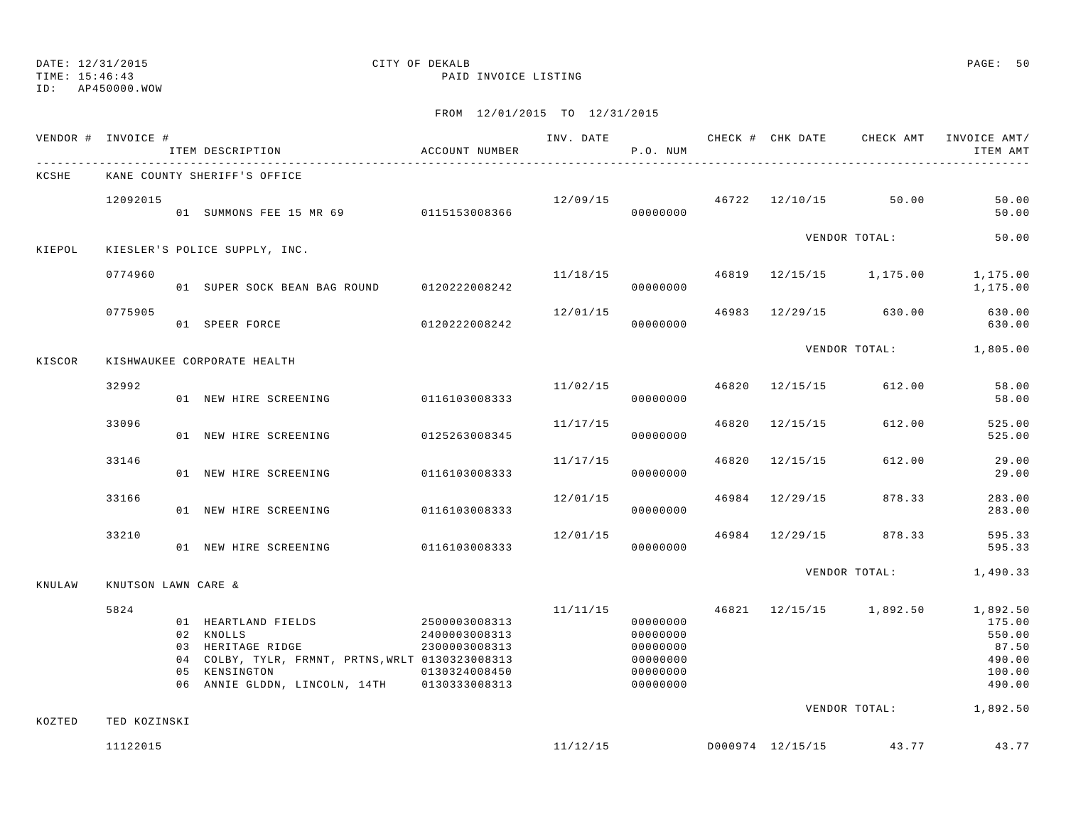ID: AP450000.WOW

TIME: 15:46:43 PAID INVOICE LISTING

|        | VENDOR # INVOICE #  | ACCOUNT NUMBER<br>ITEM DESCRIPTION                                                                                                                                                      |                                                 |          | P.O. NUM                                                             |       |                |                         | ITEM AMT                                                            |
|--------|---------------------|-----------------------------------------------------------------------------------------------------------------------------------------------------------------------------------------|-------------------------------------------------|----------|----------------------------------------------------------------------|-------|----------------|-------------------------|---------------------------------------------------------------------|
| KCSHE  |                     | KANE COUNTY SHERIFF'S OFFICE                                                                                                                                                            |                                                 |          |                                                                      |       |                |                         |                                                                     |
|        | 12092015            | 01 SUMMONS FEE 15 MR 69 0115153008366                                                                                                                                                   |                                                 | 12/09/15 | 00000000                                                             |       |                | 46722 12/10/15 50.00    | 50.00<br>50.00                                                      |
| KIEPOL |                     | KIESLER'S POLICE SUPPLY, INC.                                                                                                                                                           |                                                 |          |                                                                      |       |                | VENDOR TOTAL:           | 50.00                                                               |
|        | 0774960             | 01 SUPER SOCK BEAN BAG ROUND 0120222008242                                                                                                                                              |                                                 | 11/18/15 | 00000000                                                             |       |                | 46819 12/15/15 1,175.00 | 1,175.00<br>1,175.00                                                |
|        | 0775905             | 01 SPEER FORCE                                                                                                                                                                          | 0120222008242                                   | 12/01/15 | 00000000                                                             |       |                | 46983 12/29/15 630.00   | 630.00<br>630.00                                                    |
| KISCOR |                     | KISHWAUKEE CORPORATE HEALTH                                                                                                                                                             |                                                 |          |                                                                      |       |                |                         | VENDOR TOTAL: 1,805.00                                              |
|        | 32992               | 01 NEW HIRE SCREENING                                                                                                                                                                   | 0116103008333                                   |          | 11/02/15<br>00000000                                                 | 46820 | 12/15/15       | 612.00                  | 58.00<br>58.00                                                      |
|        | 33096               | 01 NEW HIRE SCREENING                                                                                                                                                                   | 0125263008345                                   | 11/17/15 | 00000000                                                             | 46820 | 12/15/15       | 612.00                  | 525.00<br>525.00                                                    |
|        | 33146               | 01 NEW HIRE SCREENING                                                                                                                                                                   | 0116103008333                                   | 11/17/15 | 00000000                                                             |       | 46820 12/15/15 | 612.00                  | 29.00<br>29.00                                                      |
|        | 33166               | 01 NEW HIRE SCREENING                                                                                                                                                                   | 0116103008333                                   | 12/01/15 | 00000000                                                             |       | 46984 12/29/15 | 878.33                  | 283.00<br>283.00                                                    |
|        | 33210               | 01 NEW HIRE SCREENING                                                                                                                                                                   | 0116103008333                                   | 12/01/15 | 00000000                                                             | 46984 | 12/29/15       | 878.33                  | 595.33<br>595.33                                                    |
| KNULAW | KNUTSON LAWN CARE & |                                                                                                                                                                                         |                                                 |          |                                                                      |       |                |                         | VENDOR TOTAL: 1,490.33                                              |
|        | 5824                | 01 HEARTLAND FIELDS 2500003008313<br>02 KNOLLS<br>03 HERITAGE RIDGE<br>04 COLBY, TYLR, FRMNT, PRTNS, WRLT 0130323008313<br>05 KENSINGTON<br>06 ANNIE GLDDN, LINCOLN, 14TH 0130333008313 | 2400003008313<br>2300003008313<br>0130324008450 | 11/11/15 | 00000000<br>00000000<br>00000000<br>00000000<br>00000000<br>00000000 |       |                | 46821 12/15/15 1,892.50 | 1,892.50<br>175.00<br>550.00<br>87.50<br>490.00<br>100.00<br>490.00 |
| KOZTED | TED KOZINSKI        |                                                                                                                                                                                         |                                                 |          |                                                                      |       |                |                         | VENDOR TOTAL: 1,892.50                                              |
|        | 11122015            |                                                                                                                                                                                         |                                                 |          |                                                                      |       |                |                         | $11/12/15$ $12/15/15$ $13/15/15$ $13.77$ $13.77$                    |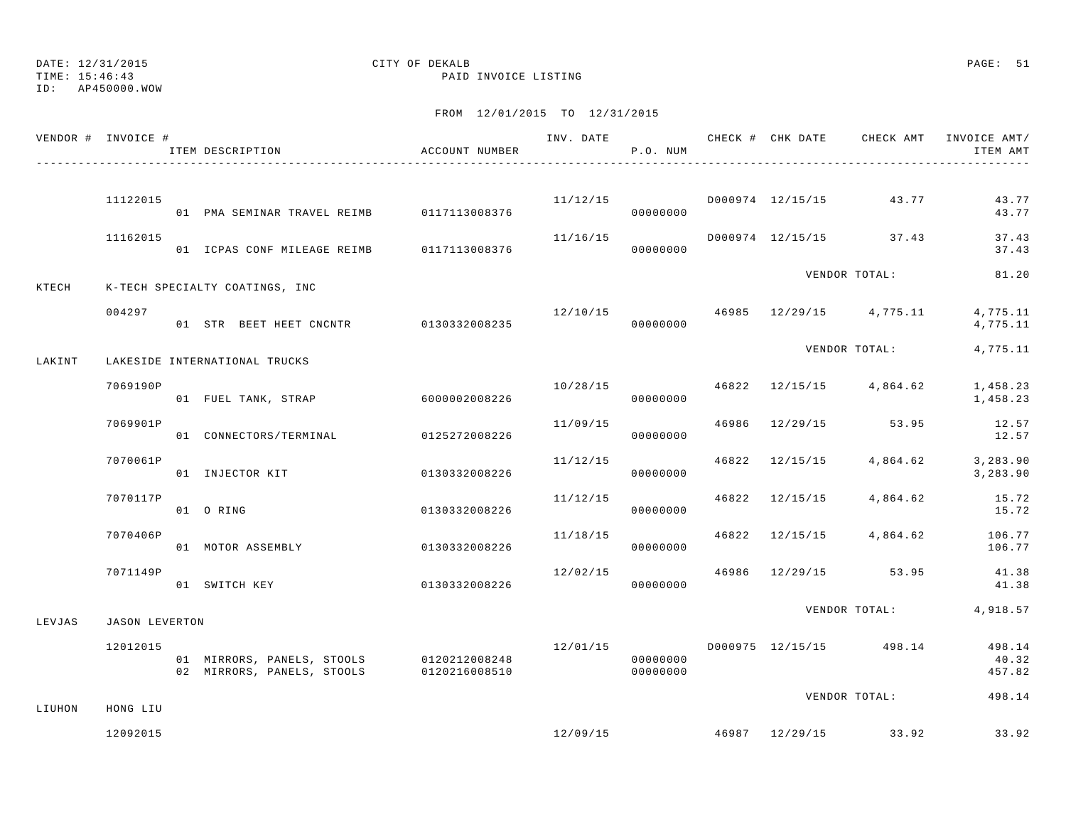# DATE: 12/31/2015 QUITY OF DEKALB QUITY OF DEALB

ID: AP450000.WOW

#### TIME: 15:46:43 PAID INVOICE LISTING

|        | VENDOR # INVOICE #    | ITEM DESCRIPTION                          | ACCOUNT NUMBER |          | P.O. NUM |                |                                               | INV. DATE 6 CHECK # CHK DATE CHECK AMT INVOICE AMT/<br>ITEM AMT |
|--------|-----------------------|-------------------------------------------|----------------|----------|----------|----------------|-----------------------------------------------|-----------------------------------------------------------------|
|        |                       |                                           |                |          |          |                |                                               |                                                                 |
|        | 11122015              | 01 PMA SEMINAR TRAVEL REIMB 0117113008376 |                |          | 00000000 |                | $11/12/15$ $D000974$ $12/15/15$ $43.77$       | 43.77<br>43.77                                                  |
|        | 11162015              | 01 ICPAS CONF MILEAGE REIMB 0117113008376 |                | 11/16/15 | 00000000 |                | D000974 12/15/15 37.43                        | 37.43<br>37.43                                                  |
| KTECH  |                       | K-TECH SPECIALTY COATINGS, INC            |                |          |          |                | VENDOR TOTAL:                                 | 81.20                                                           |
|        | 004297                | 01 STR BEET HEET CNCNTR 0130332008235     |                | 12/10/15 | 00000000 |                | 46985 12/29/15 4,775.11 4,775.11              | 4,775.11                                                        |
| LAKINT |                       | LAKESIDE INTERNATIONAL TRUCKS             |                |          |          |                | VENDOR TOTAL: 4,775.11                        |                                                                 |
|        | 7069190P              | 01 FUEL TANK, STRAP 6000002008226         |                | 10/28/15 | 00000000 |                | 46822 12/15/15 4,864.62                       | 1,458.23<br>1,458.23                                            |
|        | 7069901P              |                                           |                | 11/09/15 | 00000000 |                | 46986 12/29/15 53.95 12.57                    | 12.57                                                           |
|        | 7070061P              | 01 INJECTOR KIT 0130332008226             |                | 11/12/15 | 00000000 |                | 46822 12/15/15 4,864.62 3,283.90              | 3,283.90                                                        |
|        | 7070117P              | 01 O RING                                 | 0130332008226  | 11/12/15 | 00000000 | 46822 12/15/15 | 4,864.62                                      | 15.72<br>15.72                                                  |
|        | 7070406P              | 01 MOTOR ASSEMBLY                         | 0130332008226  | 11/18/15 | 00000000 |                | 46822 12/15/15 4,864.62                       | 106.77<br>106.77                                                |
|        | 7071149P              | 01 SWITCH KEY 6130332008226               |                | 12/02/15 | 00000000 |                | 46986 12/29/15 53.95                          | 41.38<br>41.38                                                  |
| LEVJAS | <b>JASON LEVERTON</b> |                                           |                |          |          |                |                                               | VENDOR TOTAL: 4,918.57                                          |
|        | 12012015              |                                           |                |          |          |                | $12/01/15$ D000975 12/15/15 498.14            | 498.14<br>40.32<br>457.82                                       |
| LIUHON | HONG LIU              |                                           |                |          |          |                | VENDOR TOTAL:                                 | 498.14                                                          |
|        | 12092015              |                                           |                |          |          |                | $12/09/15$ $46987$ $12/29/15$ $33.92$ $33.92$ |                                                                 |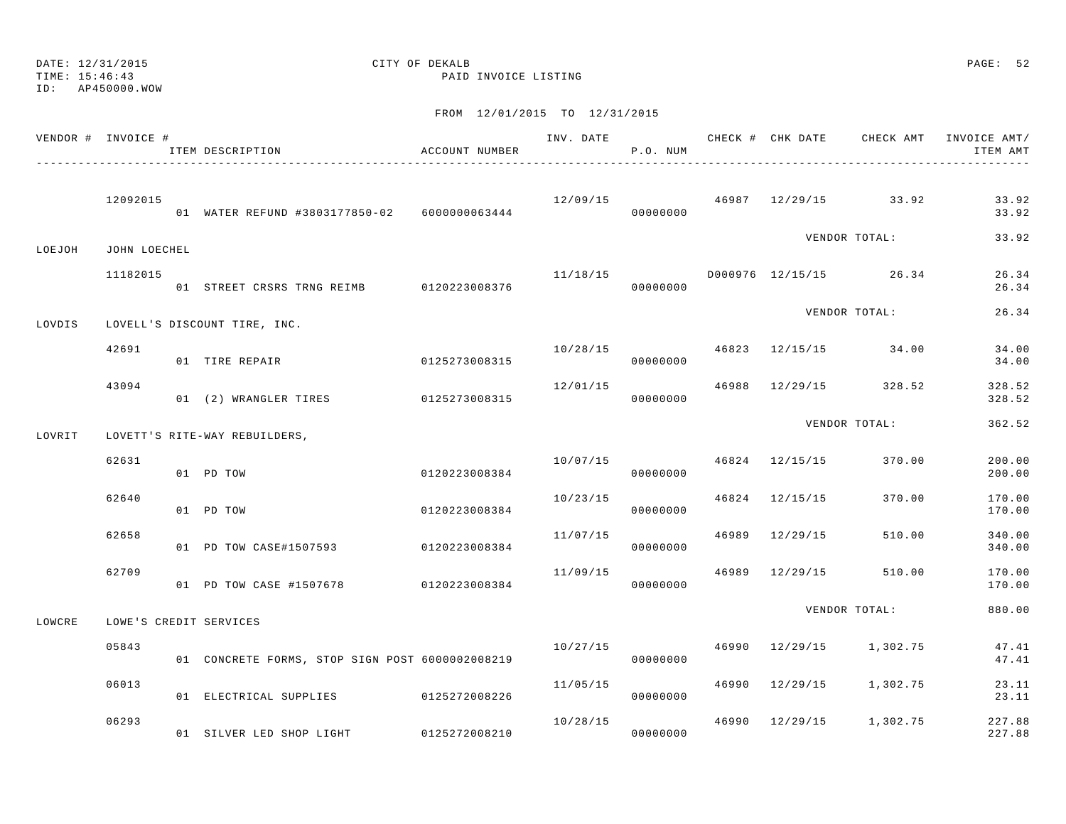ID: AP450000.WOW

TIME: 15:46:43 PAID INVOICE LISTING

|        | VENDOR # INVOICE # | ITEM DESCRIPTION                                | ACCOUNT NUMBER |                                        | P.O. NUM |                |                                       | INV. DATE 6 CHECK # CHK DATE CHECK AMT INVOICE AMT/<br>ITEM AMT |
|--------|--------------------|-------------------------------------------------|----------------|----------------------------------------|----------|----------------|---------------------------------------|-----------------------------------------------------------------|
|        | 12092015           | 01 WATER REFUND #3803177850-02  6000000063444   |                |                                        | 00000000 |                | $12/09/15$ $46987$ $12/29/15$ $33.92$ | 33.92<br>33.92                                                  |
| LOEJOH | JOHN LOECHEL       |                                                 |                |                                        |          |                | VENDOR TOTAL:                         | 33.92                                                           |
|        | 11182015           | 01 STREET CRSRS TRNG REIMB 0120223008376        |                |                                        | 00000000 |                |                                       | 26.34<br>26.34                                                  |
| LOVDIS |                    | LOVELL'S DISCOUNT TIRE, INC.                    |                |                                        |          |                | VENDOR TOTAL:                         | 26.34                                                           |
|        | 42691              | 01 TIRE REPAIR 60125273008315                   |                |                                        | 00000000 |                | $10/28/15$ $46823$ $12/15/15$ $34.00$ | 34.00<br>34.00                                                  |
|        | 43094              | 01 (2) WRANGLER TIRES 0125273008315             |                | 12/01/15                               | 00000000 |                | 46988 12/29/15 328.52                 | 328.52<br>328.52                                                |
| LOVRIT |                    | LOVETT'S RITE-WAY REBUILDERS,                   |                |                                        |          |                | VENDOR TOTAL:                         | 362.52                                                          |
|        | 62631              | 01 PD TOW                                       | 0120223008384  | $10/07/15$ $46824$ $12/15/15$ $370.00$ | 00000000 |                |                                       | 200.00<br>200.00                                                |
|        | 62640              | 01 PD TOW                                       | 0120223008384  | 10/23/15                               | 00000000 | 46824 12/15/15 | 370.00                                | 170.00<br>170.00                                                |
|        | 62658              | 01 PD TOW CASE#1507593 0120223008384            |                | 11/07/15                               | 00000000 | 46989 12/29/15 | 510.00                                | 340.00<br>340.00                                                |
|        | 62709              | 01 PD TOW CASE #1507678 0120223008384           |                | 11/09/15                               | 00000000 | 46989 12/29/15 | 510.00                                | 170.00<br>170.00                                                |
| LOWCRE |                    | LOWE'S CREDIT SERVICES                          |                |                                        |          |                | VENDOR TOTAL:                         | 880.00                                                          |
|        | 05843              | 01 CONCRETE FORMS, STOP SIGN POST 6000002008219 |                | 10/27/15                               | 00000000 |                | 46990 12/29/15 1,302.75               | 47.41<br>47.41                                                  |
|        | 06013              | 01 ELECTRICAL SUPPLIES 0125272008226            |                | 11/05/15                               | 00000000 |                | 46990 12/29/15 1,302.75               | 23.11<br>23.11                                                  |
|        | 06293              | 01 SILVER LED SHOP LIGHT 0125272008210          |                | 10/28/15                               | 00000000 |                | 46990 12/29/15 1,302.75               | 227.88<br>227.88                                                |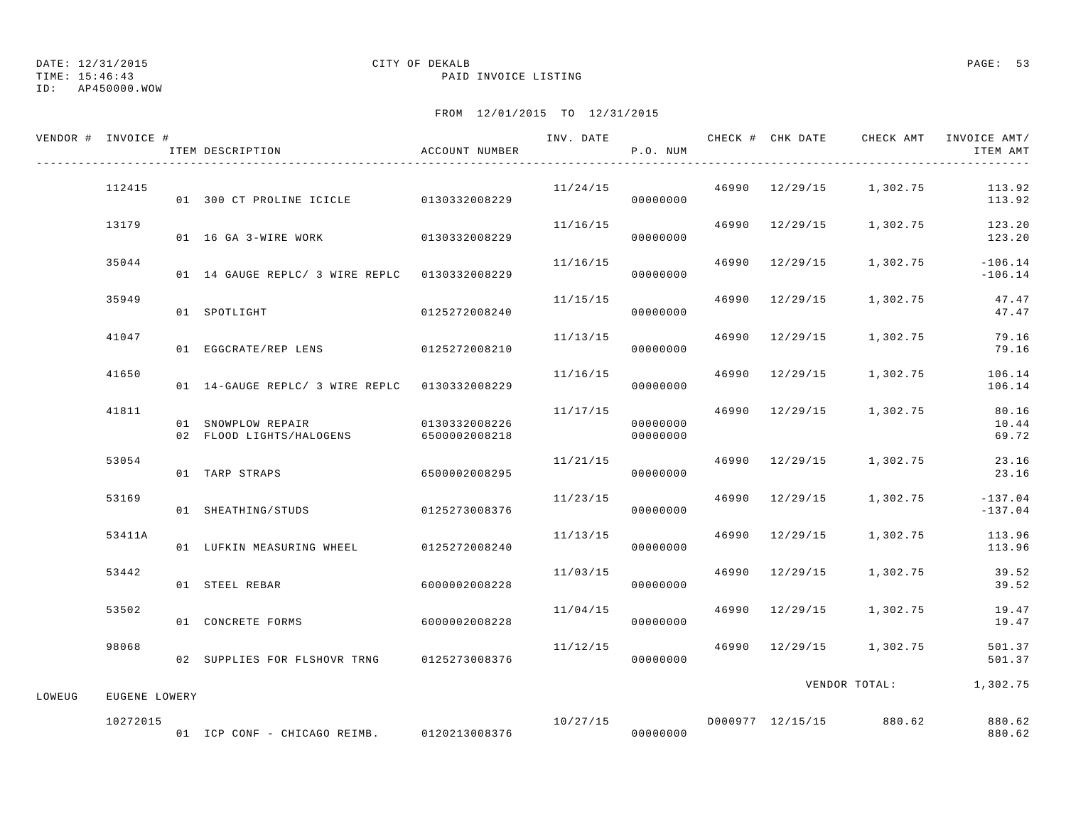## ID: AP450000.WOW

# DATE: 12/31/2015 CITY OF DEKALB PAGE: 53

TIME: 15:46:43 PAID INVOICE LISTING

|        | VENDOR # INVOICE # | ITEM DESCRIPTION                                             | ACCOUNT NUMBER |          | P.O. NUM             |       |                | INV. DATE 6 7 200 CHECK # CHK DATE 6 CHECK AMT INVOICE AMT/ | ITEM AMT                |
|--------|--------------------|--------------------------------------------------------------|----------------|----------|----------------------|-------|----------------|-------------------------------------------------------------|-------------------------|
|        | 112415             | 01 300 CT PROLINE ICICLE 0130332008229                       |                | 11/24/15 | 00000000             |       |                | 46990 12/29/15 1,302.75                                     | 113.92<br>113.92        |
|        | 13179              | 01 16 GA 3-WIRE WORK 0130332008229                           |                | 11/16/15 | 00000000             |       | 46990 12/29/15 | 1,302.75                                                    | 123.20<br>123.20        |
|        | 35044              | 01 14 GAUGE REPLC/ 3 WIRE REPLC 0130332008229                |                | 11/16/15 | 00000000             | 46990 | 12/29/15       | 1,302.75                                                    | $-106.14$<br>$-106.14$  |
|        | 35949              | 01 SPOTLIGHT                                                 | 0125272008240  | 11/15/15 | 00000000             | 46990 | 12/29/15       | 1,302.75                                                    | 47.47<br>47.47          |
|        | 41047              | 01 EGGCRATE/REP LENS                                         | 0125272008210  | 11/13/15 | 00000000             | 46990 | 12/29/15       | 1,302.75                                                    | 79.16<br>79.16          |
|        | 41650              | 01 14-GAUGE REPLC/ 3 WIRE REPLC 0130332008229                |                | 11/16/15 | 00000000             |       | 46990 12/29/15 | 1,302.75                                                    | 106.14<br>106.14        |
|        | 41811              | 01 SNOWPLOW REPAIR<br>02 FLOOD LIGHTS/HALOGENS 6500002008218 | 0130332008226  | 11/17/15 | 00000000<br>00000000 |       |                | 46990 12/29/15 1,302.75                                     | 80.16<br>10.44<br>69.72 |
|        | 53054              | 01 TARP STRAPS                                               | 6500002008295  | 11/21/15 | 00000000             | 46990 |                | 12/29/15 1,302.75                                           | 23.16<br>23.16          |
|        | 53169              | 01 SHEATHING/STUDS                                           | 0125273008376  | 11/23/15 | 00000000             | 46990 | 12/29/15       | 1,302.75                                                    | $-137.04$<br>$-137.04$  |
|        | 53411A             | 01 LUFKIN MEASURING WHEEL 0125272008240                      |                | 11/13/15 | 00000000             |       | 46990 12/29/15 | 1,302.75                                                    | 113.96<br>113.96        |
|        | 53442              | 01 STEEL REBAR                                               | 6000002008228  | 11/03/15 | 00000000             | 46990 | 12/29/15       | 1,302.75                                                    | 39.52<br>39.52          |
|        | 53502              | 01 CONCRETE FORMS                                            | 6000002008228  | 11/04/15 | 00000000             | 46990 | 12/29/15       | 1,302.75                                                    | 19.47<br>19.47          |
|        | 98068              | 02 SUPPLIES FOR FLSHOVR TRNG 0125273008376                   |                | 11/12/15 | 00000000             |       |                | 46990 12/29/15 1,302.75                                     | 501.37<br>501.37        |
| LOWEUG | EUGENE LOWERY      |                                                              |                |          |                      |       |                | VENDOR TOTAL: 1,302.75                                      |                         |
|        | 10272015           | 01 ICP CONF - CHICAGO REIMB.                                 | 0120213008376  | 10/27/15 | 00000000             |       |                | D000977 12/15/15 880.62                                     | 880.62<br>880.62        |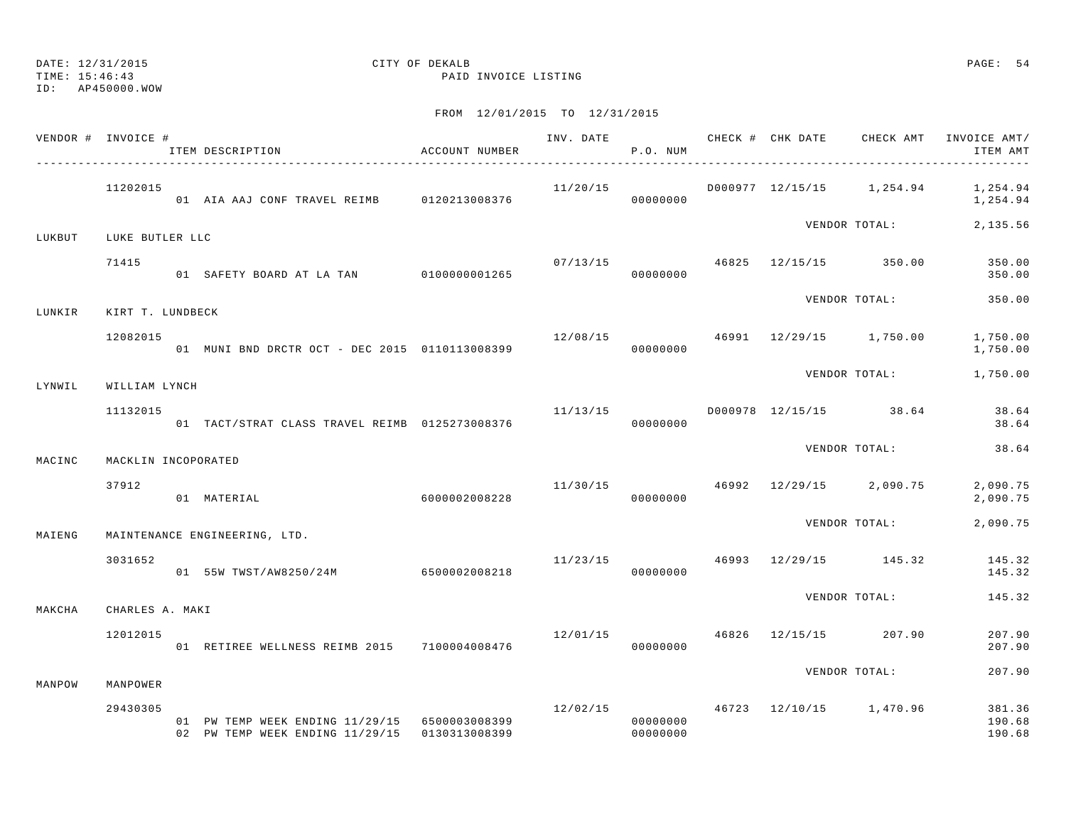TIME: 15:46:43 PAID INVOICE LISTING

ID: AP450000.WOW

|        | VENDOR # INVOICE #  | ACCOUNT NUMBER<br>ITEM DESCRIPTION                                                             |                                        | P.O. NUM             |  |                                          | INV. DATE 6 7 CHECK # CHK DATE 6 CHECK AMT INVOICE AMT/<br>ITEM AMT |
|--------|---------------------|------------------------------------------------------------------------------------------------|----------------------------------------|----------------------|--|------------------------------------------|---------------------------------------------------------------------|
|        | 11202015            |                                                                                                |                                        |                      |  |                                          | $11/20/15$ $D000977$ $12/15/15$ $1,254.94$ $1,254.94$<br>1,254.94   |
| LUKBUT | LUKE BUTLER LLC     |                                                                                                |                                        |                      |  |                                          | VENDOR TOTAL: 2,135.56                                              |
|        | 71415               | 01 SAFETY BOARD AT LA TAN 010000001265                                                         |                                        | 00000000             |  | $07/13/15$ $46825$ $12/15/15$ $350.00$   | 350.00<br>350.00                                                    |
| LUNKIR | KIRT T. LUNDBECK    |                                                                                                |                                        |                      |  | VENDOR TOTAL:                            | 350.00                                                              |
|        | 12082015            | 01 MUNI BND DRCTR OCT - DEC 2015 0110113008399                                                 |                                        | 00000000             |  | $12/08/15$ $46991$ $12/29/15$ $1,750.00$ | 1,750.00<br>1,750.00                                                |
| LYNWIL | WILLIAM LYNCH       |                                                                                                |                                        |                      |  |                                          | VENDOR TOTAL: 1,750.00                                              |
|        | 11132015            | 01 TACT/STRAT CLASS TRAVEL REIMB 0125273008376                                                 |                                        | 00000000             |  | $11/13/15$ $D000978$ $12/15/15$ 38.64    | 38.64<br>38.64                                                      |
| MACINC | MACKLIN INCOPORATED |                                                                                                |                                        |                      |  | VENDOR TOTAL:                            | 38.64                                                               |
|        | 37912               | 6000002008228<br>01 MATERIAL                                                                   | $11/30/15$ $46992$ $12/29/15$ 2,090.75 | 00000000             |  |                                          | 2,090.75<br>2,090.75                                                |
| MAIENG |                     | MAINTENANCE ENGINEERING, LTD.                                                                  |                                        |                      |  | VENDOR TOTAL:                            | 2,090.75                                                            |
|        | 3031652             | 01 55W TWST/AW8250/24M 6500002008218                                                           |                                        | 00000000             |  | $11/23/15$ $46993$ $12/29/15$ $145.32$   | 145.32<br>145.32                                                    |
| MAKCHA | CHARLES A. MAKI     |                                                                                                |                                        |                      |  | VENDOR TOTAL:                            | 145.32                                                              |
|        | 12012015            | 01 RETIREE WELLNESS REIMB 2015 7100004008476                                                   | 12/01/15                               | 00000000             |  | 46826 12/15/15 207.90                    | 207.90<br>207.90                                                    |
| MANPOW | MANPOWER            |                                                                                                |                                        |                      |  | VENDOR TOTAL:                            | 207.90                                                              |
|        | 29430305            | 01 PW TEMP WEEK ENDING 11/29/15 6500003008399<br>02 PW TEMP WEEK ENDING 11/29/15 0130313008399 |                                        | 00000000<br>00000000 |  | $12/02/15$ $46723$ $12/10/15$ $1,470.96$ | 381.36<br>190.68<br>190.68                                          |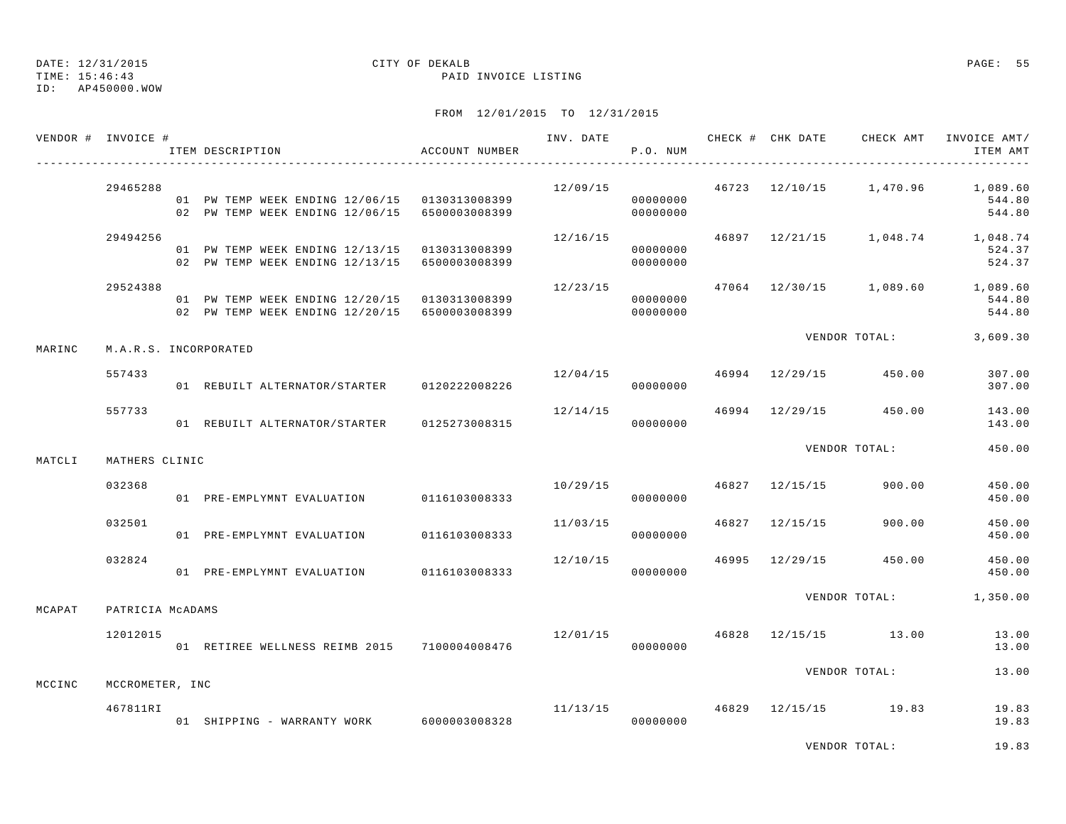TIME: 15:46:43 PAID INVOICE LISTING

ID: AP450000.WOW

|        | VENDOR # INVOICE # | ITEM DESCRIPTION                                                                               | ACCOUNT NUMBER |          | P.O. NUM             | INV. DATE CHECK # CHK DATE | CHECK AMT             | INVOICE AMT/<br>ITEM AMT                             |
|--------|--------------------|------------------------------------------------------------------------------------------------|----------------|----------|----------------------|----------------------------|-----------------------|------------------------------------------------------|
|        | 29465288           | 01 PW TEMP WEEK ENDING 12/06/15 0130313008399<br>02 PW TEMP WEEK ENDING 12/06/15 6500003008399 |                | 12/09/15 | 00000000<br>00000000 |                            |                       | 46723 12/10/15 1,470.96 1,089.60<br>544.80<br>544.80 |
|        | 29494256           | 01 PW TEMP WEEK ENDING 12/13/15 0130313008399<br>02 PW TEMP WEEK ENDING 12/13/15 6500003008399 |                | 12/16/15 | 00000000<br>00000000 |                            |                       | 46897 12/21/15 1,048.74 1,048.74<br>524.37<br>524.37 |
|        | 29524388           | 01 PW TEMP WEEK ENDING 12/20/15 0130313008399<br>02 PW TEMP WEEK ENDING 12/20/15 6500003008399 |                | 12/23/15 | 00000000<br>00000000 |                            |                       | 47064 12/30/15 1,089.60 1,089.60<br>544.80<br>544.80 |
| MARINC |                    | M.A.R.S. INCORPORATED                                                                          |                |          |                      |                            | VENDOR TOTAL:         | 3,609.30                                             |
|        | 557433             | 01 REBUILT ALTERNATOR/STARTER                                                                  | 0120222008226  | 12/04/15 | 00000000             | 46994 12/29/15             | 450.00                | 307.00<br>307.00                                     |
|        | 557733             | 01 REBUILT ALTERNATOR/STARTER                                                                  | 0125273008315  | 12/14/15 | 00000000             |                            | 46994 12/29/15 450.00 | 143.00<br>143.00                                     |
| MATCLI | MATHERS CLINIC     |                                                                                                |                |          |                      |                            | VENDOR TOTAL:         | 450.00                                               |
|        | 032368             | 01 PRE-EMPLYMNT EVALUATION                                                                     | 0116103008333  | 10/29/15 | 00000000             | 46827 12/15/15             | 900.00                | 450.00<br>450.00                                     |
|        | 032501             | 01 PRE-EMPLYMNT EVALUATION                                                                     | 0116103008333  | 11/03/15 | 00000000             | 46827 12/15/15             | 900.00                | 450.00<br>450.00                                     |
|        | 032824             | 01 PRE-EMPLYMNT EVALUATION                                                                     | 0116103008333  | 12/10/15 | 00000000             | 46995 12/29/15             | 450.00                | 450.00<br>450.00                                     |
| MCAPAT | PATRICIA MCADAMS   |                                                                                                |                |          |                      |                            | VENDOR TOTAL:         | 1,350.00                                             |
|        | 12012015           | 01 RETIREE WELLNESS REIMB 2015 7100004008476                                                   |                | 12/01/15 | 00000000             |                            | 46828 12/15/15 13.00  | 13.00<br>13.00                                       |
| MCCINC | MCCROMETER, INC    |                                                                                                |                |          |                      |                            | VENDOR TOTAL:         | 13.00                                                |
|        | 467811RI           | 01 SHIPPING - WARRANTY WORK                                                                    | 6000003008328  |          | 11/13/15<br>00000000 |                            | 46829 12/15/15 19.83  | 19.83<br>19.83                                       |
|        |                    |                                                                                                |                |          |                      |                            | VENDOR TOTAL:         | 19.83                                                |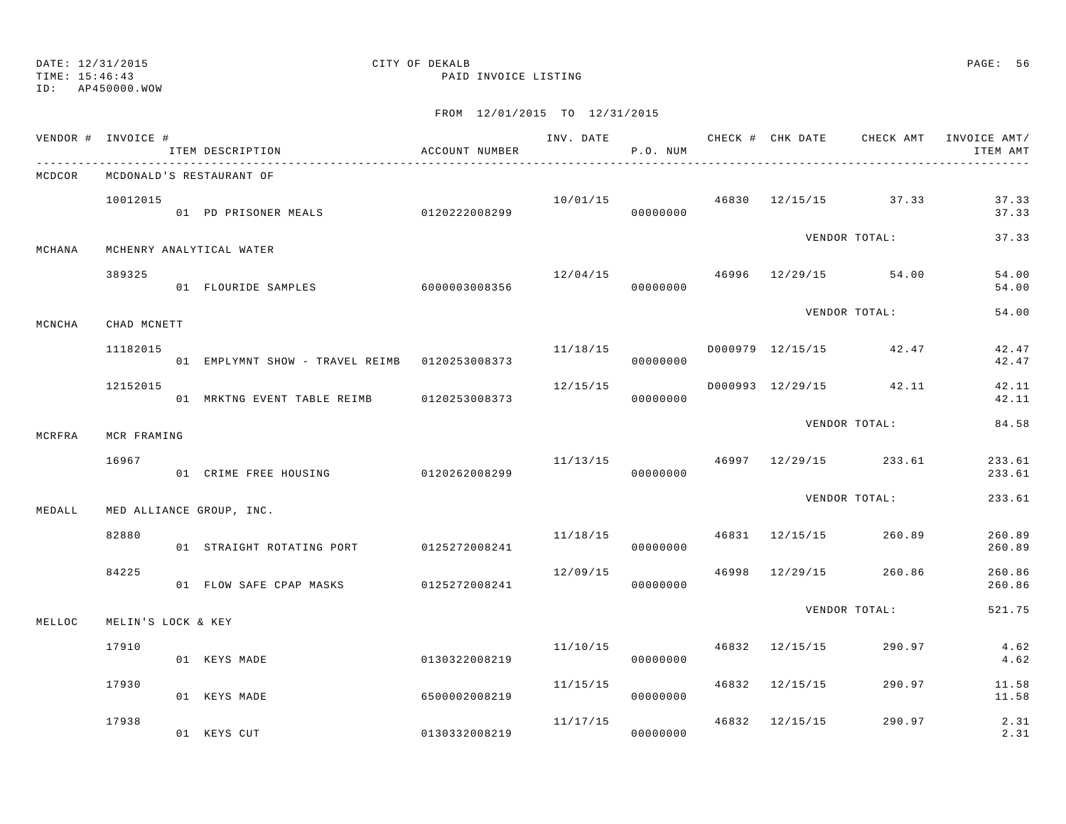TIME: 15:46:43 PAID INVOICE LISTING

ID: AP450000.WOW

|        | VENDOR # INVOICE # | ITEM DESCRIPTION                        | ACCOUNT NUMBER |                                      | P.O. NUM  |                         |                                         | INV. DATE 6 CHECK # CHK DATE CHECK AMT INVOICE AMT/<br>ITEM AMT |
|--------|--------------------|-----------------------------------------|----------------|--------------------------------------|-----------|-------------------------|-----------------------------------------|-----------------------------------------------------------------|
| MCDCOR |                    | MCDONALD'S RESTAURANT OF                |                |                                      |           |                         |                                         |                                                                 |
|        | 10012015           | 01 PD PRISONER MEALS 0120222008299      |                |                                      | 000000000 |                         | $10/01/15$ $46830$ $12/15/15$ $37.33$   | 37.33<br>37.33                                                  |
| MCHANA |                    | MCHENRY ANALYTICAL WATER                |                |                                      |           |                         | VENDOR TOTAL:                           | 37.33                                                           |
|        | 389325             | 01 FLOURIDE SAMPLES 6000003008356       |                |                                      | 00000000  |                         | $12/04/15$ $46996$ $12/29/15$ $54.00$   | 54.00<br>54.00                                                  |
| MCNCHA | CHAD MCNETT        |                                         |                |                                      |           |                         | VENDOR TOTAL:                           | 54.00                                                           |
|        | 11182015           |                                         |                |                                      | 00000000  |                         | $11/18/15$ $D000979$ $12/15/15$ $42.47$ | 42.47<br>42.47                                                  |
|        | 12152015           |                                         |                | 12/15/15                             | 00000000  |                         | D000993 12/29/15 42.11                  | 42.11<br>42.11                                                  |
| MCRFRA | MCR FRAMING        |                                         |                |                                      |           |                         | VENDOR TOTAL:                           | 84.58                                                           |
|        | 16967              | 01 CRIME FREE HOUSING 0120262008299     |                |                                      | 00000000  |                         | $11/13/15$ $46997$ $12/29/15$ $233.61$  | 233.61<br>233.61                                                |
| MEDALL |                    | MED ALLIANCE GROUP, INC.                |                |                                      |           |                         | VENDOR TOTAL:                           | 233.61                                                          |
|        | 82880              | 01 STRAIGHT ROTATING PORT 0125272008241 |                | 11/18/15 46831 12/15/15 260.89       | 00000000  |                         |                                         | 260.89<br>260.89                                                |
|        | 84225              | 01 FLOW SAFE CPAP MASKS 0125272008241   |                | 12/09/15                             | 00000000  |                         | 46998 12/29/15 260.86                   | 260.86<br>260.86                                                |
| MELLOC | MELIN'S LOCK & KEY |                                         |                |                                      |           |                         | VENDOR TOTAL:                           | 521.75                                                          |
|        | 17910              | 01 KEYS MADE                            | 0130322008219  | $11/10/15$ $46832$ $12/15/15$ 290.97 | 00000000  |                         |                                         | 4.62<br>4.62                                                    |
|        | 17930              | 01 KEYS MADE                            | 6500002008219  | 11/15/15                             |           |                         | 46832 12/15/15 290.97                   | 11.58<br>11.58                                                  |
|        | 17938              | 01 KEYS CUT                             | 0130332008219  |                                      | 00000000  | 11/17/15 46832 12/15/15 | 290.97                                  | 2.31<br>2.31                                                    |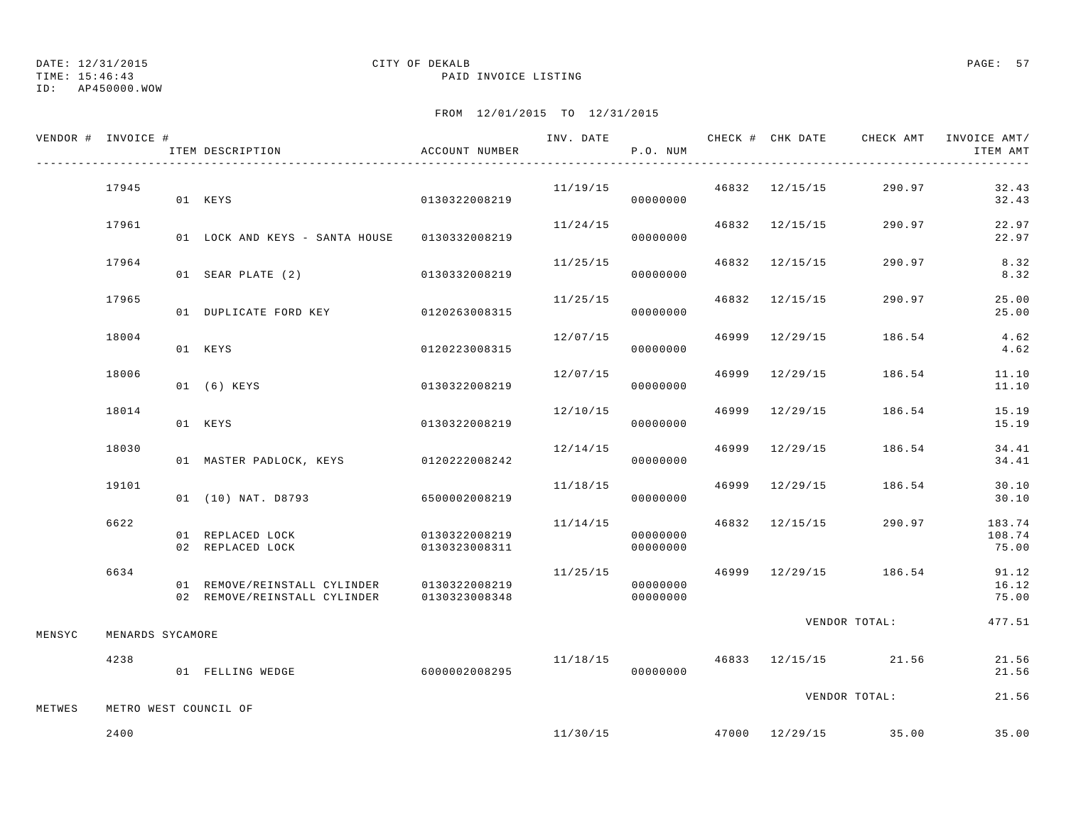TIME: 15:46:43 PAID INVOICE LISTING

ID: AP450000.WOW

|        | VENDOR # INVOICE # | ITEM DESCRIPTION                                                                         | ACCOUNT NUMBER                 |          | P.O. NUM             |       |                | INV. DATE 6 7 CHECK # CHK DATE CHECK AMT INVOICE AMT/ | ITEM AMT                  |
|--------|--------------------|------------------------------------------------------------------------------------------|--------------------------------|----------|----------------------|-------|----------------|-------------------------------------------------------|---------------------------|
|        | 17945              | 01 KEYS                                                                                  | 0130322008219                  | 11/19/15 | 00000000             |       | 46832 12/15/15 | 290.97                                                | 32.43<br>32.43            |
|        | 17961              | 01 LOCK AND KEYS - SANTA HOUSE 0130332008219                                             |                                | 11/24/15 | 00000000             |       | 46832 12/15/15 | 290.97                                                | 22.97<br>22.97            |
|        | 17964              | 01 SEAR PLATE (2)                                                                        | 0130332008219                  | 11/25/15 | 00000000             |       | 46832 12/15/15 | 290.97                                                | 8.32<br>8.32              |
|        | 17965              | 01 DUPLICATE FORD KEY                                                                    | 0120263008315                  | 11/25/15 | 00000000             | 46832 | 12/15/15       | 290.97                                                | 25.00<br>25.00            |
|        | 18004              | 01 KEYS                                                                                  | 0120223008315                  | 12/07/15 | 00000000             |       | 46999 12/29/15 | 186.54                                                | 4.62<br>4.62              |
|        | 18006              | 01 (6) KEYS                                                                              | 0130322008219                  | 12/07/15 | 00000000             |       | 46999 12/29/15 | 186.54                                                | 11.10<br>11.10            |
|        | 18014              | 01 KEYS                                                                                  | 0130322008219                  | 12/10/15 | 00000000             | 46999 |                | 12/29/15 186.54                                       | 15.19<br>15.19            |
|        | 18030              | 01 MASTER PADLOCK, KEYS 0120222008242                                                    |                                | 12/14/15 | 00000000             |       | 46999 12/29/15 | 186.54                                                | 34.41<br>34.41            |
|        | 19101              | 01 (10) NAT. D8793                                                                       | 6500002008219                  | 11/18/15 | 00000000             |       | 46999 12/29/15 | 186.54                                                | 30.10<br>30.10            |
|        | 6622               | 01 REPLACED LOCK<br>02 REPLACED LOCK                                                     | 0130322008219<br>0130323008311 | 11/14/15 | 00000000<br>00000000 |       |                | 46832 12/15/15 290.97                                 | 183.74<br>108.74<br>75.00 |
|        | 6634               | 01 REMOVE/REINSTALL CYLINDER 0130322008219<br>02 REMOVE/REINSTALL CYLINDER 0130323008348 |                                | 11/25/15 | 00000000<br>00000000 |       |                | 46999 12/29/15 186.54                                 | 91.12<br>16.12<br>75.00   |
| MENSYC | MENARDS SYCAMORE   |                                                                                          |                                |          |                      |       |                | VENDOR TOTAL:                                         | 477.51                    |
|        | 4238               | 01 FELLING WEDGE                                                                         | 6000002008295                  | 11/18/15 | 00000000             |       |                | 46833 12/15/15 21.56                                  | 21.56<br>21.56            |
| METWES |                    | METRO WEST COUNCIL OF                                                                    |                                |          |                      |       |                | VENDOR TOTAL:                                         | 21.56                     |
|        | 2400               |                                                                                          |                                |          | 11/30/15             |       |                | 47000 12/29/15 35.00                                  | 35.00                     |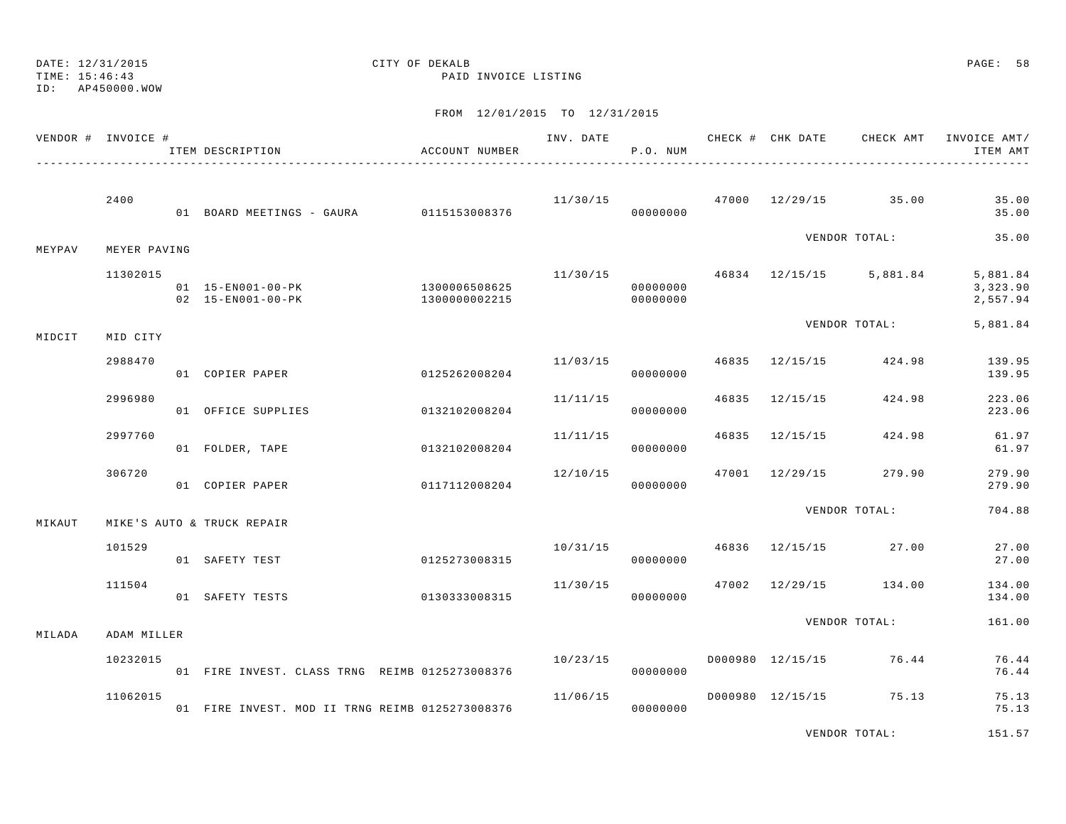ID: AP450000.WOW

#### TIME: 15:46:43 PAID INVOICE LISTING

|        | VENDOR # INVOICE # | ITEM DESCRIPTION                                | ACCOUNT NUMBER                 | INV. DATE | P.O. NUM             |                         |                                       | CHECK # CHK DATE CHECK AMT INVOICE AMT/<br>ITEM AMT |
|--------|--------------------|-------------------------------------------------|--------------------------------|-----------|----------------------|-------------------------|---------------------------------------|-----------------------------------------------------|
|        | 2400               | 01 BOARD MEETINGS - GAURA 0115153008376         |                                |           | 00000000             |                         | $11/30/15$ $47000$ $12/29/15$ $35.00$ | 35.00<br>35.00                                      |
| MEYPAV | MEYER PAVING       |                                                 |                                |           |                      |                         | VENDOR TOTAL:                         | 35.00                                               |
|        | 11302015           | 01 15-EN001-00-PK<br>02 15-EN001-00-PK          | 1300006508625<br>1300000002215 | 11/30/15  | 00000000<br>00000000 |                         | 46834 12/15/15 5,881.84               | 5,881.84<br>3,323.90<br>2,557.94                    |
| MIDCIT | MID CITY           |                                                 |                                |           |                      |                         | VENDOR TOTAL:                         | 5,881.84                                            |
|        | 2988470            | 01 COPIER PAPER                                 | 0125262008204                  |           | 00000000             | 11/03/15 46835 12/15/15 | 424.98                                | 139.95<br>139.95                                    |
|        | 2996980            | 01 OFFICE SUPPLIES                              | 0132102008204                  | 11/11/15  | 00000000             | 46835 12/15/15          | 424.98                                | 223.06<br>223.06                                    |
|        | 2997760            | 01 FOLDER, TAPE                                 | 0132102008204                  | 11/11/15  | 00000000             | 46835 12/15/15          | 424.98                                | 61.97<br>61.97                                      |
|        | 306720             | 01 COPIER PAPER                                 | 0117112008204                  | 12/10/15  | 00000000             |                         | 47001 12/29/15 279.90                 | 279.90<br>279.90                                    |
| MIKAUT |                    | MIKE'S AUTO & TRUCK REPAIR                      |                                |           |                      |                         | VENDOR TOTAL:                         | 704.88                                              |
|        | 101529             | 01 SAFETY TEST                                  | 0125273008315                  | 10/31/15  | 00000000             | 46836 12/15/15 27.00    |                                       | 27.00<br>27.00                                      |
|        | 111504             | 01 SAFETY TESTS                                 | 0130333008315                  | 11/30/15  | 00000000             |                         | 47002 12/29/15 134.00                 | 134.00<br>134.00                                    |
| MILADA | ADAM MILLER        |                                                 |                                |           |                      |                         | VENDOR TOTAL:                         | 161.00                                              |
|        | 10232015           | 01 FIRE INVEST. CLASS TRNG REIMB 0125273008376  |                                | 10/23/15  | 00000000             |                         | D000980 12/15/15 76.44                | 76.44<br>76.44                                      |
|        | 11062015           | 01 FIRE INVEST. MOD II TRNG REIMB 0125273008376 |                                | 11/06/15  | 00000000             |                         | D000980 12/15/15 75.13                | 75.13<br>75.13                                      |
|        |                    |                                                 |                                |           |                      |                         | VENDOR TOTAL:                         | 151.57                                              |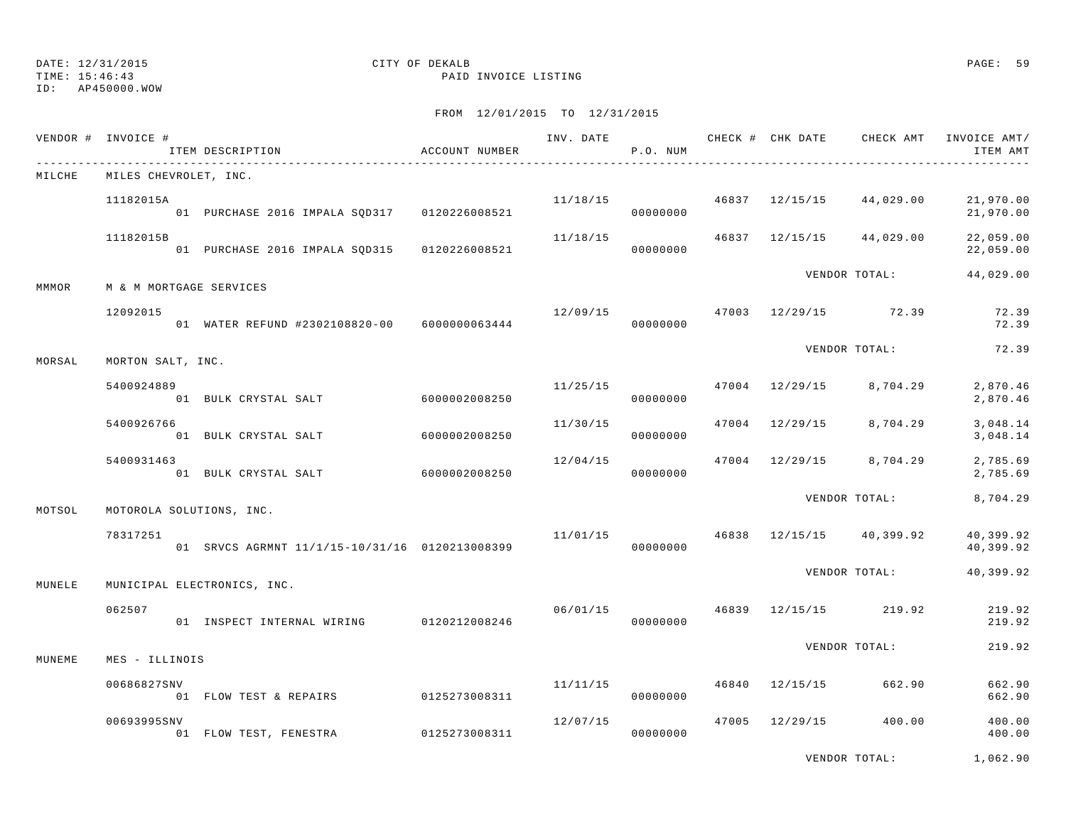## ID: AP450000.WOW

# DATE: 12/31/2015 CITY OF DEKALB PAGE: 59

TIME: 15:46:43 PAID INVOICE LISTING

### FROM 12/01/2015 TO 12/31/2015

|        | VENDOR # INVOICE #    | ITEM DESCRIPTION<br>__________________________________ | ACCOUNT NUMBER |          | P.O. NUM |                |                                           | INVOICE AMT/<br>ITEM AMT |
|--------|-----------------------|--------------------------------------------------------|----------------|----------|----------|----------------|-------------------------------------------|--------------------------|
| MILCHE | MILES CHEVROLET, INC. |                                                        |                |          |          |                |                                           |                          |
|        | 11182015A             | 01 PURCHASE 2016 IMPALA SQD317 0120226008521           |                |          | 00000000 |                | $11/18/15$ $46837$ $12/15/15$ $44,029.00$ | 21,970.00<br>21,970.00   |
|        | 11182015B             | 01 PURCHASE 2016 IMPALA SQD315 0120226008521           |                | 11/18/15 | 00000000 |                | 46837 12/15/15 44,029.00                  | 22,059.00<br>22,059.00   |
| MMMOR  |                       | M & M MORTGAGE SERVICES                                |                |          |          |                | VENDOR TOTAL:                             | 44,029.00                |
|        | 12092015              | 01 WATER REFUND #2302108820-00 6000000063444           |                | 12/09/15 | 00000000 |                | 47003 12/29/15 72.39                      | 72.39<br>72.39           |
| MORSAL | MORTON SALT, INC.     |                                                        |                |          |          |                | VENDOR TOTAL:                             | 72.39                    |
|        | 5400924889            | 01 BULK CRYSTAL SALT 6000002008250                     |                | 11/25/15 | 00000000 |                | 47004 12/29/15 8,704.29                   | 2,870.46<br>2,870.46     |
|        | 5400926766            | 01 BULK CRYSTAL SALT 6000002008250                     |                | 11/30/15 | 00000000 |                | 47004 12/29/15 8,704.29                   | 3,048.14<br>3,048.14     |
|        | 5400931463            | 01 BULK CRYSTAL SALT 6000002008250                     |                | 12/04/15 | 00000000 |                | 47004 12/29/15 8,704.29                   | 2,785.69<br>2,785.69     |
| MOTSOL |                       | MOTOROLA SOLUTIONS, INC.                               |                |          |          |                | VENDOR TOTAL:                             | 8,704.29                 |
|        | 78317251              | 01 SRVCS AGRMNT 11/1/15-10/31/16 0120213008399         |                | 11/01/15 | 00000000 |                | 46838 12/15/15 40,399.92                  | 40,399.92<br>40,399.92   |
| MUNELE |                       | MUNICIPAL ELECTRONICS, INC.                            |                |          |          |                | VENDOR TOTAL:                             | 40,399.92                |
|        | 062507                | 01 INSPECT INTERNAL WIRING 0120212008246               |                |          | 00000000 |                | $06/01/15$ $46839$ $12/15/15$ $219.92$    | 219.92<br>219.92         |
| MUNEME | MES - ILLINOIS        |                                                        |                |          |          |                | VENDOR TOTAL:                             | 219.92                   |
|        | 00686827SNV           | 01 FLOW TEST & REPAIRS 0125273008311                   |                | 11/11/15 | 00000000 | 46840 12/15/15 | 662.90                                    | 662.90<br>662.90         |
|        | 00693995SNV           | 01 FLOW TEST, FENESTRA 0125273008311                   |                | 12/07/15 | 00000000 | 47005 12/29/15 | 400.00                                    | 400.00<br>400.00         |

VENDOR TOTAL: 1,062.90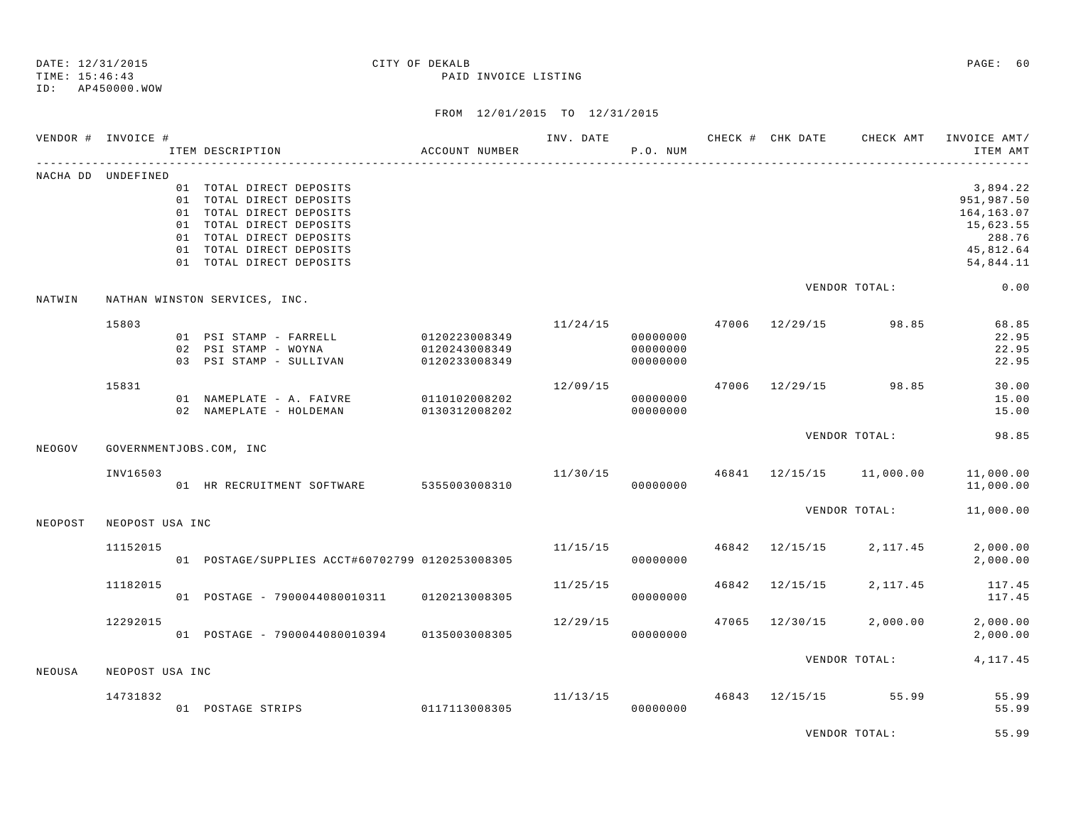ID: AP450000.WOW

|         | VENDOR # INVOICE # | ITEM DESCRIPTION                                  | ACCOUNT NUMBER | INV. DATE | P.O. NUM | CHECK # CHK DATE CHECK AMT               |                         | INVOICE AMT/<br>ITEM AMT                              |
|---------|--------------------|---------------------------------------------------|----------------|-----------|----------|------------------------------------------|-------------------------|-------------------------------------------------------|
|         | NACHA DD UNDEFINED |                                                   |                |           |          |                                          |                         |                                                       |
|         |                    | 01 TOTAL DIRECT DEPOSITS                          |                |           |          |                                          |                         | 3,894.22                                              |
|         |                    | 01 TOTAL DIRECT DEPOSITS                          |                |           |          |                                          |                         | 951,987.50                                            |
|         |                    | 01 TOTAL DIRECT DEPOSITS                          |                |           |          |                                          |                         | 164,163.07                                            |
|         |                    | 01 TOTAL DIRECT DEPOSITS                          |                |           |          |                                          |                         | 15,623.55                                             |
|         |                    | 01 TOTAL DIRECT DEPOSITS                          |                |           |          |                                          |                         | 288.76                                                |
|         |                    | 01 TOTAL DIRECT DEPOSITS                          |                |           |          |                                          |                         | 45,812.64                                             |
|         |                    | 01 TOTAL DIRECT DEPOSITS                          |                |           |          |                                          |                         | ${\bf 54}$ , ${\bf 844}$ . ${\bf 11}$                 |
|         |                    |                                                   |                |           |          |                                          | VENDOR TOTAL:           | 0.00                                                  |
| NATWIN  |                    | NATHAN WINSTON SERVICES, INC.                     |                |           |          |                                          |                         |                                                       |
|         | 15803              |                                                   |                |           |          | $11/24/15$ $47006$ $12/29/15$ 98.85      |                         | 68.85                                                 |
|         |                    | 01 PSI STAMP - FARRELL                            | 0120223008349  |           | 00000000 |                                          |                         | 22.95                                                 |
|         |                    | 02 PSI STAMP - WOYNA                              | 0120243008349  |           | 00000000 |                                          |                         | 22.95                                                 |
|         |                    | 03 PSI STAMP - SULLIVAN                           | 0120233008349  |           | 00000000 |                                          |                         | 22.95                                                 |
|         | 15831              |                                                   |                | 12/09/15  |          | 47006 12/29/15 98.85                     |                         | 30.00                                                 |
|         |                    | 01 NAMEPLATE - A. FAIVRE                          | 0110102008202  |           | 00000000 |                                          |                         | 15.00                                                 |
|         |                    | 02 NAMEPLATE - HOLDEMAN                           | 0130312008202  |           | 00000000 |                                          |                         | 15.00                                                 |
| NEOGOV  |                    | GOVERNMENTJOBS.COM, INC                           |                |           |          |                                          | VENDOR TOTAL:           | 98.85                                                 |
|         |                    |                                                   |                |           |          |                                          |                         |                                                       |
|         | INV16503           |                                                   |                |           |          |                                          |                         | $11/30/15$ $46841$ $12/15/15$ $11,000.00$ $11,000.00$ |
|         |                    | 01 HR RECRUITMENT SOFTWARE 5355003008310          |                |           | 00000000 |                                          |                         | 11,000.00                                             |
|         |                    |                                                   |                |           |          |                                          | VENDOR TOTAL:           | 11,000.00                                             |
| NEOPOST | NEOPOST USA INC    |                                                   |                |           |          |                                          |                         |                                                       |
|         | 11152015           |                                                   |                |           |          | $11/15/15$ $46842$ $12/15/15$ $2,117.45$ |                         | 2,000.00                                              |
|         |                    | 01 POSTAGE/SUPPLIES ACCT#60702799 0120253008305   |                |           | 00000000 |                                          |                         | 2,000.00                                              |
|         |                    |                                                   |                |           |          |                                          |                         |                                                       |
|         | 11182015           |                                                   |                | 11/25/15  |          |                                          | 46842 12/15/15 2,117.45 | 117.45                                                |
|         |                    | 01 POSTAGE - 7900044080010311 0120213008305       |                |           | 00000000 |                                          |                         | 117.45                                                |
|         | 12292015           |                                                   |                | 12/29/15  |          | 47065 12/30/15 2,000.00                  |                         | 2,000.00                                              |
|         |                    | 01    POSTAGE - 7900044080010394    0135003008305 |                |           | 00000000 |                                          |                         | 2,000.00                                              |
|         |                    |                                                   |                |           |          |                                          | VENDOR TOTAL:           | 4,117.45                                              |
| NEOUSA  | NEOPOST USA INC    |                                                   |                |           |          |                                          |                         |                                                       |
|         | 14731832           |                                                   |                | 11/13/15  |          | 46843 12/15/15 55.99                     |                         | 55.99                                                 |
|         |                    | 01 POSTAGE STRIPS                                 | 0117113008305  |           | 00000000 |                                          |                         | 55.99                                                 |
|         |                    |                                                   |                |           |          |                                          |                         |                                                       |
|         |                    |                                                   |                |           |          |                                          |                         |                                                       |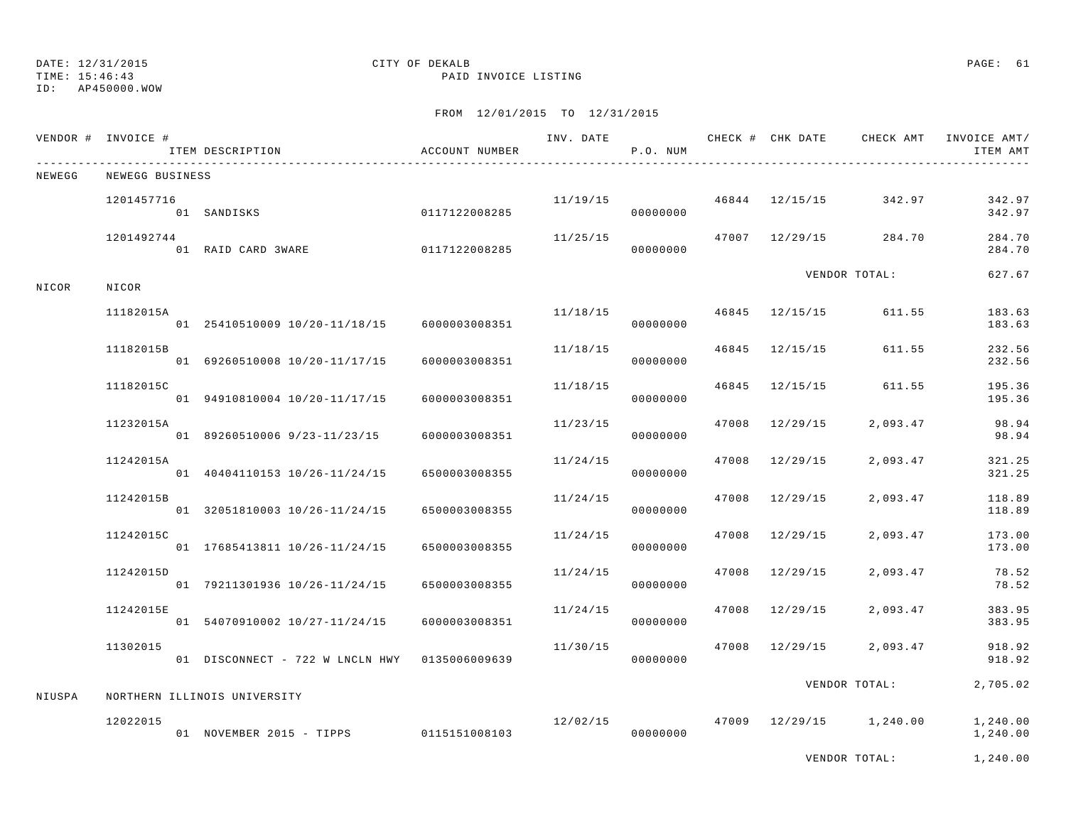TIME: 15:46:43 PAID INVOICE LISTING

ID: AP450000.WOW

|        | VENDOR # INVOICE # | ITEM DESCRIPTION                       | ACCOUNT NUMBER | INV. DATE | P.O. NUM |       |                | CHECK # CHK DATE CHECK AMT | INVOICE AMT/<br>ITEM AMT |
|--------|--------------------|----------------------------------------|----------------|-----------|----------|-------|----------------|----------------------------|--------------------------|
| NEWEGG | NEWEGG BUSINESS    |                                        |                |           |          |       |                |                            |                          |
|        | 1201457716         | 01 SANDISKS                            | 0117122008285  | 11/19/15  | 00000000 |       | 46844 12/15/15 | 342.97                     | 342.97<br>342.97         |
|        | 1201492744         | 01 RAID CARD 3WARE                     | 0117122008285  | 11/25/15  | 00000000 | 47007 | 12/29/15       | 284.70                     | 284.70<br>284.70         |
| NICOR  | NICOR              |                                        |                |           |          |       |                | VENDOR TOTAL:              | 627.67                   |
|        | 11182015A          | 01 25410510009 10/20-11/18/15          | 6000003008351  | 11/18/15  | 00000000 |       | 46845 12/15/15 | 611.55                     | 183.63<br>183.63         |
|        | 11182015B          | 01 69260510008 10/20-11/17/15          | 6000003008351  | 11/18/15  | 00000000 |       | 46845 12/15/15 | 611.55                     | 232.56<br>232.56         |
|        | 11182015C          | 01 94910810004 10/20-11/17/15          | 6000003008351  | 11/18/15  | 00000000 | 46845 | 12/15/15       | 611.55                     | 195.36<br>195.36         |
|        | 11232015A          | 01 89260510006 9/23-11/23/15           | 6000003008351  | 11/23/15  | 00000000 | 47008 | 12/29/15       | 2,093.47                   | 98.94<br>98.94           |
|        | 11242015A          | 01 40404110153 10/26-11/24/15          | 6500003008355  | 11/24/15  | 00000000 | 47008 | 12/29/15       | 2,093.47                   | 321.25<br>321.25         |
|        | 11242015B          | 01 32051810003 10/26-11/24/15          | 6500003008355  | 11/24/15  | 00000000 | 47008 | 12/29/15       | 2,093.47                   | 118.89<br>118.89         |
|        | 11242015C          | 01 17685413811 10/26-11/24/15          | 6500003008355  | 11/24/15  | 00000000 | 47008 | 12/29/15       | 2,093.47                   | 173.00<br>173.00         |
|        | 11242015D          | 01 79211301936 10/26-11/24/15          | 6500003008355  | 11/24/15  | 00000000 | 47008 | 12/29/15       | 2,093.47                   | 78.52<br>78.52           |
|        | 11242015E          | 01 54070910002 10/27-11/24/15          | 6000003008351  | 11/24/15  | 00000000 | 47008 | 12/29/15       | 2,093.47                   | 383.95<br>383.95         |
|        | 11302015           | 01 DISCONNECT - 722 W LNCLN HWY        | 0135006009639  | 11/30/15  | 00000000 | 47008 | 12/29/15       | 2,093.47                   | 918.92<br>918.92         |
| NIUSPA |                    | NORTHERN ILLINOIS UNIVERSITY           |                |           |          |       |                | VENDOR TOTAL:              | 2,705.02                 |
|        | 12022015           | 01 NOVEMBER 2015 - TIPPS 0115151008103 |                | 12/02/15  | 00000000 |       |                | 47009 12/29/15 1,240.00    | 1,240.00<br>1,240.00     |
|        |                    |                                        |                |           |          |       |                | VENDOR TOTAL:              | 1,240.00                 |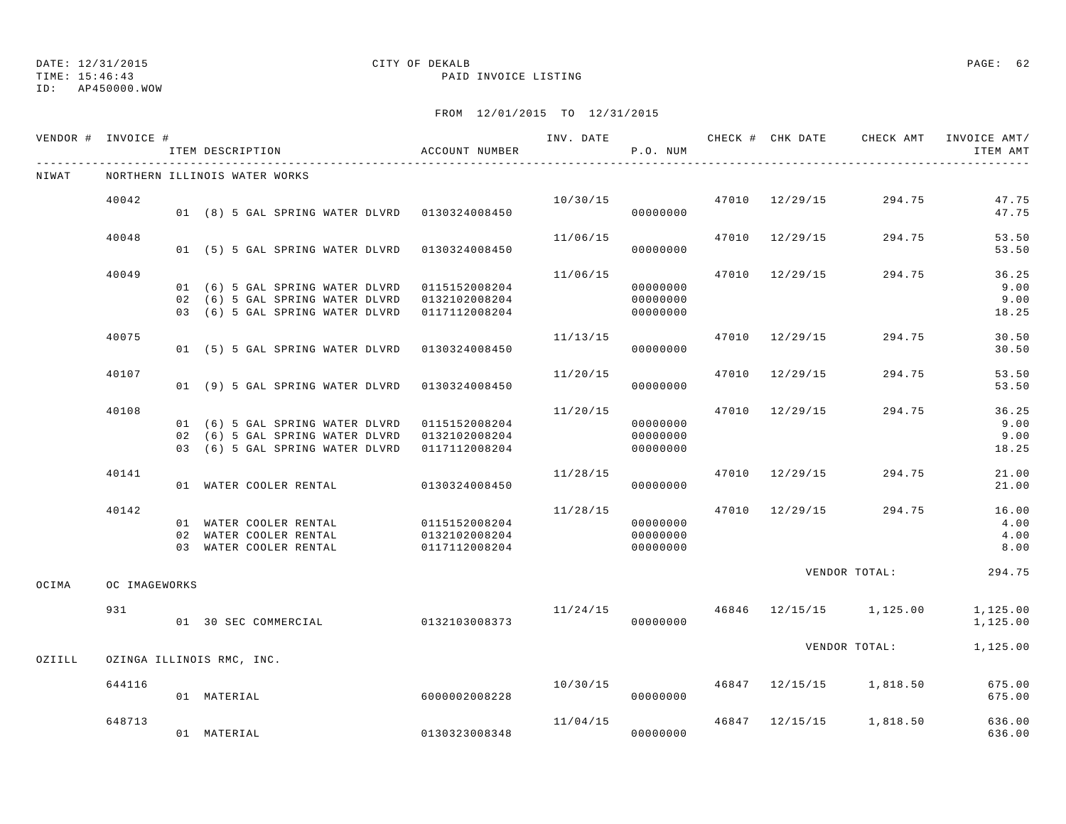# ID: AP450000.WOW

## DATE: 12/31/2015 CITY OF DEKALB PAGE: 62

TIME: 15:46:43 PAID INVOICE LISTING

|        | VENDOR # INVOICE # | ITEM DESCRIPTION                                 | ACCOUNT NUMBER |          | P.O. NUM  |                |                                          | ITEM AMT       |
|--------|--------------------|--------------------------------------------------|----------------|----------|-----------|----------------|------------------------------------------|----------------|
| NIWAT  |                    | NORTHERN ILLINOIS WATER WORKS                    |                |          |           |                |                                          |                |
|        | 40042              | 01 (8) 5 GAL SPRING WATER DLVRD 0130324008450    |                | 10/30/15 | 00000000  | 47010 12/29/15 | 294.75                                   | 47.75<br>47.75 |
|        |                    |                                                  |                |          |           |                |                                          |                |
|        | 40048              | 01 (5) 5 GAL SPRING WATER DLVRD 0130324008450    |                | 11/06/15 | 00000000  | 47010 12/29/15 | 294.75                                   | 53.50<br>53.50 |
|        | 40049              |                                                  |                | 11/06/15 |           | 47010 12/29/15 | 294.75                                   | 36.25          |
|        |                    | 01 (6) 5 GAL SPRING WATER DLVRD 0115152008204    |                |          | 00000000  |                |                                          | 9.00           |
|        |                    | 02 (6) 5 GAL SPRING WATER DLVRD 0132102008204    |                |          | 00000000  |                |                                          | 9.00           |
|        |                    | 03 (6) 5 GAL SPRING WATER DLVRD 0117112008204    |                |          | 00000000  |                |                                          | 18.25          |
|        | 40075              |                                                  |                | 11/13/15 |           | 47010 12/29/15 | 294.75                                   | 30.50          |
|        |                    | 01 (5) 5 GAL SPRING WATER DLVRD 0130324008450    |                |          | 00000000  |                |                                          | 30.50          |
|        | 40107              |                                                  |                | 11/20/15 |           | 47010 12/29/15 | 294.75                                   | 53.50          |
|        |                    | 01 (9) 5 GAL SPRING WATER DLVRD 0130324008450    |                |          | 00000000  |                |                                          | 53.50          |
|        | 40108              |                                                  |                | 11/20/15 |           | 47010 12/29/15 | 294.75                                   | 36.25          |
|        |                    |                                                  |                |          | 00000000  |                |                                          | 9.00           |
|        |                    | 02 (6) 5 GAL SPRING WATER DLVRD 0132102008204    |                |          | 00000000  |                |                                          | 9.00           |
|        |                    | 03 (6) 5 GAL SPRING WATER DLVRD 0117112008204    |                |          | 00000000  |                |                                          | 18.25          |
|        | 40141              |                                                  |                | 11/28/15 |           | 47010 12/29/15 | 294.75                                   | 21.00          |
|        |                    | 01 WATER COOLER RENTAL 0130324008450             |                |          | 00000000  |                |                                          | 21.00          |
|        | 40142              |                                                  |                | 11/28/15 |           | 47010 12/29/15 | 294.75                                   | 16.00          |
|        |                    | 01 WATER COOLER RENTAL 0115152008204             |                |          | 00000000  |                |                                          | 4.00           |
|        |                    | 02 WATER COOLER RENTAL<br>03 WATER COOLER RENTAL | 0132102008204  |          | 00000000  |                |                                          | 4.00<br>8.00   |
|        |                    |                                                  | 0117112008204  |          | 00000000  |                |                                          |                |
| OCIMA  | OC IMAGEWORKS      |                                                  |                |          |           |                | VENDOR TOTAL:                            | 294.75         |
|        | 931                |                                                  |                | 11/24/15 |           |                | 46846 12/15/15 1,125.00                  | 1,125.00       |
|        |                    | 01 30 SEC COMMERCIAL                             | 0132103008373  |          | 00000000  |                |                                          | 1,125.00       |
| OZIILL |                    | OZINGA ILLINOIS RMC, INC.                        |                |          |           |                | VENDOR TOTAL:                            | 1,125.00       |
|        |                    |                                                  |                |          |           |                |                                          |                |
|        | 644116             |                                                  |                |          |           |                | $10/30/15$ $46847$ $12/15/15$ $1,818.50$ | 675.00         |
|        |                    | 01 MATERIAL                                      | 6000002008228  |          | 000000000 |                |                                          | 675.00         |
|        | 648713             |                                                  |                | 11/04/15 |           |                | 46847 12/15/15 1,818.50                  | 636.00         |
|        |                    | 01 MATERIAL                                      | 0130323008348  |          | 00000000  |                |                                          | 636.00         |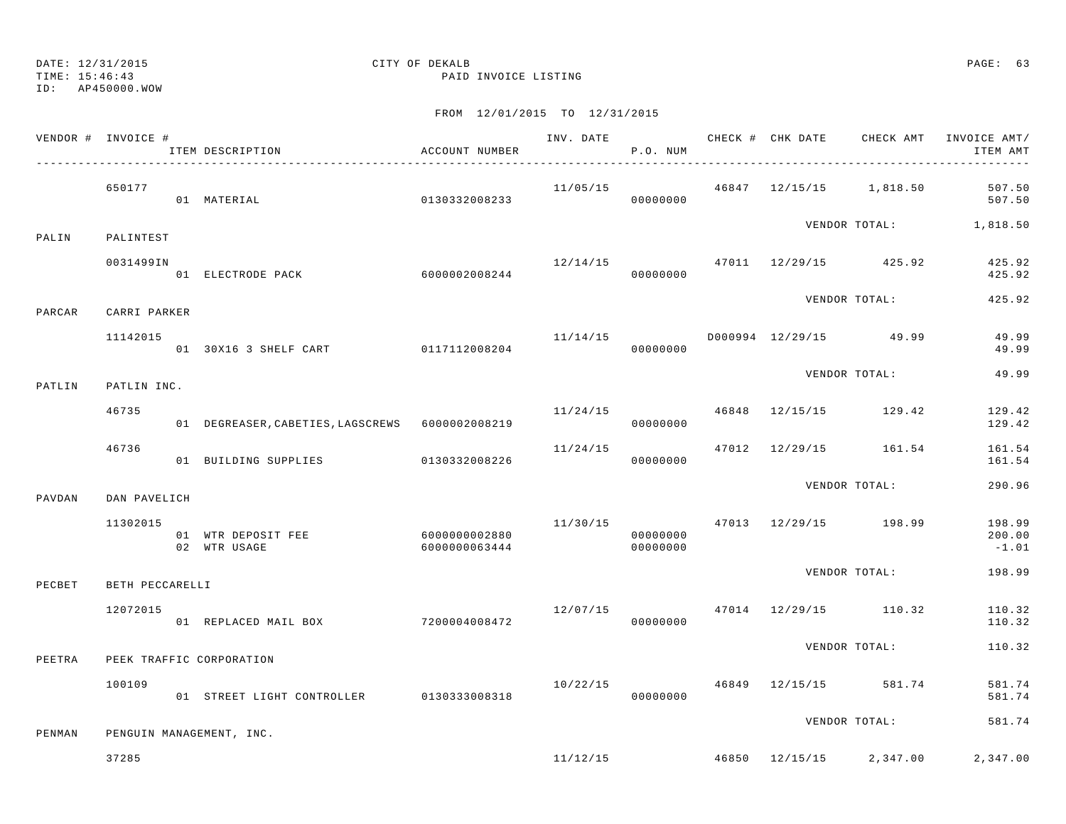ID: AP450000.WOW

#### TIME: 15:46:43 PAID INVOICE LISTING

|        | VENDOR # INVOICE # | ITEM DESCRIPTION                                | ACCOUNT NUMBER                 |                                        | P.O. NUM             |  |                                          | INV. DATE 6 CHECK # CHK DATE CHECK AMT INVOICE AMT/<br>ITEM AMT |
|--------|--------------------|-------------------------------------------------|--------------------------------|----------------------------------------|----------------------|--|------------------------------------------|-----------------------------------------------------------------|
|        | 650177             | 01 MATERIAL                                     | 0130332008233                  |                                        | 00000000             |  | $11/05/15$ $46847$ $12/15/15$ $1,818.50$ | 507.50<br>507.50                                                |
| PALIN  | PALINTEST          |                                                 |                                |                                        |                      |  |                                          | VENDOR TOTAL: 1,818.50                                          |
|        | 0031499IN          | 01 ELECTRODE PACK 6000002008244                 |                                |                                        | 00000000             |  | $12/14/15$ $47011$ $12/29/15$ $425.92$   | 425.92<br>425.92                                                |
| PARCAR | CARRI PARKER       |                                                 |                                |                                        |                      |  | VENDOR TOTAL:                            | 425.92                                                          |
|        | 11142015           | 01 30X16 3 SHELF CART 0117112008204             |                                | 11/14/15                               | 00000000             |  | D000994 12/29/15 49.99                   | 49.99<br>49.99                                                  |
| PATLIN | PATLIN INC.        |                                                 |                                |                                        |                      |  | VENDOR TOTAL:                            | 49.99                                                           |
|        | 46735              | 01 DEGREASER, CABETIES, LAGSCREWS 6000002008219 |                                | 11/24/15                               | 00000000             |  | 46848 12/15/15 129.42                    | 129.42<br>129.42                                                |
|        | 46736              | 01 BUILDING SUPPLIES 0130332008226              |                                | 11/24/15                               | 00000000             |  | 47012 12/29/15 161.54                    | 161.54<br>161.54                                                |
| PAVDAN | DAN PAVELICH       |                                                 |                                |                                        |                      |  | VENDOR TOTAL:                            | 290.96                                                          |
|        | 11302015           | 01 WTR DEPOSIT FEE<br>02 WTR USAGE              | 6000000002880<br>6000000063444 | $11/30/15$ $47013$ $12/29/15$ $198.99$ | 00000000<br>00000000 |  |                                          | 198.99<br>200.00<br>$-1.01$                                     |
| PECBET | BETH PECCARELLI    |                                                 |                                |                                        |                      |  | VENDOR TOTAL:                            | 198.99                                                          |
|        | 12072015           |                                                 |                                |                                        | 00000000             |  | $12/07/15$ $47014$ $12/29/15$ $110.32$   | 110.32<br>110.32                                                |
| PEETRA |                    | PEEK TRAFFIC CORPORATION                        |                                |                                        |                      |  | VENDOR TOTAL:                            | 110.32                                                          |
|        | 100109             | 01 STREET LIGHT CONTROLLER 0130333008318        |                                | 10/22/15                               | 00000000             |  | 46849 12/15/15 581.74                    | 581.74<br>581.74                                                |
| PENMAN |                    | PENGUIN MANAGEMENT, INC.                        |                                |                                        |                      |  | VENDOR TOTAL:                            | 581.74                                                          |
|        | 37285              |                                                 |                                |                                        | 11/12/15             |  | 46850 12/15/15 2.347.00                  | 2,347.00                                                        |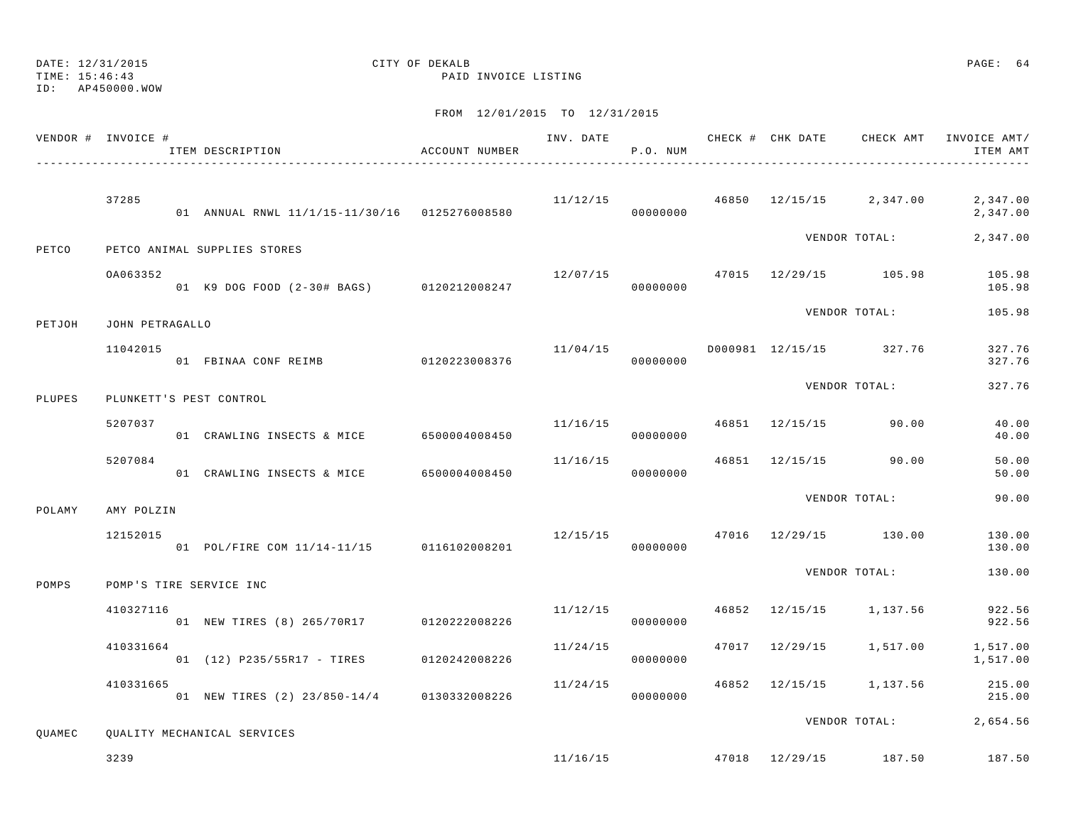ID: AP450000.WOW

#### TIME: 15:46:43 PAID INVOICE LISTING

|        | VENDOR # INVOICE # | ITEM DESCRIPTION                              | ACCOUNT NUMBER |          | P.O. NUM |       |                | INV. DATE 6 CHECK # CHK DATE CHECK AMT | INVOICE AMT/<br>ITEM AMT |
|--------|--------------------|-----------------------------------------------|----------------|----------|----------|-------|----------------|----------------------------------------|--------------------------|
|        | 37285              | 01 ANNUAL RNWL 11/1/15-11/30/16 0125276008580 |                | 11/12/15 | 00000000 |       |                | 46850 12/15/15 2,347.00                | 2,347.00<br>2,347.00     |
| PETCO  |                    | PETCO ANIMAL SUPPLIES STORES                  |                |          |          |       |                | VENDOR TOTAL:                          | 2,347.00                 |
|        | OA063352           | 01 K9 DOG FOOD (2-30# BAGS) 0120212008247     |                | 12/07/15 | 00000000 |       |                | 47015 12/29/15 105.98                  | 105.98<br>105.98         |
| PETJOH | JOHN PETRAGALLO    |                                               |                |          |          |       |                | VENDOR TOTAL:                          | 105.98                   |
|        | 11042015           | 01 FBINAA CONF REIMB 0120223008376            |                | 11/04/15 | 00000000 |       |                | D000981 12/15/15 327.76                | 327.76<br>327.76         |
| PLUPES |                    | PLUNKETT'S PEST CONTROL                       |                |          |          |       |                | VENDOR TOTAL:                          | 327.76                   |
|        | 5207037            | 01 CRAWLING INSECTS & MICE 6500004008450      |                | 11/16/15 | 00000000 |       |                | 46851 12/15/15 90.00                   | 40.00<br>40.00           |
|        | 5207084            | 01 CRAWLING INSECTS & MICE 6500004008450      |                | 11/16/15 | 00000000 |       | 46851 12/15/15 | 90.00                                  | 50.00<br>50.00           |
| POLAMY | AMY POLZIN         |                                               |                |          |          |       |                | VENDOR TOTAL:                          | 90.00                    |
|        | 12152015           | 01 POL/FIRE COM 11/14-11/15 0116102008201     |                | 12/15/15 | 00000000 |       |                | 47016 12/29/15 130.00                  | 130.00<br>130.00         |
| POMPS  |                    | POMP'S TIRE SERVICE INC                       |                |          |          |       |                | VENDOR TOTAL:                          | 130.00                   |
|        | 410327116          | 01 NEW TIRES (8) 265/70R17 0120222008226      |                | 11/12/15 | 00000000 | 46852 |                | 12/15/15 1,137.56                      | 922.56<br>922.56         |
|        | 410331664          | 01 (12) P235/55R17 - TIRES 0120242008226      |                | 11/24/15 | 00000000 |       | 47017 12/29/15 | 1,517.00                               | 1,517.00<br>1,517.00     |
|        | 410331665          | 01 NEW TIRES (2) 23/850-14/4 0130332008226    |                | 11/24/15 | 00000000 |       |                | 46852 12/15/15 1,137.56                | 215.00<br>215.00         |
| QUAMEC |                    | OUALITY MECHANICAL SERVICES                   |                |          |          |       |                |                                        | VENDOR TOTAL: 2,654.56   |
|        | 3239               |                                               |                | 11/16/15 |          |       |                | 47018 12/29/15 187.50                  | 187.50                   |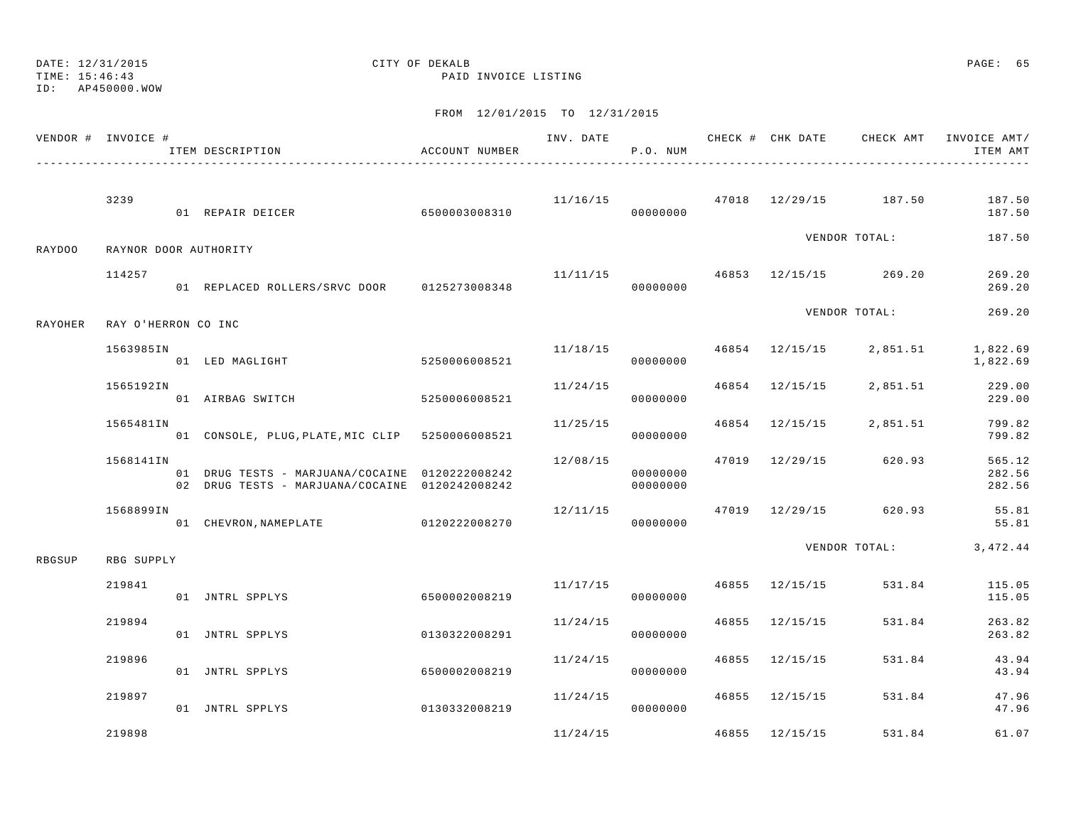TIME: 15:46:43 PAID INVOICE LISTING

ID: AP450000.WOW

|               | VENDOR # INVOICE #    | ITEM DESCRIPTION                                                                                 | ACCOUNT NUMBER |                                  | P.O. NUM             |       |                |                                        | ITEM AMT                   |
|---------------|-----------------------|--------------------------------------------------------------------------------------------------|----------------|----------------------------------|----------------------|-------|----------------|----------------------------------------|----------------------------|
|               | 3239                  | 01 REPAIR DEICER                                                                                 | 6500003008310  |                                  | 00000000             |       |                | $11/16/15$ $47018$ $12/29/15$ $187.50$ | 187.50<br>187.50           |
| <b>RAYDOO</b> | RAYNOR DOOR AUTHORITY |                                                                                                  |                |                                  |                      |       |                | VENDOR TOTAL:                          | 187.50                     |
|               | 114257                | 01 REPLACED ROLLERS/SRVC DOOR 0125273008348                                                      |                | $11/11/15$ 46853 12/15/15 269.20 | 00000000             |       |                |                                        | 269.20<br>269.20           |
| RAYOHER       | RAY O'HERRON CO INC   |                                                                                                  |                |                                  |                      |       |                | VENDOR TOTAL:                          | 269.20                     |
|               | 1563985IN             | 01 LED MAGLIGHT                                                                                  | 5250006008521  | 11/18/15 46854 12/15/15          | 00000000             |       |                | 2,851.51                               | 1,822.69<br>1,822.69       |
|               | 1565192IN             | 01 AIRBAG SWITCH                                                                                 | 5250006008521  | 11/24/15                         | 00000000             |       | 46854 12/15/15 | 2,851.51                               | 229.00<br>229.00           |
|               | 1565481IN             | 01 CONSOLE, PLUG, PLATE, MIC CLIP 5250006008521                                                  |                | 11/25/15                         | 00000000             |       | 46854 12/15/15 | 2,851.51                               | 799.82<br>799.82           |
|               | 1568141IN             | 01 DRUG TESTS - MARJUANA/COCAINE 0120222008242<br>02 DRUG TESTS - MARJUANA/COCAINE 0120242008242 |                | 12/08/15                         | 00000000<br>00000000 |       |                | 47019 12/29/15 620.93                  | 565.12<br>282.56<br>282.56 |
|               | 1568899IN             | 01 CHEVRON, NAMEPLATE 0120222008270                                                              |                | 12/11/15                         | 00000000             |       |                | 47019 12/29/15 620.93                  | 55.81<br>55.81             |
| RBGSUP        | RBG SUPPLY            |                                                                                                  |                |                                  |                      |       |                |                                        | VENDOR TOTAL: 3,472.44     |
|               | 219841                | 01 JNTRL SPPLYS                                                                                  | 6500002008219  | 11/17/15                         | 00000000             |       | 46855 12/15/15 | 531.84                                 | 115.05<br>115.05           |
|               | 219894                | 01 JNTRL SPPLYS                                                                                  | 0130322008291  | 11/24/15                         | 00000000             | 46855 | 12/15/15       | 531.84                                 | 263.82<br>263.82           |
|               | 219896                | 01 JNTRL SPPLYS                                                                                  | 6500002008219  | 11/24/15                         | 00000000             |       | 46855 12/15/15 | 531.84                                 | 43.94<br>43.94             |
|               | 219897                | 01 JNTRL SPPLYS                                                                                  | 0130332008219  | 11/24/15<br>00000000             |                      |       | 46855 12/15/15 | 531.84                                 | 47.96<br>47.96             |
|               | 219898                |                                                                                                  |                | 11/24/15                         |                      |       | 46855 12/15/15 | 531.84                                 | 61.07                      |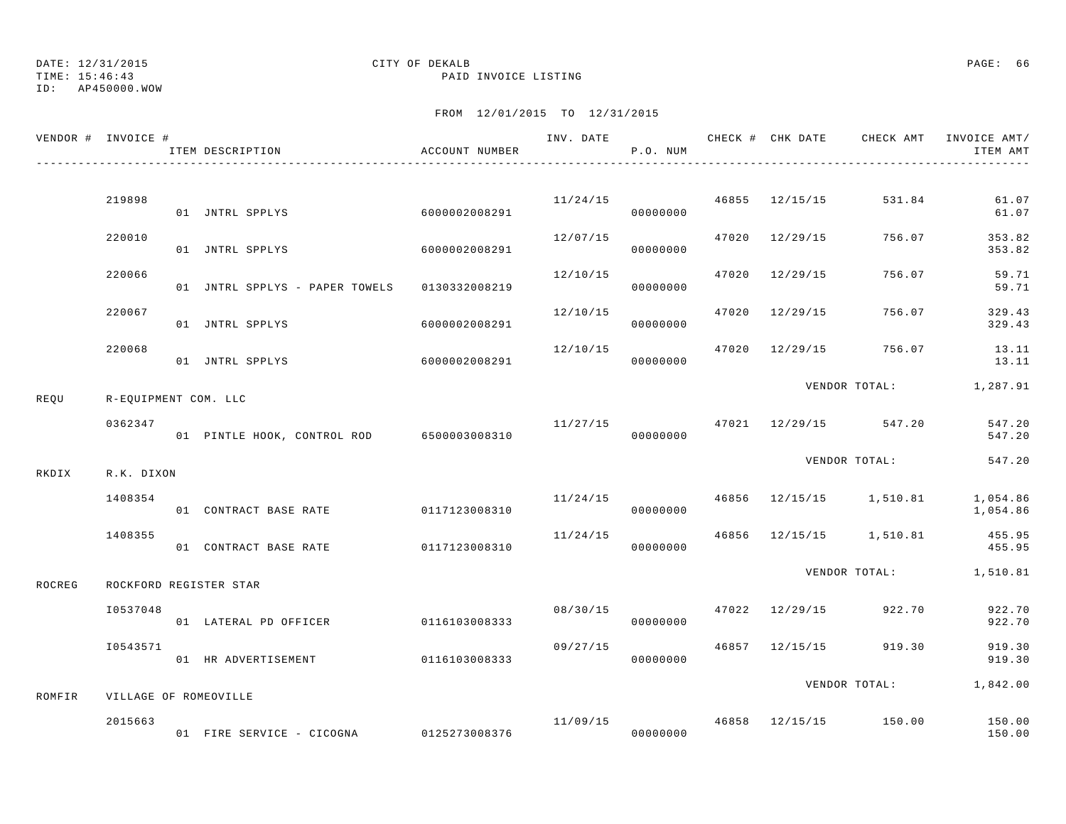TIME: 15:46:43 PAID INVOICE LISTING

ID: AP450000.WOW

|        | VENDOR # INVOICE #    | ITEM DESCRIPTION<br>--------------------------- | ACCOUNT NUMBER | ________________________ | P.O. NUM |       |                | INV. DATE 6 7 200 CHECK # CHK DATE 6 CHECK AMT INVOICE AMT | ITEM AMT         |
|--------|-----------------------|-------------------------------------------------|----------------|--------------------------|----------|-------|----------------|------------------------------------------------------------|------------------|
|        |                       |                                                 |                |                          |          |       |                |                                                            |                  |
|        | 219898                | 01 JNTRL SPPLYS 6000002008291                   |                | 11/24/15                 | 00000000 |       | 46855 12/15/15 | 531.84                                                     | 61.07<br>61.07   |
|        | 220010                | 01 JNTRL SPPLYS                                 | 6000002008291  | 12/07/15                 | 00000000 |       | 47020 12/29/15 | 756.07                                                     | 353.82<br>353.82 |
|        | 220066                | 01 JNTRL SPPLYS - PAPER TOWELS 0130332008219    |                | 12/10/15                 | 00000000 |       | 47020 12/29/15 | 756.07                                                     | 59.71<br>59.71   |
|        | 220067                | 01 JNTRL SPPLYS                                 | 6000002008291  | 12/10/15                 | 00000000 |       | 47020 12/29/15 | 756.07                                                     | 329.43<br>329.43 |
|        | 220068                | 01 JNTRL SPPLYS                                 | 60000002008291 | 12/10/15                 | 00000000 | 47020 |                | 12/29/15 756.07                                            | 13.11<br>13.11   |
| REQU   | R-EQUIPMENT COM. LLC  |                                                 |                |                          |          |       |                | VENDOR TOTAL: 1,287.91                                     |                  |
|        | 0362347               | 01 PINTLE HOOK, CONTROL ROD 6500003008310       |                | 11/27/15                 | 00000000 |       |                | 47021 12/29/15 547.20                                      | 547.20<br>547.20 |
| RKDIX  | R.K. DIXON            |                                                 |                |                          |          |       |                | VENDOR TOTAL:                                              | 547.20           |
|        | 1408354               | 01 CONTRACT BASE RATE                           | 0117123008310  |                          | 00000000 |       |                | $11/24/15$ $46856$ $12/15/15$ $1,510.81$ $1,054.86$        | 1,054.86         |
|        | 1408355               | 01 CONTRACT BASE RATE 0117123008310             |                | 11/24/15                 | 00000000 |       |                | 46856 12/15/15 1,510.81                                    | 455.95<br>455.95 |
| ROCREG |                       | ROCKFORD REGISTER STAR                          |                |                          |          |       |                | VENDOR TOTAL: 1,510.81                                     |                  |
|        | I0537048              | 01 LATERAL PD OFFICER 0116103008333             |                | 08/30/15                 | 00000000 |       |                | 47022 12/29/15 922.70                                      | 922.70<br>922.70 |
|        | I0543571              | 01 HR ADVERTISEMENT                             | 0116103008333  | 09/27/15                 | 00000000 |       | 46857 12/15/15 | 919.30                                                     | 919.30<br>919.30 |
| ROMFIR | VILLAGE OF ROMEOVILLE |                                                 |                |                          |          |       |                | VENDOR TOTAL: 1,842.00                                     |                  |
|        | 2015663               | 01 FIRE SERVICE - CICOGNA 0125273008376         |                | 11/09/15                 |          |       |                | 46858 12/15/15 150.00                                      | 150.00<br>150.00 |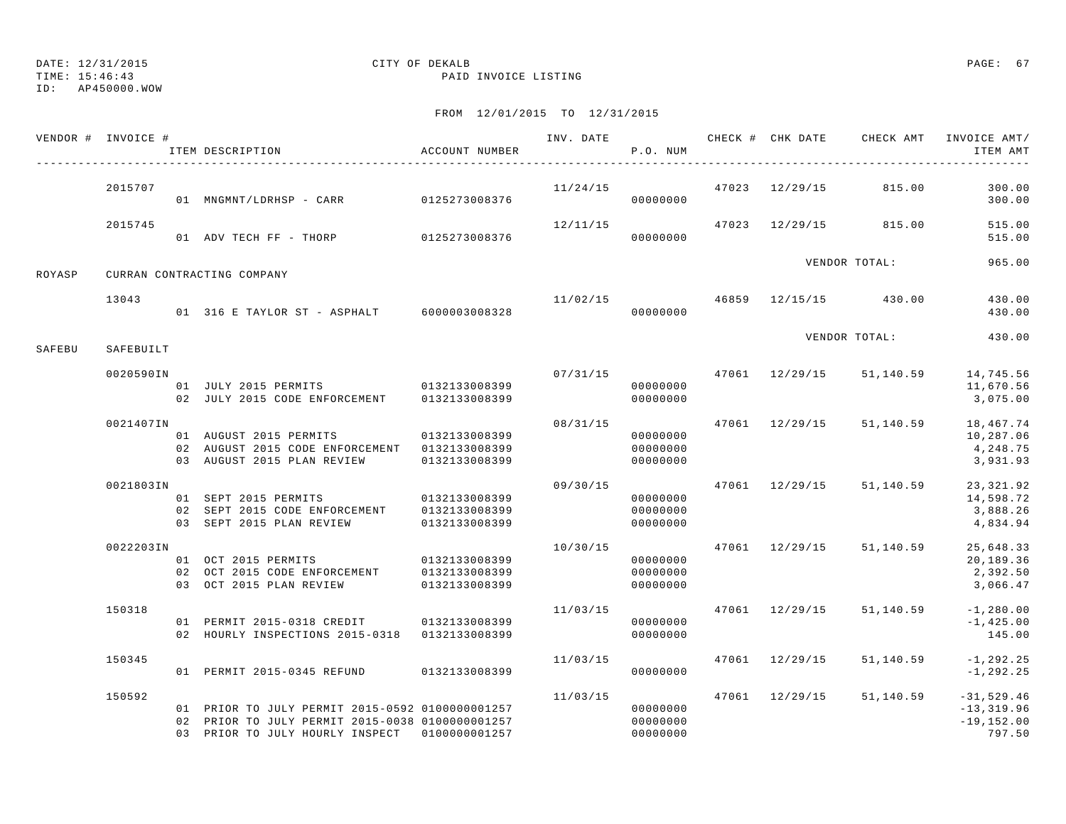TIME: 15:46:43 PAID INVOICE LISTING

ID: AP450000.WOW

|        | VENDOR # INVOICE # |                                                                                                                                                                                 |               |           | P.O. NUM                         |  | INV. DATE 6 CHECK # CHK DATE CHECK AMT    | INVOICE AMT/<br>ITEM AMT                                                                   |
|--------|--------------------|---------------------------------------------------------------------------------------------------------------------------------------------------------------------------------|---------------|-----------|----------------------------------|--|-------------------------------------------|--------------------------------------------------------------------------------------------|
|        | 2015707            | 01 MNGMNT/LDRHSP - CARR 0125273008376                                                                                                                                           |               |           | 11/24/15<br>000000000            |  | 47023 12/29/15 815.00                     | 300.00<br>300.00                                                                           |
|        | 2015745            | $12/11/15$ $12/11/15$ $00000000$ $0125273008376$ $000000000$                                                                                                                    |               |           |                                  |  |                                           | 515.00<br>515.00                                                                           |
| ROYASP |                    | CURRAN CONTRACTING COMPANY                                                                                                                                                      |               |           |                                  |  | VENDOR TOTAL:                             | 965.00                                                                                     |
|        | 13043              | -----<br>01 316 E TAYLOR ST - ASPHALT 6000003008328                                                                                                                             |               |           | 00000000                         |  |                                           | $11/02/15$ $46859$ $12/15/15$ $430.00$ $430.00$<br>430.00                                  |
| SAFEBU | SAFEBUILT          |                                                                                                                                                                                 |               |           |                                  |  | VENDOR TOTAL:                             | 430.00                                                                                     |
|        | 0020590IN          | 02 JULY 2015 CODE ENFORCEMENT 0132133008399                                                                                                                                     |               | 00000000  | 00000000                         |  |                                           | $07/31/15$ $47061$ $12/29/15$ $51,140.59$ $14,745.56$<br>11,670.56<br>3,075.00             |
|        | 0021407IN          | 01 AUGUST 2015 PERMITS 0132133008399<br>03 AUGUST 2015 PLAN REVIEW                                                                                                              | 0132133008399 |           | 00000000<br>00000000<br>00000000 |  |                                           | $08/31/15$ $47061$ $12/29/15$ $51,140.59$ $18,467.74$<br>10,287.06<br>4,248.75<br>3,931.93 |
|        | 0021803IN          | 09/30/15<br>00000000 0132133008399 000000000 0132133008399 00000000<br>02 SEPT 2015 CODE ENFORCEMENT 0132133008399<br>03 SEPT 2015 PLAN REVIEW 0132133008399 000000000 00000000 |               | 09/30/15  | 00000000                         |  |                                           | $47061$ $12/29/15$ $51,140.59$ 23,321.92<br>14,598.72<br>3,888.26<br>4,834.94              |
|        | 0022203IN          | 01 OCT 2015 PERMITS 0132133008399<br>02 OCT 2015 CODE ENFORCEMENT 0132133008399<br>03 OCT 2015 PLAN REVIEW                                                                      | 0132133008399 |           | 00000000<br>00000000<br>00000000 |  |                                           | $10/30/15$ $47061$ $12/29/15$ $51,140.59$ $25,648.33$<br>20,189.36<br>2,392.50<br>3,066.47 |
|        | 150318             | 01 PERMIT 2015-0318 CREDIT 0132133008399<br>02 HOURLY INSPECTIONS 2015-0318  0132133008399                                                                                      |               | 11/03/15  | 00000000<br>00000000             |  |                                           | 47061 12/29/15 51,140.59 -1,280.00<br>$-1,425.00$<br>145.00                                |
|        | 150345             | 01 PERMIT 2015-0345 REFUND 0132133008399                                                                                                                                        |               | 11/03/15  | 00000000                         |  |                                           | 47061 12/29/15 51,140.59 -1,292.25<br>$-1, 292.25$                                         |
|        | 150592             | 01 PRIOR TO JULY PERMIT 2015-0592 0100000001257<br>02 PRIOR TO JULY PERMIT 2015-0038 0100000001257<br>03 PRIOR TO JULY HOURLY INSPECT  01000000001257                           |               | 000000000 | 00000000                         |  | $11/03/15$ $47061$ $12/29/15$ $51,140.59$ | $-31, 529.46$<br>$-13, 319.96$<br>$-19, 152.00$<br>797.50                                  |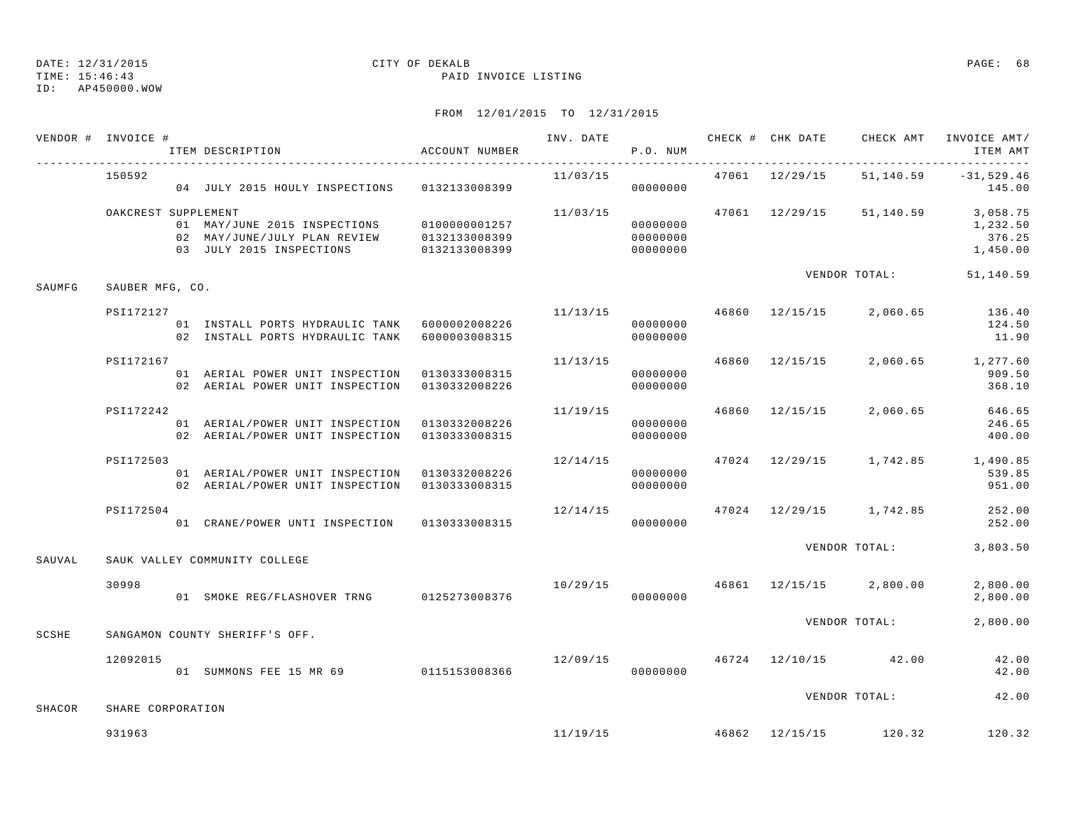TIME: 15:46:43 PAID INVOICE LISTING

ID: AP450000.WOW

|        | VENDOR # INVOICE #  | ITEM DESCRIPTION                                                                                                                               | ACCOUNT NUMBER |           | P.O. NUM             |  |                                                 | ITEM AMT                       |
|--------|---------------------|------------------------------------------------------------------------------------------------------------------------------------------------|----------------|-----------|----------------------|--|-------------------------------------------------|--------------------------------|
|        | 150592              |                                                                                                                                                |                | 11/03/15  | 00000000             |  | 47061 12/29/15 51,140.59 -31,529.46             | 145.00                         |
|        | OAKCREST SUPPLEMENT | 011 MAY/JUNE 2015 INSPECTIONS 0100000001257<br>02 MAY/JUNE/JULY PLAN REVIEW 0132133008399<br>03 JULY 2015 INSPECTIONS 0132133008399 0000000000 |                | 11/03/15  | 00000000<br>00000000 |  | 47061 12/29/15 51,140.59 3,058.75               | 1,232.50<br>376.25<br>1,450.00 |
| SAUMFG | SAUBER MFG, CO.     |                                                                                                                                                |                |           |                      |  | VENDOR TOTAL:                                   | 51,140.59                      |
|        | PSI172127           | 01 INSTALL PORTS HYDRAULIC TANK 6000002008226<br>02 INSTALL PORTS HYDRAULIC TANK 6000003008315                                                 |                | 11/13/15  | 00000000<br>00000000 |  | 46860 12/15/15 2,060.65                         | 136.40<br>124.50<br>11.90      |
|        | PSI172167           | 01 AERIAL POWER UNIT INSPECTION 0130333008315<br>02 AERIAL POWER UNIT INSPECTION 0130332008226                                                 |                | 11/13/15  | 00000000<br>00000000 |  | 46860 12/15/15 2,060.65 1,277.60                | 909.50<br>368.10               |
|        | PSI172242           | 01 AERIAL/POWER UNIT INSPECTION 0130332008226<br>02 AERIAL/POWER UNIT INSPECTION 0130333008315                                                 |                | 11/19/15  | 00000000<br>00000000 |  | 46860 12/15/15 2,060.65                         | 646.65<br>246.65<br>400.00     |
|        | PSI172503           | 01 AERIAL/POWER UNIT INSPECTION 0130332008226<br>02 AERIAL/POWER UNIT INSPECTION 0130333008315                                                 |                | 12/14/15  | 00000000<br>00000000 |  | 47024 12/29/15 1,742.85 1,490.85                | 539.85<br>951.00               |
|        | PSI172504           | 01 CRANE/POWER UNTI INSPECTION 0130333008315                                                                                                   |                |           | 00000000             |  | $12/14/15$ $47024$ $12/29/15$ $1,742.85$        | 252.00<br>252.00               |
| SAUVAL |                     | SAUK VALLEY COMMUNITY COLLEGE                                                                                                                  |                |           |                      |  | VENDOR TOTAL:                                   | 3,803.50                       |
|        | 30998               | 01 SMOKE REG/FLASHOVER TRNG 0125273008376                                                                                                      |                | 000000000 |                      |  | $10/29/15$ $46861$ $12/15/15$ $2,800.00$        | 2,800.00<br>2,800.00           |
| SCSHE  |                     | SANGAMON COUNTY SHERIFF'S OFF.                                                                                                                 |                |           |                      |  | VENDOR TOTAL:                                   | 2,800.00                       |
|        | 12092015            |                                                                                                                                                |                |           |                      |  | $12/09/15$ $46724$ $12/10/15$ $42.00$           | 42.00<br>42.00                 |
| SHACOR | SHARE CORPORATION   |                                                                                                                                                |                |           |                      |  | VENDOR TOTAL:                                   | 42.00                          |
|        | 931963              |                                                                                                                                                |                |           |                      |  | $11/19/15$ $46862$ $12/15/15$ $120.32$ $120.32$ |                                |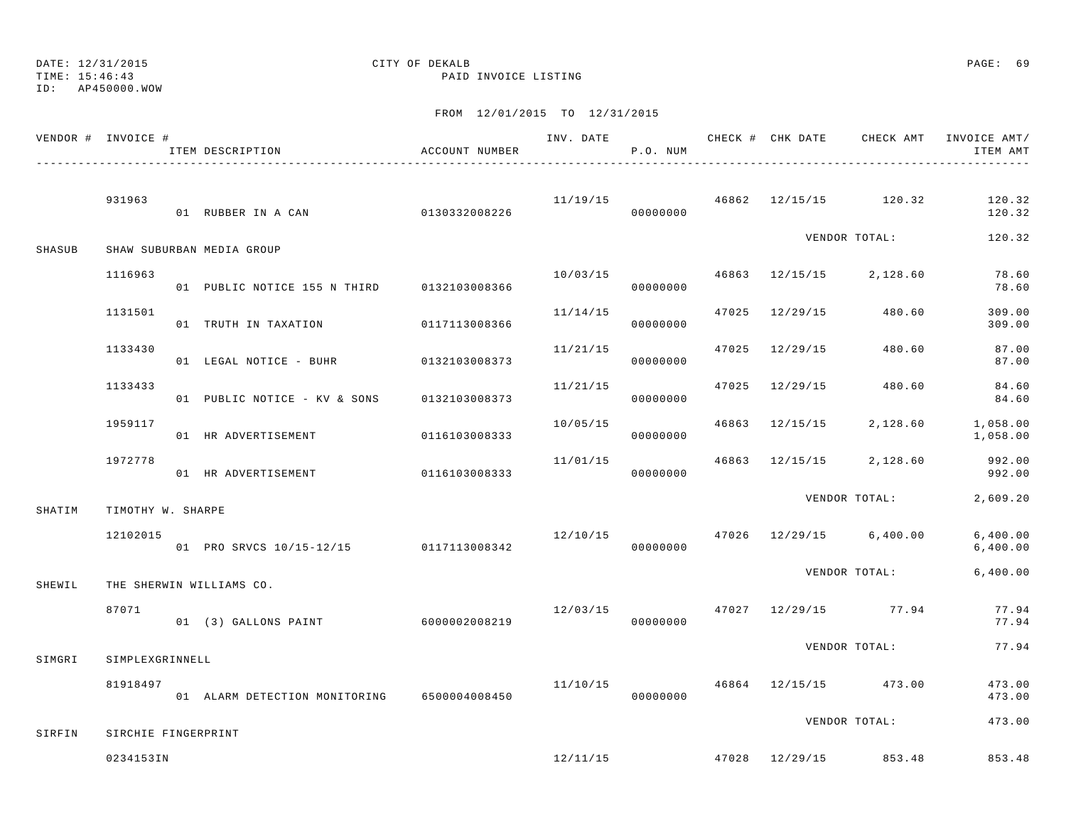TIME: 15:46:43 PAID INVOICE LISTING

ID: AP450000.WOW

|        | VENDOR # INVOICE #  | ITEM DESCRIPTION                            | ACCOUNT NUMBER | .                     | P.O. NUM |       |                                       | ITEM AMT             |
|--------|---------------------|---------------------------------------------|----------------|-----------------------|----------|-------|---------------------------------------|----------------------|
|        | 931963              | 01 RUBBER IN A CAN 0130332008226            |                | 11/19/15<br>000000000 |          |       | 46862 12/15/15 120.32                 | 120.32<br>120.32     |
| SHASUB |                     | SHAW SUBURBAN MEDIA GROUP                   |                |                       |          |       | VENDOR TOTAL:                         | 120.32               |
|        | 1116963             | 01 PUBLIC NOTICE 155 N THIRD 0132103008366  |                | 10/03/15              | 00000000 |       | 46863 12/15/15 2,128.60               | 78.60<br>78.60       |
|        | 1131501             | 01 TRUTH IN TAXATION 0117113008366          |                | 11/14/15              | 00000000 |       | 47025 12/29/15 480.60                 | 309.00<br>309.00     |
|        | 1133430             | 01 LEGAL NOTICE - BUHR 0132103008373        |                | 11/21/15              | 00000000 |       | 47025 12/29/15 480.60                 | 87.00<br>87.00       |
|        | 1133433             | 01 PUBLIC NOTICE - KV & SONS 0132103008373  |                | 11/21/15              | 00000000 | 47025 | 12/29/15 480.60                       | 84.60<br>84.60       |
|        | 1959117             | 01 HR ADVERTISEMENT                         | 0116103008333  | 10/05/15              | 00000000 |       | 46863 12/15/15 2,128.60               | 1,058.00<br>1,058.00 |
|        | 1972778             | 01 HR ADVERTISEMENT                         | 0116103008333  | 11/01/15              | 00000000 |       | 46863 12/15/15 2,128.60               | 992.00<br>992.00     |
| SHATIM | TIMOTHY W. SHARPE   |                                             |                |                       |          |       | VENDOR TOTAL:                         | 2,609.20             |
|        | 12102015            | 01 PRO SRVCS 10/15-12/15 0117113008342      |                | 12/10/15              | 00000000 |       | 47026 12/29/15 6,400.00               | 6,400.00<br>6,400.00 |
| SHEWIL |                     | THE SHERWIN WILLIAMS CO.                    |                |                       |          |       | VENDOR TOTAL:                         | 6,400.00             |
|        | 87071               | 01 (3) GALLONS PAINT 6000002008219          |                |                       | 00000000 |       | $12/03/15$ $47027$ $12/29/15$ $77.94$ | 77.94<br>77.94       |
| SIMGRI | SIMPLEXGRINNELL     |                                             |                |                       |          |       | VENDOR TOTAL:                         | 77.94                |
|        | 81918497            | 01 ALARM DETECTION MONITORING 6500004008450 |                | 11/10/15              | 00000000 |       | 46864 12/15/15 473.00                 | 473.00<br>473.00     |
| SIRFIN | SIRCHIE FINGERPRINT |                                             |                |                       |          |       | VENDOR TOTAL:                         | 473.00               |
|        | 0234153IN           |                                             |                |                       | 12/11/15 |       | 47028 12/29/15 853.48                 | 853.48               |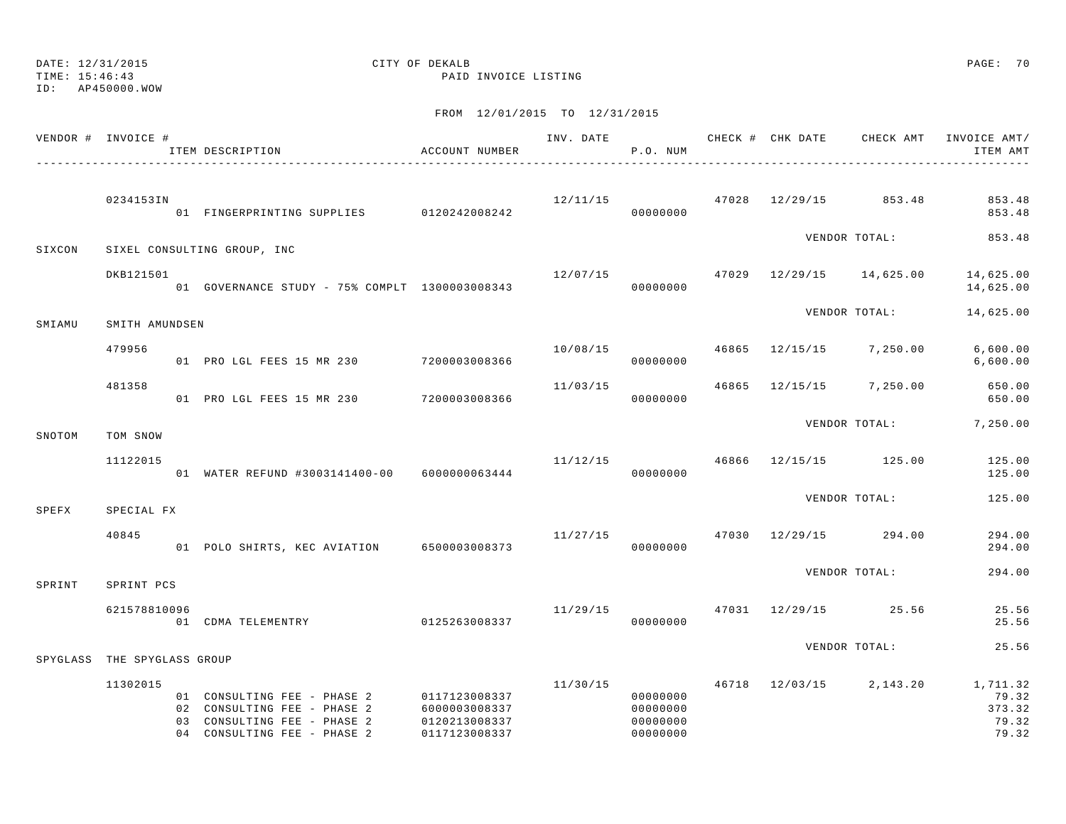TIME: 15:46:43 PAID INVOICE LISTING ID: AP450000.WOW

# DATE: 12/31/2015 CITY OF DEKALB PAGE: 70

|        | VENDOR # INVOICE #          | ITEM DESCRIPTION<br>---------------------------------                                                                    | ACCOUNT NUMBER                                                   | INV. DATE      | P.O. NUM                                     |       | CHECK # CHK DATE CHECK AMT             | INVOICE AMT/<br>ITEM AMT                      |
|--------|-----------------------------|--------------------------------------------------------------------------------------------------------------------------|------------------------------------------------------------------|----------------|----------------------------------------------|-------|----------------------------------------|-----------------------------------------------|
|        | 0234153IN                   | 01 FINGERPRINTING SUPPLIES 0120242008242                                                                                 |                                                                  |                | 00000000                                     |       | $12/11/15$ $47028$ $12/29/15$ $853.48$ | 853.48<br>853.48                              |
| SIXCON |                             | SIXEL CONSULTING GROUP, INC                                                                                              |                                                                  |                |                                              |       | VENDOR TOTAL:                          | 853.48                                        |
|        | DKB121501                   | 01 GOVERNANCE STUDY - 75% COMPLT 1300003008343                                                                           |                                                                  | 12/07/15       | 00000000                                     |       | 47029 12/29/15 14,625.00               | 14,625.00<br>14,625.00                        |
| SMIAMU | SMITH AMUNDSEN              |                                                                                                                          |                                                                  |                |                                              |       | VENDOR TOTAL:                          | 14,625.00                                     |
|        | 479956                      | 01 PRO LGL FEES 15 MR 230                                                                                                | 7200003008366                                                    | 10/08/15       | 00000000                                     |       | 46865 12/15/15 7,250.00                | 6,600.00<br>6,600.00                          |
|        | 481358                      | 01 PRO LGL FEES 15 MR 230 7200003008366                                                                                  |                                                                  | 11/03/15       | 00000000                                     | 46865 | 12/15/15 7,250.00                      | 650.00<br>650.00                              |
| SNOTOM | TOM SNOW                    |                                                                                                                          |                                                                  |                |                                              |       |                                        | VENDOR TOTAL: 7,250.00                        |
|        | 11122015                    | 01 WATER REFUND #3003141400-00 6000000063444                                                                             |                                                                  | 11/12/15 46866 | 00000000                                     |       | 12/15/15 125.00                        | 125.00<br>125.00                              |
| SPEFX  | SPECIAL FX                  |                                                                                                                          |                                                                  |                |                                              |       | VENDOR TOTAL:                          | 125.00                                        |
|        | 40845                       | 01 POLO SHIRTS, KEC AVIATION 6500003008373                                                                               |                                                                  | 11/27/15       | 00000000                                     |       | 47030 12/29/15 294.00                  | 294.00<br>294.00                              |
| SPRINT | SPRINT PCS                  |                                                                                                                          |                                                                  |                |                                              |       | VENDOR TOTAL:                          | 294.00                                        |
|        | 621578810096                | 01 CDMA TELEMENTRY                                                                                                       | 0125263008337                                                    | 11/29/15       | 00000000                                     |       | 47031 12/29/15 25.56                   | 25.56<br>25.56                                |
|        | SPYGLASS THE SPYGLASS GROUP |                                                                                                                          |                                                                  |                |                                              |       | VENDOR TOTAL:                          | 25.56                                         |
|        | 11302015                    | 01 CONSULTING FEE - PHASE 2<br>02 CONSULTING FEE - PHASE 2<br>03 CONSULTING FEE - PHASE 2<br>04 CONSULTING FEE - PHASE 2 | 0117123008337<br>6000003008337<br>0120213008337<br>0117123008337 | 11/30/15       | 00000000<br>00000000<br>00000000<br>00000000 | 46718 | 12/03/15 2,143.20                      | 1,711.32<br>79.32<br>373.32<br>79.32<br>79.32 |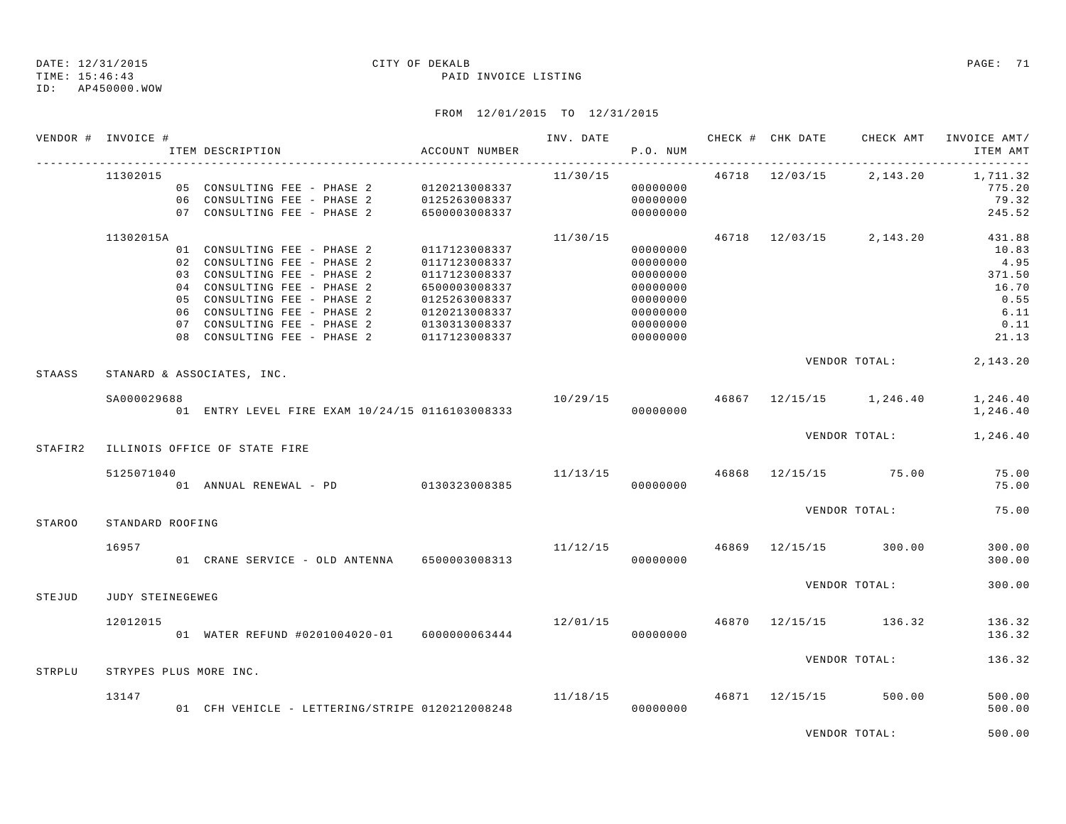TIME: 15:46:43 PAID INVOICE LISTING ID: AP450000.WOW

### FROM 12/01/2015 TO 12/31/2015

|         | VENDOR # INVOICE #     | ACCOUNT NUMBER<br>ITEM DESCRIPTION              |               | INV. DATE                            | P.O. NUM |  | CHECK # CHK DATE CHECK AMT INVOICE AMT/ | ITEM AMT                |
|---------|------------------------|-------------------------------------------------|---------------|--------------------------------------|----------|--|-----------------------------------------|-------------------------|
|         | 11302015               |                                                 |               | 11/30/15                             |          |  | 46718 12/03/15 2,143.20                 | 1,711.32                |
|         |                        |                                                 |               |                                      | 00000000 |  |                                         | 775.20                  |
|         |                        |                                                 |               |                                      | 00000000 |  |                                         | 79.32                   |
|         |                        | 07 CONSULTING FEE - PHASE 2                     | 6500003008337 |                                      | 00000000 |  |                                         | 245.52                  |
|         | 11302015A              |                                                 |               | 11/30/15                             |          |  | 46718 12/03/15 2,143.20                 | 431.88                  |
|         |                        | 01 CONSULTING FEE - PHASE 2                     | 0117123008337 |                                      | 00000000 |  |                                         | 10.83                   |
|         |                        | 02 CONSULTING FEE - PHASE 2                     | 0117123008337 |                                      | 00000000 |  |                                         | 4.95                    |
|         |                        | 03 CONSULTING FEE - PHASE 2                     | 0117123008337 |                                      | 00000000 |  |                                         | 371.50                  |
|         |                        | 04 CONSULTING FEE - PHASE 2                     | 6500003008337 |                                      | 00000000 |  |                                         | 16.70                   |
|         |                        | 05 CONSULTING FEE - PHASE 2                     | 0125263008337 |                                      | 00000000 |  |                                         | 0.55                    |
|         |                        | 06 CONSULTING FEE - PHASE 2                     | 0120213008337 |                                      | 00000000 |  |                                         | 6.11                    |
|         |                        | 07 CONSULTING FEE - PHASE 2                     | 0130313008337 |                                      | 00000000 |  |                                         | 0.11                    |
|         |                        | 08 CONSULTING FEE - PHASE 2                     | 0117123008337 |                                      | 00000000 |  |                                         | 21.13                   |
| STAASS  |                        | STANARD & ASSOCIATES, INC.                      |               |                                      |          |  | VENDOR TOTAL:                           | 2, 143.20               |
|         | SA000029688            |                                                 |               | 10/29/15                             |          |  | 46867 12/15/15 1,246.40                 | 1,246.40                |
|         |                        | 01 ENTRY LEVEL FIRE EXAM 10/24/15 0116103008333 |               |                                      | 00000000 |  |                                         | 1,246.40                |
|         |                        |                                                 |               |                                      |          |  | VENDOR TOTAL:                           | 1,246.40                |
| STAFIR2 |                        | ILLINOIS OFFICE OF STATE FIRE                   |               |                                      |          |  |                                         |                         |
|         | 5125071040             |                                                 |               |                                      |          |  | $11/13/15$ $46868$ $12/15/15$ 75.00     | 75.00                   |
|         |                        | 01 ANNUAL RENEWAL - PD 0130323008385            |               |                                      | 00000000 |  |                                         | 75.00                   |
| STAROO  | STANDARD ROOFING       |                                                 |               |                                      |          |  | VENDOR TOTAL:                           | 75.00                   |
|         |                        |                                                 |               |                                      |          |  |                                         |                         |
|         | 16957                  | 01 CRANE SERVICE - OLD ANTENNA 6500003008313    |               | 11/12/15                             | 00000000 |  | 46869 12/15/15 300.00                   | 300.00<br>300.00        |
|         |                        |                                                 |               |                                      |          |  |                                         |                         |
| STEJUD  | JUDY STEINEGEWEG       |                                                 |               |                                      |          |  | VENDOR TOTAL:                           | 300.00                  |
|         |                        |                                                 |               |                                      |          |  |                                         |                         |
|         | 12012015               |                                                 |               |                                      |          |  | $12/01/15$ $46870$ $12/15/15$ $136.32$  | 136.32                  |
|         |                        | 01 WATER REFUND #0201004020-01 6000000063444    |               |                                      | 00000000 |  |                                         | 136.32                  |
|         |                        |                                                 |               |                                      |          |  | VENDOR TOTAL:                           | 136.32                  |
| STRPLU  | STRYPES PLUS MORE INC. |                                                 |               |                                      |          |  |                                         |                         |
|         | 13147                  |                                                 |               | $11/18/15$ $46871$ $12/15/15$ 500.00 |          |  |                                         | 500.00                  |
|         |                        | 01 CFH VEHICLE - LETTERING/STRIPE 0120212008248 |               |                                      | 00000000 |  |                                         | 500.00                  |
|         |                        |                                                 |               |                                      |          |  |                                         | $E \cap \cap \cap \cap$ |
|         |                        |                                                 |               |                                      |          |  | <b>WENDOD BOBAT</b> .                   |                         |

VENDOR TOTAL: 500.00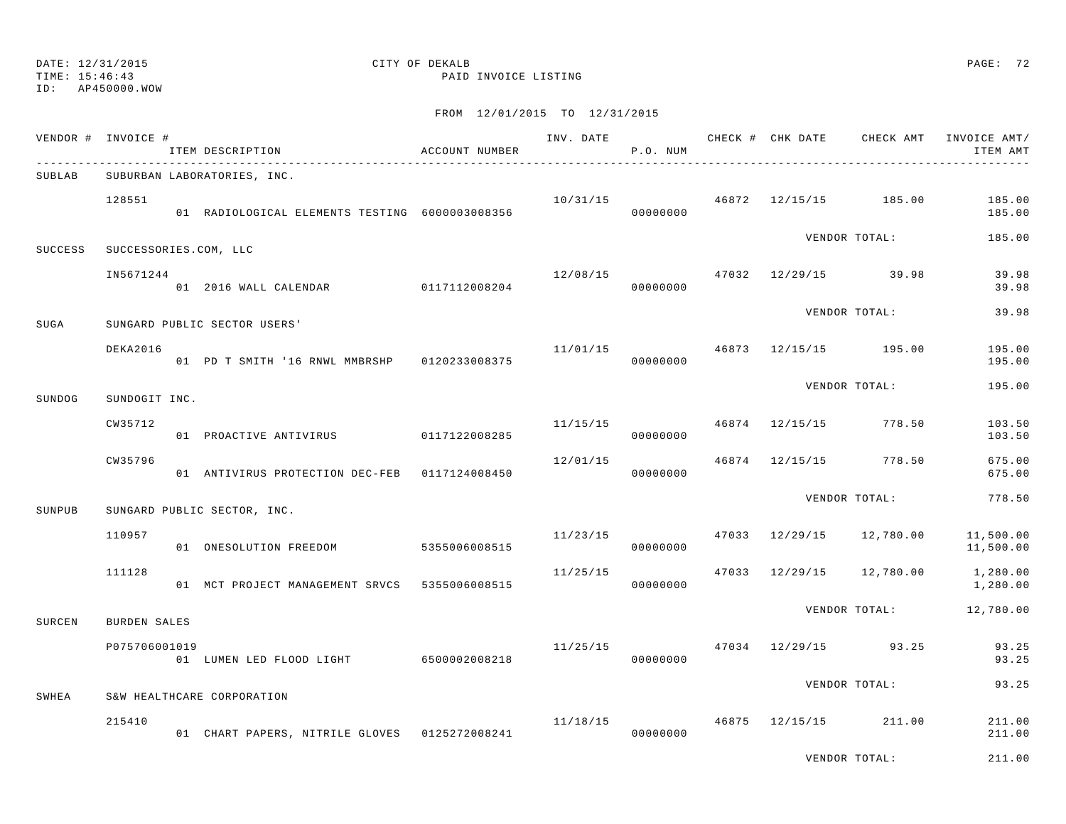## TIME: 15:46:43 PAID INVOICE LISTING

## ID: AP450000.WOW

# DATE: 12/31/2015 CITY OF DEKALB PAGE: 72

|         | VENDOR # INVOICE #  | ITEM DESCRIPTION                               | ACCOUNT NUMBER |          | P.O. NUM |  |                          | INVOICE AMT/<br>ITEM AMT |
|---------|---------------------|------------------------------------------------|----------------|----------|----------|--|--------------------------|--------------------------|
| SUBLAB  |                     | SUBURBAN LABORATORIES, INC.                    |                |          |          |  |                          |                          |
|         | 128551              | 01 RADIOLOGICAL ELEMENTS TESTING 6000003008356 |                | 10/31/15 | 00000000 |  | 46872 12/15/15 185.00    | 185.00<br>185.00         |
| SUCCESS |                     | SUCCESSORIES.COM, LLC                          |                |          |          |  | VENDOR TOTAL:            | 185.00                   |
|         | IN5671244           | 01 2016 WALL CALENDAR 0117112008204            |                | 12/08/15 | 00000000 |  | 47032 12/29/15 39.98     | 39.98<br>39.98           |
| SUGA    |                     | SUNGARD PUBLIC SECTOR USERS'                   |                |          |          |  | VENDOR TOTAL:            | 39.98                    |
|         | DEKA2016            | 01 PD T SMITH '16 RNWL MMBRSHP 0120233008375   |                | 11/01/15 | 00000000 |  | 46873 12/15/15 195.00    | 195.00<br>195.00         |
| SUNDOG  | SUNDOGIT INC.       |                                                |                |          |          |  | VENDOR TOTAL:            | 195.00                   |
|         | CW35712             | 01 PROACTIVE ANTIVIRUS 0117122008285           |                | 11/15/15 | 00000000 |  | 46874 12/15/15 778.50    | 103.50<br>103.50         |
|         | CW35796             | 01 ANTIVIRUS PROTECTION DEC-FEB 0117124008450  |                | 12/01/15 | 00000000 |  | 46874 12/15/15 778.50    | 675.00<br>675.00         |
| SUNPUB  |                     | SUNGARD PUBLIC SECTOR, INC.                    |                |          |          |  | VENDOR TOTAL:            | 778.50                   |
|         | 110957              | 01 ONESOLUTION FREEDOM 5355006008515           |                | 11/23/15 | 00000000 |  | 47033 12/29/15 12,780.00 | 11,500.00<br>11,500.00   |
|         | 111128              | 01 MCT PROJECT MANAGEMENT SRVCS 5355006008515  |                | 11/25/15 | 00000000 |  | 47033 12/29/15 12,780.00 | 1,280.00<br>1,280.00     |
| SURCEN  | <b>BURDEN SALES</b> |                                                |                |          |          |  |                          | VENDOR TOTAL: 12,780.00  |
|         | P075706001019       | 01 LUMEN LED FLOOD LIGHT 6500002008218         |                | 11/25/15 | 00000000 |  | 47034 12/29/15 93.25     | 93.25<br>93.25           |
| SWHEA   |                     | S&W HEALTHCARE CORPORATION                     |                |          |          |  | VENDOR TOTAL:            | 93.25                    |
|         | 215410              | 01 CHART PAPERS, NITRILE GLOVES  0125272008241 |                | 11/18/15 | 00000000 |  | 46875 12/15/15 211.00    | 211.00<br>211.00         |
|         |                     |                                                |                |          |          |  | VENDOR TOTAL:            | 211.00                   |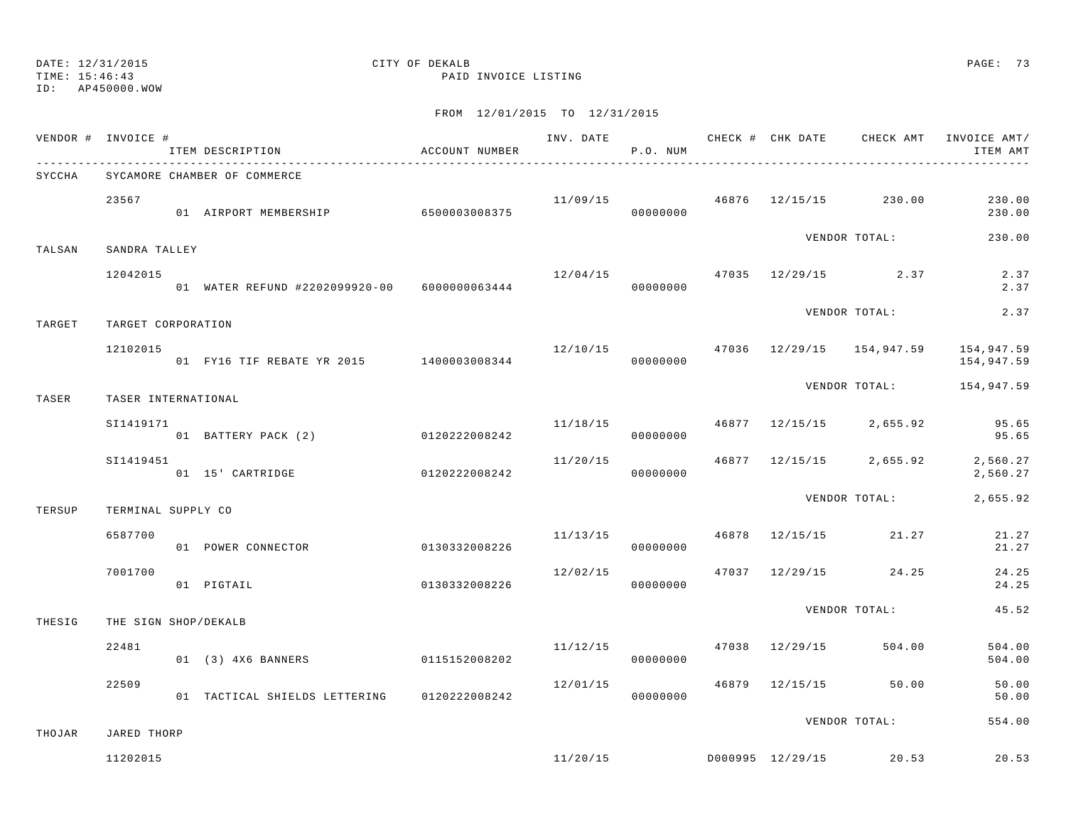TIME: 15:46:43 PAID INVOICE LISTING

ID: AP450000.WOW

|        | VENDOR # INVOICE #<br>------------------------ | ITEM DESCRIPTION<br>-------------------------            | ACCOUNT NUMBER |          | P.O. NUM |  |                                                  | ITEM AMT             |
|--------|------------------------------------------------|----------------------------------------------------------|----------------|----------|----------|--|--------------------------------------------------|----------------------|
| SYCCHA |                                                | SYCAMORE CHAMBER OF COMMERCE                             |                |          |          |  |                                                  |                      |
|        | 23567                                          | 11/09/15<br>00000000 01 AIRPORT MEMBERSHIP 6500003008375 |                |          |          |  | $11/09/15$ $46876$ $12/15/15$ $230.00$           | 230.00<br>230.00     |
| TALSAN | SANDRA TALLEY                                  |                                                          |                |          |          |  | VENDOR TOTAL:                                    | 230.00               |
|        | 12042015                                       |                                                          |                |          |          |  | $12/04/15$ $47035$ $12/29/15$ $2.37$             | 2.37<br>2.37         |
| TARGET | TARGET CORPORATION                             |                                                          |                |          |          |  | VENDOR TOTAL:                                    | 2.37                 |
|        | 12102015                                       | 01 FY16 TIF REBATE YR 2015 1400003008344                 |                | 12/10/15 | 00000000 |  | 47036 12/29/15 154,947.59 154,947.59             | 154,947.59           |
| TASER  | TASER INTERNATIONAL                            |                                                          |                |          |          |  | VENDOR TOTAL: 154,947.59                         |                      |
|        | SI1419171                                      | <br>01 BATTERY PACK (2) 0120222008242                    |                |          | 00000000 |  | $11/18/15$ $46877$ $12/15/15$ $2,655.92$ $95.65$ | 95.65                |
|        | SI1419451                                      | 01 15' CARTRIDGE 6120222008242                           |                | 11/20/15 | 00000000 |  | 46877 12/15/15 2,655.92                          | 2,560.27<br>2,560.27 |
| TERSUP | TERMINAL SUPPLY CO                             |                                                          |                |          |          |  | VENDOR TOTAL:                                    | 2,655.92             |
|        | 6587700                                        | 01 POWER CONNECTOR                                       | 0130332008226  | 11/13/15 | 00000000 |  | 46878 12/15/15 21.27                             | 21.27<br>21.27       |
|        | 7001700                                        | 01 PIGTAIL                                               | 0130332008226  | 12/02/15 | 00000000 |  | 47037 12/29/15 24.25                             | 24.25<br>24.25       |
| THESIG | THE SIGN SHOP/DEKALB                           |                                                          |                |          |          |  | VENDOR TOTAL:                                    | 45.52                |
|        | 22481                                          | 01 (3) 4X6 BANNERS                                       | 0115152008202  | 11/12/15 | 00000000 |  | 47038 12/29/15 504.00                            | 504.00<br>504.00     |
|        | 22509                                          | 01 TACTICAL SHIELDS LETTERING 0120222008242              |                | 12/01/15 | 00000000 |  | 46879 12/15/15 50.00                             | 50.00<br>50.00       |
| THOJAR | JARED THORP                                    |                                                          |                |          |          |  | VENDOR TOTAL:                                    | 554.00               |
|        | 11202015                                       |                                                          |                |          | 11/20/15 |  | D000995 12/29/15 20.53                           | 20.53                |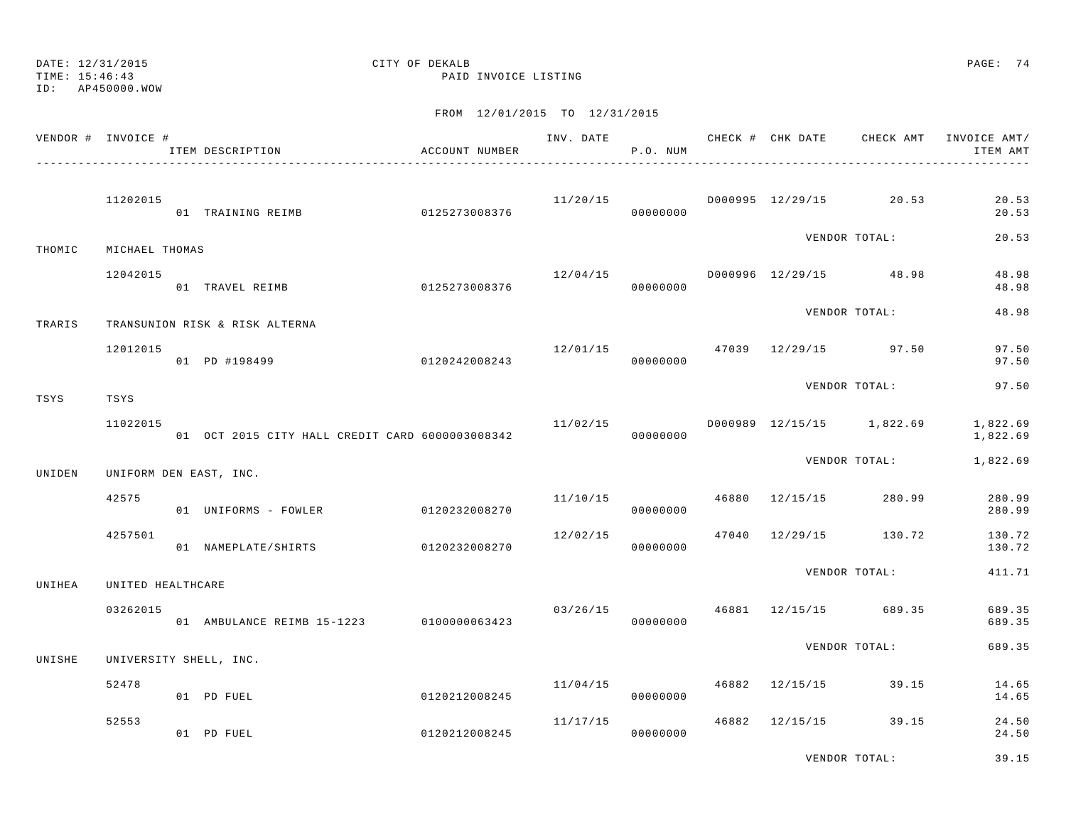ID: AP450000.WOW

|        | VENDOR # INVOICE # | ITEM DESCRIPTION                                | ACCOUNT NUMBER |                      | P.O. NUM |  |                                            | INV. DATE 6 7 200 CHECK # CHK DATE 6 CHECK AMT INVOICE AMT<br>ITEM AMT |
|--------|--------------------|-------------------------------------------------|----------------|----------------------|----------|--|--------------------------------------------|------------------------------------------------------------------------|
|        | 11202015           | 1202015<br>01 TRAINING REIMB 0125273008376      |                |                      |          |  | $11/20/15$ $D000995$ $12/29/15$ $20.53$    | 20.53<br>20.53                                                         |
| THOMIC | MICHAEL THOMAS     |                                                 |                |                      |          |  | VENDOR TOTAL:                              | 20.53                                                                  |
|        | 12042015           | 01 TRAVEL REIMB 0125273008376                   |                |                      | 00000000 |  |                                            | 48.98<br>48.98                                                         |
| TRARIS |                    | TRANSUNION RISK & RISK ALTERNA                  |                |                      |          |  | VENDOR TOTAL:                              | 48.98                                                                  |
|        | 12012015           | 01 PD #198499 0120242008243                     |                | 000000000            |          |  | $12/01/15$ $47039$ $12/29/15$ $97.50$      | 97.50<br>97.50                                                         |
| TSYS   | TSYS               |                                                 |                |                      |          |  | VENDOR TOTAL:                              | 97.50                                                                  |
|        | 11022015           | 01 OCT 2015 CITY HALL CREDIT CARD 6000003008342 |                |                      | 00000000 |  | $11/02/15$ $D000989$ $12/15/15$ $1,822.69$ | 1,822.69<br>1,822.69                                                   |
| UNIDEN |                    | UNIFORM DEN EAST, INC.                          |                |                      |          |  | VENDOR TOTAL:                              | 1,822.69                                                               |
|        | 42575              | 01 UNIFORMS - FOWLER 0120232008270              |                |                      | 00000000 |  |                                            | $11/10/15$ $46880$ $12/15/15$ $280.99$ $280.99$<br>280.99              |
|        | 4257501            | 01 NAMEPLATE/SHIRTS                             | 0120232008270  | 12/02/15<br>00000000 |          |  | 47040 12/29/15 130.72                      | 130.72<br>130.72                                                       |
| UNIHEA | UNITED HEALTHCARE  |                                                 |                |                      |          |  | VENDOR TOTAL:                              | 411.71                                                                 |
|        | 03262015           | 01 AMBULANCE REIMB 15-1223 0100000063423        |                |                      | 00000000 |  | 03/26/15 46881 12/15/15 689.35             | 689.35<br>689.35                                                       |
| UNISHE |                    | UNIVERSITY SHELL, INC.                          |                |                      |          |  | VENDOR TOTAL:                              | 689.35                                                                 |
|        | 52478              | 01 PD FUEL                                      | 0120212008245  | 11/04/15             | 00000000 |  | 46882 12/15/15 39.15                       | 14.65<br>14.65                                                         |
|        | 52553              | 01 PD FUEL                                      | 0120212008245  |                      | 00000000 |  | $11/17/15$ $46882$ $12/15/15$ $39.15$      | 24.50<br>24.50                                                         |
|        |                    |                                                 |                |                      |          |  | VENDOR TOTAL:                              | 39.15                                                                  |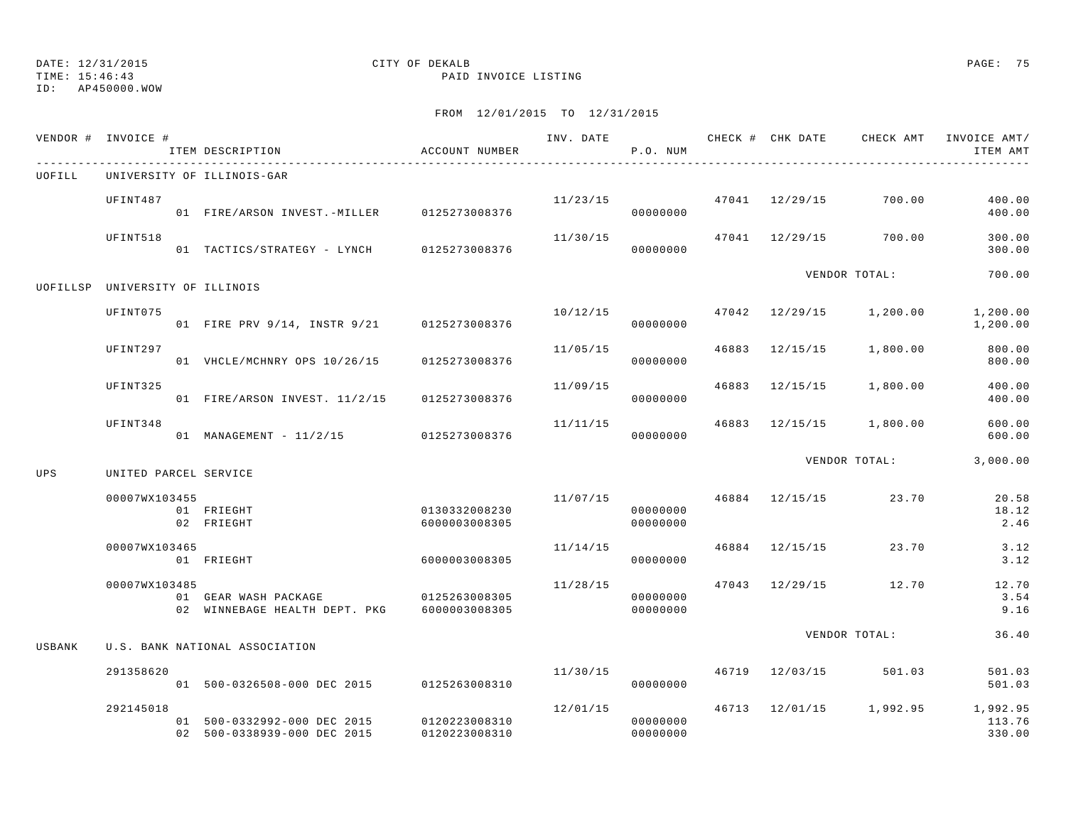TIME: 15:46:43 PAID INVOICE LISTING

ID: AP450000.WOW

|        | VENDOR # INVOICE # | ITEM DESCRIPTION                                           | ACCOUNT NUMBER                 |          | P.O. NUM             |                |                         | INV. DATE 6 7 200 CHECK # CHK DATE 6 CHECK AMT INVOICE AMT/<br>ITEM AMT |
|--------|--------------------|------------------------------------------------------------|--------------------------------|----------|----------------------|----------------|-------------------------|-------------------------------------------------------------------------|
| UOFILL |                    | UNIVERSITY OF ILLINOIS-GAR                                 |                                |          |                      |                |                         |                                                                         |
|        | UFINT487           | 01 FIRE/ARSON INVEST.-MILLER 0125273008376                 |                                | 11/23/15 | 00000000             |                | 47041 12/29/15 700.00   | 400.00<br>400.00                                                        |
|        | UFINT518           | 01 TACTICS/STRATEGY - LYNCH 0125273008376                  |                                | 11/30/15 | 00000000             | 47041 12/29/15 | 700.00                  | 300.00<br>300.00                                                        |
|        |                    | UOFILLSP UNIVERSITY OF ILLINOIS                            |                                |          |                      |                | VENDOR TOTAL:           | 700.00                                                                  |
|        | UFINT075           | 01 FIRE PRV 9/14, INSTR 9/21 0125273008376                 |                                | 10/12/15 | 00000000             |                | 47042 12/29/15 1,200.00 | 1,200.00<br>1,200.00                                                    |
|        | UFINT297           | 01 VHCLE/MCHNRY OPS 10/26/15 0125273008376                 |                                | 11/05/15 | 00000000             | 46883 12/15/15 | 1,800.00                | 800.00<br>800.00                                                        |
|        | UFINT325           | 01 FIRE/ARSON INVEST. 11/2/15 0125273008376                |                                | 11/09/15 | 00000000             | 46883 12/15/15 | 1,800.00                | 400.00<br>400.00                                                        |
|        | UFINT348           | 01 MANAGEMENT - 11/2/15 0125273008376                      |                                | 11/11/15 | 00000000             |                | 46883 12/15/15 1,800.00 | 600.00<br>600.00                                                        |
| UPS    |                    | UNITED PARCEL SERVICE                                      |                                |          |                      |                | VENDOR TOTAL:           | 3,000.00                                                                |
|        | 00007WX103455      | 01 FRIEGHT<br>02 FRIEGHT                                   | 0130332008230<br>6000003008305 | 11/07/15 | 00000000<br>00000000 |                | 46884 12/15/15 23.70    | 20.58<br>18.12<br>2.46                                                  |
|        | 00007WX103465      | 01 FRIEGHT                                                 | 6000003008305                  | 11/14/15 | 00000000             |                | 46884 12/15/15 23.70    | 3.12<br>3.12                                                            |
|        | 00007WX103485      | 01 GEAR WASH PACKAGE<br>02 WINNEBAGE HEALTH DEPT. PKG      | 0125263008305<br>6000003008305 | 11/28/15 | 00000000<br>00000000 |                | 47043 12/29/15 12.70    | 12.70<br>3.54<br>9.16                                                   |
| USBANK |                    | U.S. BANK NATIONAL ASSOCIATION                             |                                |          |                      |                | VENDOR TOTAL:           | 36.40                                                                   |
|        | 291358620          | 01 500-0326508-000 DEC 2015 0125263008310                  |                                | 11/30/15 | 00000000             |                | 46719 12/03/15 501.03   | 501.03<br>501.03                                                        |
|        | 292145018          | 01 500-0332992-000 DEC 2015<br>02 500-0338939-000 DEC 2015 | 0120223008310<br>0120223008310 | 12/01/15 | 00000000<br>00000000 |                | 46713 12/01/15 1,992.95 | 1,992.95<br>113.76<br>330.00                                            |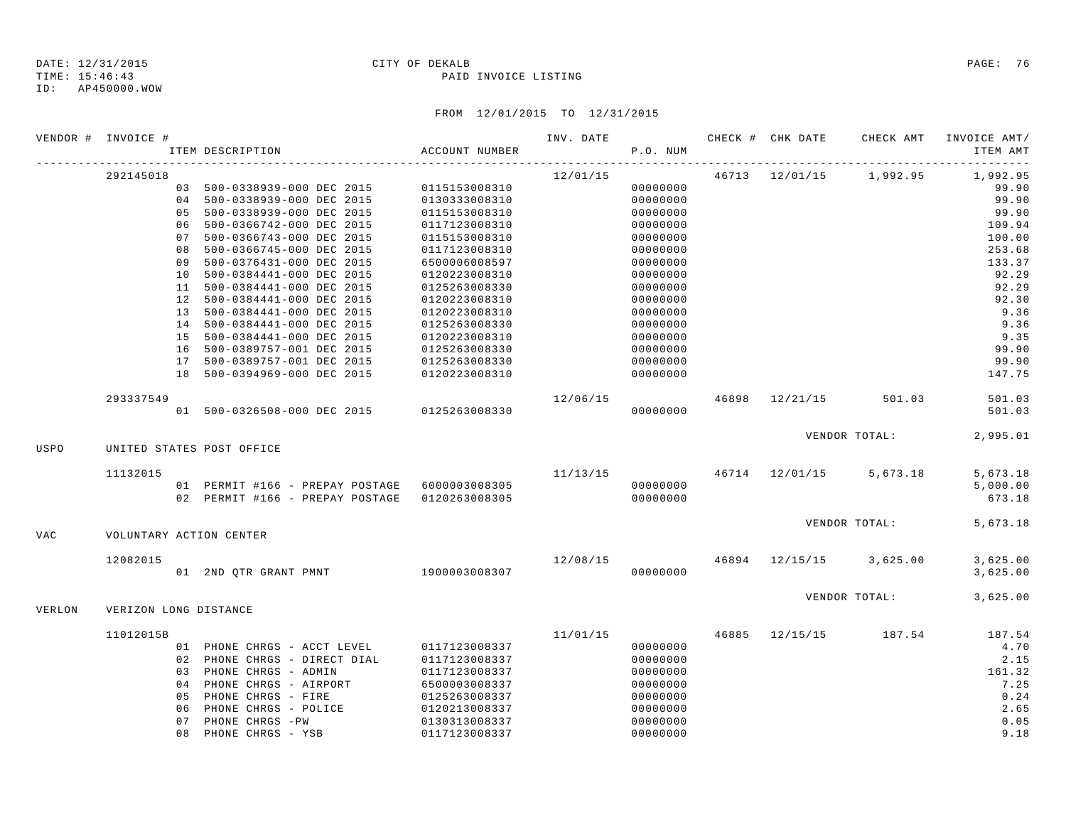TIME: 15:46:43 PAID INVOICE LISTING ID: AP450000.WOW

# DATE: 12/31/2015 CITY OF DEKALB PAGE: 76

|            | VENDOR # INVOICE #    |     | ITEM DESCRIPTION                              | ACCOUNT NUMBER | INV. DATE | P.O. NUM | CHECK # CHK DATE | CHECK AMT                                | INVOICE AMT/<br>ITEM AMT |
|------------|-----------------------|-----|-----------------------------------------------|----------------|-----------|----------|------------------|------------------------------------------|--------------------------|
|            | 292145018             |     |                                               |                | 12/01/15  |          | 46713 12/01/15   | 1,992.95                                 | 1,992.95                 |
|            |                       |     | 03 500-0338939-000 DEC 2015 0115153008310     |                |           | 00000000 |                  |                                          | 99.90                    |
|            |                       |     | 04 500-0338939-000 DEC 2015                   | 0130333008310  |           | 00000000 |                  |                                          | 99.90                    |
|            |                       |     | 05 500-0338939-000 DEC 2015                   | 0115153008310  |           | 00000000 |                  |                                          | 99.90                    |
|            |                       |     | 06 500-0366742-000 DEC 2015                   | 0117123008310  |           | 00000000 |                  |                                          | 109.94                   |
|            |                       |     | 07 500-0366743-000 DEC 2015                   | 0115153008310  |           | 00000000 |                  |                                          | 100.00                   |
|            |                       |     | 08 500-0366745-000 DEC 2015                   | 0117123008310  |           | 00000000 |                  |                                          | 253.68                   |
|            |                       |     | 09 500-0376431-000 DEC 2015                   | 6500006008597  |           | 00000000 |                  |                                          | 133.37                   |
|            |                       |     | 10 500-0384441-000 DEC 2015                   | 0120223008310  |           | 00000000 |                  |                                          | 92.29                    |
|            |                       |     | 11 500-0384441-000 DEC 2015                   | 0125263008330  |           | 00000000 |                  |                                          | 92.29                    |
|            |                       |     | 12 500-0384441-000 DEC 2015                   | 0120223008310  |           | 00000000 |                  |                                          | 92.30                    |
|            |                       |     | 13 500-0384441-000 DEC 2015                   | 0120223008310  |           | 00000000 |                  |                                          | 9.36                     |
|            |                       |     | 14 500-0384441-000 DEC 2015                   | 0125263008330  |           | 00000000 |                  |                                          | 9.36                     |
|            |                       |     | 15 500-0384441-000 DEC 2015                   | 0120223008310  |           | 00000000 |                  |                                          | 9.35                     |
|            |                       |     | 16 500-0389757-001 DEC 2015                   | 0125263008330  |           | 00000000 |                  |                                          | 99.90                    |
|            |                       |     | 17 500-0389757-001 DEC 2015                   | 0125263008330  |           | 00000000 |                  |                                          | 99.90                    |
|            |                       |     | 18 500-0394969-000 DEC 2015                   | 0120223008310  |           | 00000000 |                  |                                          | 147.75                   |
|            | 293337549             |     |                                               |                | 12/06/15  |          | 46898 12/21/15   | 501.03                                   | 501.03                   |
|            |                       |     | 01 500-0326508-000 DEC 2015 0125263008330     |                |           | 00000000 |                  |                                          | 501.03                   |
| USPO       |                       |     | UNITED STATES POST OFFICE                     |                |           |          |                  | VENDOR TOTAL:                            | 2,995.01                 |
|            |                       |     |                                               |                |           |          |                  |                                          |                          |
|            | 11132015              |     |                                               |                | 11/13/15  |          |                  | 46714 12/01/15 5,673.18                  | 5,673.18                 |
|            |                       |     | 01 PERMIT #166 - PREPAY POSTAGE 6000003008305 |                |           | 00000000 |                  |                                          | 5,000.00                 |
|            |                       |     | 02 PERMIT #166 - PREPAY POSTAGE 0120263008305 |                |           | 00000000 |                  |                                          | 673.18                   |
|            |                       |     |                                               |                |           |          |                  | VENDOR TOTAL:                            | 5,673.18                 |
| <b>VAC</b> |                       |     | VOLUNTARY ACTION CENTER                       |                |           |          |                  |                                          |                          |
|            | 12082015              |     |                                               |                |           |          |                  | $12/08/15$ $46894$ $12/15/15$ $3,625.00$ | 3,625.00                 |
|            |                       |     | 01 2ND QTR GRANT PMNT 1900003008307           |                |           | 00000000 |                  |                                          | 3,625.00                 |
|            |                       |     |                                               |                |           |          |                  | VENDOR TOTAL:                            | 3,625.00                 |
| VERLON     | VERIZON LONG DISTANCE |     |                                               |                |           |          |                  |                                          |                          |
|            | 11012015B             |     |                                               |                | 11/01/15  |          |                  | 46885 12/15/15 187.54                    | 187.54                   |
|            |                       |     | 01 PHONE CHRGS - ACCT LEVEL                   | 0117123008337  |           | 00000000 |                  |                                          | 4.70                     |
|            |                       | 0.2 | PHONE CHRGS - DIRECT DIAL                     | 0117123008337  |           | 00000000 |                  |                                          | 2.15                     |
|            |                       |     | 03 PHONE CHRGS - ADMIN                        | 0117123008337  |           | 00000000 |                  |                                          | 161.32                   |
|            |                       | 04  | PHONE CHRGS - AIRPORT                         | 6500003008337  |           | 00000000 |                  |                                          | 7.25                     |
|            |                       | 05  | PHONE CHRGS - FIRE                            | 0125263008337  |           | 00000000 |                  |                                          | 0.24                     |
|            |                       | 06  | PHONE CHRGS - POLICE                          | 0120213008337  |           | 00000000 |                  |                                          | 2.65                     |
|            |                       | 07  | PHONE CHRGS -PW                               | 0130313008337  |           | 00000000 |                  |                                          | 0.05                     |
|            |                       | 08  | PHONE CHRGS - YSB                             | 0117123008337  |           | 00000000 |                  |                                          | 9.18                     |
|            |                       |     |                                               |                |           |          |                  |                                          |                          |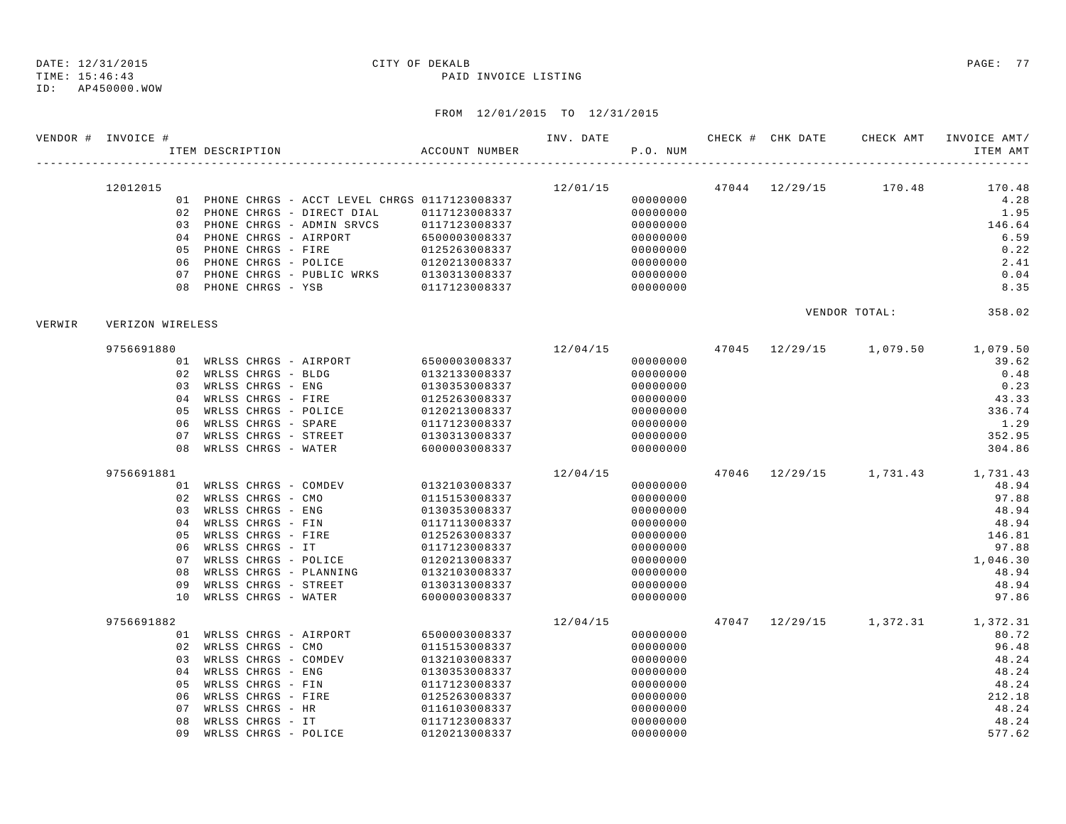### TIME: 15:46:43 PAID INVOICE LISTING

|        | VENDOR # INVOICE # | ITEM DESCRIPTION                               |                                                 | ACCOUNT NUMBER                 | INV. DATE | P.O. NUM             |       | CHECK # CHK DATE | CHECK AMT             | INVOICE AMT/<br>ITEM AMT |
|--------|--------------------|------------------------------------------------|-------------------------------------------------|--------------------------------|-----------|----------------------|-------|------------------|-----------------------|--------------------------|
|        | 12012015           |                                                |                                                 |                                | 12/01/15  |                      |       |                  | 47044 12/29/15 170.48 | 170.48                   |
|        |                    |                                                | 01 PHONE CHRGS - ACCT LEVEL CHRGS 0117123008337 |                                |           | 00000000             |       |                  |                       | 4.28                     |
|        | 02                 |                                                | PHONE CHRGS - DIRECT DIAL                       | 0117123008337                  |           | 00000000             |       |                  |                       | 1.95                     |
|        | 03                 |                                                | PHONE CHRGS - ADMIN SRVCS                       | 0117123008337                  |           | 00000000             |       |                  |                       | 146.64                   |
|        | 04                 | PHONE CHRGS - AIRPORT                          |                                                 | 6500003008337                  |           | 00000000             |       |                  |                       | 6.59                     |
|        | 05                 | PHONE CHRGS - FIRE                             |                                                 | 0125263008337                  |           | 00000000             |       |                  |                       | 0.22                     |
|        | 06                 | PHONE CHRGS - POLICE                           |                                                 | 0120213008337                  |           | 00000000             |       |                  |                       | 2.41                     |
|        | 07<br>08           | PHONE CHRGS - YSB                              | PHONE CHRGS - PUBLIC WRKS                       | 0130313008337<br>0117123008337 |           | 00000000<br>00000000 |       |                  |                       | 0.04<br>8.35             |
|        |                    |                                                |                                                 |                                |           |                      |       |                  |                       |                          |
| VERWIR | VERIZON WIRELESS   |                                                |                                                 |                                |           |                      |       |                  | VENDOR TOTAL:         | 358.02                   |
|        | 9756691880         |                                                |                                                 |                                | 12/04/15  |                      | 47045 | 12/29/15         | 1,079.50              | 1,079.50                 |
|        | 01                 | WRLSS CHRGS - AIRPORT                          |                                                 | 6500003008337                  |           | 00000000             |       |                  |                       | 39.62                    |
|        | 02                 | WRLSS CHRGS - BLDG                             |                                                 | 0132133008337                  |           | 00000000             |       |                  |                       | 0.48                     |
|        | 03                 | WRLSS CHRGS - ENG                              |                                                 | 0130353008337                  |           | 00000000             |       |                  |                       | 0.23                     |
|        | 04                 | WRLSS CHRGS - FIRE                             |                                                 | 0125263008337                  |           | 00000000             |       |                  |                       | 43.33                    |
|        | 05                 | WRLSS CHRGS - POLICE                           |                                                 | 0120213008337                  |           | 00000000             |       |                  |                       | 336.74                   |
|        | 06                 | WRLSS CHRGS - SPARE                            |                                                 | 0117123008337                  |           | 00000000             |       |                  |                       | 1.29                     |
|        | 07                 | WRLSS CHRGS - STREET                           |                                                 | 0130313008337                  |           | 00000000             |       |                  |                       | 352.95                   |
|        | 08                 | WRLSS CHRGS - WATER                            |                                                 | 6000003008337                  |           | 00000000             |       |                  |                       | 304.86                   |
|        | 9756691881         |                                                |                                                 |                                | 12/04/15  |                      | 47046 | 12/29/15         | 1,731.43              | 1,731.43                 |
|        |                    | 01 WRLSS CHRGS - COMDEV                        |                                                 | 0132103008337                  |           | 00000000             |       |                  |                       | 48.94                    |
|        | 02                 | WRLSS CHRGS - CMO                              |                                                 | 0115153008337                  |           | 00000000             |       |                  |                       | 97.88                    |
|        | 03                 | WRLSS CHRGS - ENG                              |                                                 | 0130353008337                  |           | 00000000             |       |                  |                       | 48.94                    |
|        | 04                 | WRLSS CHRGS - FIN                              |                                                 | 0117113008337                  |           | 00000000             |       |                  |                       | 48.94                    |
|        | 05                 | WRLSS CHRGS - FIRE                             |                                                 | 0125263008337                  |           | 00000000             |       |                  |                       | 146.81                   |
|        | 06                 | WRLSS CHRGS - IT                               |                                                 | 0117123008337                  |           | 00000000             |       |                  |                       | 97.88                    |
|        | 07                 | WRLSS CHRGS - POLICE                           |                                                 | 0120213008337                  |           | 00000000             |       |                  |                       | 1,046.30<br>48.94        |
|        | 08<br>09           | WRLSS CHRGS - PLANNING<br>WRLSS CHRGS - STREET |                                                 | 0132103008337<br>0130313008337 |           | 00000000<br>00000000 |       |                  |                       | 48.94                    |
|        | 10                 | WRLSS CHRGS - WATER                            |                                                 | 6000003008337                  |           | 00000000             |       |                  |                       | 97.86                    |
|        | 9756691882         |                                                |                                                 |                                | 12/04/15  |                      | 47047 | 12/29/15         | 1,372.31              | 1,372.31                 |
|        | 01                 | WRLSS CHRGS - AIRPORT                          |                                                 | 6500003008337                  |           | 00000000             |       |                  |                       | 80.72                    |
|        | 02                 | WRLSS CHRGS - CMO                              |                                                 | 0115153008337                  |           | 00000000             |       |                  |                       | 96.48                    |
|        | 03                 | WRLSS CHRGS - COMDEV                           |                                                 | 0132103008337                  |           | 00000000             |       |                  |                       | 48.24                    |
|        | 0 <sub>4</sub>     | WRLSS CHRGS - ENG                              |                                                 | 0130353008337                  |           | 00000000             |       |                  |                       | 48.24                    |
|        | 05                 | WRLSS CHRGS - FIN                              |                                                 | 0117123008337                  |           | 00000000             |       |                  |                       | 48.24                    |
|        | 06                 | WRLSS CHRGS - FIRE                             |                                                 | 0125263008337                  |           | 00000000             |       |                  |                       | 212.18                   |
|        | 07                 | WRLSS CHRGS - HR                               |                                                 | 0116103008337                  |           | 00000000             |       |                  |                       | 48.24                    |
|        | 08                 | WRLSS CHRGS - IT                               |                                                 | 0117123008337                  |           | 00000000             |       |                  |                       | 48.24                    |
|        | 09                 | WRLSS CHRGS - POLICE                           |                                                 | 0120213008337                  |           | 00000000             |       |                  |                       | 577.62                   |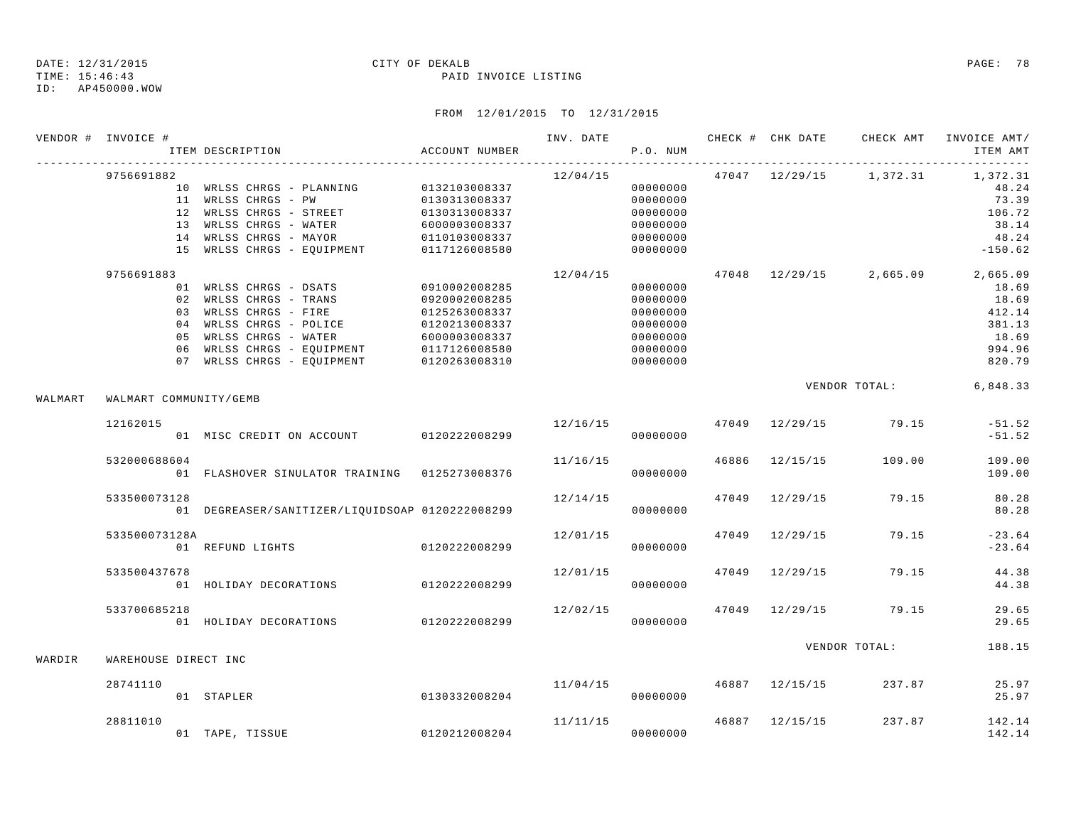TIME: 15:46:43 PAID INVOICE LISTING

ID: AP450000.WOW

|         | VENDOR # INVOICE #   | ITEM DESCRIPTION                                                   | ACCOUNT NUMBER |          | P.O. NUM |                |                                        | ITEM AMT                                 |
|---------|----------------------|--------------------------------------------------------------------|----------------|----------|----------|----------------|----------------------------------------|------------------------------------------|
|         | 9756691882           |                                                                    |                | 12/04/15 |          |                |                                        | $47047$ $12/29/15$ $1,372.31$ $1,372.31$ |
|         |                      | 10 WRLSS CHRGS - PLANNING 0132103008337                            |                |          | 00000000 |                |                                        | 48.24                                    |
|         |                      | 11 WRLSS CHRGS - PW                                                | 0130313008337  |          | 00000000 |                |                                        | 73.39                                    |
|         |                      | 12 WRLSS CHRGS - STREET                                            | 0130313008337  |          | 00000000 |                |                                        | 106.72                                   |
|         |                      | 13 WRLSS CHRGS - WATER                                             | 6000003008337  |          | 00000000 |                |                                        | 38.14                                    |
|         |                      | 14 WRLSS CHRGS - MAYOR                                             | 0110103008337  |          | 00000000 |                |                                        | 48.24                                    |
|         |                      | 15 WRLSS CHRGS - EQUIPMENT 0117126008580                           |                |          | 00000000 |                |                                        | $-150.62$                                |
|         | 9756691883           |                                                                    |                | 12/04/15 |          |                |                                        | 47048 12/29/15 2,665.09 2,665.09         |
|         |                      | 01 WRLSS CHRGS - DSATS                                             | 0910002008285  |          | 00000000 |                |                                        | 18.69                                    |
|         |                      | 02 WRLSS CHRGS - TRANS                                             | 0920002008285  |          | 00000000 |                |                                        | 18.69                                    |
|         |                      | 03 WRLSS CHRGS - FIRE                                              | 0125263008337  |          | 00000000 |                |                                        | 412.14                                   |
|         |                      | 04 WRLSS CHRGS - POLICE                                            | 0120213008337  |          | 00000000 |                |                                        | 381.13                                   |
|         |                      | 05 WRLSS CHRGS - WATER<br>06 WRLSS CHRGS - EQUIPMENT 0117126008580 | 6000003008337  |          | 00000000 |                |                                        | 18.69                                    |
|         |                      |                                                                    |                |          | 00000000 |                |                                        | 994.96<br>820.79                         |
|         |                      | 07 WRLSS CHRGS - EQUIPMENT 0120263008310                           |                |          | 00000000 |                |                                        |                                          |
| WALMART |                      | WALMART COMMUNITY/GEMB                                             |                |          |          |                |                                        | VENDOR TOTAL: 6,848.33                   |
|         |                      |                                                                    |                |          |          |                |                                        |                                          |
|         | 12162015             | 01 MISC CREDIT ON ACCOUNT 0120222008299                            |                | 12/16/15 | 00000000 |                | 47049 12/29/15 79.15                   | $-51.52$<br>$-51.52$                     |
|         |                      |                                                                    |                |          |          |                |                                        |                                          |
|         | 532000688604         |                                                                    |                | 11/16/15 |          |                | 46886 12/15/15 109.00                  | 109.00                                   |
|         |                      | 01 FLASHOVER SINULATOR TRAINING 0125273008376                      |                |          | 00000000 |                |                                        | 109.00                                   |
|         | 533500073128         |                                                                    |                | 12/14/15 |          |                | 47049 12/29/15 79.15                   | 80.28                                    |
|         |                      | 01 DEGREASER/SANITIZER/LIQUIDSOAP 0120222008299                    |                |          | 00000000 |                |                                        | 80.28                                    |
|         | 533500073128A        |                                                                    |                | 12/01/15 |          |                | 47049 12/29/15 79.15                   | $-23.64$                                 |
|         |                      | 01 REFUND LIGHTS 0120222008299                                     |                |          | 00000000 |                |                                        | $-23.64$                                 |
|         | 533500437678         |                                                                    |                | 12/01/15 |          |                | 47049 12/29/15 79.15                   | 44.38                                    |
|         |                      | 01 HOLIDAY DECORATIONS 0120222008299                               |                |          | 00000000 |                |                                        | 44.38                                    |
|         | 533700685218         |                                                                    |                | 12/02/15 |          |                | 47049 12/29/15 79.15                   | 29.65                                    |
|         |                      | 01 HOLIDAY DECORATIONS                                             | 0120222008299  |          | 00000000 |                |                                        | 29.65                                    |
|         |                      |                                                                    |                |          |          |                | VENDOR TOTAL:                          | 188.15                                   |
| WARDIR  | WAREHOUSE DIRECT INC |                                                                    |                |          |          |                |                                        |                                          |
|         | 28741110             |                                                                    |                |          |          |                | $11/04/15$ $46887$ $12/15/15$ $237.87$ | 25.97                                    |
|         |                      | 01 STAPLER                                                         | 0130332008204  |          | 00000000 |                |                                        | 25.97                                    |
|         | 28811010             |                                                                    |                | 11/11/15 |          | 46887 12/15/15 | 237.87                                 | 142.14                                   |
|         |                      | 01 TAPE, TISSUE                                                    | 0120212008204  |          | 00000000 |                |                                        | 142.14                                   |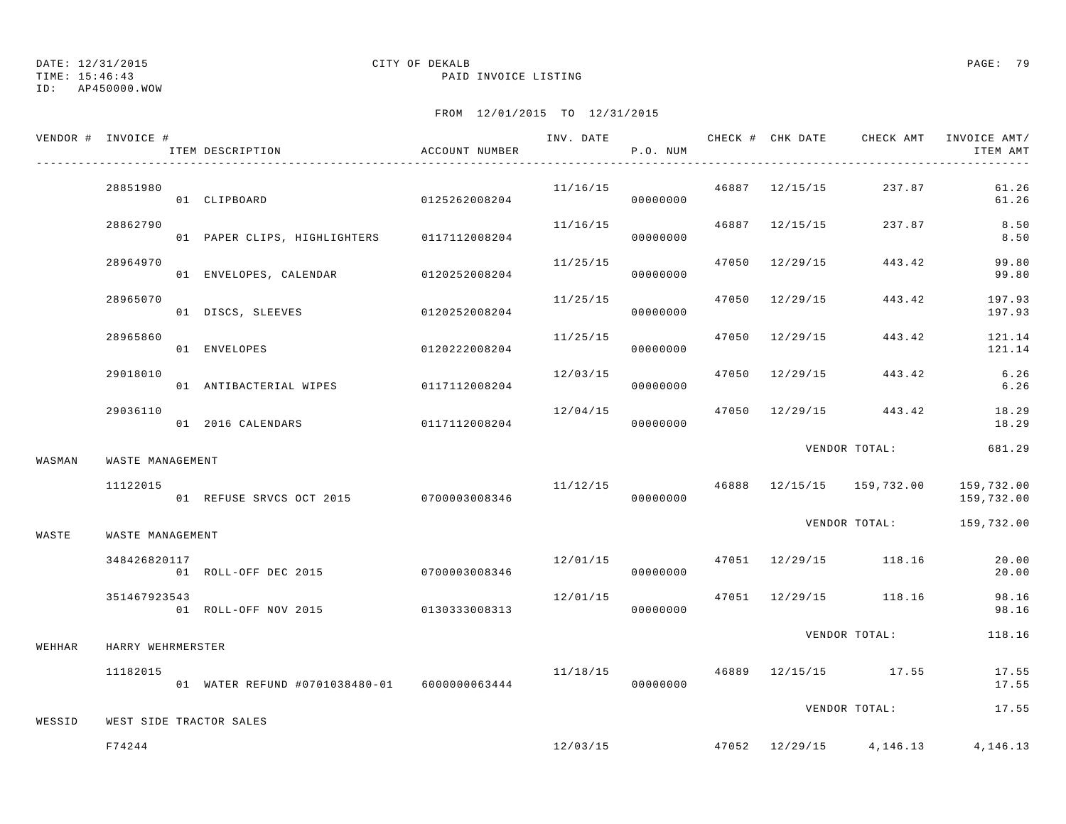## ID: AP450000.WOW

### DATE: 12/31/2015 CITY OF DEKALB PAGE: 79 TIME: 15:46:43 PAID INVOICE LISTING

|        | VENDOR # INVOICE #      | ITEM DESCRIPTION                             | ACCOUNT NUMBER |                             | P.O. NUM |       |                | INV. DATE 6 1999 CHECK # CHK DATE CHECK AMT INVOICE AMT | ITEM AMT         |
|--------|-------------------------|----------------------------------------------|----------------|-----------------------------|----------|-------|----------------|---------------------------------------------------------|------------------|
|        | 28851980                | 01 CLIPBOARD                                 | 0125262008204  | $11/16/15$ 46887 $12/15/15$ | 00000000 |       |                | 237.87                                                  | 61.26<br>61.26   |
|        | 28862790                | 01 PAPER CLIPS, HIGHLIGHTERS 0117112008204   |                | 11/16/15                    | 00000000 |       | 46887 12/15/15 | 237.87                                                  | 8.50<br>8.50     |
|        | 28964970                | 01 ENVELOPES, CALENDAR 0120252008204         |                | 11/25/15                    | 00000000 |       | 47050 12/29/15 | 443.42                                                  | 99.80<br>99.80   |
|        | 28965070                | 01 DISCS, SLEEVES                            | 0120252008204  | 11/25/15                    | 00000000 | 47050 | 12/29/15       | 443.42                                                  | 197.93<br>197.93 |
|        | 28965860                | 01 ENVELOPES                                 | 0120222008204  | 11/25/15                    | 00000000 |       | 47050 12/29/15 | 443.42                                                  | 121.14<br>121.14 |
|        | 29018010                | 01 ANTIBACTERIAL WIPES                       | 0117112008204  | 12/03/15                    | 00000000 |       | 47050 12/29/15 | 443.42                                                  | 6.26<br>6.26     |
|        | 29036110                | 01 2016 CALENDARS                            | 0117112008204  | 12/04/15                    | 00000000 |       |                | 47050 12/29/15 443.42                                   | 18.29<br>18.29   |
| WASMAN | WASTE MANAGEMENT        |                                              |                |                             |          |       |                | VENDOR TOTAL:                                           | 681.29           |
|        | 11122015                | 01 REFUSE SRVCS OCT 2015 0700003008346       |                | 11/12/15                    | 00000000 |       |                | 46888 12/15/15 159,732.00 159,732.00                    | 159,732.00       |
| WASTE  | WASTE MANAGEMENT        |                                              |                |                             |          |       |                | VENDOR TOTAL: 159,732.00                                |                  |
|        | 348426820117            | -- ,<br>01 ROLL-OFF DEC 2015 0700003008346   |                | 12/01/15                    | 00000000 |       |                | 47051 12/29/15 118.16                                   | 20.00<br>20.00   |
|        | 351467923543            | 01 ROLL-OFF NOV 2015 0130333008313           |                | 12/01/15                    | 00000000 |       |                | 47051 12/29/15 118.16                                   | 98.16<br>98.16   |
| WEHHAR | HARRY WEHRMERSTER       |                                              |                |                             |          |       |                | VENDOR TOTAL:                                           | 118.16           |
|        | 11182015                | 01 WATER REFUND #0701038480-01 6000000063444 |                | 11/18/15                    | 00000000 |       |                | 46889 12/15/15 17.55                                    | 17.55<br>17.55   |
| WESSID | WEST SIDE TRACTOR SALES |                                              |                |                             |          |       |                | VENDOR TOTAL:                                           | 17.55            |
|        | F74244                  |                                              |                | 12/03/15                    |          |       |                | 47052 12/29/15 4,146.13                                 | 4, 146. 13       |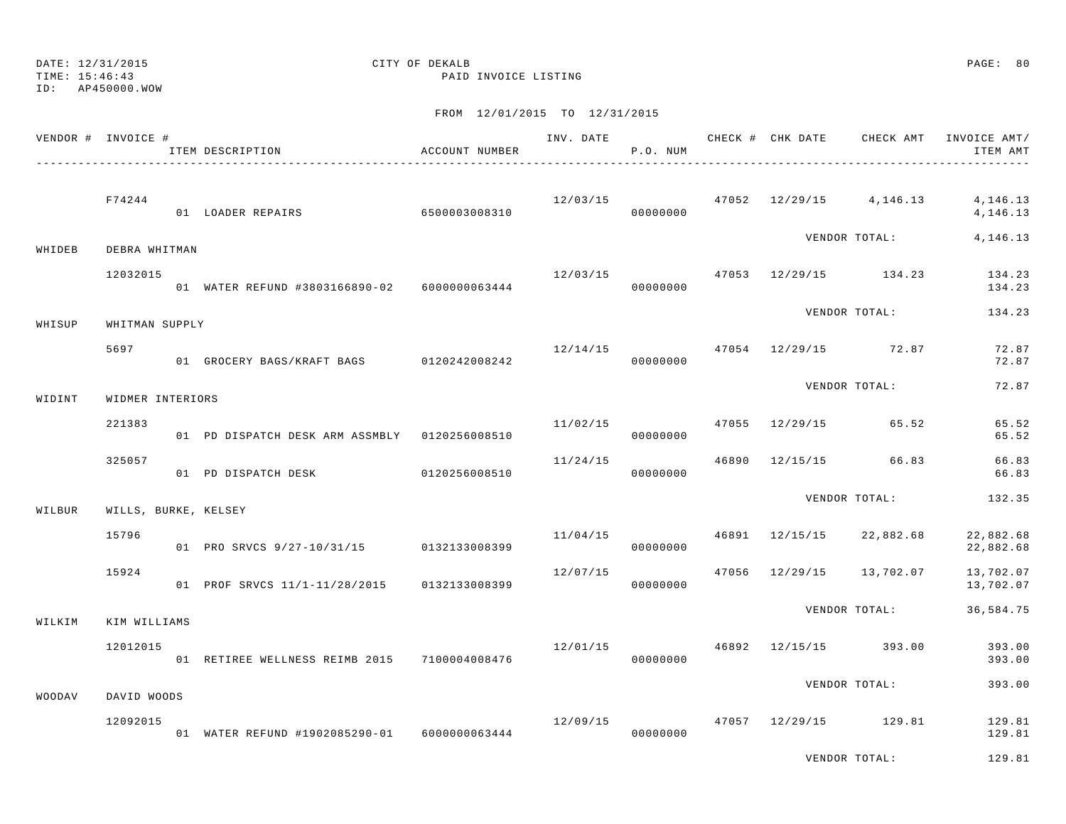TIME: 15:46:43 PAID INVOICE LISTING ID: AP450000.WOW

## DATE: 12/31/2015 CITY OF DEKALB PAGE: 80

|        | VENDOR # INVOICE #   | ITEM DESCRIPTION                              | ACCOUNT NUMBER |                | P.O. NUM |                | INV. DATE 6 CHECK # CHK DATE CHECK AMT   | INVOICE AMT/<br>ITEM AMT |
|--------|----------------------|-----------------------------------------------|----------------|----------------|----------|----------------|------------------------------------------|--------------------------|
|        | F74244               | 01 LOADER REPAIRS                             | 6500003008310  |                | 00000000 |                | $12/03/15$ $47052$ $12/29/15$ $4,146.13$ | 4,146.13<br>4, 146. 13   |
| WHIDEB | DEBRA WHITMAN        |                                               |                |                |          |                | VENDOR TOTAL:                            | 4,146.13                 |
|        | 12032015             | 01 WATER REFUND #3803166890-02 6000000063444  |                | 12/03/15       | 00000000 |                | 47053 12/29/15 134.23                    | 134.23<br>134.23         |
| WHISUP | WHITMAN SUPPLY       |                                               |                |                |          |                | VENDOR TOTAL:                            | 134.23                   |
|        | 5697                 | 01 GROCERY BAGS/KRAFT BAGS 0120242008242      |                | 12/14/15       | 00000000 |                | 47054 12/29/15 72.87                     | 72.87<br>72.87           |
| WIDINT | WIDMER INTERIORS     |                                               |                |                |          |                | VENDOR TOTAL:                            | 72.87                    |
|        | 221383               | 01 PD DISPATCH DESK ARM ASSMBLY 0120256008510 |                | 11/02/15 47055 | 00000000 |                | $12/29/15$ 65.52                         | 65.52<br>65.52           |
|        | 325057               | 01 PD DISPATCH DESK                           | 0120256008510  | 11/24/15       | 00000000 |                | 46890 12/15/15 66.83                     | 66.83<br>66.83           |
| WILBUR | WILLS, BURKE, KELSEY |                                               |                |                |          |                | VENDOR TOTAL:                            | 132.35                   |
|        | 15796                | 01 PRO SRVCS 9/27-10/31/15 0132133008399      |                | 11/04/15       | 00000000 | 46891 12/15/15 | 22,882.68                                | 22,882.68<br>22,882.68   |
|        | 15924                | 01 PROF SRVCS 11/1-11/28/2015 0132133008399   |                | 12/07/15       | 00000000 |                | 47056 12/29/15 13,702.07                 | 13,702.07<br>13,702.07   |
| WILKIM | KIM WILLIAMS         |                                               |                |                |          |                | VENDOR TOTAL:                            | 36,584.75                |
|        | 12012015             | 01 RETIREE WELLNESS REIMB 2015 7100004008476  |                | 12/01/15       | 00000000 |                | 46892 12/15/15 393.00                    | 393.00<br>393.00         |
| WOODAV | DAVID WOODS          |                                               |                |                |          |                | VENDOR TOTAL:                            | 393.00                   |
|        | 12092015             | 01 WATER REFUND #1902085290-01 6000000063444  |                | 12/09/15       | 00000000 |                | 47057 12/29/15 129.81                    | 129.81<br>129.81         |
|        |                      |                                               |                |                |          |                | VENDOR TOTAL:                            | 129.81                   |